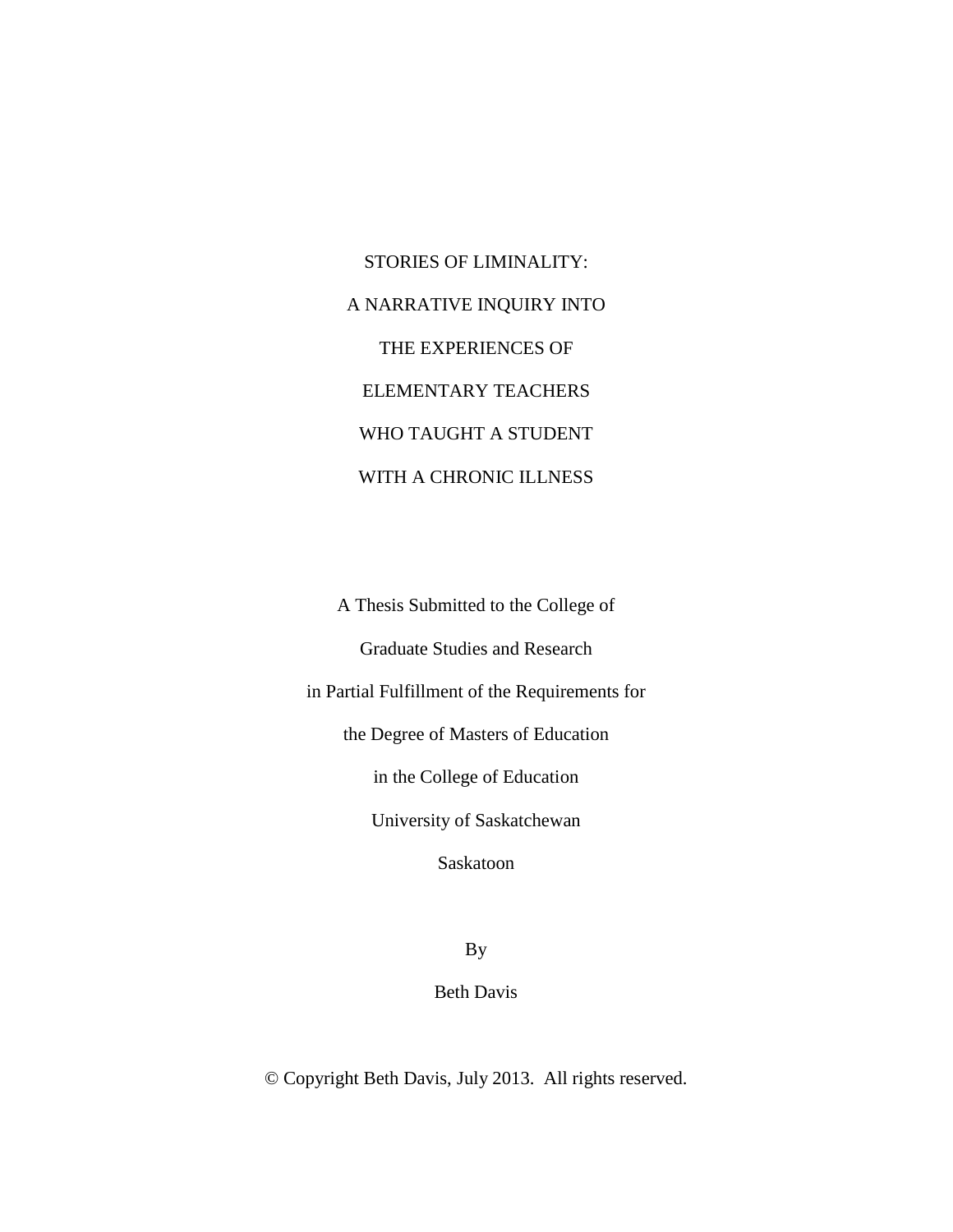STORIES OF LIMINALITY: A NARRATIVE INQUIRY INTO THE EXPERIENCES OF ELEMENTARY TEACHERS WHO TAUGHT A STUDENT WITH A CHRONIC ILLNESS

A Thesis Submitted to the College of Graduate Studies and Research in Partial Fulfillment of the Requirements for the Degree of Masters of Education in the College of Education University of Saskatchewan Saskatoon

By

Beth Davis

© Copyright Beth Davis, July 2013. All rights reserved.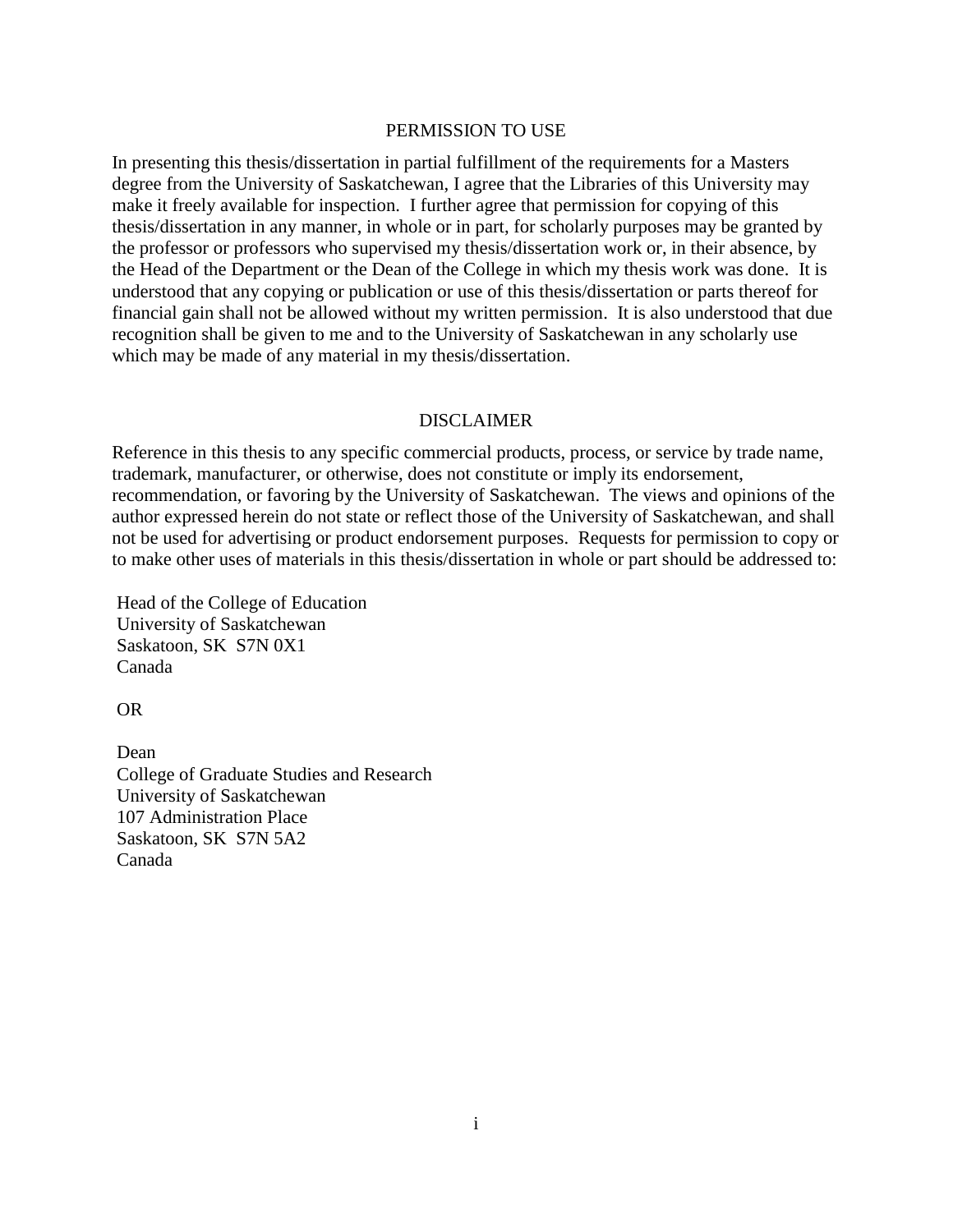## PERMISSION TO USE

In presenting this thesis/dissertation in partial fulfillment of the requirements for a Masters degree from the University of Saskatchewan, I agree that the Libraries of this University may make it freely available for inspection. I further agree that permission for copying of this thesis/dissertation in any manner, in whole or in part, for scholarly purposes may be granted by the professor or professors who supervised my thesis/dissertation work or, in their absence, by the Head of the Department or the Dean of the College in which my thesis work was done. It is understood that any copying or publication or use of this thesis/dissertation or parts thereof for financial gain shall not be allowed without my written permission. It is also understood that due recognition shall be given to me and to the University of Saskatchewan in any scholarly use which may be made of any material in my thesis/dissertation.

### DISCLAIMER

Reference in this thesis to any specific commercial products, process, or service by trade name, trademark, manufacturer, or otherwise, does not constitute or imply its endorsement, recommendation, or favoring by the University of Saskatchewan. The views and opinions of the author expressed herein do not state or reflect those of the University of Saskatchewan, and shall not be used for advertising or product endorsement purposes. Requests for permission to copy or to make other uses of materials in this thesis/dissertation in whole or part should be addressed to:

Head of the College of Education University of Saskatchewan Saskatoon, SK S7N 0X1 Canada

OR

Dean College of Graduate Studies and Research University of Saskatchewan 107 Administration Place Saskatoon, SK S7N 5A2 Canada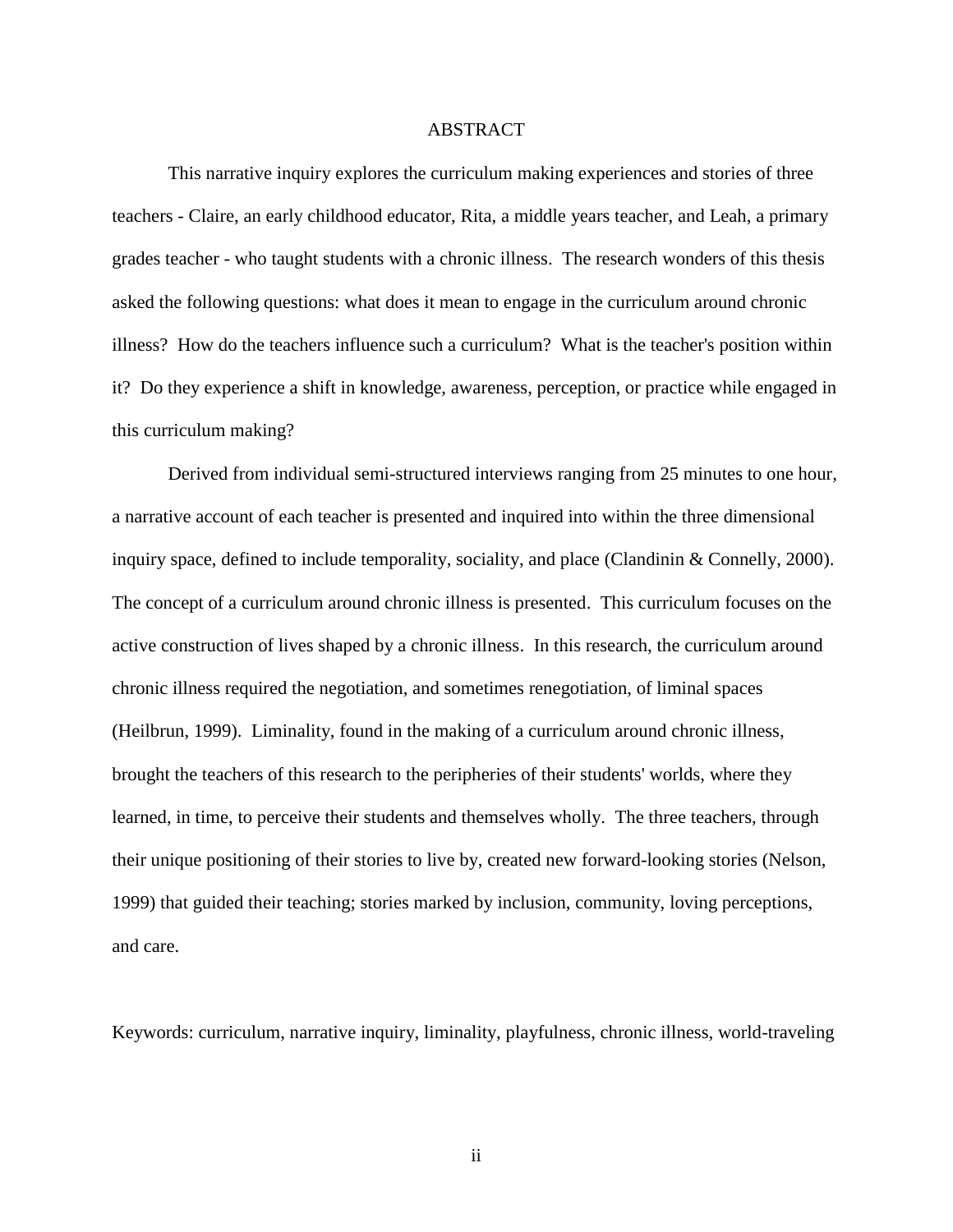## ABSTRACT

This narrative inquiry explores the curriculum making experiences and stories of three teachers - Claire, an early childhood educator, Rita, a middle years teacher, and Leah, a primary grades teacher - who taught students with a chronic illness. The research wonders of this thesis asked the following questions: what does it mean to engage in the curriculum around chronic illness? How do the teachers influence such a curriculum? What is the teacher's position within it? Do they experience a shift in knowledge, awareness, perception, or practice while engaged in this curriculum making?

Derived from individual semi-structured interviews ranging from 25 minutes to one hour, a narrative account of each teacher is presented and inquired into within the three dimensional inquiry space, defined to include temporality, sociality, and place [\(Clandinin & Connelly, 2000\)](#page-104-0). The concept of a curriculum around chronic illness is presented. This curriculum focuses on the active construction of lives shaped by a chronic illness. In this research, the curriculum around chronic illness required the negotiation, and sometimes renegotiation, of liminal spaces [\(Heilbrun, 1999\)](#page-107-0). Liminality, found in the making of a curriculum around chronic illness, brought the teachers of this research to the peripheries of their students' worlds, where they learned, in time, to perceive their students and themselves wholly. The three teachers, through their unique positioning of their stories to live by, created new forward-looking stories [\(Nelson,](#page-110-0)  [1999\)](#page-110-0) that guided their teaching; stories marked by inclusion, community, loving perceptions, and care.

Keywords: curriculum, narrative inquiry, liminality, playfulness, chronic illness, world-traveling

ii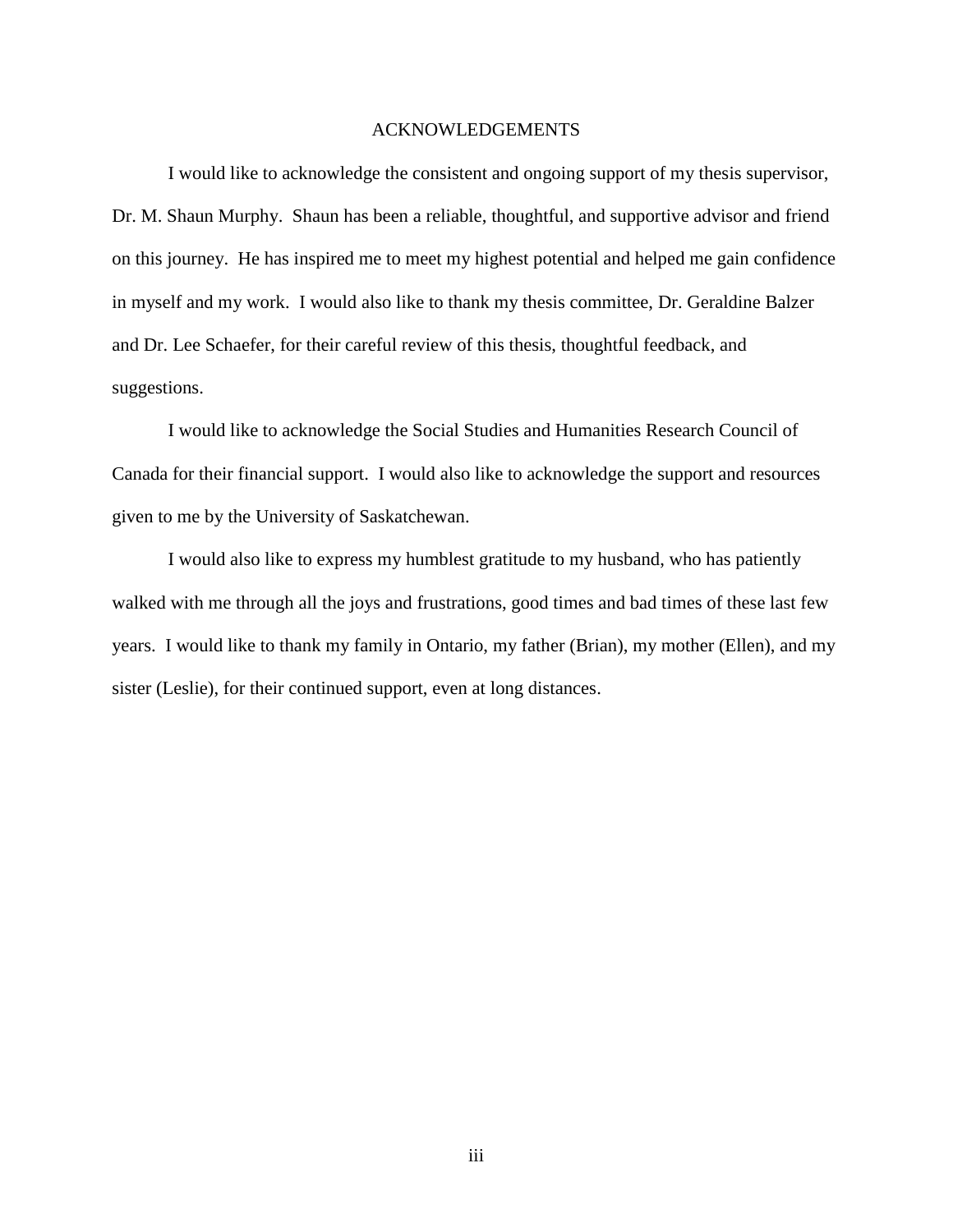## ACKNOWLEDGEMENTS

I would like to acknowledge the consistent and ongoing support of my thesis supervisor, Dr. M. Shaun Murphy. Shaun has been a reliable, thoughtful, and supportive advisor and friend on this journey. He has inspired me to meet my highest potential and helped me gain confidence in myself and my work. I would also like to thank my thesis committee, Dr. Geraldine Balzer and Dr. Lee Schaefer, for their careful review of this thesis, thoughtful feedback, and suggestions.

I would like to acknowledge the Social Studies and Humanities Research Council of Canada for their financial support. I would also like to acknowledge the support and resources given to me by the University of Saskatchewan.

I would also like to express my humblest gratitude to my husband, who has patiently walked with me through all the joys and frustrations, good times and bad times of these last few years. I would like to thank my family in Ontario, my father (Brian), my mother (Ellen), and my sister (Leslie), for their continued support, even at long distances.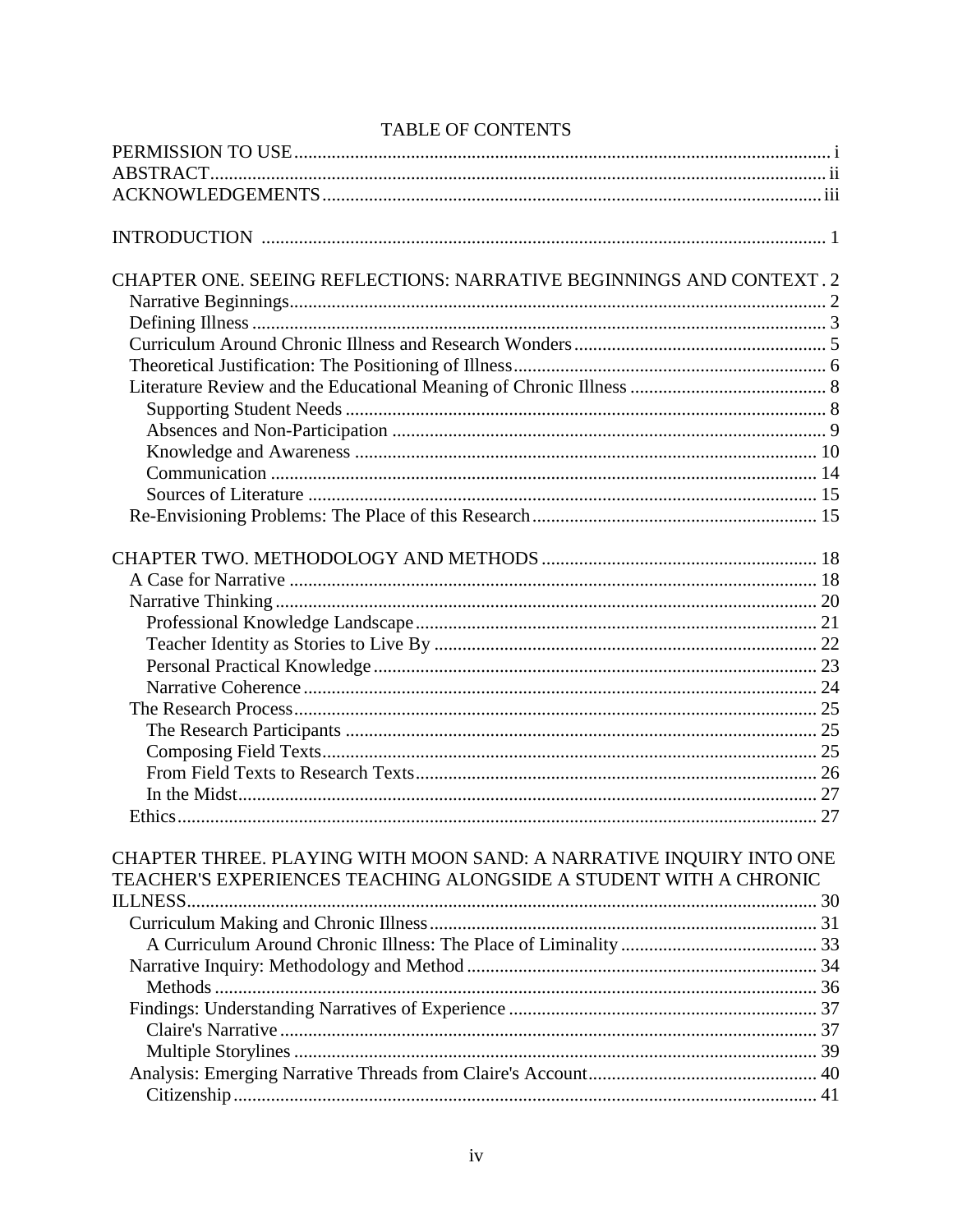| <b>TABLE OF CONTENTS</b> |  |
|--------------------------|--|
|                          |  |

| CHAPTER ONE. SEEING REFLECTIONS: NARRATIVE BEGINNINGS AND CONTEXT. 2 |  |
|----------------------------------------------------------------------|--|
|                                                                      |  |
|                                                                      |  |
|                                                                      |  |
|                                                                      |  |
|                                                                      |  |
|                                                                      |  |
|                                                                      |  |
|                                                                      |  |
|                                                                      |  |
|                                                                      |  |
|                                                                      |  |
|                                                                      |  |
|                                                                      |  |
|                                                                      |  |
|                                                                      |  |
|                                                                      |  |
|                                                                      |  |
|                                                                      |  |
|                                                                      |  |
|                                                                      |  |
|                                                                      |  |
|                                                                      |  |
|                                                                      |  |
|                                                                      |  |
| CHAPTER THREE. PLAYING WITH MOON SAND: A NARRATIVE INQUIRY INTO ONE  |  |
| TEACHER'S EXPERIENCES TEACHING ALONGSIDE A STUDENT WITH A CHRONIC    |  |
|                                                                      |  |
|                                                                      |  |
|                                                                      |  |
|                                                                      |  |
|                                                                      |  |
|                                                                      |  |
|                                                                      |  |
|                                                                      |  |
|                                                                      |  |
|                                                                      |  |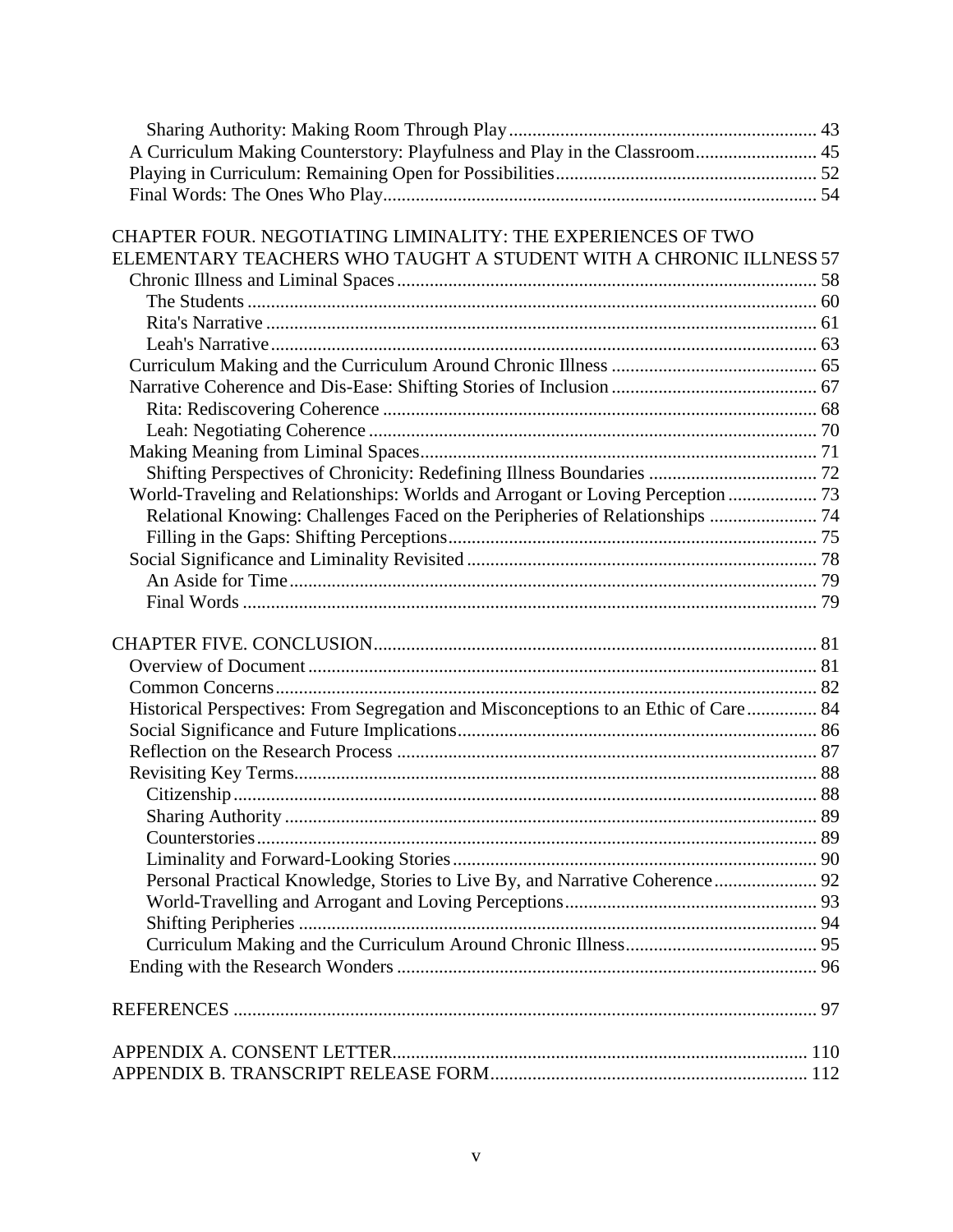| A Curriculum Making Counterstory: Playfulness and Play in the Classroom 45          |  |
|-------------------------------------------------------------------------------------|--|
|                                                                                     |  |
|                                                                                     |  |
| CHAPTER FOUR. NEGOTIATING LIMINALITY: THE EXPERIENCES OF TWO                        |  |
| ELEMENTARY TEACHERS WHO TAUGHT A STUDENT WITH A CHRONIC ILLNESS 57                  |  |
|                                                                                     |  |
|                                                                                     |  |
|                                                                                     |  |
|                                                                                     |  |
|                                                                                     |  |
|                                                                                     |  |
|                                                                                     |  |
|                                                                                     |  |
|                                                                                     |  |
|                                                                                     |  |
| World-Traveling and Relationships: Worlds and Arrogant or Loving Perception  73     |  |
| Relational Knowing: Challenges Faced on the Peripheries of Relationships  74        |  |
|                                                                                     |  |
|                                                                                     |  |
|                                                                                     |  |
|                                                                                     |  |
|                                                                                     |  |
|                                                                                     |  |
|                                                                                     |  |
|                                                                                     |  |
| Historical Perspectives: From Segregation and Misconceptions to an Ethic of Care 84 |  |
|                                                                                     |  |
|                                                                                     |  |
|                                                                                     |  |
|                                                                                     |  |
|                                                                                     |  |
|                                                                                     |  |
|                                                                                     |  |
| Personal Practical Knowledge, Stories to Live By, and Narrative Coherence 92        |  |
|                                                                                     |  |
|                                                                                     |  |
|                                                                                     |  |
|                                                                                     |  |
|                                                                                     |  |
|                                                                                     |  |
|                                                                                     |  |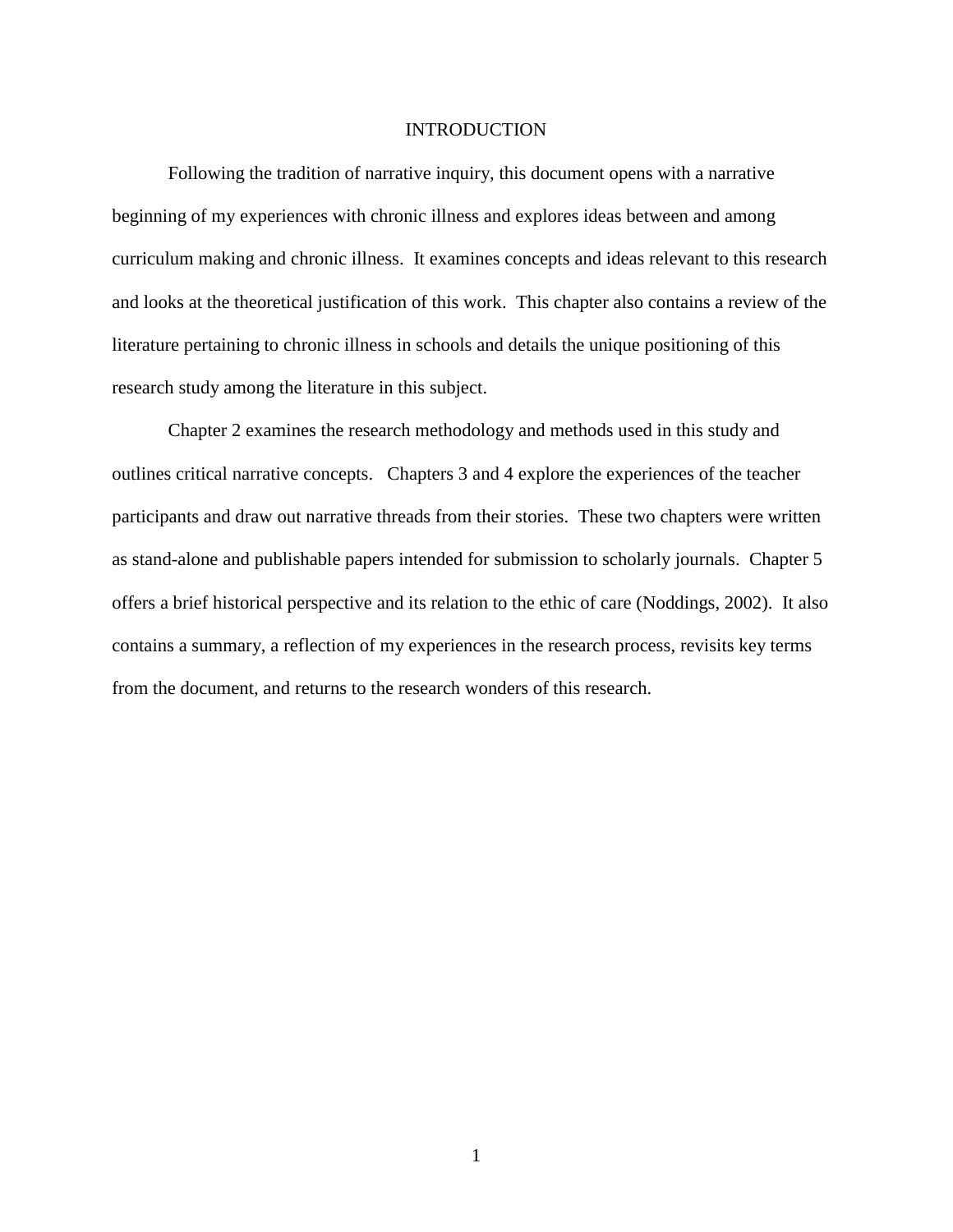## INTRODUCTION

Following the tradition of narrative inquiry, this document opens with a narrative beginning of my experiences with chronic illness and explores ideas between and among curriculum making and chronic illness. It examines concepts and ideas relevant to this research and looks at the theoretical justification of this work. This chapter also contains a review of the literature pertaining to chronic illness in schools and details the unique positioning of this research study among the literature in this subject.

Chapter 2 examines the research methodology and methods used in this study and outlines critical narrative concepts. Chapters 3 and 4 explore the experiences of the teacher participants and draw out narrative threads from their stories. These two chapters were written as stand-alone and publishable papers intended for submission to scholarly journals. Chapter 5 offers a brief historical perspective and its relation to the ethic of care [\(Noddings, 2002\)](#page-110-1). It also contains a summary, a reflection of my experiences in the research process, revisits key terms from the document, and returns to the research wonders of this research.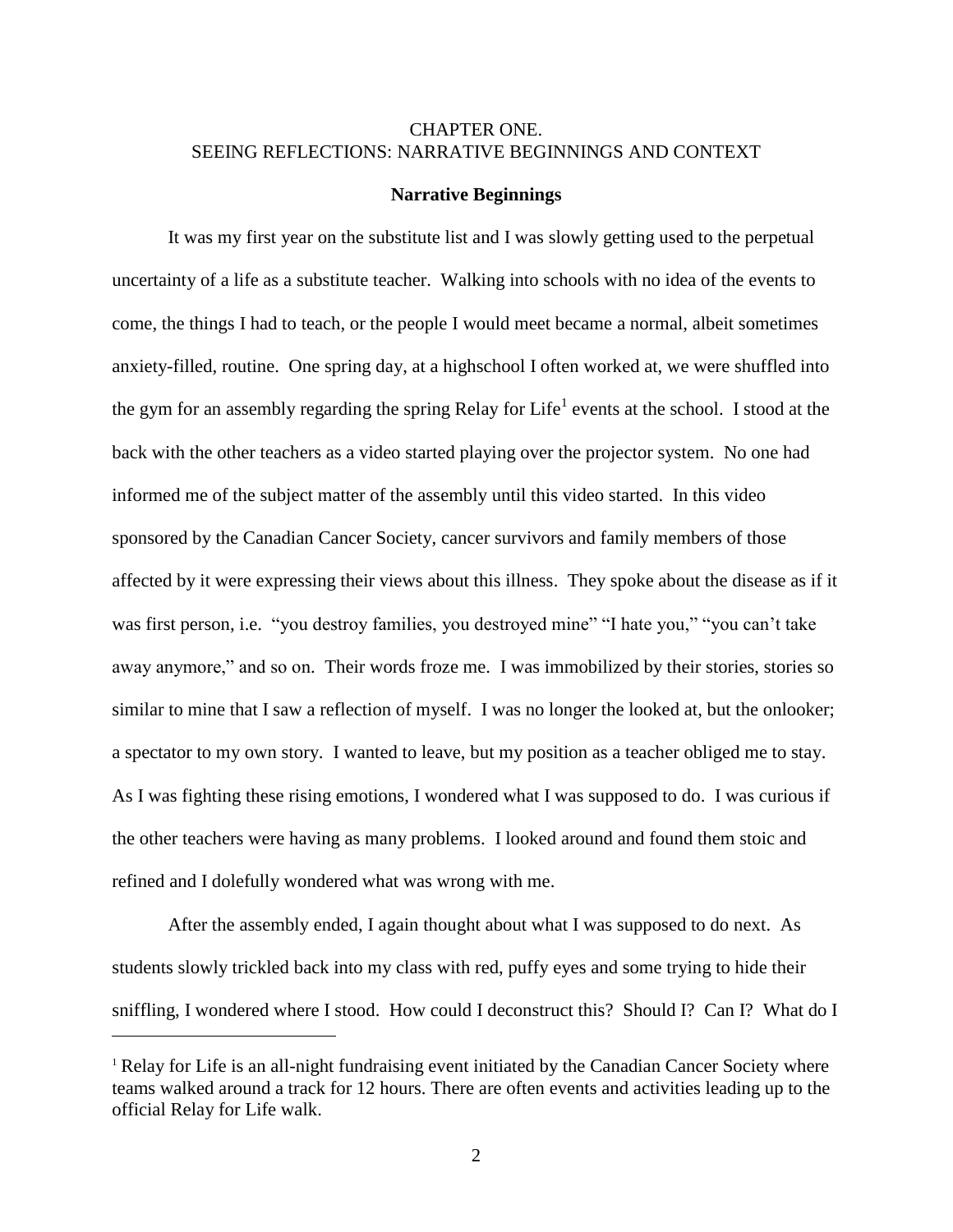# <span id="page-7-0"></span>CHAPTER ONE. SEEING REFLECTIONS: NARRATIVE BEGINNINGS AND CONTEXT

#### <span id="page-7-1"></span>**Narrative Beginnings**

It was my first year on the substitute list and I was slowly getting used to the perpetual uncertainty of a life as a substitute teacher. Walking into schools with no idea of the events to come, the things I had to teach, or the people I would meet became a normal, albeit sometimes anxiety-filled, routine. One spring day, at a highschool I often worked at, we were shuffled into the gym for an assembly regarding the spring Relay for Life<sup>1</sup> events at the school. I stood at the back with the other teachers as a video started playing over the projector system. No one had informed me of the subject matter of the assembly until this video started. In this video sponsored by the Canadian Cancer Society, cancer survivors and family members of those affected by it were expressing their views about this illness. They spoke about the disease as if it was first person, i.e. "you destroy families, you destroyed mine" "I hate you," "you can't take away anymore," and so on. Their words froze me. I was immobilized by their stories, stories so similar to mine that I saw a reflection of myself. I was no longer the looked at, but the onlooker; a spectator to my own story. I wanted to leave, but my position as a teacher obliged me to stay. As I was fighting these rising emotions, I wondered what I was supposed to do. I was curious if the other teachers were having as many problems. I looked around and found them stoic and refined and I dolefully wondered what was wrong with me.

After the assembly ended, I again thought about what I was supposed to do next. As students slowly trickled back into my class with red, puffy eyes and some trying to hide their sniffling, I wondered where I stood. How could I deconstruct this? Should I? Can I? What do I

 $\overline{a}$ 

<sup>&</sup>lt;sup>1</sup> Relay for Life is an all-night fundraising event initiated by the Canadian Cancer Society where teams walked around a track for 12 hours. There are often events and activities leading up to the official Relay for Life walk.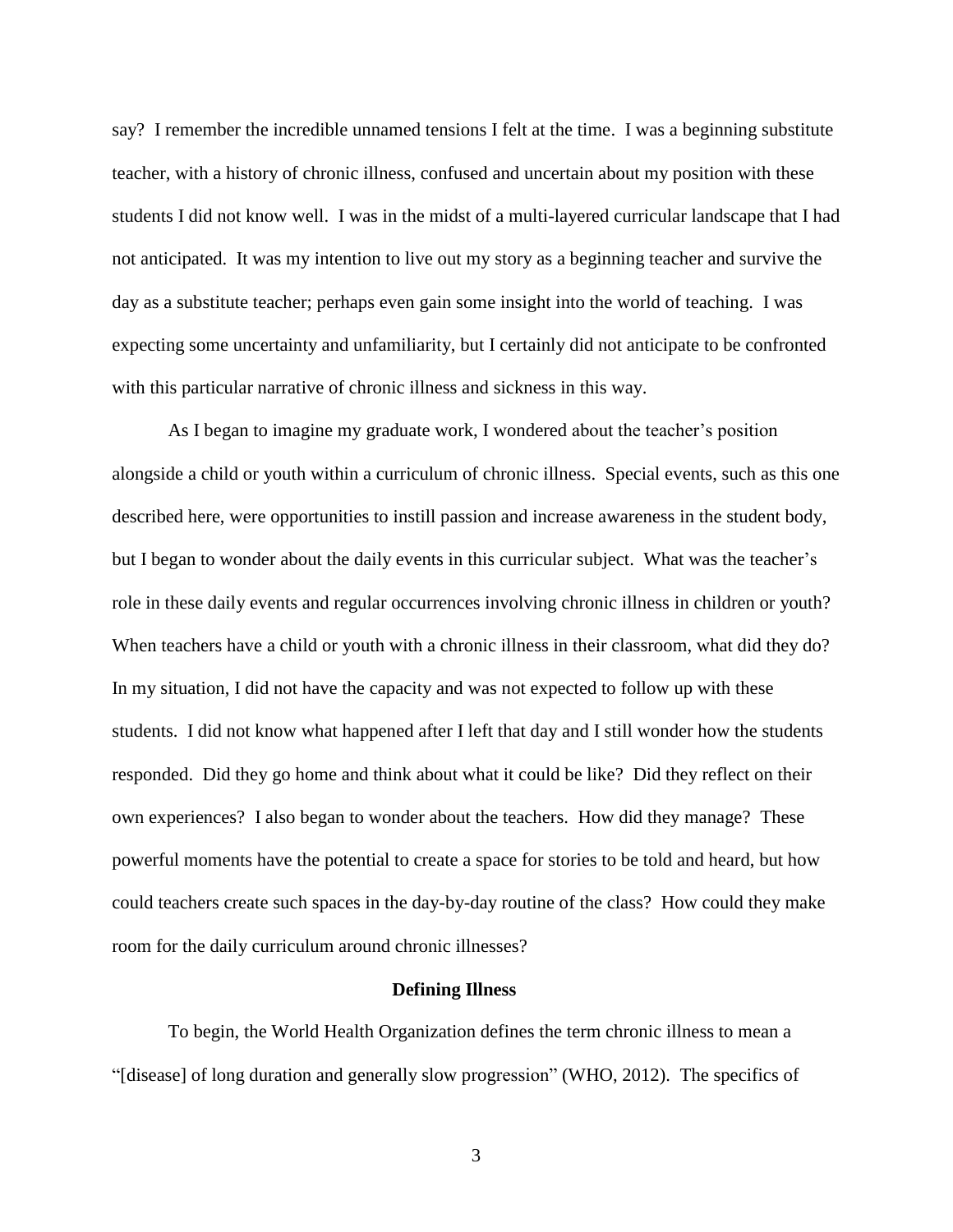say? I remember the incredible unnamed tensions I felt at the time. I was a beginning substitute teacher, with a history of chronic illness, confused and uncertain about my position with these students I did not know well. I was in the midst of a multi-layered curricular landscape that I had not anticipated. It was my intention to live out my story as a beginning teacher and survive the day as a substitute teacher; perhaps even gain some insight into the world of teaching. I was expecting some uncertainty and unfamiliarity, but I certainly did not anticipate to be confronted with this particular narrative of chronic illness and sickness in this way.

As I began to imagine my graduate work, I wondered about the teacher's position alongside a child or youth within a curriculum of chronic illness. Special events, such as this one described here, were opportunities to instill passion and increase awareness in the student body, but I began to wonder about the daily events in this curricular subject. What was the teacher's role in these daily events and regular occurrences involving chronic illness in children or youth? When teachers have a child or youth with a chronic illness in their classroom, what did they do? In my situation, I did not have the capacity and was not expected to follow up with these students. I did not know what happened after I left that day and I still wonder how the students responded. Did they go home and think about what it could be like? Did they reflect on their own experiences? I also began to wonder about the teachers. How did they manage? These powerful moments have the potential to create a space for stories to be told and heard, but how could teachers create such spaces in the day-by-day routine of the class? How could they make room for the daily curriculum around chronic illnesses?

### **Defining Illness**

<span id="page-8-0"></span>To begin, the World Health Organization defines the term chronic illness to mean a "[disease] of long duration and generally slow progression" [\(WHO, 2012\)](#page-114-0). The specifics of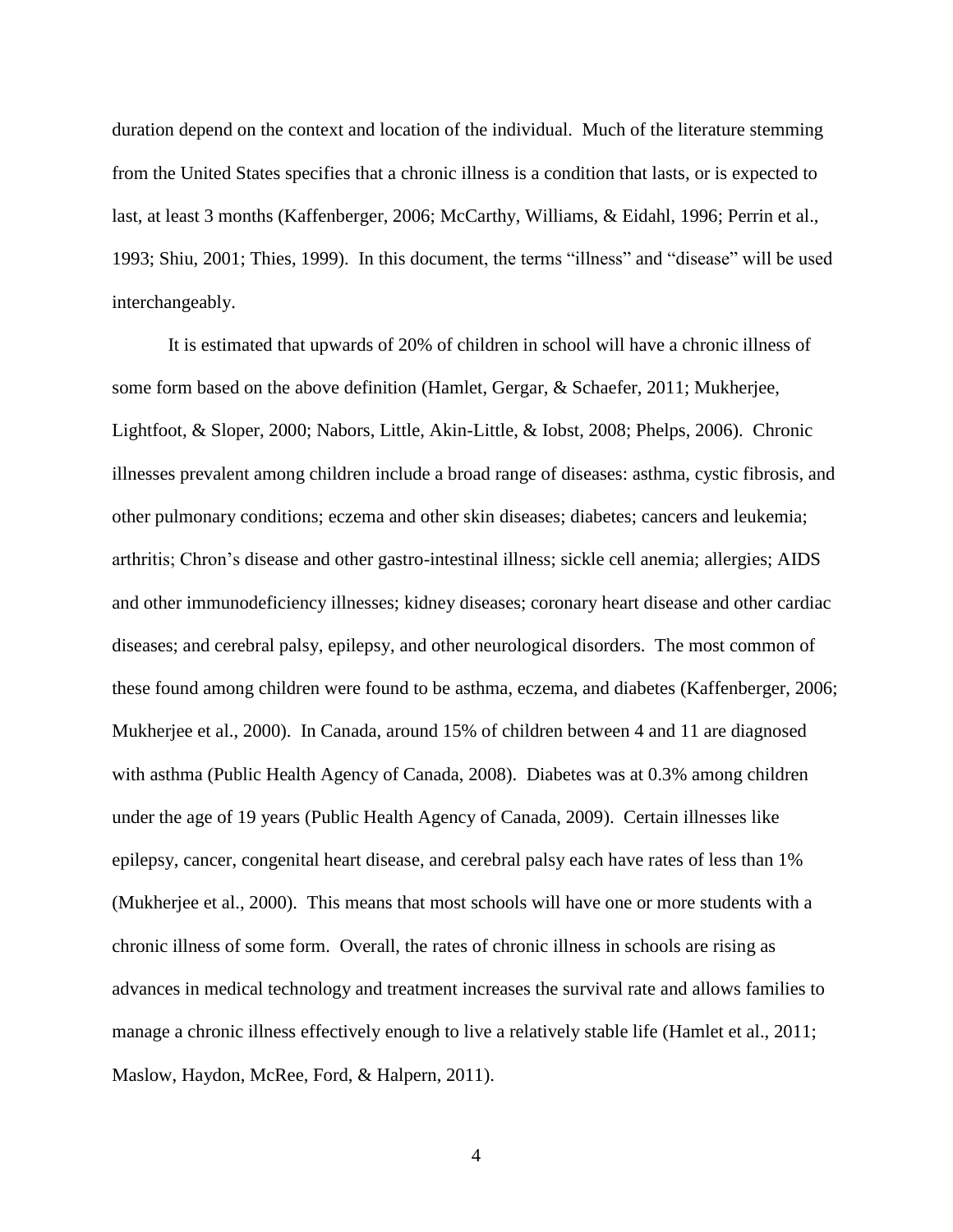duration depend on the context and location of the individual. Much of the literature stemming from the United States specifies that a chronic illness is a condition that lasts, or is expected to last, at least 3 months [\(Kaffenberger, 2006;](#page-108-0) [McCarthy, Williams, & Eidahl, 1996;](#page-109-0) [Perrin et al.,](#page-111-0)  [1993;](#page-111-0) [Shiu, 2001;](#page-112-0) [Thies, 1999\)](#page-113-0). In this document, the terms "illness" and "disease" will be used interchangeably.

It is estimated that upwards of 20% of children in school will have a chronic illness of some form based on the above definition [\(Hamlet, Gergar, & Schaefer, 2011;](#page-107-1) [Mukherjee,](#page-109-1)  [Lightfoot, & Sloper, 2000;](#page-109-1) [Nabors, Little, Akin-Little, & Iobst, 2008;](#page-109-2) [Phelps, 2006\)](#page-111-1). Chronic illnesses prevalent among children include a broad range of diseases: asthma, cystic fibrosis, and other pulmonary conditions; eczema and other skin diseases; diabetes; cancers and leukemia; arthritis; Chron's disease and other gastro-intestinal illness; sickle cell anemia; allergies; AIDS and other immunodeficiency illnesses; kidney diseases; coronary heart disease and other cardiac diseases; and cerebral palsy, epilepsy, and other neurological disorders. The most common of these found among children were found to be asthma, eczema, and diabetes [\(Kaffenberger, 2006;](#page-108-0) [Mukherjee et al., 2000\)](#page-109-1). In Canada, around 15% of children between 4 and 11 are diagnosed with asthma [\(Public Health Agency of Canada, 2008\)](#page-111-2). Diabetes was at 0.3% among children under the age of 19 years [\(Public Health Agency of Canada, 2009\)](#page-112-1). Certain illnesses like epilepsy, cancer, congenital heart disease, and cerebral palsy each have rates of less than 1% [\(Mukherjee et al., 2000\)](#page-109-1). This means that most schools will have one or more students with a chronic illness of some form. Overall, the rates of chronic illness in schools are rising as advances in medical technology and treatment increases the survival rate and allows families to manage a chronic illness effectively enough to live a relatively stable life [\(Hamlet et al., 2011;](#page-107-1) [Maslow, Haydon, McRee, Ford, & Halpern, 2011\)](#page-109-3).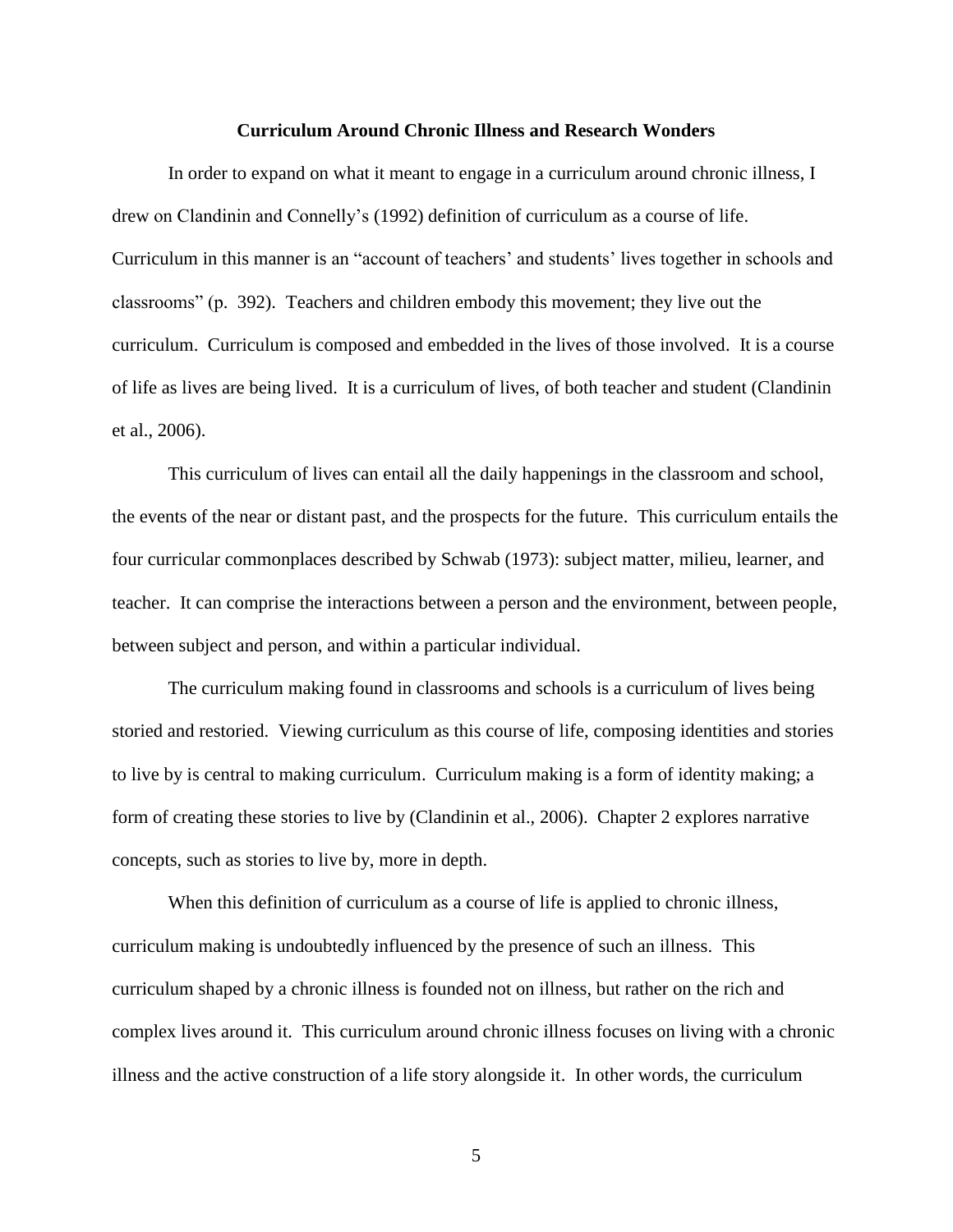## **Curriculum Around Chronic Illness and Research Wonders**

<span id="page-10-0"></span>In order to expand on what it meant to engage in a curriculum around chronic illness, I drew on Clandinin and Connelly's (1992) definition of curriculum as a course of life. Curriculum in this manner is an "account of teachers' and students' lives together in schools and classrooms" (p. 392). Teachers and children embody this movement; they live out the curriculum. Curriculum is composed and embedded in the lives of those involved. It is a course of life as lives are being lived. It is a curriculum of lives, of both teacher and student [\(Clandinin](#page-104-1)  [et al., 2006\)](#page-104-1).

This curriculum of lives can entail all the daily happenings in the classroom and school, the events of the near or distant past, and the prospects for the future. This curriculum entails the four curricular commonplaces described by [Schwab \(1973\)](#page-112-2): subject matter, milieu, learner, and teacher. It can comprise the interactions between a person and the environment, between people, between subject and person, and within a particular individual.

The curriculum making found in classrooms and schools is a curriculum of lives being storied and restoried. Viewing curriculum as this course of life, composing identities and stories to live by is central to making curriculum. Curriculum making is a form of identity making; a form of creating these stories to live by [\(Clandinin et al., 2006\)](#page-104-1). Chapter 2 explores narrative concepts, such as stories to live by, more in depth.

When this definition of curriculum as a course of life is applied to chronic illness, curriculum making is undoubtedly influenced by the presence of such an illness. This curriculum shaped by a chronic illness is founded not on illness, but rather on the rich and complex lives around it. This curriculum around chronic illness focuses on living with a chronic illness and the active construction of a life story alongside it. In other words, the curriculum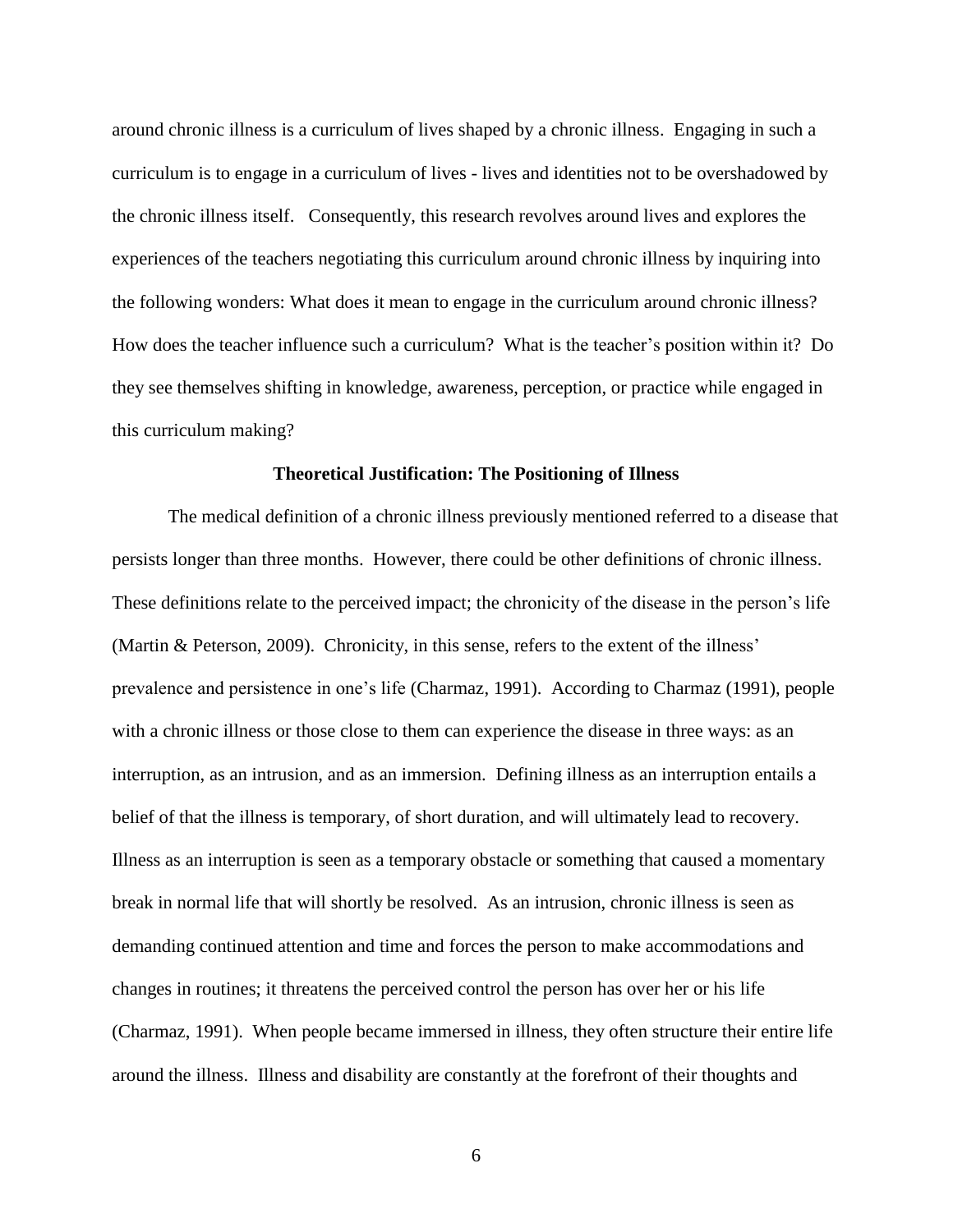around chronic illness is a curriculum of lives shaped by a chronic illness. Engaging in such a curriculum is to engage in a curriculum of lives - lives and identities not to be overshadowed by the chronic illness itself. Consequently, this research revolves around lives and explores the experiences of the teachers negotiating this curriculum around chronic illness by inquiring into the following wonders: What does it mean to engage in the curriculum around chronic illness? How does the teacher influence such a curriculum? What is the teacher's position within it? Do they see themselves shifting in knowledge, awareness, perception, or practice while engaged in this curriculum making?

### **Theoretical Justification: The Positioning of Illness**

<span id="page-11-0"></span>The medical definition of a chronic illness previously mentioned referred to a disease that persists longer than three months. However, there could be other definitions of chronic illness. These definitions relate to the perceived impact; the chronicity of the disease in the person's life [\(Martin & Peterson, 2009\)](#page-108-1). Chronicity, in this sense, refers to the extent of the illness' prevalence and persistence in one's life [\(Charmaz, 1991\)](#page-104-2). According to Charmaz (1991), people with a chronic illness or those close to them can experience the disease in three ways: as an interruption, as an intrusion, and as an immersion. Defining illness as an interruption entails a belief of that the illness is temporary, of short duration, and will ultimately lead to recovery. Illness as an interruption is seen as a temporary obstacle or something that caused a momentary break in normal life that will shortly be resolved. As an intrusion, chronic illness is seen as demanding continued attention and time and forces the person to make accommodations and changes in routines; it threatens the perceived control the person has over her or his life [\(Charmaz, 1991\)](#page-104-2). When people became immersed in illness, they often structure their entire life around the illness. Illness and disability are constantly at the forefront of their thoughts and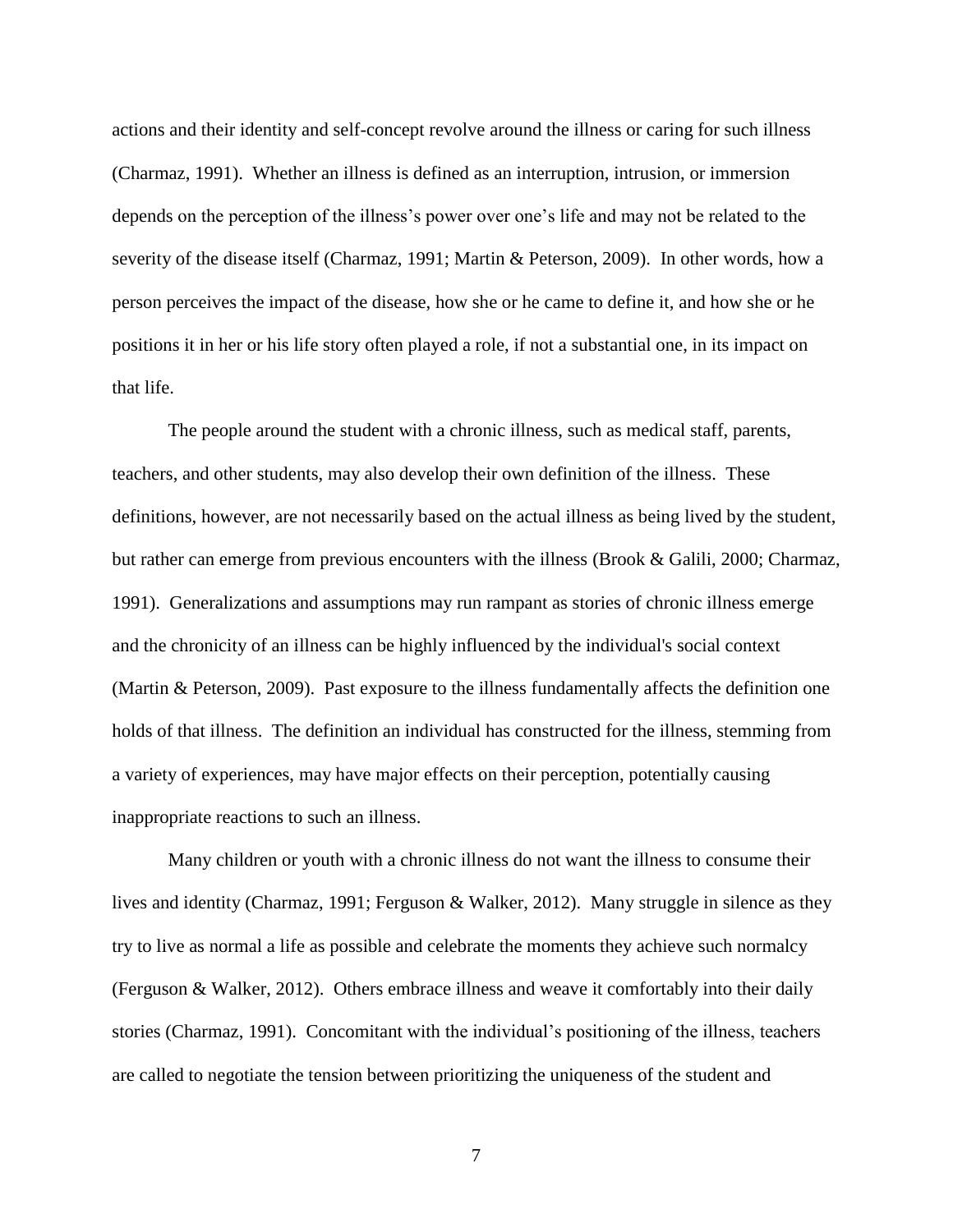actions and their identity and self-concept revolve around the illness or caring for such illness [\(Charmaz, 1991\)](#page-104-2). Whether an illness is defined as an interruption, intrusion, or immersion depends on the perception of the illness's power over one's life and may not be related to the severity of the disease itself [\(Charmaz, 1991;](#page-104-2) [Martin & Peterson, 2009\)](#page-108-1). In other words, how a person perceives the impact of the disease, how she or he came to define it, and how she or he positions it in her or his life story often played a role, if not a substantial one, in its impact on that life.

The people around the student with a chronic illness, such as medical staff, parents, teachers, and other students, may also develop their own definition of the illness. These definitions, however, are not necessarily based on the actual illness as being lived by the student, but rather can emerge from previous encounters with the illness [\(Brook & Galili, 2000;](#page-103-0) [Charmaz,](#page-104-2)  [1991\)](#page-104-2). Generalizations and assumptions may run rampant as stories of chronic illness emerge and the chronicity of an illness can be highly influenced by the individual's social context [\(Martin & Peterson, 2009\)](#page-108-1). Past exposure to the illness fundamentally affects the definition one holds of that illness. The definition an individual has constructed for the illness, stemming from a variety of experiences, may have major effects on their perception, potentially causing inappropriate reactions to such an illness.

Many children or youth with a chronic illness do not want the illness to consume their lives and identity [\(Charmaz, 1991;](#page-104-2) [Ferguson & Walker, 2012\)](#page-106-0). Many struggle in silence as they try to live as normal a life as possible and celebrate the moments they achieve such normalcy [\(Ferguson & Walker, 2012\)](#page-106-0). Others embrace illness and weave it comfortably into their daily stories [\(Charmaz, 1991\)](#page-104-2). Concomitant with the individual's positioning of the illness, teachers are called to negotiate the tension between prioritizing the uniqueness of the student and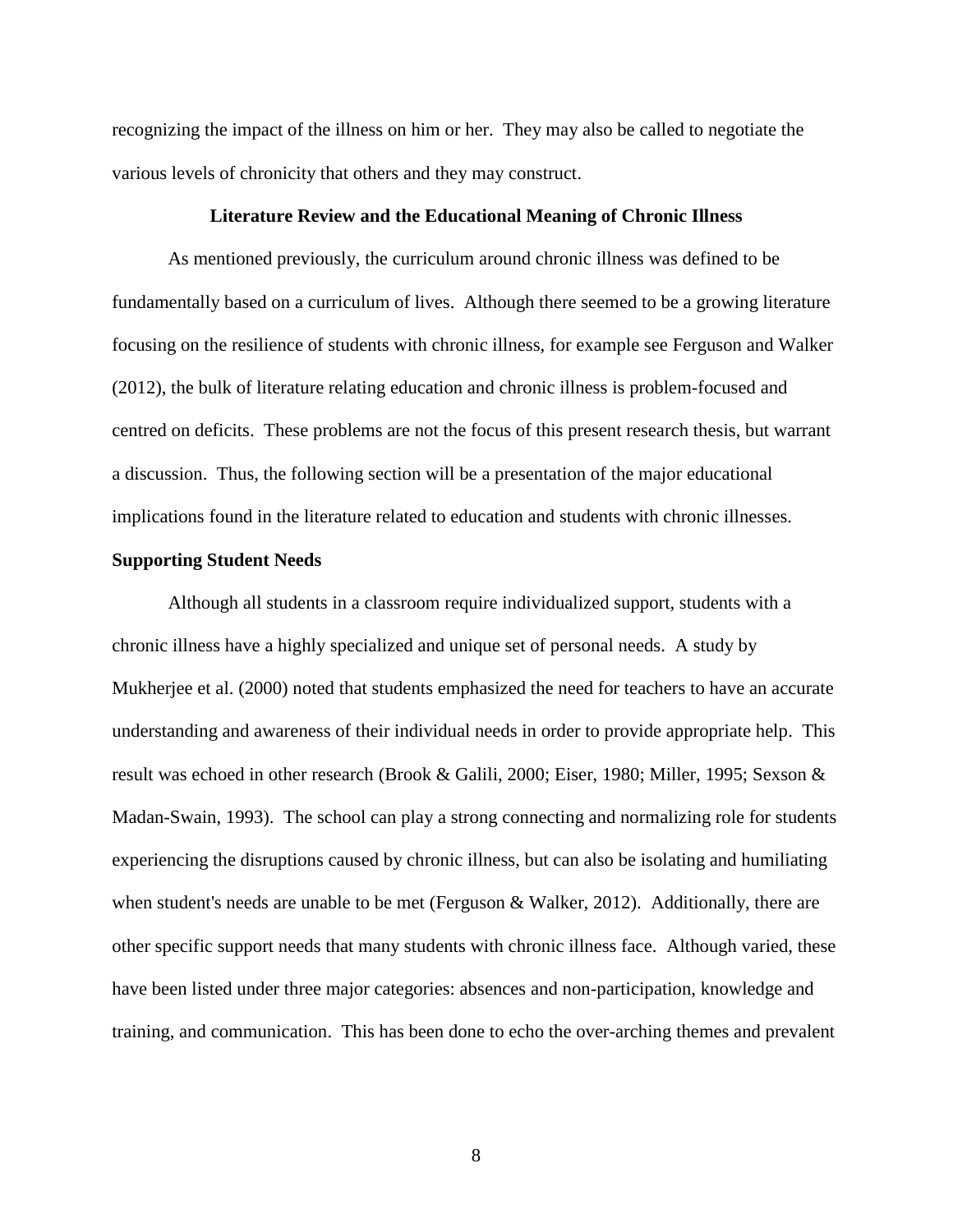recognizing the impact of the illness on him or her. They may also be called to negotiate the various levels of chronicity that others and they may construct.

### **Literature Review and the Educational Meaning of Chronic Illness**

<span id="page-13-0"></span>As mentioned previously, the curriculum around chronic illness was defined to be fundamentally based on a curriculum of lives. Although there seemed to be a growing literature focusing on the resilience of students with chronic illness, for example see [Ferguson and Walker](#page-106-0)  [\(2012\)](#page-106-0), the bulk of literature relating education and chronic illness is problem-focused and centred on deficits. These problems are not the focus of this present research thesis, but warrant a discussion. Thus, the following section will be a presentation of the major educational implications found in the literature related to education and students with chronic illnesses.

## <span id="page-13-1"></span>**Supporting Student Needs**

Although all students in a classroom require individualized support, students with a chronic illness have a highly specialized and unique set of personal needs. A study by [Mukherjee et al. \(2000\)](#page-109-1) noted that students emphasized the need for teachers to have an accurate understanding and awareness of their individual needs in order to provide appropriate help. This result was echoed in other research [\(Brook & Galili, 2000;](#page-103-0) [Eiser, 1980;](#page-106-1) [Miller, 1995;](#page-109-4) [Sexson &](#page-112-3)  [Madan-Swain, 1993\)](#page-112-3). The school can play a strong connecting and normalizing role for students experiencing the disruptions caused by chronic illness, but can also be isolating and humiliating when student's needs are unable to be met [\(Ferguson & Walker, 2012\)](#page-106-0). Additionally, there are other specific support needs that many students with chronic illness face. Although varied, these have been listed under three major categories: absences and non-participation, knowledge and training, and communication. This has been done to echo the over-arching themes and prevalent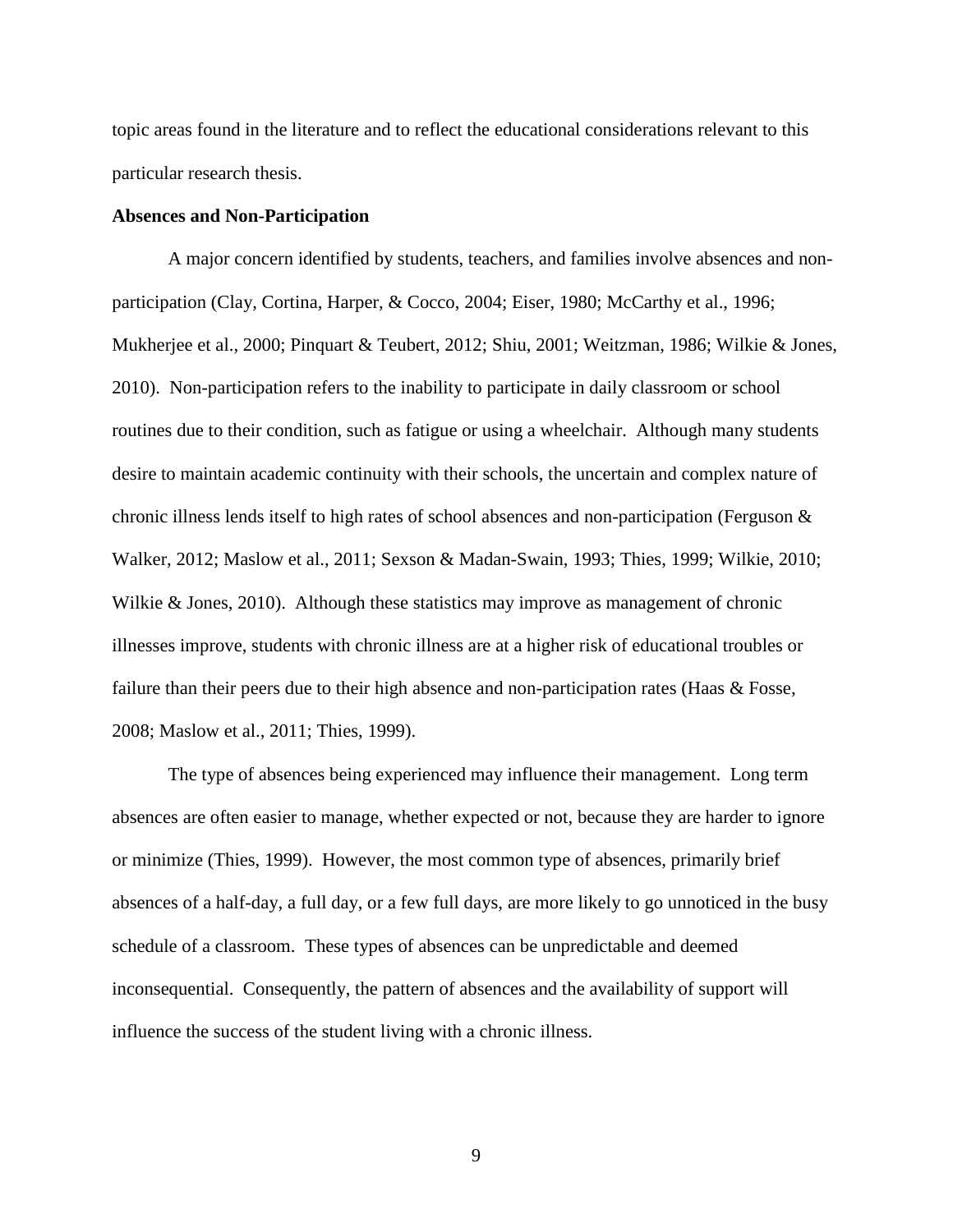topic areas found in the literature and to reflect the educational considerations relevant to this particular research thesis.

## <span id="page-14-0"></span>**Absences and Non-Participation**

A major concern identified by students, teachers, and families involve absences and nonparticipation [\(Clay, Cortina, Harper, & Cocco, 2004;](#page-105-0) [Eiser, 1980;](#page-106-1) [McCarthy et al., 1996;](#page-109-0) [Mukherjee et al., 2000;](#page-109-1) [Pinquart & Teubert, 2012;](#page-111-3) [Shiu, 2001;](#page-112-0) [Weitzman, 1986;](#page-113-1) [Wilkie & Jones,](#page-114-1)  [2010\)](#page-114-1). Non-participation refers to the inability to participate in daily classroom or school routines due to their condition, such as fatigue or using a wheelchair. Although many students desire to maintain academic continuity with their schools, the uncertain and complex nature of chronic illness lends itself to high rates of school absences and non-participation [\(Ferguson &](#page-106-0)  [Walker, 2012;](#page-106-0) [Maslow et al., 2011;](#page-109-3) [Sexson & Madan-Swain, 1993;](#page-112-3) [Thies, 1999;](#page-113-0) [Wilkie, 2010;](#page-113-2) [Wilkie & Jones, 2010\)](#page-114-1). Although these statistics may improve as management of chronic illnesses improve, students with chronic illness are at a higher risk of educational troubles or failure than their peers due to their high absence and non-participation rates (Haas & Fosse, [2008;](#page-107-2) [Maslow et al., 2011;](#page-109-3) [Thies,](#page-113-0) 1999).

The type of absences being experienced may influence their management. Long term absences are often easier to manage, whether expected or not, because they are harder to ignore or minimize [\(Thies, 1999\)](#page-113-0). However, the most common type of absences, primarily brief absences of a half-day, a full day, or a few full days, are more likely to go unnoticed in the busy schedule of a classroom. These types of absences can be unpredictable and deemed inconsequential. Consequently, the pattern of absences and the availability of support will influence the success of the student living with a chronic illness.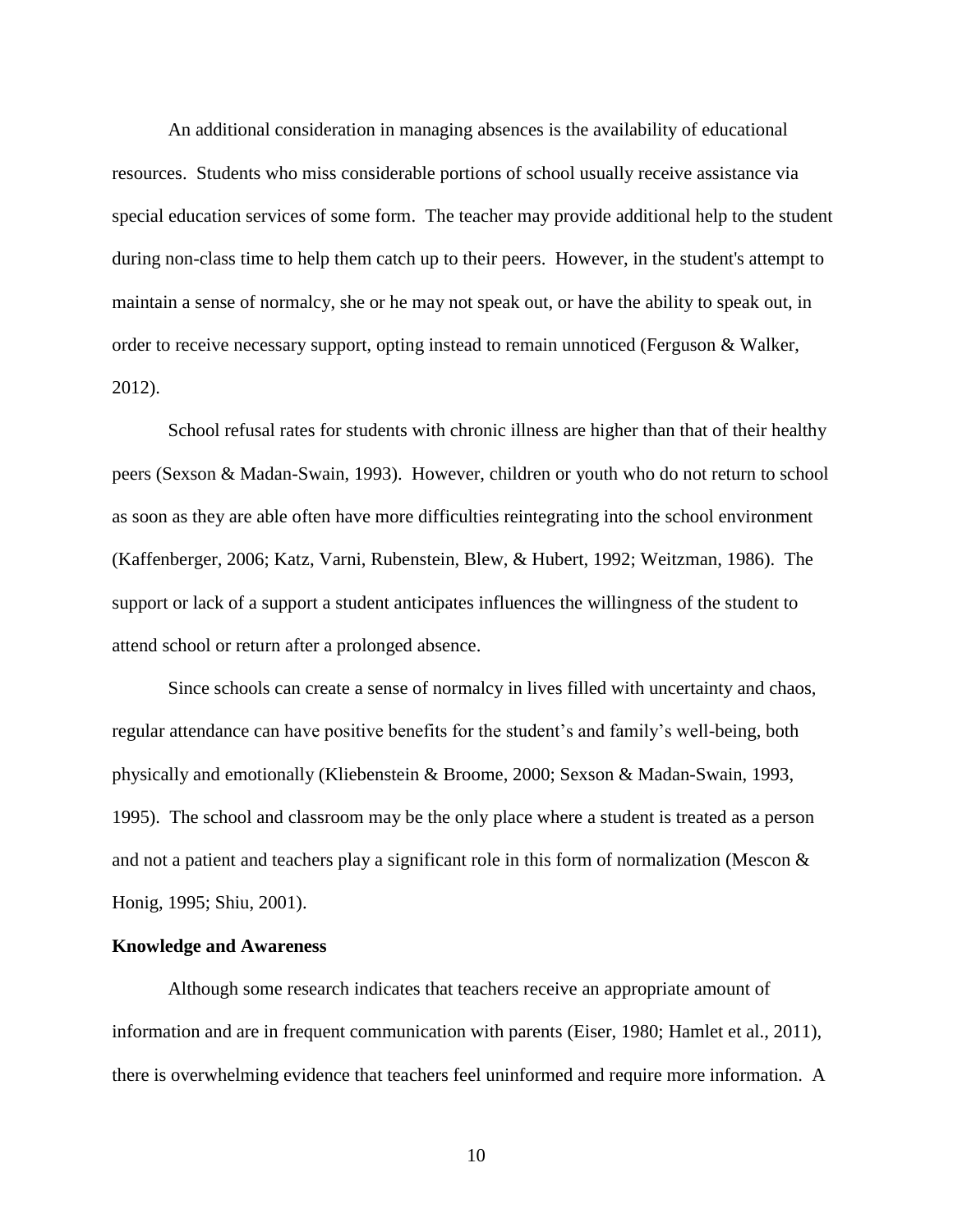An additional consideration in managing absences is the availability of educational resources. Students who miss considerable portions of school usually receive assistance via special education services of some form. The teacher may provide additional help to the student during non-class time to help them catch up to their peers. However, in the student's attempt to maintain a sense of normalcy, she or he may not speak out, or have the ability to speak out, in order to receive necessary support, opting instead to remain unnoticed [\(Ferguson & Walker,](#page-106-0)  [2012\)](#page-106-0).

School refusal rates for students with chronic illness are higher than that of their healthy peers [\(Sexson & Madan-Swain, 1993\)](#page-112-3). However, children or youth who do not return to school as soon as they are able often have more difficulties reintegrating into the school environment [\(Kaffenberger, 2006;](#page-108-0) [Katz, Varni, Rubenstein, Blew, & Hubert, 1992;](#page-108-2) [Weitzman, 1986\)](#page-113-1). The support or lack of a support a student anticipates influences the willingness of the student to attend school or return after a prolonged absence.

Since schools can create a sense of normalcy in lives filled with uncertainty and chaos, regular attendance can have positive benefits for the student's and family's well-being, both physically and emotionally [\(Kliebenstein & Broome, 2000;](#page-108-3) [Sexson & Madan-Swain, 1993,](#page-112-3) [1995\)](#page-112-4). The school and classroom may be the only place where a student is treated as a person and not a patient and teachers play a significant role in this form of normalization [\(Mescon &](#page-109-5)  [Honig, 1995;](#page-109-5) [Shiu, 2001\)](#page-112-0).

# <span id="page-15-0"></span>**Knowledge and Awareness**

Although some research indicates that teachers receive an appropriate amount of information and are in frequent communication with parents [\(Eiser, 1980;](#page-106-1) [Hamlet et al., 2011\)](#page-107-1), there is overwhelming evidence that teachers feel uninformed and require more information. A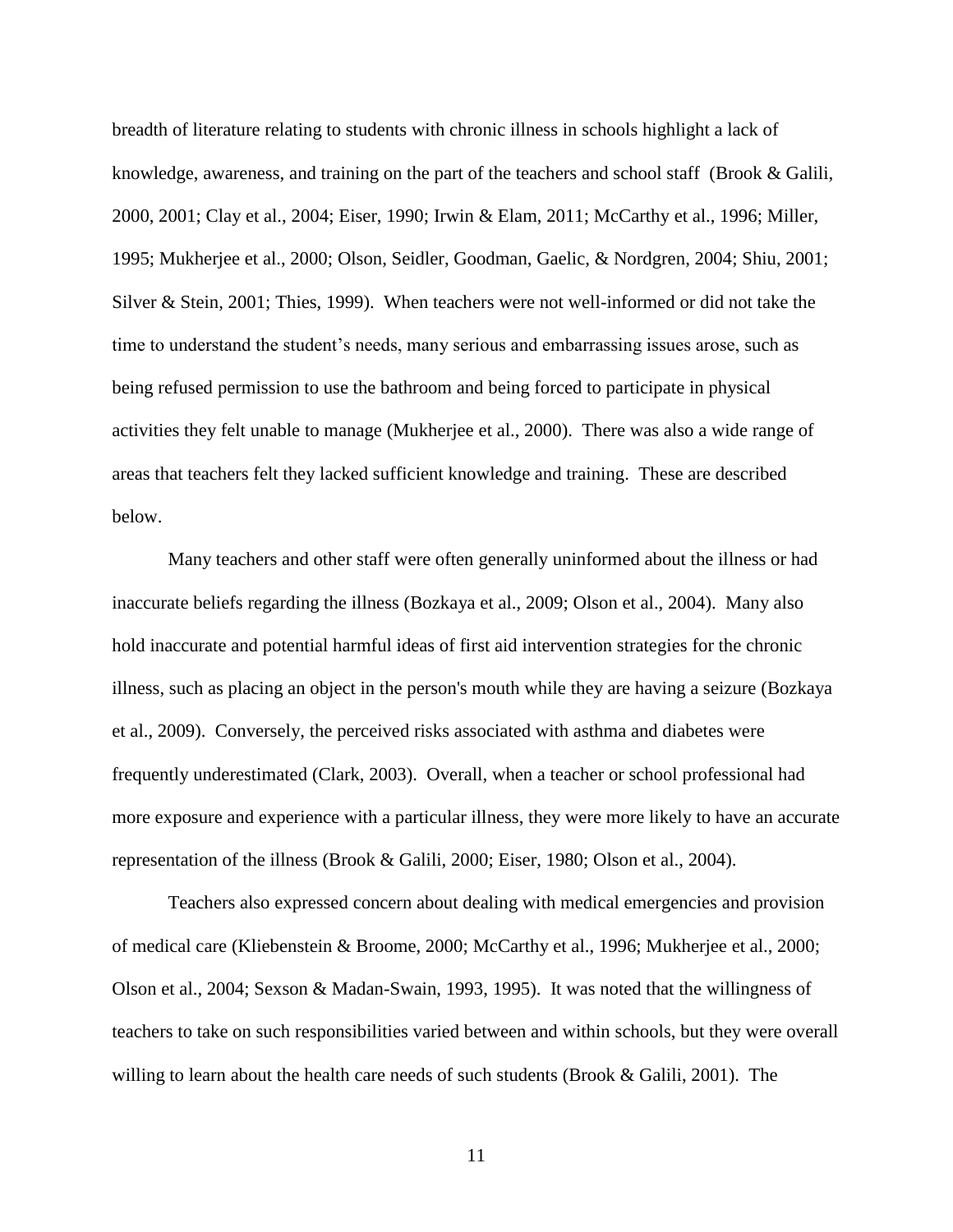breadth of literature relating to students with chronic illness in schools highlight a lack of knowledge, awareness, and training on the part of the teachers and school staff [\(Brook & Galili,](#page-103-0) [2000,](#page-103-0) [2001;](#page-103-1) [Clay et al., 2004;](#page-105-0) [Eiser, 1990;](#page-106-2) [Irwin & Elam, 2011;](#page-108-4) [McCarthy et al., 1996;](#page-109-0) [Miller,](#page-109-4)  [1995;](#page-109-4) [Mukherjee et al., 2000;](#page-109-1) [Olson, Seidler, Goodman, Gaelic, & Nordgren, 2004;](#page-110-2) [Shiu, 2001;](#page-112-0) [Silver & Stein, 2001;](#page-113-3) [Thies, 1999\)](#page-113-0). When teachers were not well-informed or did not take the time to understand the student's needs, many serious and embarrassing issues arose, such as being refused permission to use the bathroom and being forced to participate in physical activities they felt unable to manage [\(Mukherjee et al., 2000\)](#page-109-1). There was also a wide range of areas that teachers felt they lacked sufficient knowledge and training. These are described below.

Many teachers and other staff were often generally uninformed about the illness or had inaccurate beliefs regarding the illness [\(Bozkaya et al., 2009;](#page-102-1) [Olson et al., 2004\)](#page-110-2). Many also hold inaccurate and potential harmful ideas of first aid intervention strategies for the chronic illness, such as placing an object in the person's mouth while they are having a seizure [\(Bozkaya](#page-102-1)  [et al., 2009\)](#page-102-1). Conversely, the perceived risks associated with asthma and diabetes were frequently underestimated [\(Clark, 2003\)](#page-105-1). Overall, when a teacher or school professional had more exposure and experience with a particular illness, they were more likely to have an accurate representation of the illness [\(Brook & Galili, 2000;](#page-103-0) [Eiser, 1980;](#page-106-1) [Olson et al., 2004\)](#page-110-2).

Teachers also expressed concern about dealing with medical emergencies and provision of medical care [\(Kliebenstein & Broome, 2000;](#page-108-3) [McCarthy et al., 1996;](#page-109-0) [Mukherjee et al., 2000;](#page-109-1) [Olson et al., 2004;](#page-110-2) [Sexson & Madan-Swain, 1993,](#page-112-3) [1995\)](#page-112-4). It was noted that the willingness of teachers to take on such responsibilities varied between and within schools, but they were overall willing to learn about the health care needs of such students [\(Brook & Galili, 2001\)](#page-103-1). The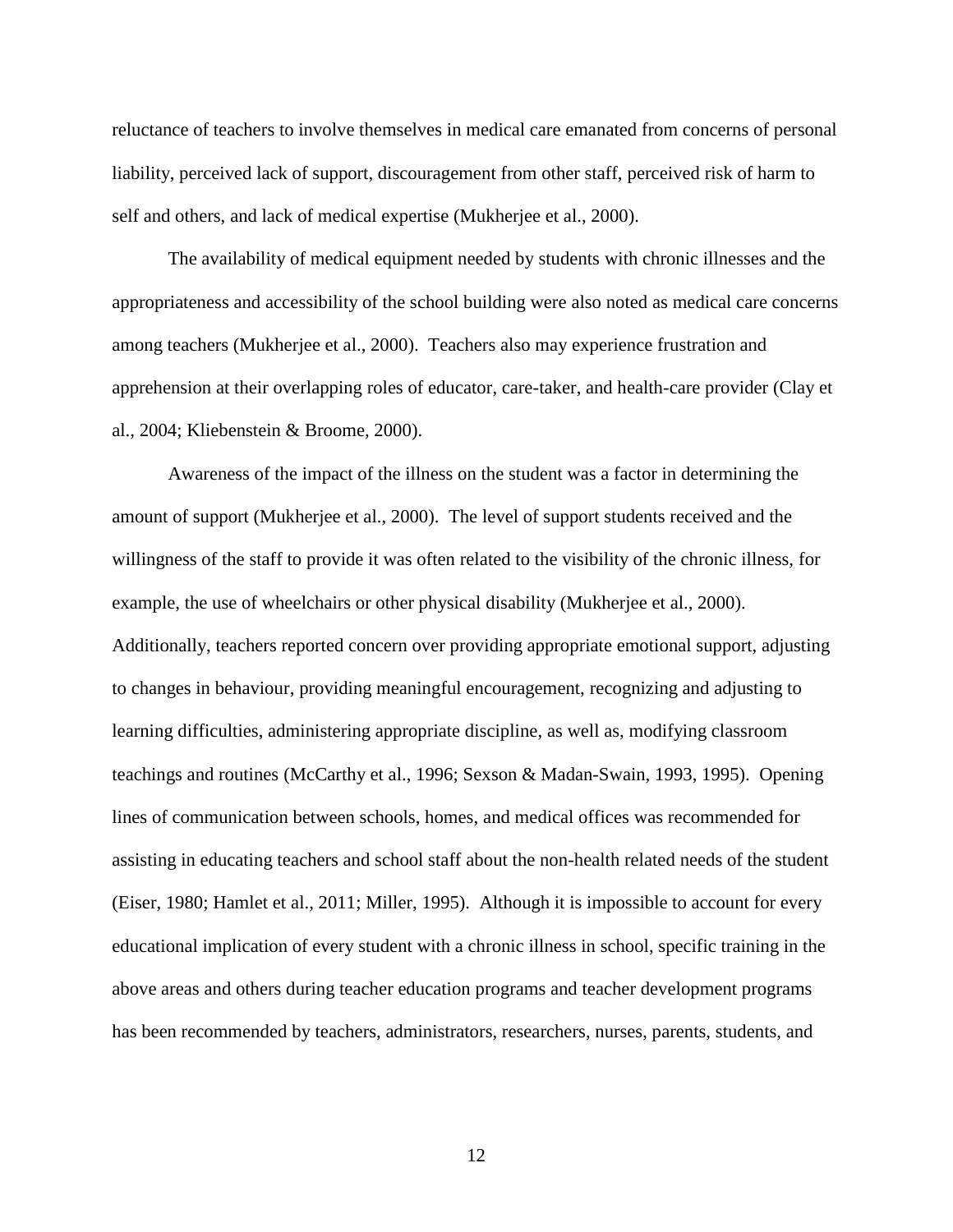reluctance of teachers to involve themselves in medical care emanated from concerns of personal liability, perceived lack of support, discouragement from other staff, perceived risk of harm to self and others, and lack of medical expertise [\(Mukherjee et al., 2000\)](#page-109-1).

The availability of medical equipment needed by students with chronic illnesses and the appropriateness and accessibility of the school building were also noted as medical care concerns among teachers [\(Mukherjee et al., 2000\)](#page-109-1). Teachers also may experience frustration and apprehension at their overlapping roles of educator, care-taker, and health-care provider [\(Clay et](#page-105-0)  [al., 2004;](#page-105-0) [Kliebenstein &](#page-108-3) Broome, 2000).

Awareness of the impact of the illness on the student was a factor in determining the amount of support [\(Mukherjee et al., 2000\)](#page-109-1). The level of support students received and the willingness of the staff to provide it was often related to the visibility of the chronic illness, for example, the use of wheelchairs or other physical disability [\(Mukherjee et al., 2000\)](#page-109-1). Additionally, teachers reported concern over providing appropriate emotional support, adjusting to changes in behaviour, providing meaningful encouragement, recognizing and adjusting to learning difficulties, administering appropriate discipline, as well as, modifying classroom teachings and routines [\(McCarthy et al., 1996;](#page-109-0) [Sexson & Madan-Swain, 1993,](#page-112-3) [1995\)](#page-112-4). Opening lines of communication between schools, homes, and medical offices was recommended for assisting in educating teachers and school staff about the non-health related needs of the student [\(Eiser, 1980;](#page-106-1) [Hamlet et al., 2011;](#page-107-1) [Miller, 1995\)](#page-109-4). Although it is impossible to account for every educational implication of every student with a chronic illness in school, specific training in the above areas and others during teacher education programs and teacher development programs has been recommended by teachers, administrators, researchers, nurses, parents, students, and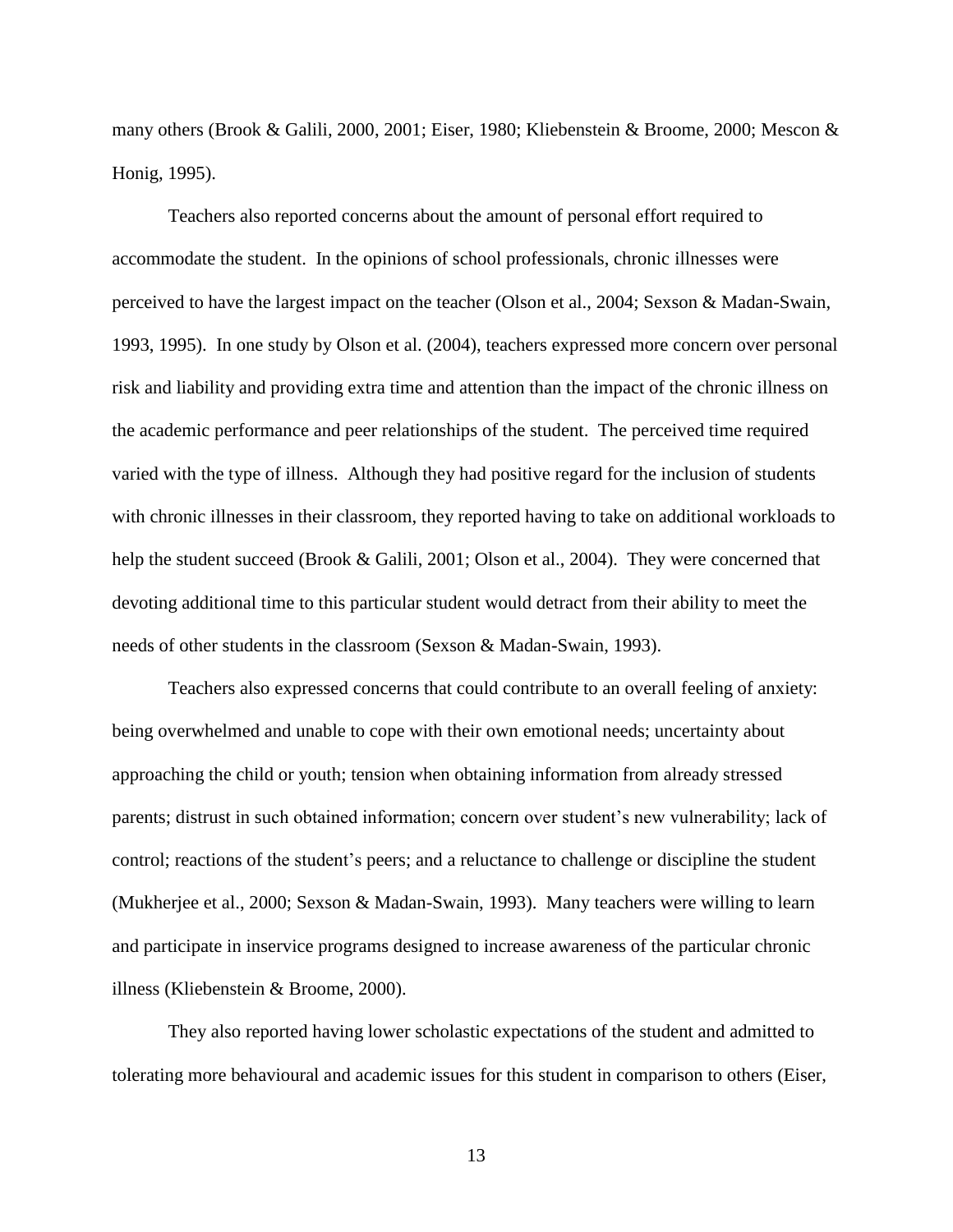many others [\(Brook & Galili, 2000,](#page-103-0) [2001;](#page-103-1) [Eiser, 1980;](#page-106-1) [Kliebenstein & Broome, 2000;](#page-108-3) [Mescon &](#page-109-5)  [Honig, 1995\)](#page-109-5).

Teachers also reported concerns about the amount of personal effort required to accommodate the student. In the opinions of school professionals, chronic illnesses were perceived to have the largest impact on the teacher [\(Olson et al., 2004;](#page-110-2) [Sexson & Madan-Swain,](#page-112-3)  [1993,](#page-112-3) [1995\)](#page-112-4). In one study by [Olson et al. \(2004\)](#page-110-2), teachers expressed more concern over personal risk and liability and providing extra time and attention than the impact of the chronic illness on the academic performance and peer relationships of the student. The perceived time required varied with the type of illness. Although they had positive regard for the inclusion of students with chronic illnesses in their classroom, they reported having to take on additional workloads to help the student succeed [\(Brook & Galili, 2001;](#page-103-1) [Olson et al., 2004\)](#page-110-2). They were concerned that devoting additional time to this particular student would detract from their ability to meet the needs of other students in the classroom [\(Sexson & Madan-Swain, 1993\)](#page-112-3).

Teachers also expressed concerns that could contribute to an overall feeling of anxiety: being overwhelmed and unable to cope with their own emotional needs; uncertainty about approaching the child or youth; tension when obtaining information from already stressed parents; distrust in such obtained information; concern over student's new vulnerability; lack of control; reactions of the student's peers; and a reluctance to challenge or discipline the student [\(Mukherjee et al., 2000;](#page-109-1) [Sexson & Madan-Swain, 1993\)](#page-112-3). Many teachers were willing to learn and participate in inservice programs designed to increase awareness of the particular chronic illness [\(Kliebenstein & Broome, 2000\)](#page-108-3).

They also reported having lower scholastic expectations of the student and admitted to tolerating more behavioural and academic issues for this student in comparison to others [\(Eiser,](#page-106-1)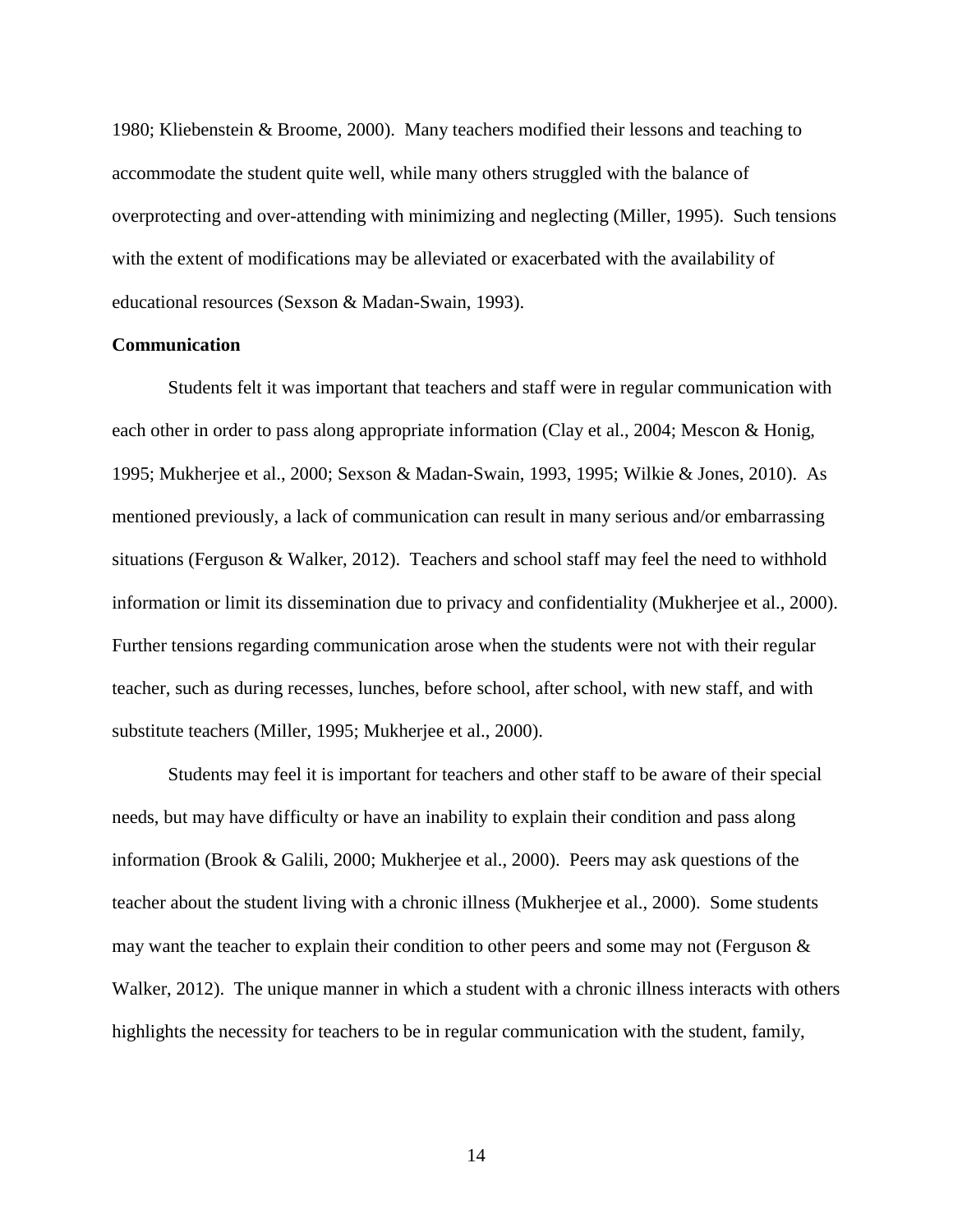1980; [Kliebenstein & Broome, 2000\)](#page-108-3). Many teachers modified their lessons and teaching to accommodate the student quite well, while many others struggled with the balance of overprotecting and over-attending with minimizing and neglecting [\(Miller, 1995\)](#page-109-4). Such tensions with the extent of modifications may be alleviated or exacerbated with the availability of educational resources [\(Sexson & Madan-Swain, 1993\)](#page-112-3).

# <span id="page-19-0"></span>**Communication**

Students felt it was important that teachers and staff were in regular communication with each other in order to pass along appropriate information [\(Clay et al., 2004;](#page-105-0) [Mescon & Honig,](#page-109-5)  [1995;](#page-109-5) [Mukherjee et al., 2000;](#page-109-1) [Sexson & Madan-Swain, 1993,](#page-112-3) [1995;](#page-112-4) [Wilkie & Jones, 2010\)](#page-114-1). As mentioned previously, a lack of communication can result in many serious and/or embarrassing situations [\(Ferguson & Walker, 2012\)](#page-106-0). Teachers and school staff may feel the need to withhold information or limit its dissemination due to privacy and confidentiality [\(Mukherjee et al., 2000\)](#page-109-1). Further tensions regarding communication arose when the students were not with their regular teacher, such as during recesses, lunches, before school, after school, with new staff, and with substitute teachers [\(Miller, 1995;](#page-109-4) [Mukherjee et al., 2000\)](#page-109-1).

Students may feel it is important for teachers and other staff to be aware of their special needs, but may have difficulty or have an inability to explain their condition and pass along information [\(Brook & Galili, 2000;](#page-103-0) [Mukherjee et al., 2000\)](#page-109-1). Peers may ask questions of the teacher about the student living with a chronic illness [\(Mukherjee et al., 2000\)](#page-109-1). Some students may want the teacher to explain their condition to other peers and some may not [\(Ferguson &](#page-106-0)  [Walker, 2012\)](#page-106-0). The unique manner in which a student with a chronic illness interacts with others highlights the necessity for teachers to be in regular communication with the student, family,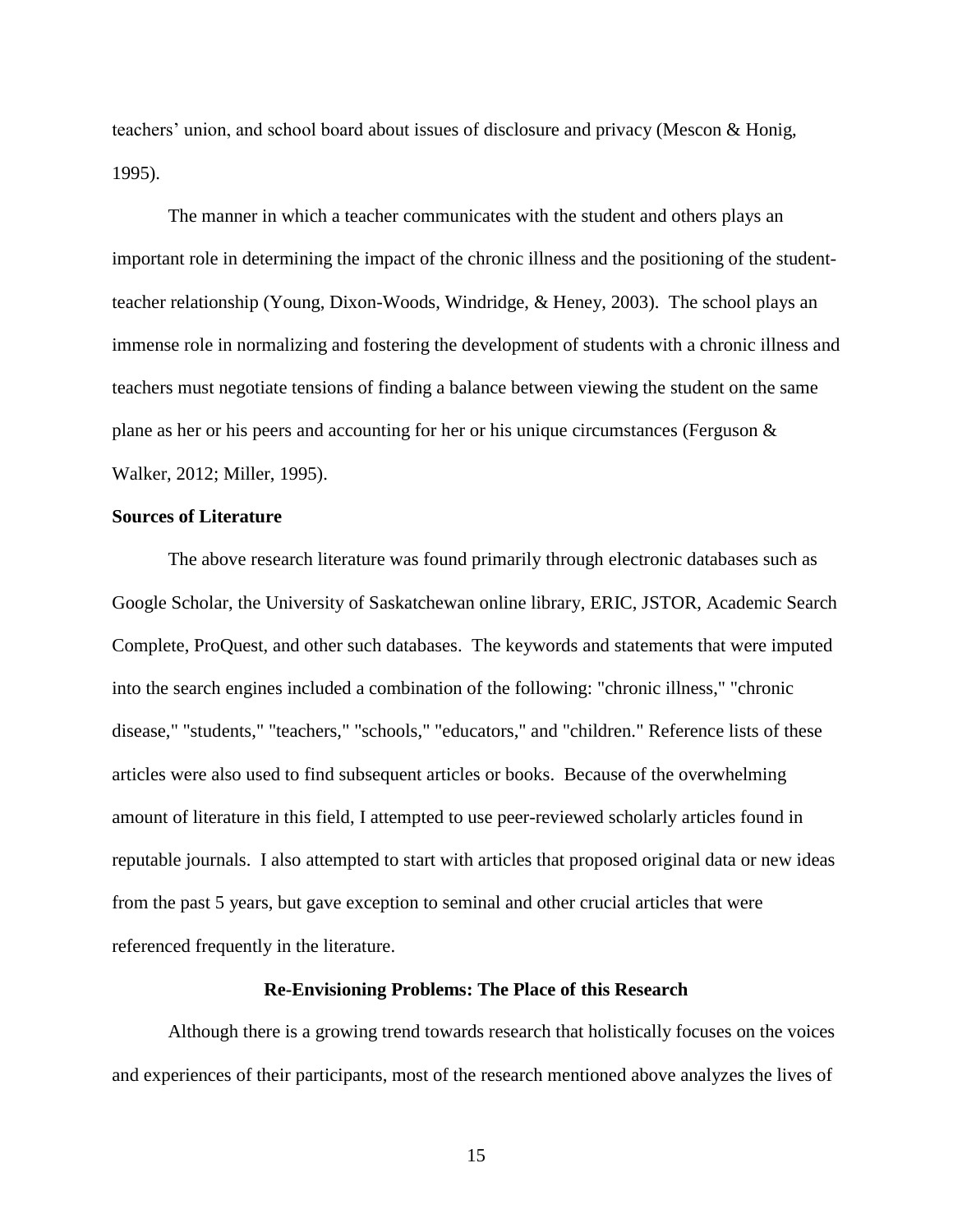teachers' union, and school board about issues of disclosure and privacy [\(Mescon & Honig,](#page-109-5)  [1995\)](#page-109-5).

The manner in which a teacher communicates with the student and others plays an important role in determining the impact of the chronic illness and the positioning of the studentteacher relationship [\(Young, Dixon-Woods, Windridge, & Heney, 2003\)](#page-114-2). The school plays an immense role in normalizing and fostering the development of students with a chronic illness and teachers must negotiate tensions of finding a balance between viewing the student on the same plane as her or his peers and accounting for her or his unique circumstances [\(Ferguson &](#page-106-0)  [Walker, 2012;](#page-106-0) [Miller, 1995\)](#page-109-4).

## <span id="page-20-0"></span>**Sources of Literature**

The above research literature was found primarily through electronic databases such as Google Scholar, the University of Saskatchewan online library, ERIC, JSTOR, Academic Search Complete, ProQuest, and other such databases. The keywords and statements that were imputed into the search engines included a combination of the following: "chronic illness," "chronic disease," "students," "teachers," "schools," "educators," and "children." Reference lists of these articles were also used to find subsequent articles or books. Because of the overwhelming amount of literature in this field, I attempted to use peer-reviewed scholarly articles found in reputable journals. I also attempted to start with articles that proposed original data or new ideas from the past 5 years, but gave exception to seminal and other crucial articles that were referenced frequently in the literature.

#### **Re-Envisioning Problems: The Place of this Research**

<span id="page-20-1"></span>Although there is a growing trend towards research that holistically focuses on the voices and experiences of their participants, most of the research mentioned above analyzes the lives of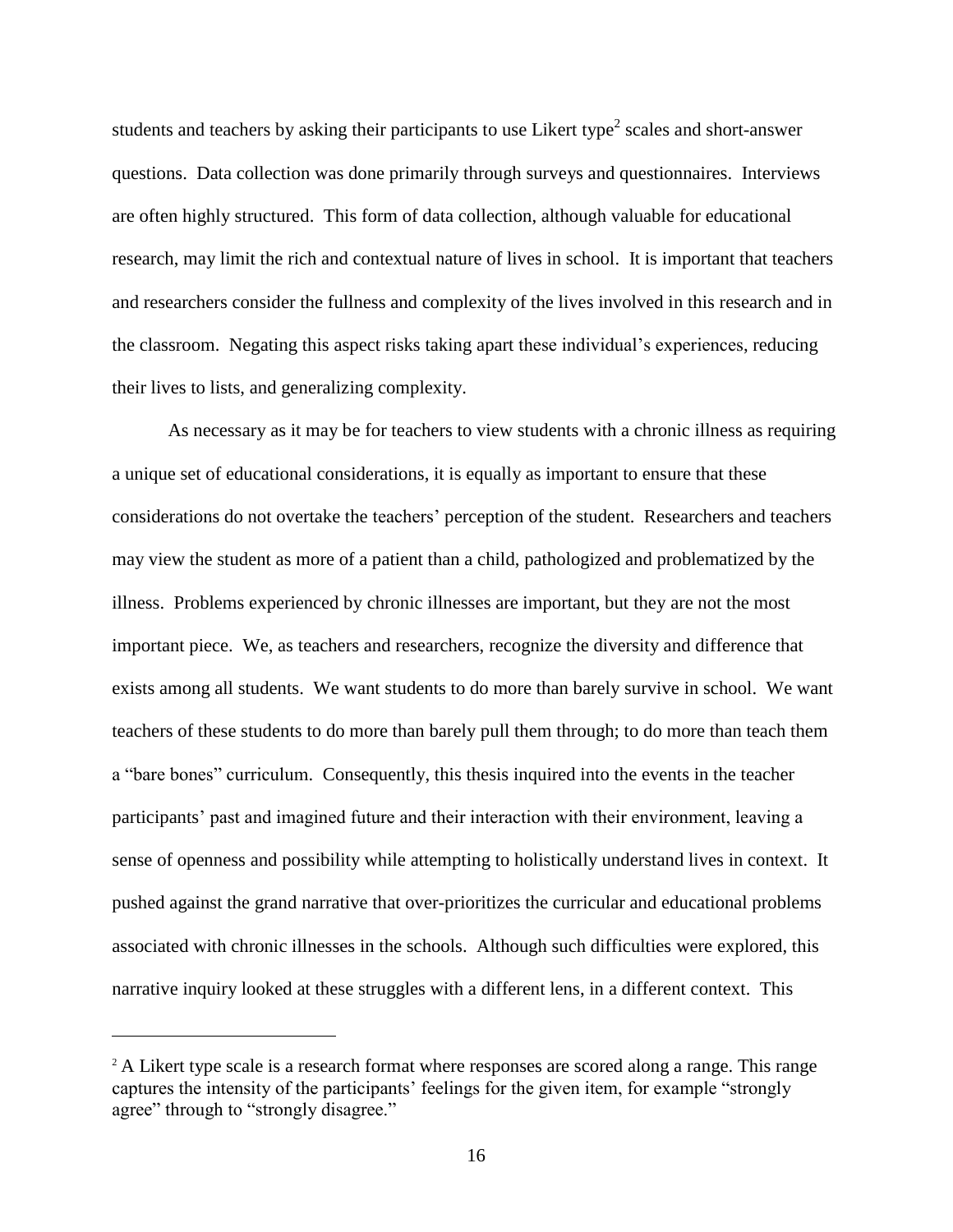students and teachers by asking their participants to use Likert type<sup>2</sup> scales and short-answer questions. Data collection was done primarily through surveys and questionnaires. Interviews are often highly structured. This form of data collection, although valuable for educational research, may limit the rich and contextual nature of lives in school. It is important that teachers and researchers consider the fullness and complexity of the lives involved in this research and in the classroom. Negating this aspect risks taking apart these individual's experiences, reducing their lives to lists, and generalizing complexity.

As necessary as it may be for teachers to view students with a chronic illness as requiring a unique set of educational considerations, it is equally as important to ensure that these considerations do not overtake the teachers' perception of the student. Researchers and teachers may view the student as more of a patient than a child, pathologized and problematized by the illness. Problems experienced by chronic illnesses are important, but they are not the most important piece. We, as teachers and researchers, recognize the diversity and difference that exists among all students. We want students to do more than barely survive in school. We want teachers of these students to do more than barely pull them through; to do more than teach them a "bare bones" curriculum. Consequently, this thesis inquired into the events in the teacher participants' past and imagined future and their interaction with their environment, leaving a sense of openness and possibility while attempting to holistically understand lives in context. It pushed against the grand narrative that over-prioritizes the curricular and educational problems associated with chronic illnesses in the schools. Although such difficulties were explored, this narrative inquiry looked at these struggles with a different lens, in a different context. This

 $\overline{a}$ 

 $2^2$  A Likert type scale is a research format where responses are scored along a range. This range captures the intensity of the participants' feelings for the given item, for example "strongly agree" through to "strongly disagree."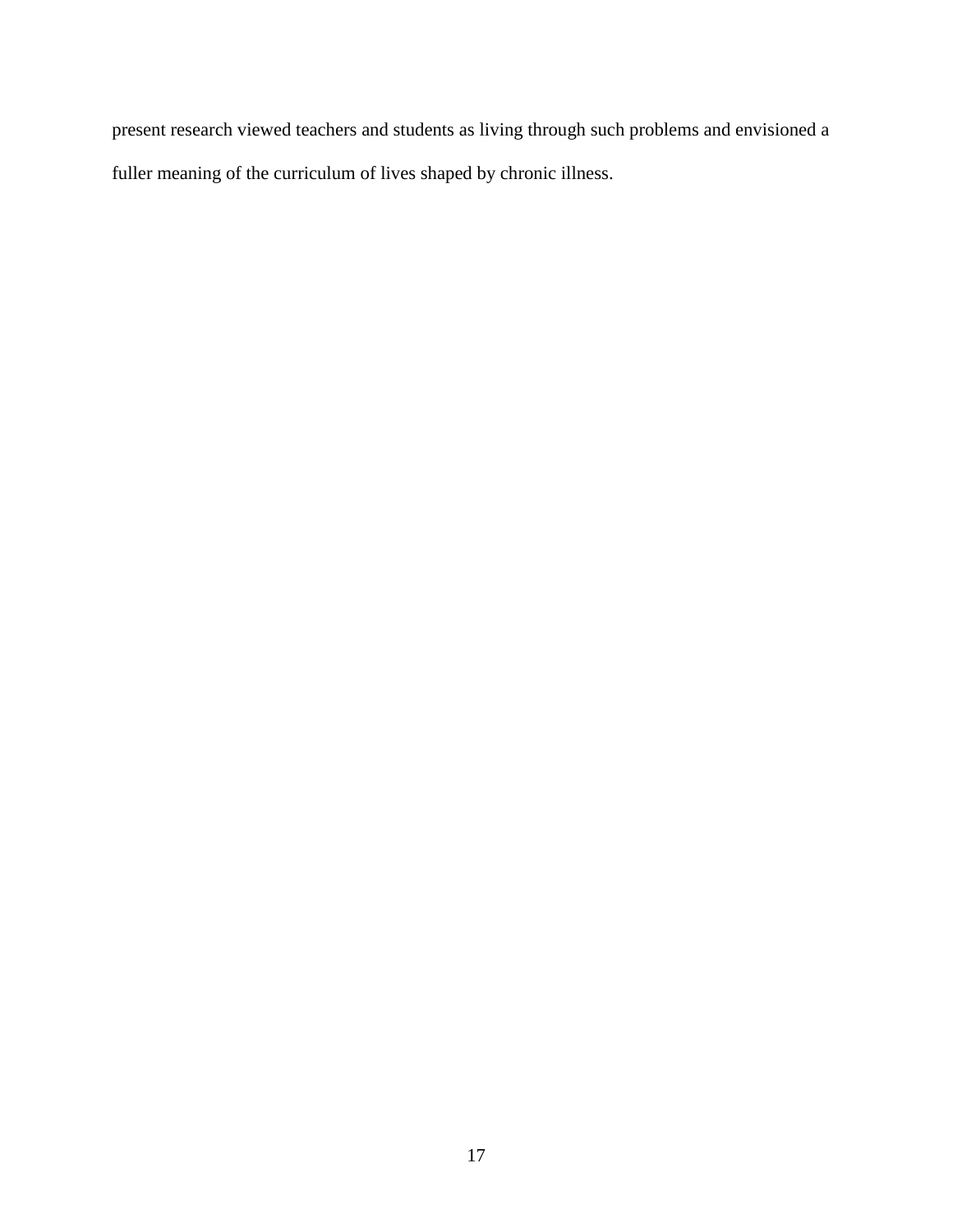present research viewed teachers and students as living through such problems and envisioned a fuller meaning of the curriculum of lives shaped by chronic illness.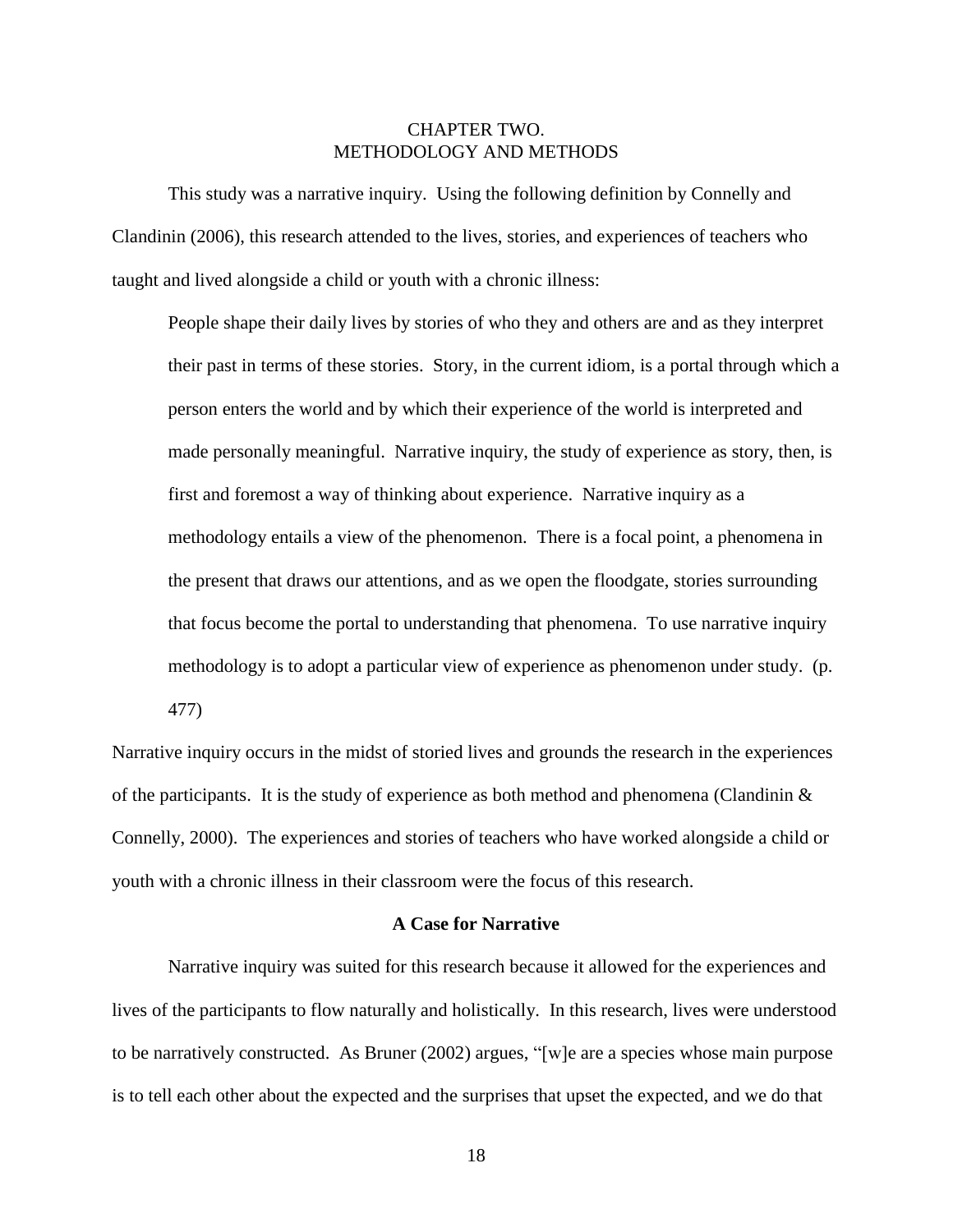# CHAPTER TWO. METHODOLOGY AND METHODS

<span id="page-23-0"></span>This study was a narrative inquiry. Using the following definition by [Connelly and](#page-105-2)  [Clandinin \(2006\)](#page-105-2), this research attended to the lives, stories, and experiences of teachers who taught and lived alongside a child or youth with a chronic illness:

People shape their daily lives by stories of who they and others are and as they interpret their past in terms of these stories. Story, in the current idiom, is a portal through which a person enters the world and by which their experience of the world is interpreted and made personally meaningful. Narrative inquiry, the study of experience as story, then, is first and foremost a way of thinking about experience. Narrative inquiry as a methodology entails a view of the phenomenon. There is a focal point, a phenomena in the present that draws our attentions, and as we open the floodgate, stories surrounding that focus become the portal to understanding that phenomena. To use narrative inquiry methodology is to adopt a particular view of experience as phenomenon under study. (p.

477)

Narrative inquiry occurs in the midst of storied lives and grounds the research in the experiences of the participants. It is the study of experience as both method and phenomena [\(Clandinin &](#page-104-0)  [Connelly, 2000\)](#page-104-0). The experiences and stories of teachers who have worked alongside a child or youth with a chronic illness in their classroom were the focus of this research.

### **A Case for Narrative**

<span id="page-23-1"></span>Narrative inquiry was suited for this research because it allowed for the experiences and lives of the participants to flow naturally and holistically. In this research, lives were understood to be narratively constructed. As [Bruner \(2002\)](#page-103-2) argues, "[w]e are a species whose main purpose is to tell each other about the expected and the surprises that upset the expected, and we do that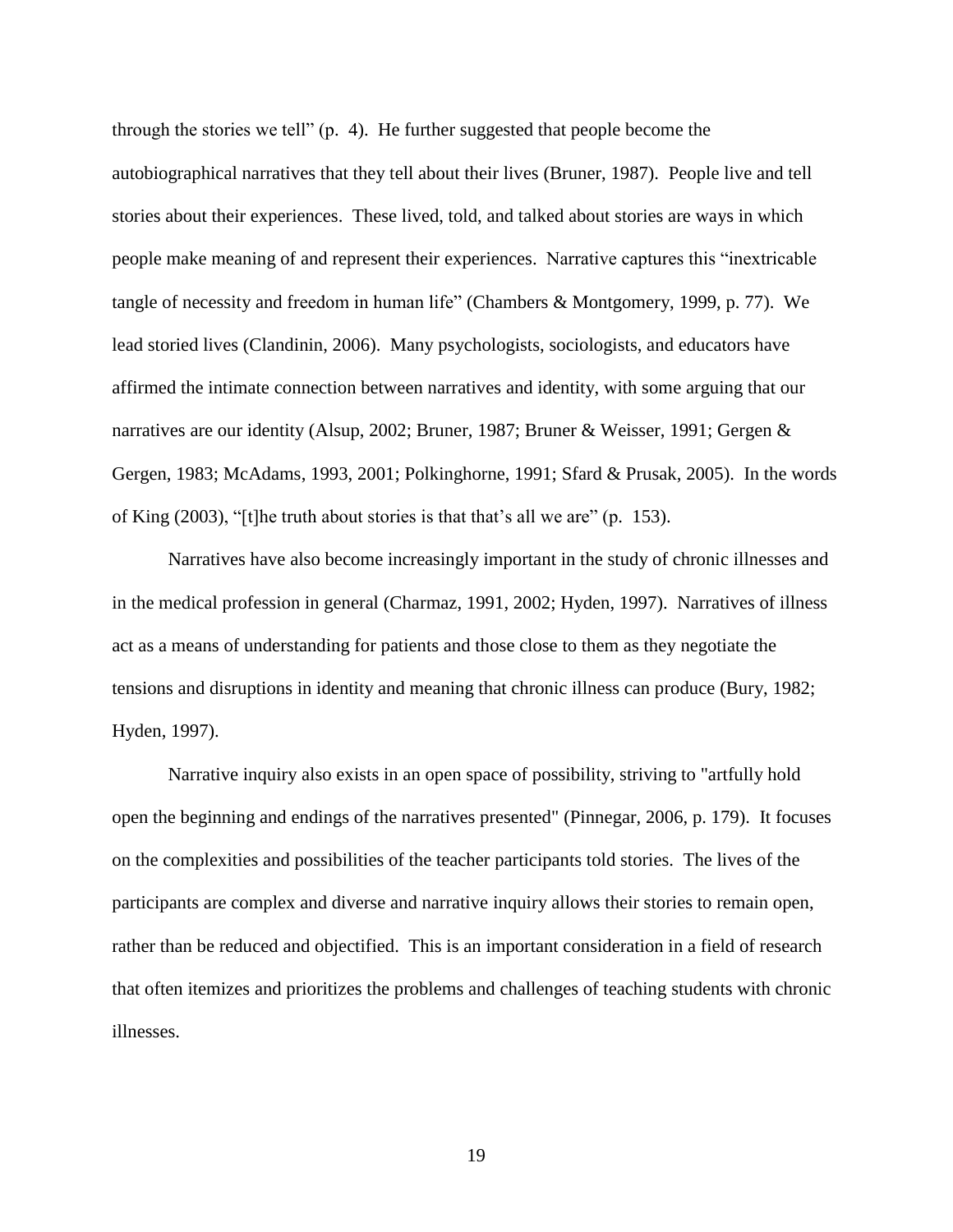through the stories we tell" (p. 4). He further suggested that people become the autobiographical narratives that they tell about their lives [\(Bruner, 1987\)](#page-103-3). People live and tell stories about their experiences. These lived, told, and talked about stories are ways in which people make meaning of and represent their experiences. Narrative captures this "inextricable tangle of necessity and freedom in human life" [\(Chambers & Montgomery, 1999, p. 77\)](#page-104-3). We lead storied lives [\(Clandinin, 2006\)](#page-104-4). Many psychologists, sociologists, and educators have affirmed the intimate connection between narratives and identity, with some arguing that our narratives are our identity [\(Alsup, 2002;](#page-102-2) [Bruner, 1987;](#page-103-3) [Bruner & Weisser, 1991;](#page-103-4) [Gergen &](#page-107-3)  [Gergen, 1983;](#page-107-3) [McAdams, 1993,](#page-109-6) [2001;](#page-109-7) [Polkinghorne, 1991;](#page-111-4) [Sfard & Prusak, 2005\)](#page-112-5). In the words of [King \(2003\)](#page-108-5), "[t]he truth about stories is that that's all we are" (p. 153).

Narratives have also become increasingly important in the study of chronic illnesses and in the medical profession in general [\(Charmaz, 1991,](#page-104-2) [2002;](#page-104-5) [Hyden, 1997\)](#page-107-4). Narratives of illness act as a means of understanding for patients and those close to them as they negotiate the tensions and disruptions in identity and meaning that chronic illness can produce [\(Bury, 1982;](#page-103-5) [Hyden, 1997\)](#page-107-4).

Narrative inquiry also exists in an open space of possibility, striving to "artfully hold open the beginning and endings of the narratives presented" [\(Pinnegar, 2006, p. 179\)](#page-111-5). It focuses on the complexities and possibilities of the teacher participants told stories. The lives of the participants are complex and diverse and narrative inquiry allows their stories to remain open, rather than be reduced and objectified. This is an important consideration in a field of research that often itemizes and prioritizes the problems and challenges of teaching students with chronic illnesses.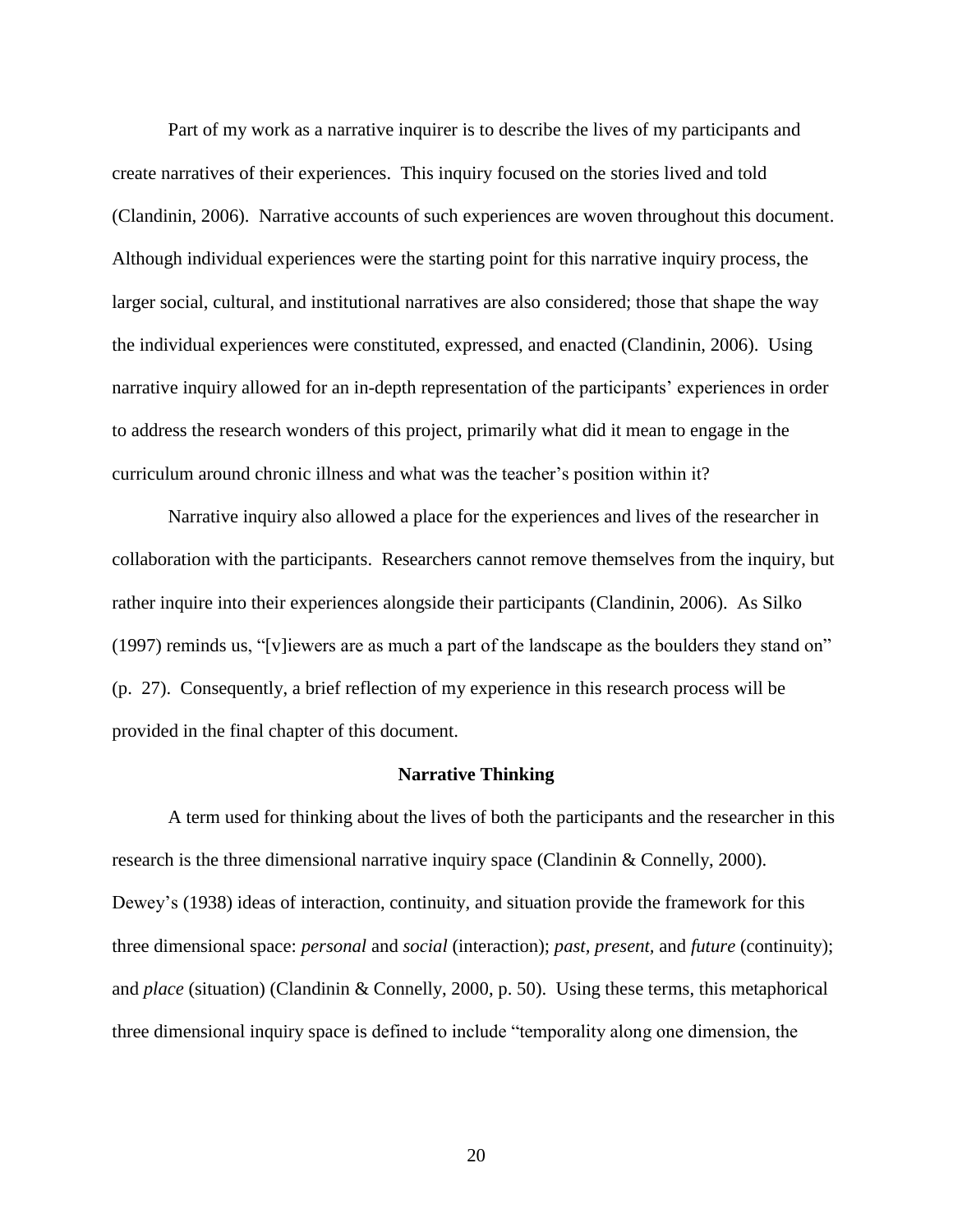Part of my work as a narrative inquirer is to describe the lives of my participants and create narratives of their experiences. This inquiry focused on the stories lived and told [\(Clandinin, 2006\)](#page-104-4). Narrative accounts of such experiences are woven throughout this document. Although individual experiences were the starting point for this narrative inquiry process, the larger social, cultural, and institutional narratives are also considered; those that shape the way the individual experiences were constituted, expressed, and enacted [\(Clandinin, 2006\)](#page-104-4). Using narrative inquiry allowed for an in-depth representation of the participants' experiences in order to address the research wonders of this project, primarily what did it mean to engage in the curriculum around chronic illness and what was the teacher's position within it?

Narrative inquiry also allowed a place for the experiences and lives of the researcher in collaboration with the participants. Researchers cannot remove themselves from the inquiry, but rather inquire into their experiences alongside their participants [\(Clandinin, 2006\)](#page-104-4). As [Silko](#page-112-6)  [\(1997\)](#page-112-6) reminds us, "[v]iewers are as much a part of the landscape as the boulders they stand on" (p. 27). Consequently, a brief reflection of my experience in this research process will be provided in the final chapter of this document.

### **Narrative Thinking**

<span id="page-25-0"></span>A term used for thinking about the lives of both the participants and the researcher in this research is the three dimensional narrative inquiry space [\(Clandinin & Connelly, 2000\)](#page-104-0). Dewey's [\(1938\)](#page-106-3) ideas of interaction, continuity, and situation provide the framework for this three dimensional space: *personal* and *social* (interaction); *past, present,* and *future* (continuity); and *place* (situation) [\(Clandinin & Connelly, 2000, p. 50\)](#page-104-0). Using these terms, this metaphorical three dimensional inquiry space is defined to include "temporality along one dimension, the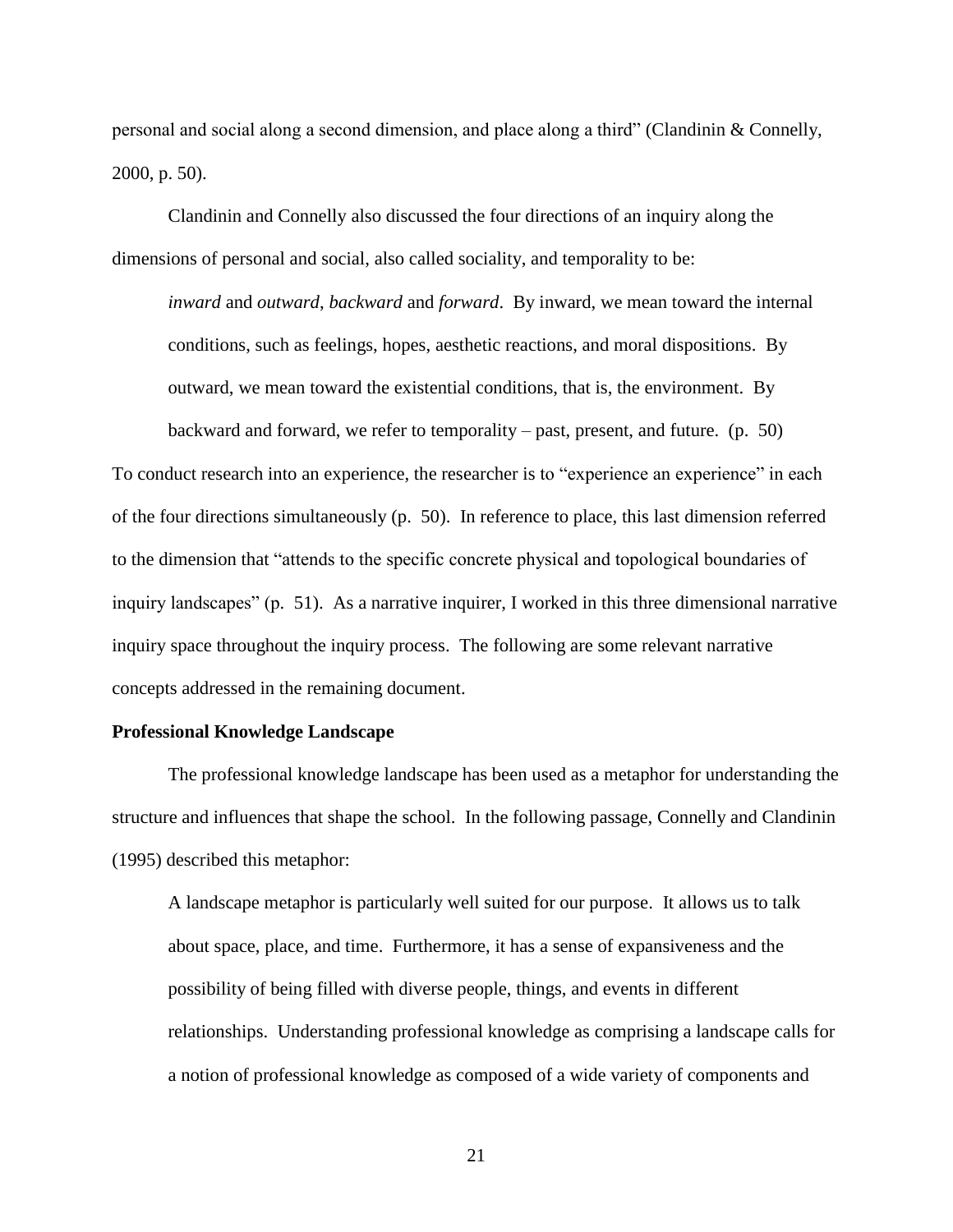personal and social along a second dimension, and place along a third" [\(Clandinin & Connelly,](#page-104-0)  [2000, p. 50\)](#page-104-0).

Clandinin and Connelly also discussed the four directions of an inquiry along the dimensions of personal and social, also called sociality, and temporality to be:

*inward* and *outward*, *backward* and *forward*. By inward, we mean toward the internal conditions, such as feelings, hopes, aesthetic reactions, and moral dispositions. By outward, we mean toward the existential conditions, that is, the environment. By backward and forward, we refer to temporality – past, present, and future. (p. 50)

To conduct research into an experience, the researcher is to "experience an experience" in each of the four directions simultaneously (p. 50). In reference to place, this last dimension referred to the dimension that "attends to the specific concrete physical and topological boundaries of inquiry landscapes" (p. 51). As a narrative inquirer, I worked in this three dimensional narrative inquiry space throughout the inquiry process. The following are some relevant narrative concepts addressed in the remaining document.

# <span id="page-26-0"></span>**Professional Knowledge Landscape**

The professional knowledge landscape has been used as a metaphor for understanding the structure and influences that shape the school. In the following passage, [Connelly and Clandinin](#page-105-3)  [\(1995\)](#page-105-3) described this metaphor:

A landscape metaphor is particularly well suited for our purpose. It allows us to talk about space, place, and time. Furthermore, it has a sense of expansiveness and the possibility of being filled with diverse people, things, and events in different relationships. Understanding professional knowledge as comprising a landscape calls for a notion of professional knowledge as composed of a wide variety of components and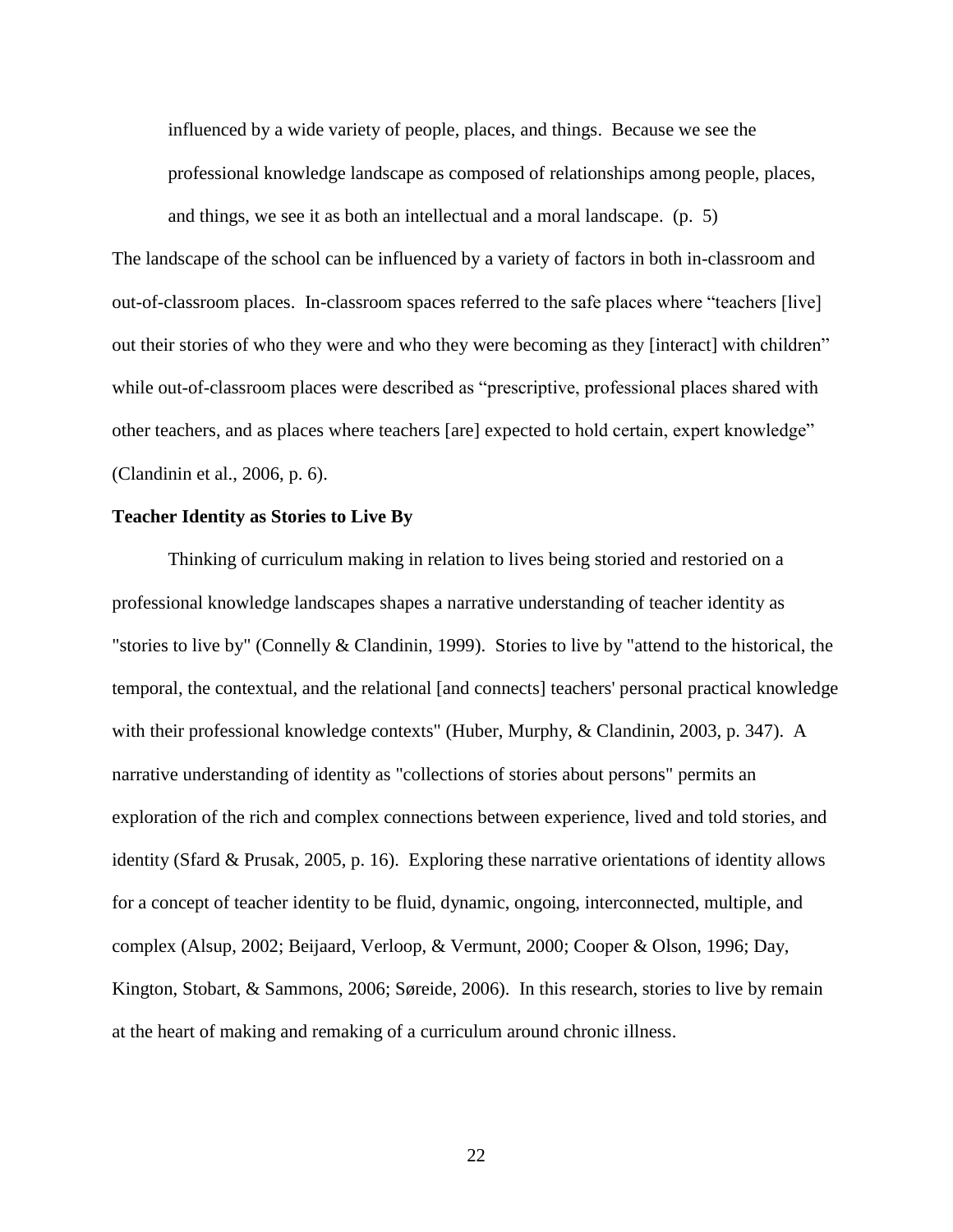influenced by a wide variety of people, places, and things. Because we see the professional knowledge landscape as composed of relationships among people, places, and things, we see it as both an intellectual and a moral landscape. (p. 5)

The landscape of the school can be influenced by a variety of factors in both in-classroom and out-of-classroom places. In-classroom spaces referred to the safe places where "teachers [live] out their stories of who they were and who they were becoming as they [interact] with children" while out-of-classroom places were described as "prescriptive, professional places shared with other teachers, and as places where teachers [are] expected to hold certain, expert knowledge" [\(Clandinin et al., 2006, p. 6\)](#page-104-1).

# <span id="page-27-0"></span>**Teacher Identity as Stories to Live By**

Thinking of curriculum making in relation to lives being storied and restoried on a professional knowledge landscapes shapes a narrative understanding of teacher identity as "stories to live by" [\(Connelly & Clandinin, 1999\)](#page-105-4). Stories to live by "attend to the historical, the temporal, the contextual, and the relational [and connects] teachers' personal practical knowledge with their professional knowledge contexts" [\(Huber, Murphy, & Clandinin, 2003, p. 347\)](#page-107-5). A narrative understanding of identity as "collections of stories about persons" permits an exploration of the rich and complex connections between experience, lived and told stories, and identity [\(Sfard & Prusak, 2005, p. 16\)](#page-112-5). Exploring these narrative orientations of identity allows for a concept of teacher identity to be fluid, dynamic, ongoing, interconnected, multiple, and complex [\(Alsup, 2002;](#page-102-2) [Beijaard, Verloop, & Vermunt, 2000;](#page-102-3) [Cooper & Olson, 1996;](#page-105-5) [Day,](#page-106-4)  [Kington, Stobart, & Sammons, 2006;](#page-106-4) [Søreide, 2006\)](#page-113-4). In this research, stories to live by remain at the heart of making and remaking of a curriculum around chronic illness.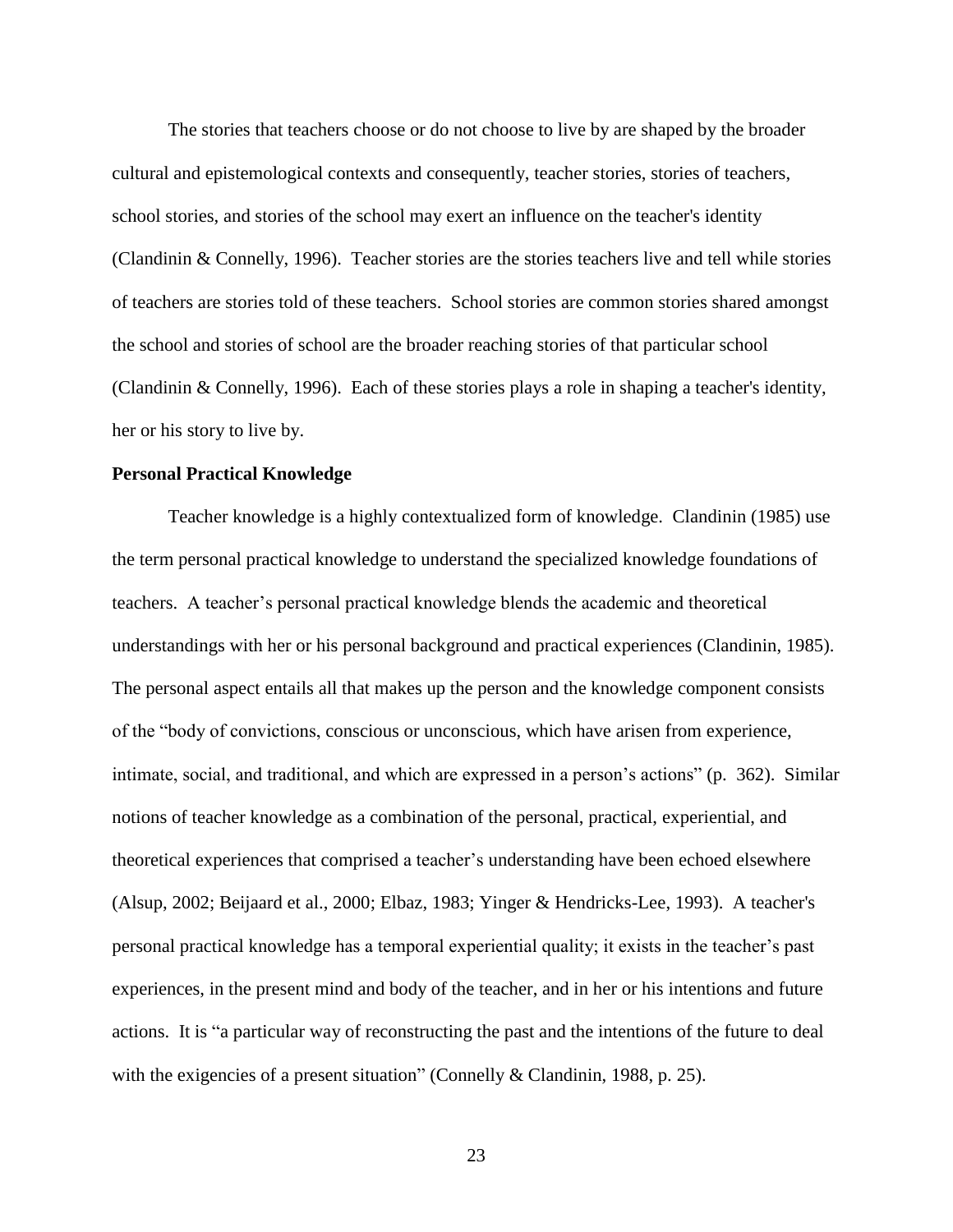The stories that teachers choose or do not choose to live by are shaped by the broader cultural and epistemological contexts and consequently, teacher stories, stories of teachers, school stories, and stories of the school may exert an influence on the teacher's identity [\(Clandinin & Connelly, 1996\)](#page-104-6). Teacher stories are the stories teachers live and tell while stories of teachers are stories told of these teachers. School stories are common stories shared amongst the school and stories of school are the broader reaching stories of that particular school [\(Clandinin & Connelly, 1996\)](#page-104-6). Each of these stories plays a role in shaping a teacher's identity, her or his story to live by.

### <span id="page-28-0"></span>**Personal Practical Knowledge**

Teacher knowledge is a highly contextualized form of knowledge. [Clandinin \(1985\)](#page-104-7) use the term personal practical knowledge to understand the specialized knowledge foundations of teachers. A teacher's personal practical knowledge blends the academic and theoretical understandings with her or his personal background and practical experiences [\(Clandinin, 1985\)](#page-104-7). The personal aspect entails all that makes up the person and the knowledge component consists of the "body of convictions, conscious or unconscious, which have arisen from experience, intimate, social, and traditional, and which are expressed in a person's actions" (p. 362). Similar notions of teacher knowledge as a combination of the personal, practical, experiential, and theoretical experiences that comprised a teacher's understanding have been echoed elsewhere [\(Alsup, 2002;](#page-102-2) [Beijaard et al., 2000;](#page-102-3) [Elbaz, 1983;](#page-106-5) [Yinger & Hendricks-Lee, 1993\)](#page-114-0). A teacher's personal practical knowledge has a temporal experiential quality; it exists in the teacher's past experiences, in the present mind and body of the teacher, and in her or his intentions and future actions. It is "a particular way of reconstructing the past and the intentions of the future to deal with the exigencies of a present situation" [\(Connelly & Clandinin, 1988, p. 25\)](#page-105-6).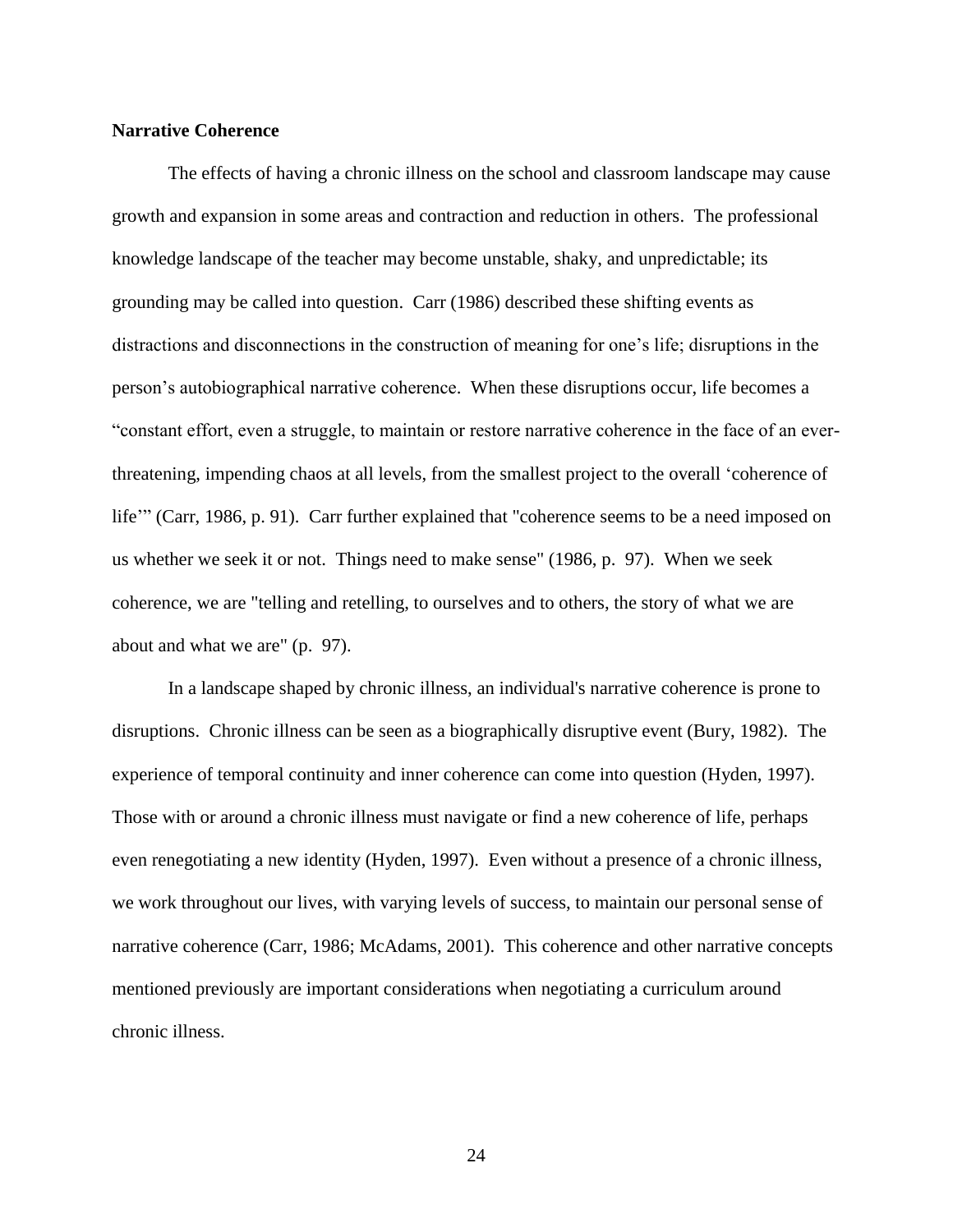# <span id="page-29-0"></span>**Narrative Coherence**

The effects of having a chronic illness on the school and classroom landscape may cause growth and expansion in some areas and contraction and reduction in others. The professional knowledge landscape of the teacher may become unstable, shaky, and unpredictable; its grounding may be called into question. [Carr \(1986\)](#page-103-6) described these shifting events as distractions and disconnections in the construction of meaning for one's life; disruptions in the person's autobiographical narrative coherence. When these disruptions occur, life becomes a "constant effort, even a struggle, to maintain or restore narrative coherence in the face of an everthreatening, impending chaos at all levels, from the smallest project to the overall 'coherence of life" [\(Carr, 1986, p. 91\)](#page-103-6). Carr further explained that "coherence seems to be a need imposed on us whether we seek it or not. Things need to make sense" (1986, p. 97). When we seek coherence, we are "telling and retelling, to ourselves and to others, the story of what we are about and what we are" (p. 97).

In a landscape shaped by chronic illness, an individual's narrative coherence is prone to disruptions. Chronic illness can be seen as a biographically disruptive event [\(Bury, 1982\)](#page-103-5). The experience of temporal continuity and inner coherence can come into question [\(Hyden, 1997\)](#page-107-4). Those with or around a chronic illness must navigate or find a new coherence of life, perhaps even renegotiating a new identity [\(Hyden, 1997\)](#page-107-4). Even without a presence of a chronic illness, we work throughout our lives, with varying levels of success, to maintain our personal sense of narrative coherence [\(Carr, 1986;](#page-103-6) [McAdams, 2001\)](#page-109-7). This coherence and other narrative concepts mentioned previously are important considerations when negotiating a curriculum around chronic illness.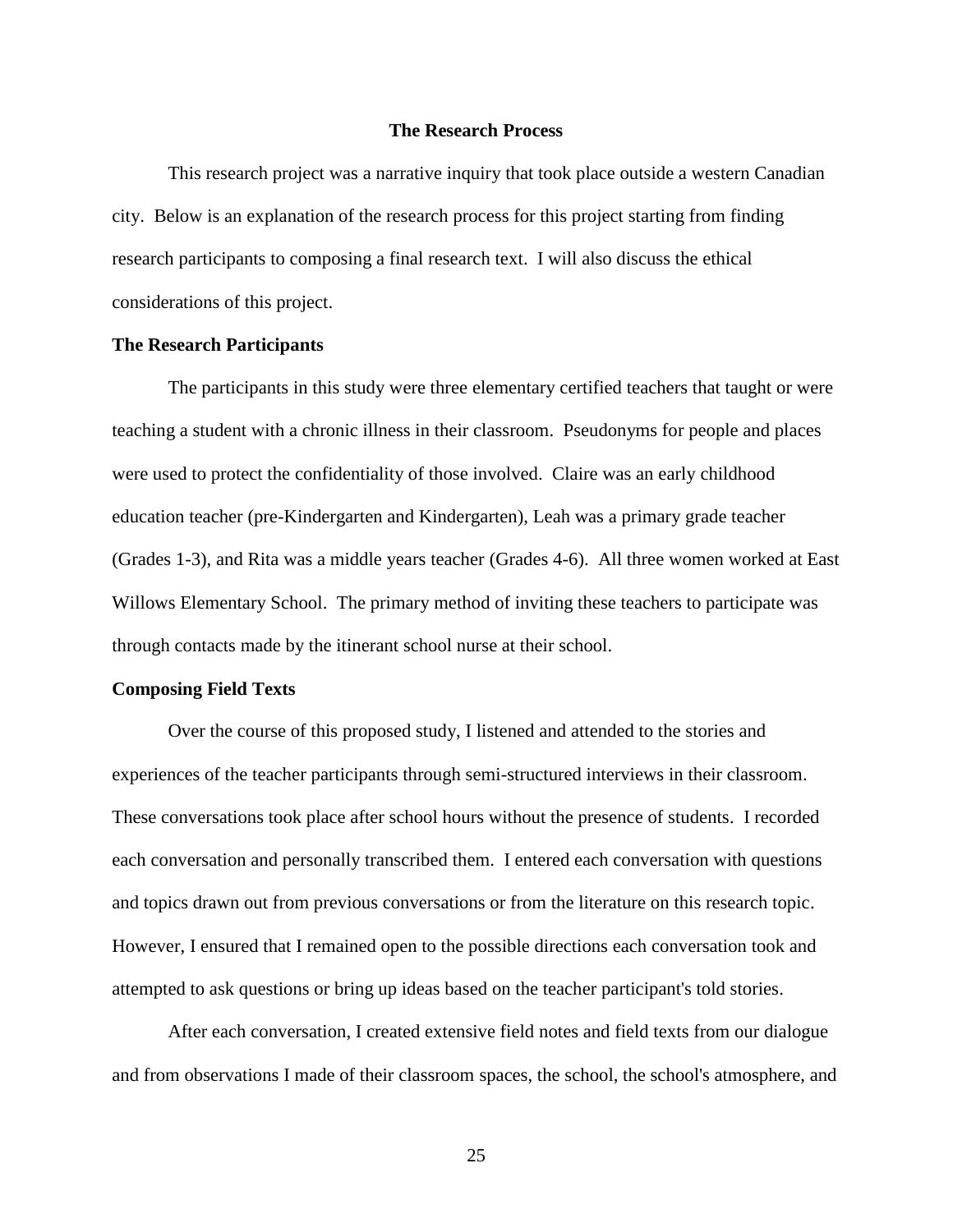### **The Research Process**

<span id="page-30-0"></span>This research project was a narrative inquiry that took place outside a western Canadian city. Below is an explanation of the research process for this project starting from finding research participants to composing a final research text. I will also discuss the ethical considerations of this project.

### <span id="page-30-1"></span>**The Research Participants**

The participants in this study were three elementary certified teachers that taught or were teaching a student with a chronic illness in their classroom. Pseudonyms for people and places were used to protect the confidentiality of those involved. Claire was an early childhood education teacher (pre-Kindergarten and Kindergarten), Leah was a primary grade teacher (Grades 1-3), and Rita was a middle years teacher (Grades 4-6). All three women worked at East Willows Elementary School. The primary method of inviting these teachers to participate was through contacts made by the itinerant school nurse at their school.

## <span id="page-30-2"></span>**Composing Field Texts**

Over the course of this proposed study, I listened and attended to the stories and experiences of the teacher participants through semi-structured interviews in their classroom. These conversations took place after school hours without the presence of students. I recorded each conversation and personally transcribed them. I entered each conversation with questions and topics drawn out from previous conversations or from the literature on this research topic. However, I ensured that I remained open to the possible directions each conversation took and attempted to ask questions or bring up ideas based on the teacher participant's told stories.

After each conversation, I created extensive field notes and field texts from our dialogue and from observations I made of their classroom spaces, the school, the school's atmosphere, and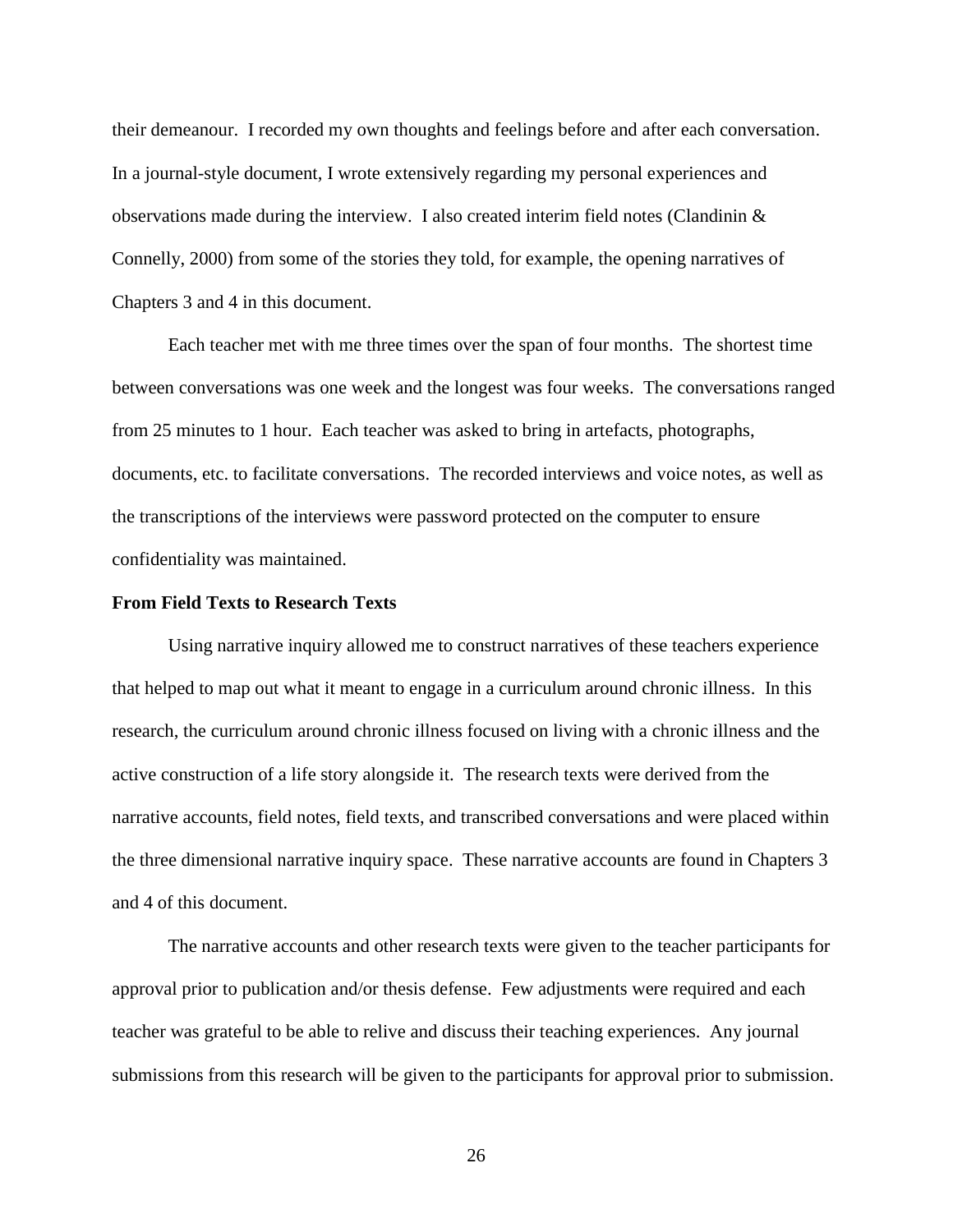their demeanour. I recorded my own thoughts and feelings before and after each conversation. In a journal-style document, I wrote extensively regarding my personal experiences and observations made during the interview. I also created interim field notes [\(Clandinin &](#page-104-0)  [Connelly, 2000\)](#page-104-0) from some of the stories they told, for example, the opening narratives of Chapters 3 and 4 in this document.

Each teacher met with me three times over the span of four months. The shortest time between conversations was one week and the longest was four weeks. The conversations ranged from 25 minutes to 1 hour. Each teacher was asked to bring in artefacts, photographs, documents, etc. to facilitate conversations. The recorded interviews and voice notes, as well as the transcriptions of the interviews were password protected on the computer to ensure confidentiality was maintained.

## <span id="page-31-0"></span>**From Field Texts to Research Texts**

Using narrative inquiry allowed me to construct narratives of these teachers experience that helped to map out what it meant to engage in a curriculum around chronic illness. In this research, the curriculum around chronic illness focused on living with a chronic illness and the active construction of a life story alongside it. The research texts were derived from the narrative accounts, field notes, field texts, and transcribed conversations and were placed within the three dimensional narrative inquiry space. These narrative accounts are found in Chapters 3 and 4 of this document.

The narrative accounts and other research texts were given to the teacher participants for approval prior to publication and/or thesis defense. Few adjustments were required and each teacher was grateful to be able to relive and discuss their teaching experiences. Any journal submissions from this research will be given to the participants for approval prior to submission.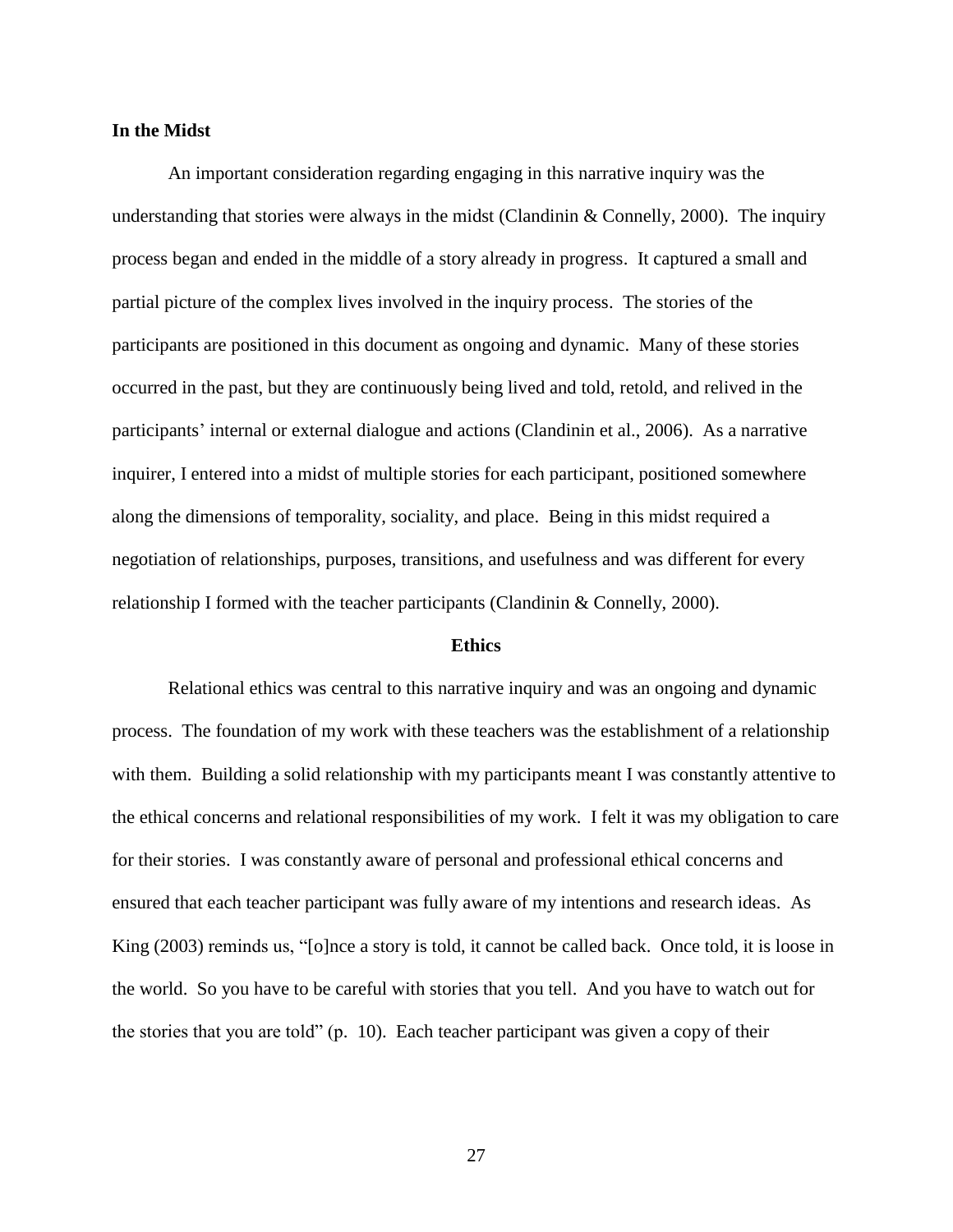# <span id="page-32-0"></span>**In the Midst**

An important consideration regarding engaging in this narrative inquiry was the understanding that stories were always in the midst (Clandinin  $&$  Connelly, 2000). The inquiry process began and ended in the middle of a story already in progress. It captured a small and partial picture of the complex lives involved in the inquiry process. The stories of the participants are positioned in this document as ongoing and dynamic. Many of these stories occurred in the past, but they are continuously being lived and told, retold, and relived in the participants' internal or external dialogue and actions [\(Clandinin et al., 2006\)](#page-104-1). As a narrative inquirer, I entered into a midst of multiple stories for each participant, positioned somewhere along the dimensions of temporality, sociality, and place. Being in this midst required a negotiation of relationships, purposes, transitions, and usefulness and was different for every relationship I formed with the teacher participants [\(Clandinin & Connelly, 2000\)](#page-104-0).

#### **Ethics**

<span id="page-32-1"></span>Relational ethics was central to this narrative inquiry and was an ongoing and dynamic process. The foundation of my work with these teachers was the establishment of a relationship with them. Building a solid relationship with my participants meant I was constantly attentive to the ethical concerns and relational responsibilities of my work. I felt it was my obligation to care for their stories. I was constantly aware of personal and professional ethical concerns and ensured that each teacher participant was fully aware of my intentions and research ideas. As [King \(2003\)](#page-108-5) reminds us, "[o]nce a story is told, it cannot be called back. Once told, it is loose in the world. So you have to be careful with stories that you tell. And you have to watch out for the stories that you are told" (p. 10). Each teacher participant was given a copy of their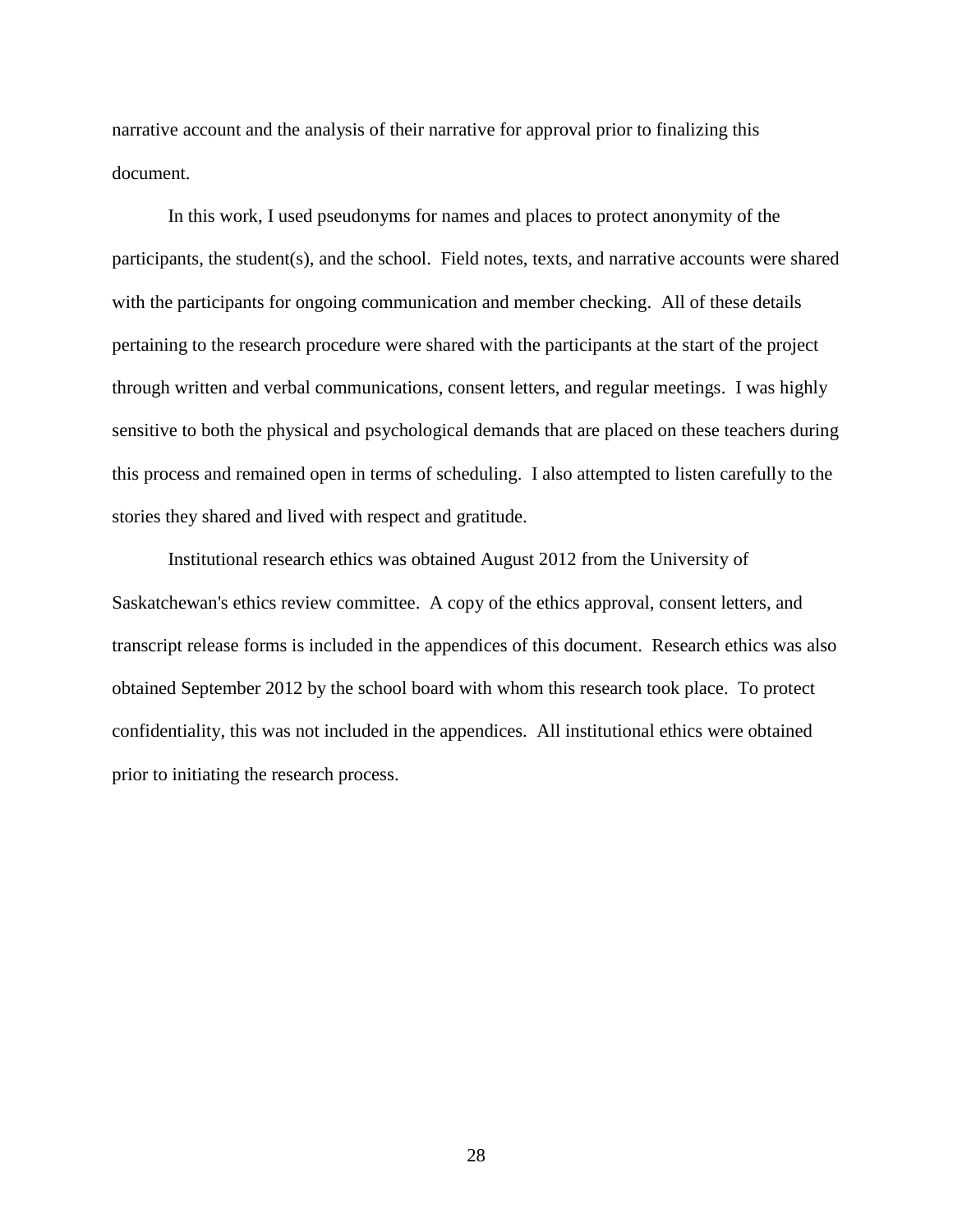narrative account and the analysis of their narrative for approval prior to finalizing this document.

In this work, I used pseudonyms for names and places to protect anonymity of the participants, the student(s), and the school. Field notes, texts, and narrative accounts were shared with the participants for ongoing communication and member checking. All of these details pertaining to the research procedure were shared with the participants at the start of the project through written and verbal communications, consent letters, and regular meetings. I was highly sensitive to both the physical and psychological demands that are placed on these teachers during this process and remained open in terms of scheduling. I also attempted to listen carefully to the stories they shared and lived with respect and gratitude.

Institutional research ethics was obtained August 2012 from the University of Saskatchewan's ethics review committee. A copy of the ethics approval, consent letters, and transcript release forms is included in the appendices of this document. Research ethics was also obtained September 2012 by the school board with whom this research took place. To protect confidentiality, this was not included in the appendices. All institutional ethics were obtained prior to initiating the research process.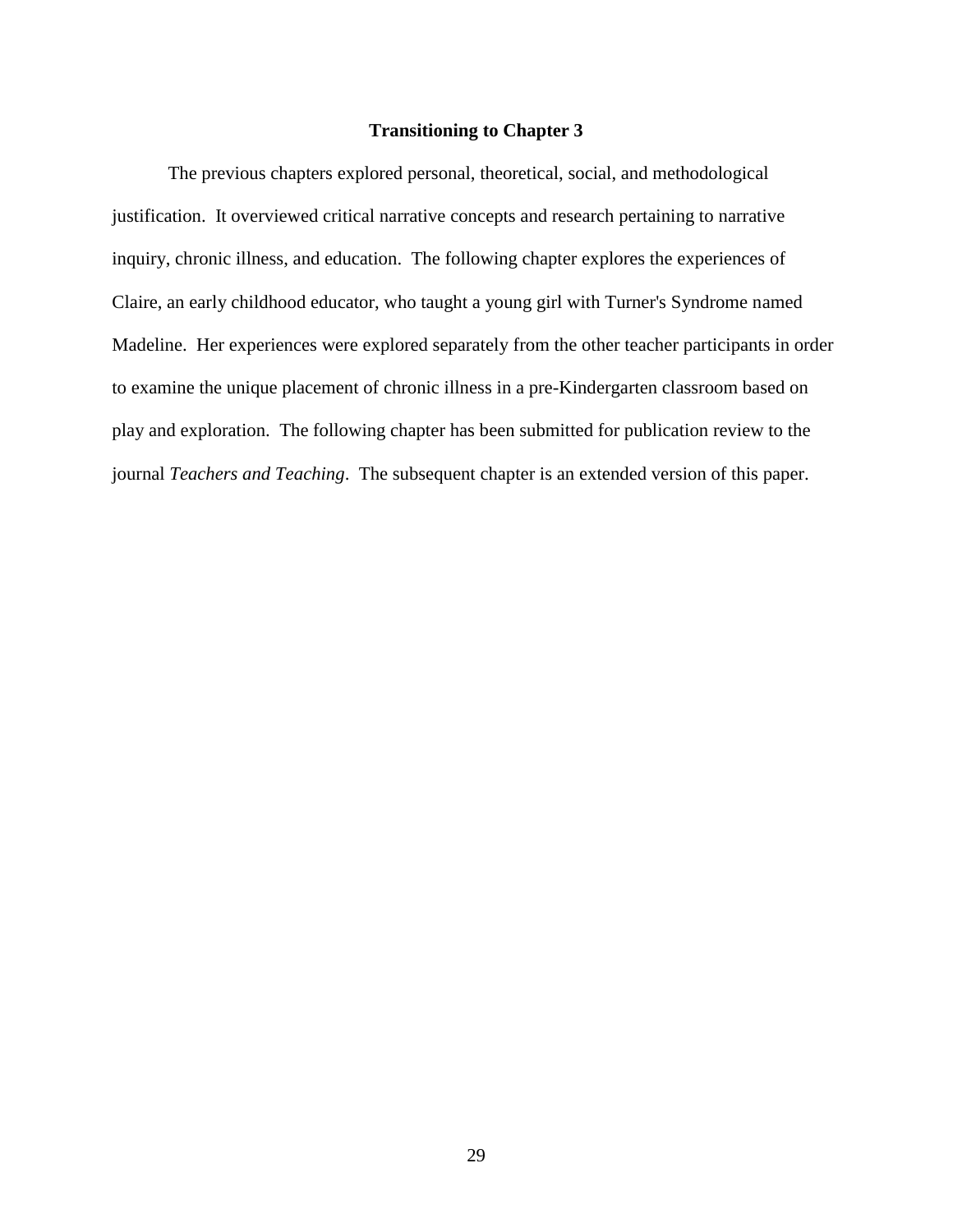# **Transitioning to Chapter 3**

The previous chapters explored personal, theoretical, social, and methodological justification. It overviewed critical narrative concepts and research pertaining to narrative inquiry, chronic illness, and education. The following chapter explores the experiences of Claire, an early childhood educator, who taught a young girl with Turner's Syndrome named Madeline. Her experiences were explored separately from the other teacher participants in order to examine the unique placement of chronic illness in a pre-Kindergarten classroom based on play and exploration. The following chapter has been submitted for publication review to the journal *Teachers and Teaching*. The subsequent chapter is an extended version of this paper.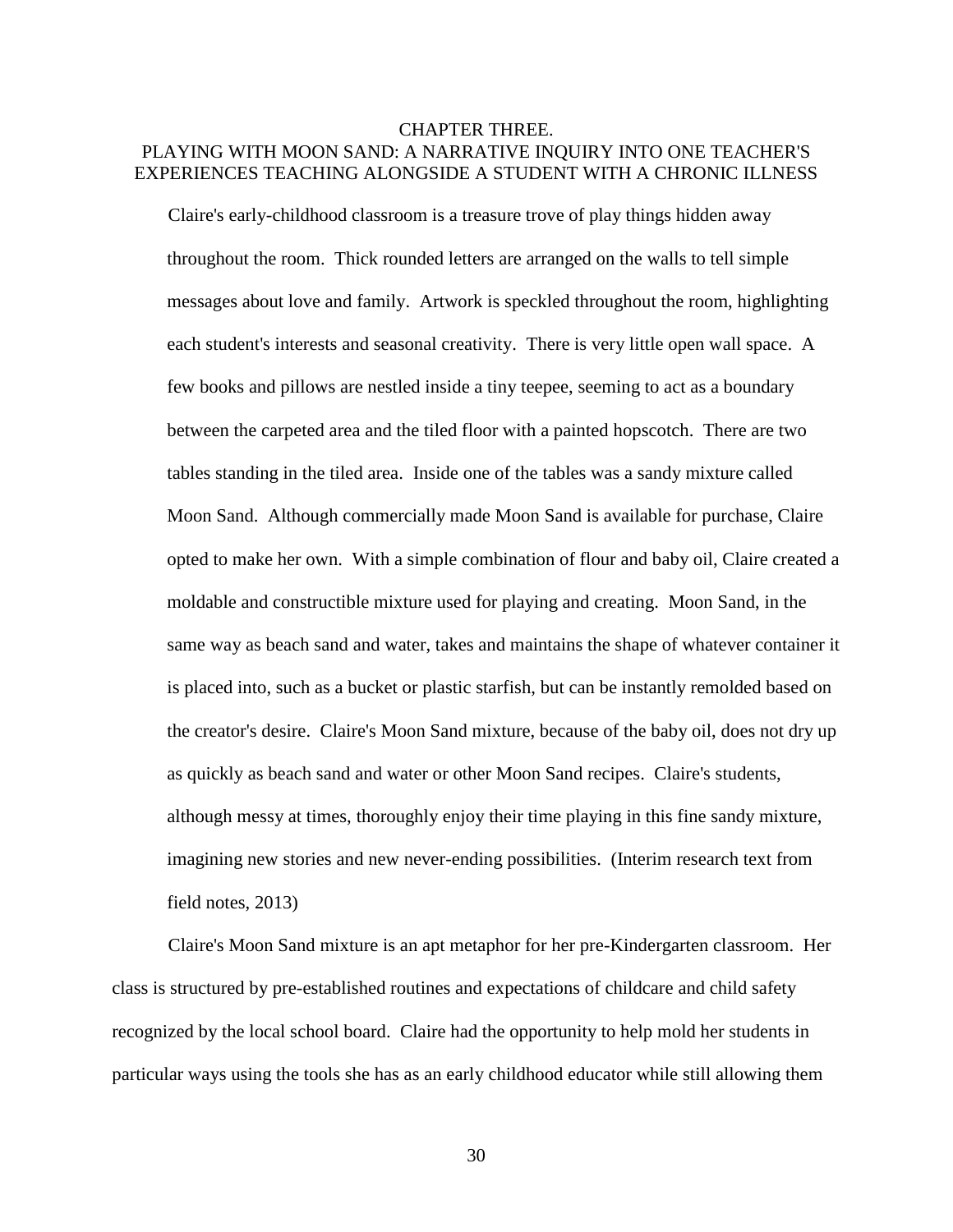# <span id="page-35-0"></span>CHAPTER THREE. PLAYING WITH MOON SAND: A NARRATIVE INQUIRY INTO ONE TEACHER'S EXPERIENCES TEACHING ALONGSIDE A STUDENT WITH A CHRONIC ILLNESS

Claire's early-childhood classroom is a treasure trove of play things hidden away throughout the room. Thick rounded letters are arranged on the walls to tell simple messages about love and family. Artwork is speckled throughout the room, highlighting each student's interests and seasonal creativity. There is very little open wall space. A few books and pillows are nestled inside a tiny teepee, seeming to act as a boundary between the carpeted area and the tiled floor with a painted hopscotch. There are two tables standing in the tiled area. Inside one of the tables was a sandy mixture called Moon Sand. Although commercially made Moon Sand is available for purchase, Claire opted to make her own. With a simple combination of flour and baby oil, Claire created a moldable and constructible mixture used for playing and creating. Moon Sand, in the same way as beach sand and water, takes and maintains the shape of whatever container it is placed into, such as a bucket or plastic starfish, but can be instantly remolded based on the creator's desire. Claire's Moon Sand mixture, because of the baby oil, does not dry up as quickly as beach sand and water or other Moon Sand recipes. Claire's students, although messy at times, thoroughly enjoy their time playing in this fine sandy mixture, imagining new stories and new never-ending possibilities. (Interim research text from field notes, 2013)

Claire's Moon Sand mixture is an apt metaphor for her pre-Kindergarten classroom. Her class is structured by pre-established routines and expectations of childcare and child safety recognized by the local school board. Claire had the opportunity to help mold her students in particular ways using the tools she has as an early childhood educator while still allowing them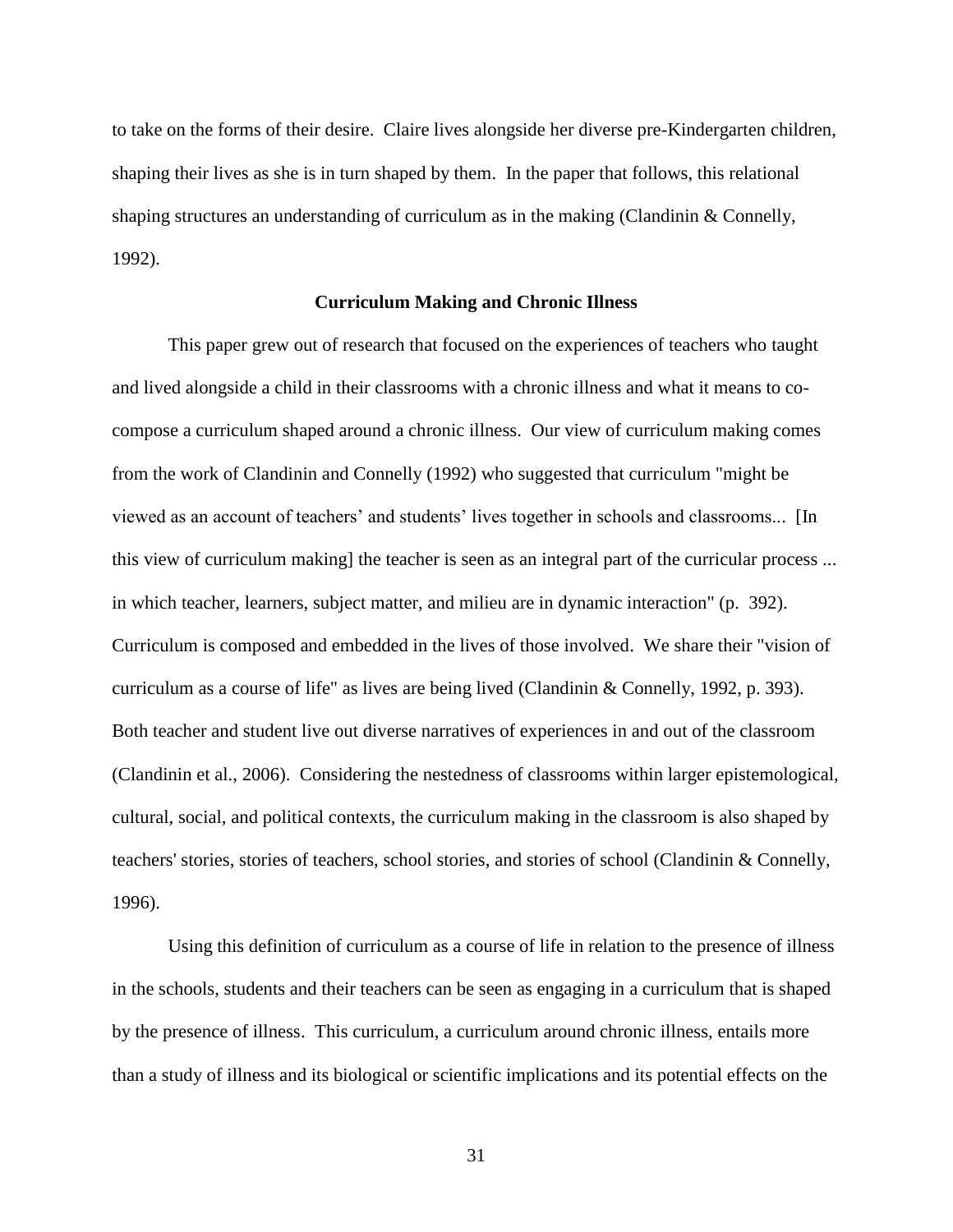to take on the forms of their desire. Claire lives alongside her diverse pre-Kindergarten children, shaping their lives as she is in turn shaped by them. In the paper that follows, this relational shaping structures an understanding of curriculum as in the making [\(Clandinin & Connelly,](#page-104-0)  [1992\)](#page-104-0).

## **Curriculum Making and Chronic Illness**

This paper grew out of research that focused on the experiences of teachers who taught and lived alongside a child in their classrooms with a chronic illness and what it means to cocompose a curriculum shaped around a chronic illness. Our view of curriculum making comes from the work of [Clandinin and Connelly \(1992\)](#page-104-0) who suggested that curriculum "might be viewed as an account of teachers' and students' lives together in schools and classrooms... [In this view of curriculum making] the teacher is seen as an integral part of the curricular process ... in which teacher, learners, subject matter, and milieu are in dynamic interaction" (p. 392). Curriculum is composed and embedded in the lives of those involved. We share their "vision of curriculum as a course of life" as lives are being lived [\(Clandinin & Connelly, 1992, p. 393\)](#page-104-0). Both teacher and student live out diverse narratives of experiences in and out of the classroom [\(Clandinin et al., 2006\)](#page-104-1). Considering the nestedness of classrooms within larger epistemological, cultural, social, and political contexts, the curriculum making in the classroom is also shaped by teachers' stories, stories of teachers, school stories, and stories of school [\(Clandinin & Connelly,](#page-104-2)  [1996\)](#page-104-2).

Using this definition of curriculum as a course of life in relation to the presence of illness in the schools, students and their teachers can be seen as engaging in a curriculum that is shaped by the presence of illness. This curriculum, a curriculum around chronic illness, entails more than a study of illness and its biological or scientific implications and its potential effects on the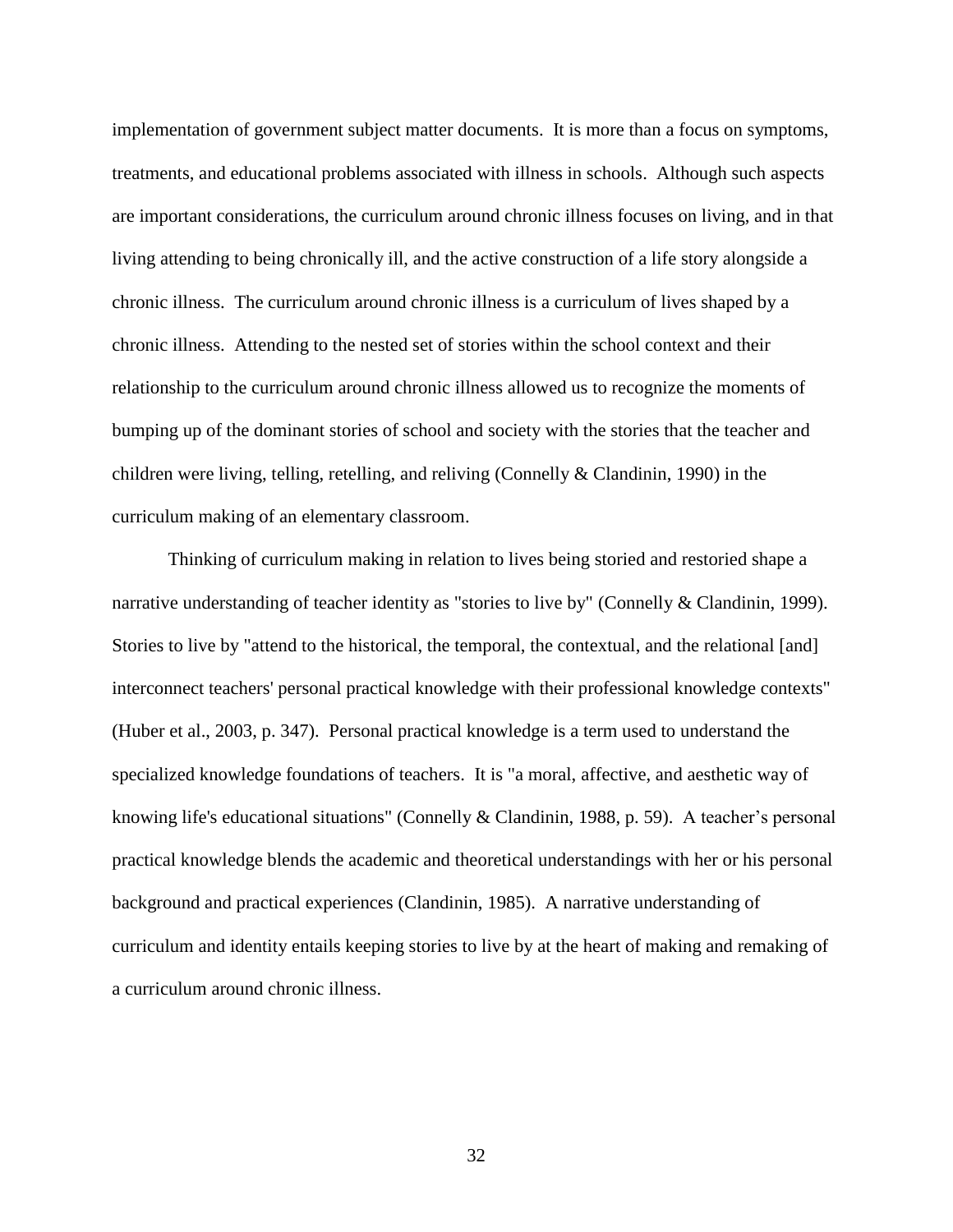implementation of government subject matter documents. It is more than a focus on symptoms, treatments, and educational problems associated with illness in schools. Although such aspects are important considerations, the curriculum around chronic illness focuses on living, and in that living attending to being chronically ill, and the active construction of a life story alongside a chronic illness. The curriculum around chronic illness is a curriculum of lives shaped by a chronic illness. Attending to the nested set of stories within the school context and their relationship to the curriculum around chronic illness allowed us to recognize the moments of bumping up of the dominant stories of school and society with the stories that the teacher and children were living, telling, retelling, and reliving [\(Connelly & Clandinin, 1990\)](#page-105-0) in the curriculum making of an elementary classroom.

Thinking of curriculum making in relation to lives being storied and restoried shape a narrative understanding of teacher identity as "stories to live by" [\(Connelly & Clandinin, 1999\)](#page-105-1). Stories to live by "attend to the historical, the temporal, the contextual, and the relational [and] interconnect teachers' personal practical knowledge with their professional knowledge contexts" [\(Huber et al., 2003, p. 347\)](#page-107-0). Personal practical knowledge is a term used to understand the specialized knowledge foundations of teachers. It is "a moral, affective, and aesthetic way of knowing life's educational situations" [\(Connelly & Clandinin, 1988, p. 59\)](#page-105-2). A teacher's personal practical knowledge blends the academic and theoretical understandings with her or his personal background and practical experiences [\(Clandinin, 1985\)](#page-104-3). A narrative understanding of curriculum and identity entails keeping stories to live by at the heart of making and remaking of a curriculum around chronic illness.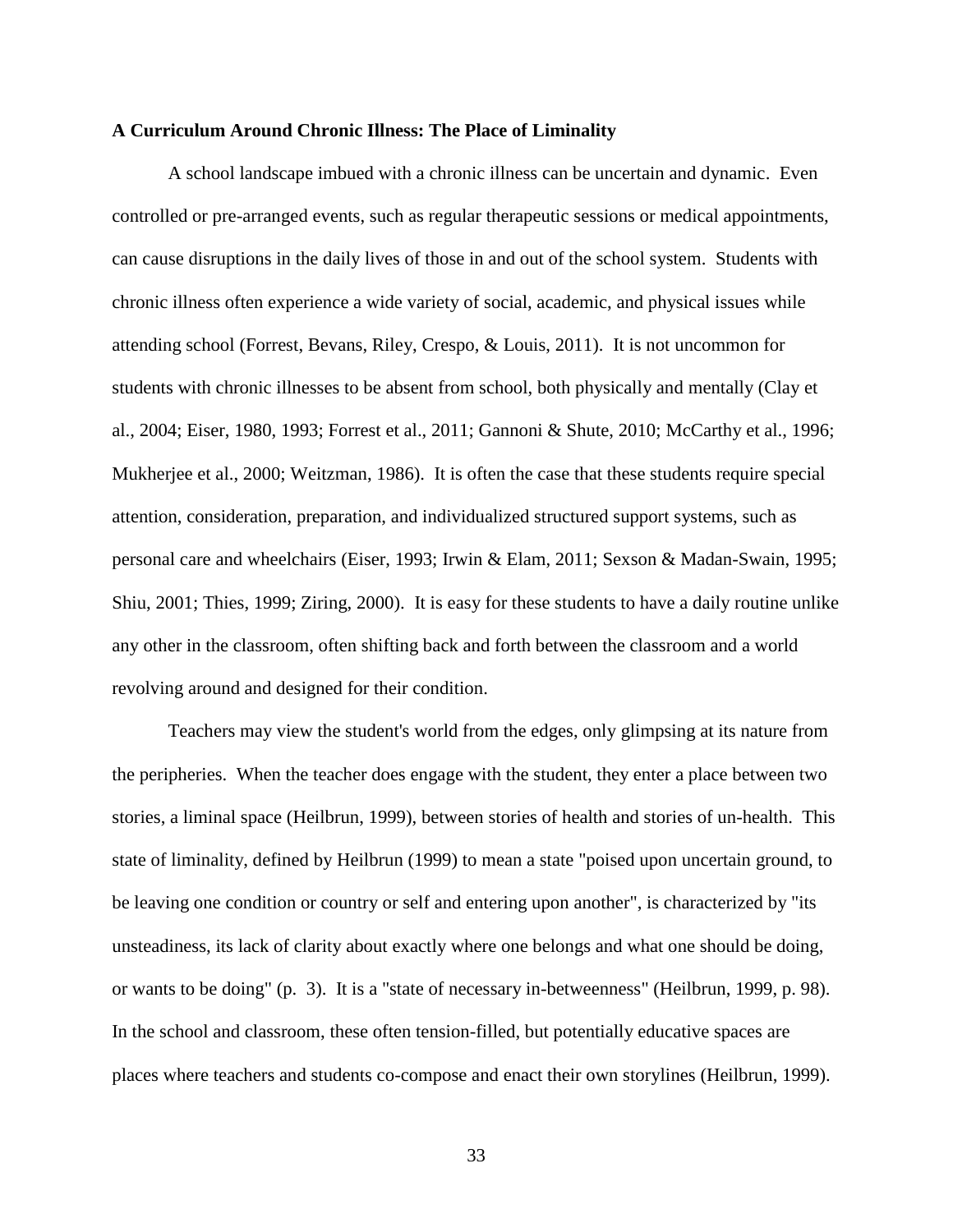#### **A Curriculum Around Chronic Illness: The Place of Liminality**

A school landscape imbued with a chronic illness can be uncertain and dynamic. Even controlled or pre-arranged events, such as regular therapeutic sessions or medical appointments, can cause disruptions in the daily lives of those in and out of the school system. Students with chronic illness often experience a wide variety of social, academic, and physical issues while attending school [\(Forrest, Bevans, Riley, Crespo, & Louis, 2011\)](#page-106-0). It is not uncommon for students with chronic illnesses to be absent from school, both physically and mentally [\(Clay et](#page-105-3)  [al., 2004;](#page-105-3) [Eiser, 1980,](#page-106-1) [1993;](#page-106-2) [Forrest et al., 2011;](#page-106-0) [Gannoni & Shute, 2010;](#page-107-1) [McCarthy et al., 1996;](#page-109-0) [Mukherjee et al., 2000;](#page-109-1) [Weitzman, 1986\)](#page-113-0). It is often the case that these students require special attention, consideration, preparation, and individualized structured support systems, such as personal care and wheelchairs [\(Eiser, 1993;](#page-106-2) [Irwin & Elam, 2011;](#page-108-0) [Sexson & Madan-Swain, 1995;](#page-112-0) [Shiu, 2001;](#page-112-1) [Thies, 1999;](#page-113-1) [Ziring, 2000\)](#page-114-0). It is easy for these students to have a daily routine unlike any other in the classroom, often shifting back and forth between the classroom and a world revolving around and designed for their condition.

Teachers may view the student's world from the edges, only glimpsing at its nature from the peripheries. When the teacher does engage with the student, they enter a place between two stories, a liminal space [\(Heilbrun, 1999\)](#page-107-2), between stories of health and stories of un-health. This state of liminality, defined by [Heilbrun \(1999\)](#page-107-2) to mean a state "poised upon uncertain ground, to be leaving one condition or country or self and entering upon another", is characterized by "its unsteadiness, its lack of clarity about exactly where one belongs and what one should be doing, or wants to be doing" (p. 3). It is a "state of necessary in-betweenness" [\(Heilbrun, 1999, p. 98\)](#page-107-2). In the school and classroom, these often tension-filled, but potentially educative spaces are places where teachers and students co-compose and enact their own storylines [\(Heilbrun, 1999\)](#page-107-2).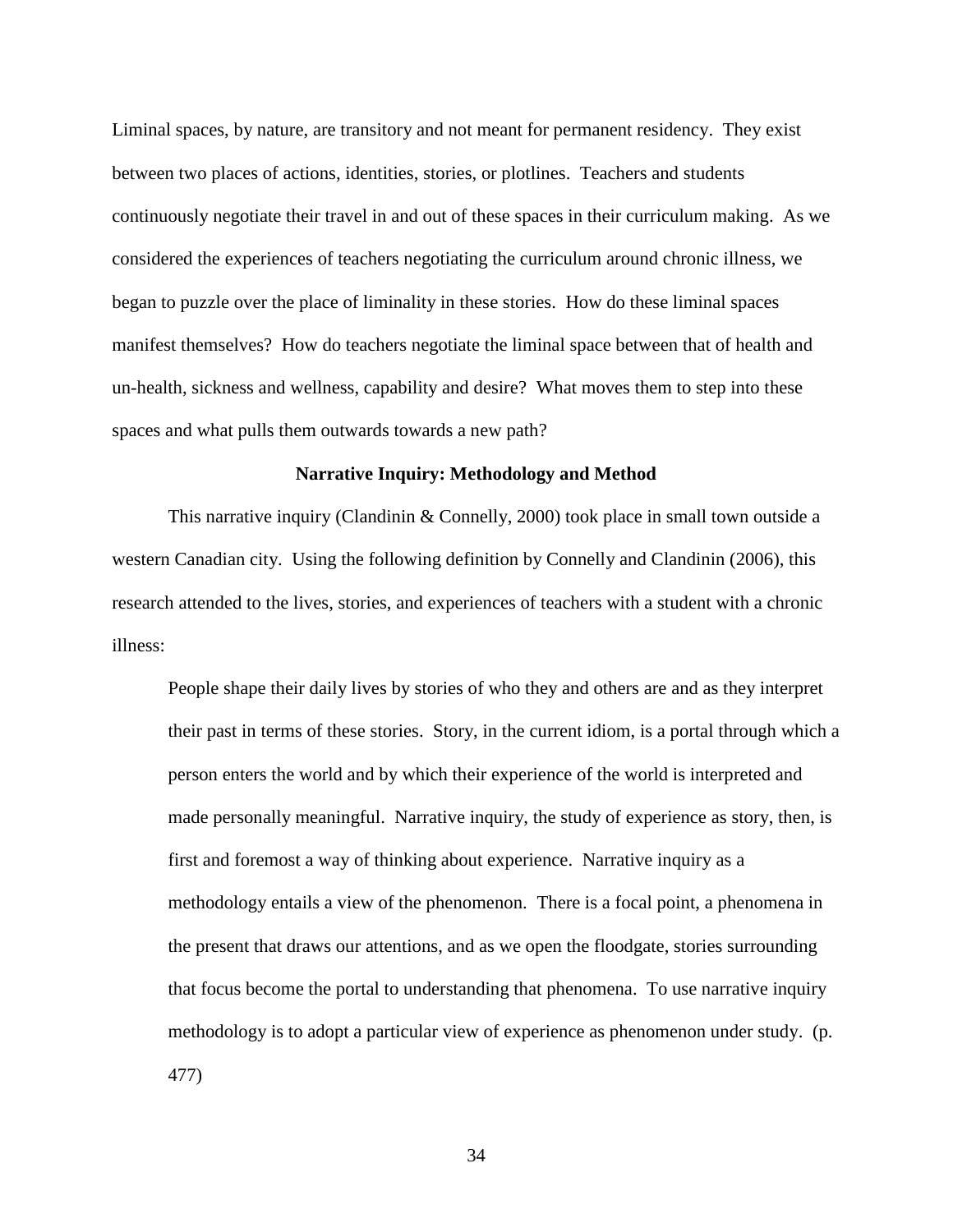Liminal spaces, by nature, are transitory and not meant for permanent residency. They exist between two places of actions, identities, stories, or plotlines. Teachers and students continuously negotiate their travel in and out of these spaces in their curriculum making. As we considered the experiences of teachers negotiating the curriculum around chronic illness, we began to puzzle over the place of liminality in these stories. How do these liminal spaces manifest themselves? How do teachers negotiate the liminal space between that of health and un-health, sickness and wellness, capability and desire? What moves them to step into these spaces and what pulls them outwards towards a new path?

# **Narrative Inquiry: Methodology and Method**

This narrative inquiry (Clandinin  $&$  Connelly, 2000) took place in small town outside a western Canadian city. Using the following definition by [Connelly and Clandinin \(2006\)](#page-105-4), this research attended to the lives, stories, and experiences of teachers with a student with a chronic illness:

People shape their daily lives by stories of who they and others are and as they interpret their past in terms of these stories. Story, in the current idiom, is a portal through which a person enters the world and by which their experience of the world is interpreted and made personally meaningful. Narrative inquiry, the study of experience as story, then, is first and foremost a way of thinking about experience. Narrative inquiry as a methodology entails a view of the phenomenon. There is a focal point, a phenomena in the present that draws our attentions, and as we open the floodgate, stories surrounding that focus become the portal to understanding that phenomena. To use narrative inquiry methodology is to adopt a particular view of experience as phenomenon under study. (p. 477)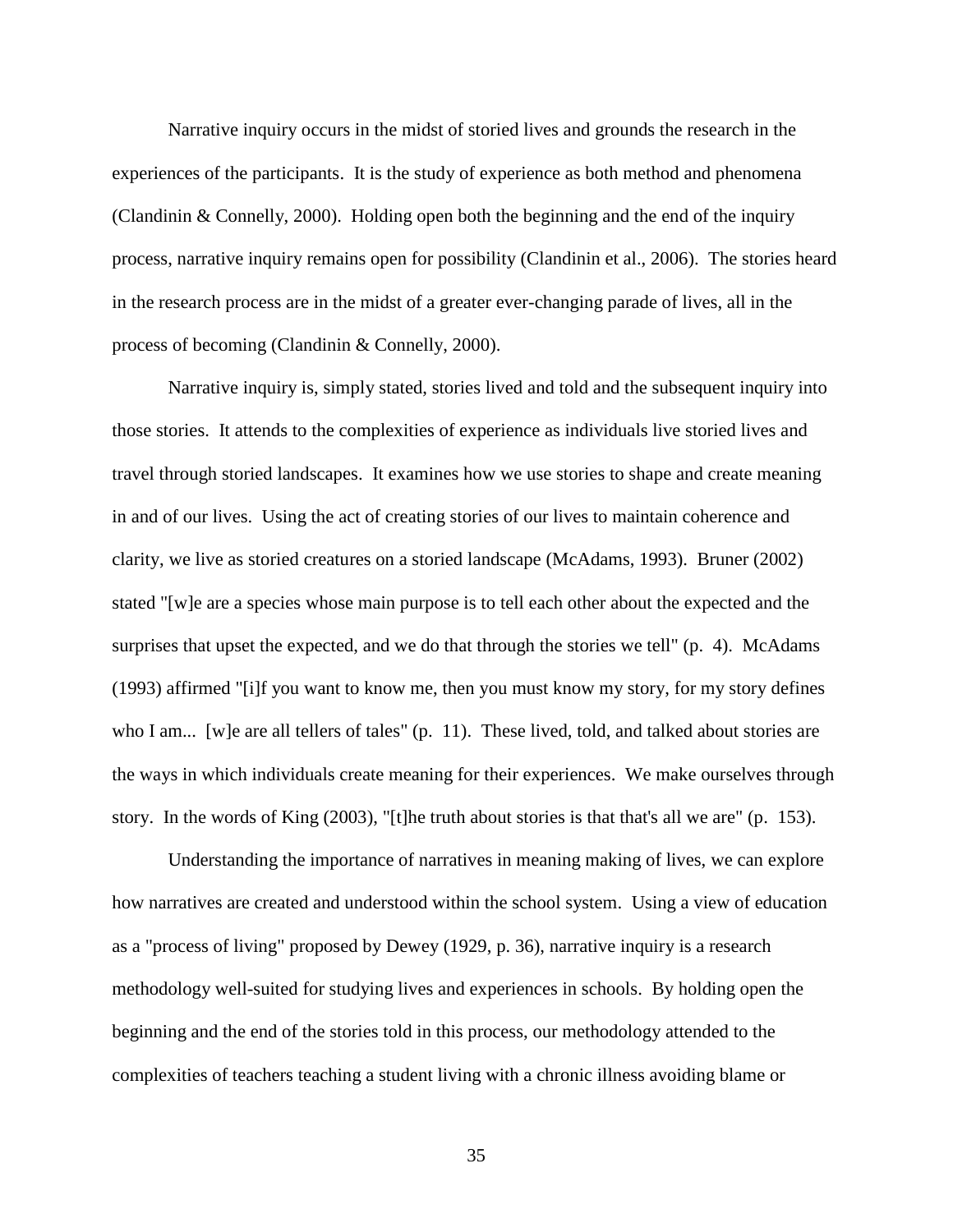Narrative inquiry occurs in the midst of storied lives and grounds the research in the experiences of the participants. It is the study of experience as both method and phenomena [\(Clandinin & Connelly, 2000\)](#page-104-4). Holding open both the beginning and the end of the inquiry process, narrative inquiry remains open for possibility [\(Clandinin et al., 2006\)](#page-104-1). The stories heard in the research process are in the midst of a greater ever-changing parade of lives, all in the process of becoming [\(Clandinin & Connelly, 2000\)](#page-104-4).

Narrative inquiry is, simply stated, stories lived and told and the subsequent inquiry into those stories. It attends to the complexities of experience as individuals live storied lives and travel through storied landscapes. It examines how we use stories to shape and create meaning in and of our lives. Using the act of creating stories of our lives to maintain coherence and clarity, we live as storied creatures on a storied landscape [\(McAdams, 1993\)](#page-109-2). [Bruner \(2002\)](#page-103-0) stated "[w]e are a species whose main purpose is to tell each other about the expected and the surprises that upset the expected, and we do that through the stories we tell" (p. 4). McAdams [\(1993\)](#page-109-2) affirmed "[i]f you want to know me, then you must know my story, for my story defines who I am... [w]e are all tellers of tales" (p. 11). These lived, told, and talked about stories are the ways in which individuals create meaning for their experiences. We make ourselves through story. In the words of [King \(2003\)](#page-108-1), "[t]he truth about stories is that that's all we are" (p. 153).

Understanding the importance of narratives in meaning making of lives, we can explore how narratives are created and understood within the school system. Using a view of education as a "process of living" proposed by [Dewey \(1929, p. 36\)](#page-106-3), narrative inquiry is a research methodology well-suited for studying lives and experiences in schools. By holding open the beginning and the end of the stories told in this process, our methodology attended to the complexities of teachers teaching a student living with a chronic illness avoiding blame or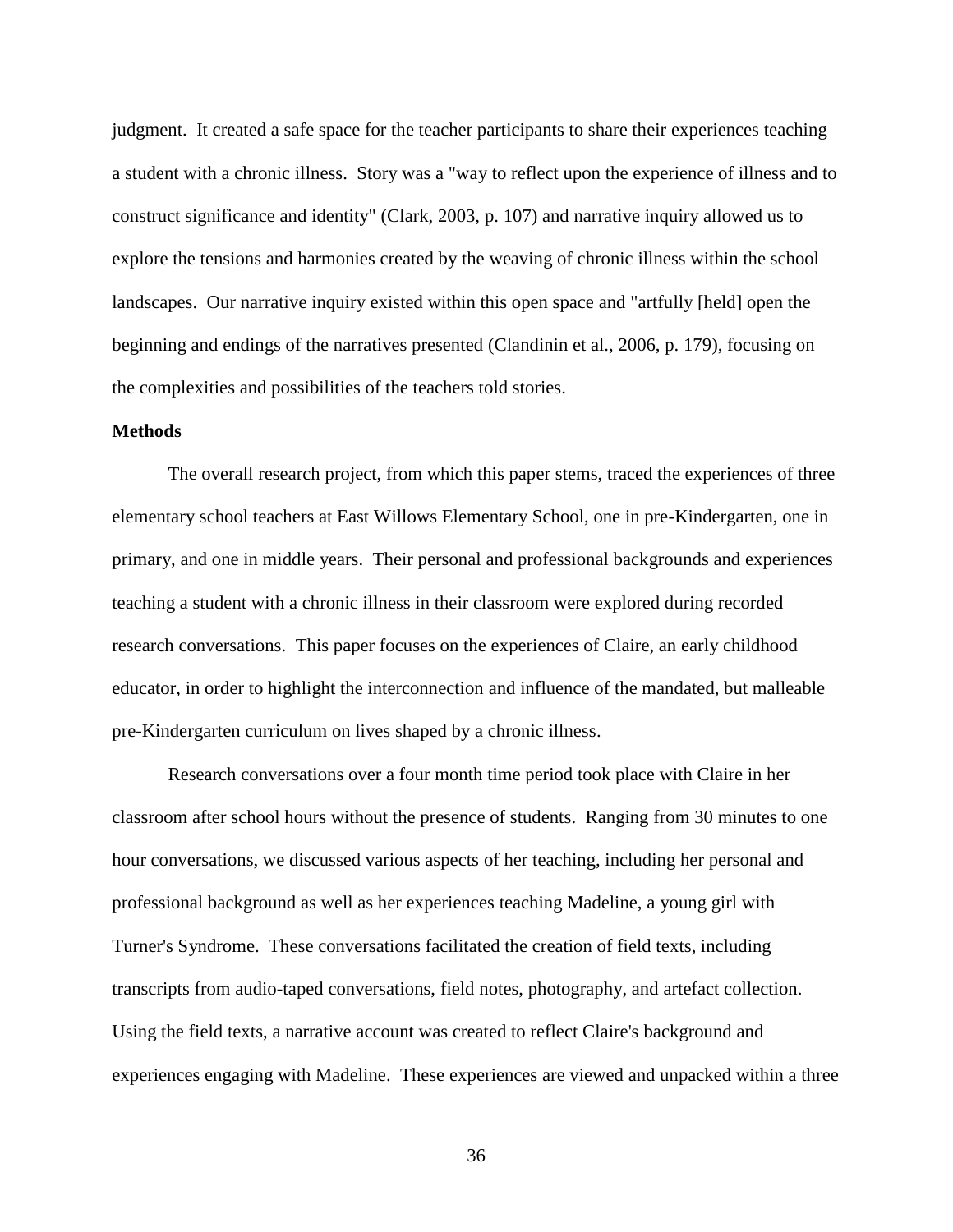judgment. It created a safe space for the teacher participants to share their experiences teaching a student with a chronic illness. Story was a "way to reflect upon the experience of illness and to construct significance and identity" [\(Clark, 2003, p. 107\)](#page-105-5) and narrative inquiry allowed us to explore the tensions and harmonies created by the weaving of chronic illness within the school landscapes. Our narrative inquiry existed within this open space and "artfully [held] open the beginning and endings of the narratives presented [\(Clandinin et al., 2006, p. 179\)](#page-104-1), focusing on the complexities and possibilities of the teachers told stories.

# **Methods**

The overall research project, from which this paper stems, traced the experiences of three elementary school teachers at East Willows Elementary School, one in pre-Kindergarten, one in primary, and one in middle years. Their personal and professional backgrounds and experiences teaching a student with a chronic illness in their classroom were explored during recorded research conversations. This paper focuses on the experiences of Claire, an early childhood educator, in order to highlight the interconnection and influence of the mandated, but malleable pre-Kindergarten curriculum on lives shaped by a chronic illness.

Research conversations over a four month time period took place with Claire in her classroom after school hours without the presence of students. Ranging from 30 minutes to one hour conversations, we discussed various aspects of her teaching, including her personal and professional background as well as her experiences teaching Madeline, a young girl with Turner's Syndrome. These conversations facilitated the creation of field texts, including transcripts from audio-taped conversations, field notes, photography, and artefact collection. Using the field texts, a narrative account was created to reflect Claire's background and experiences engaging with Madeline. These experiences are viewed and unpacked within a three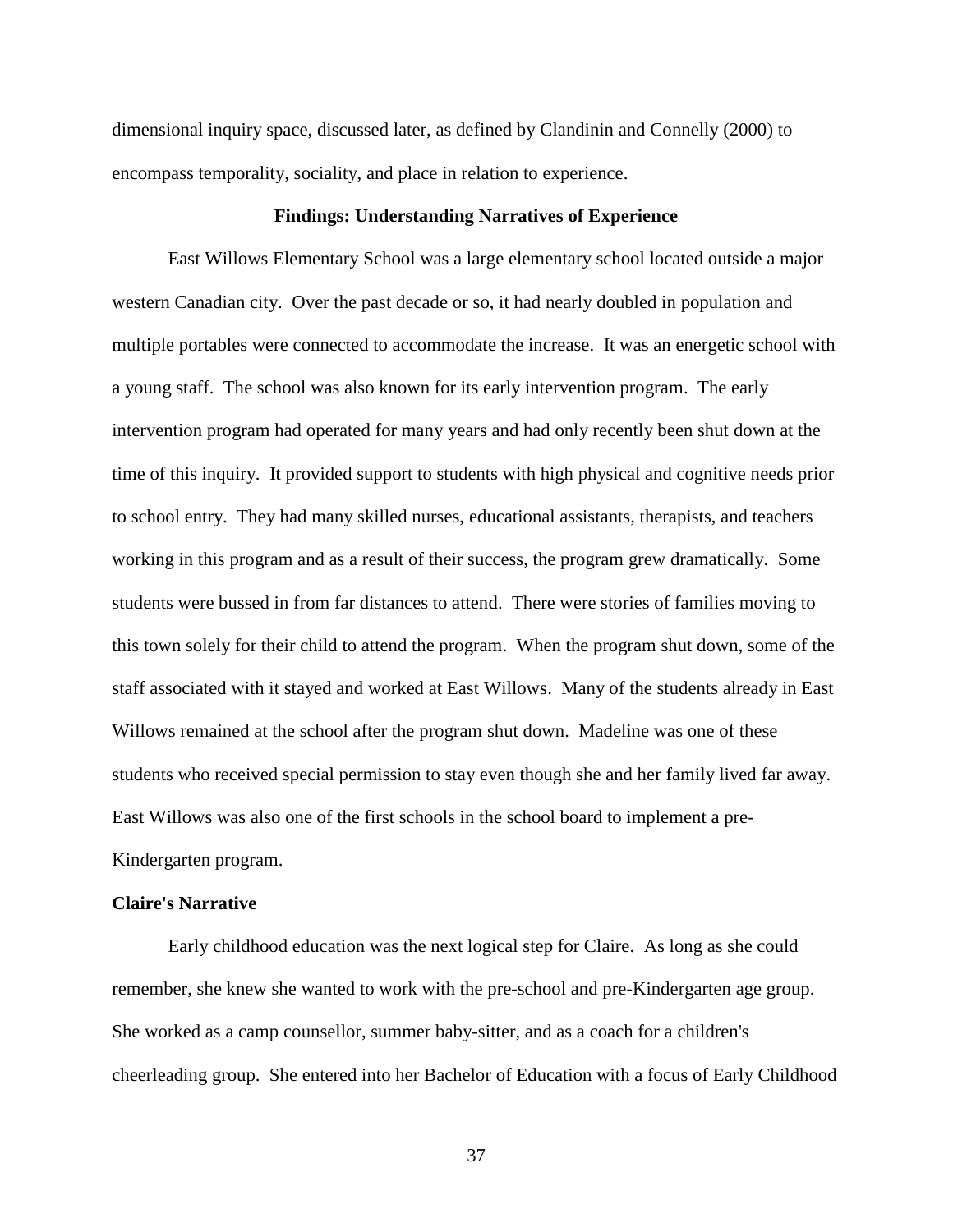dimensional inquiry space, discussed later, as defined by [Clandinin and Connelly \(2000\)](#page-104-4) to encompass temporality, sociality, and place in relation to experience.

#### **Findings: Understanding Narratives of Experience**

East Willows Elementary School was a large elementary school located outside a major western Canadian city. Over the past decade or so, it had nearly doubled in population and multiple portables were connected to accommodate the increase. It was an energetic school with a young staff. The school was also known for its early intervention program. The early intervention program had operated for many years and had only recently been shut down at the time of this inquiry. It provided support to students with high physical and cognitive needs prior to school entry. They had many skilled nurses, educational assistants, therapists, and teachers working in this program and as a result of their success, the program grew dramatically. Some students were bussed in from far distances to attend. There were stories of families moving to this town solely for their child to attend the program. When the program shut down, some of the staff associated with it stayed and worked at East Willows. Many of the students already in East Willows remained at the school after the program shut down. Madeline was one of these students who received special permission to stay even though she and her family lived far away. East Willows was also one of the first schools in the school board to implement a pre-Kindergarten program.

# **Claire's Narrative**

Early childhood education was the next logical step for Claire. As long as she could remember, she knew she wanted to work with the pre-school and pre-Kindergarten age group. She worked as a camp counsellor, summer baby-sitter, and as a coach for a children's cheerleading group. She entered into her Bachelor of Education with a focus of Early Childhood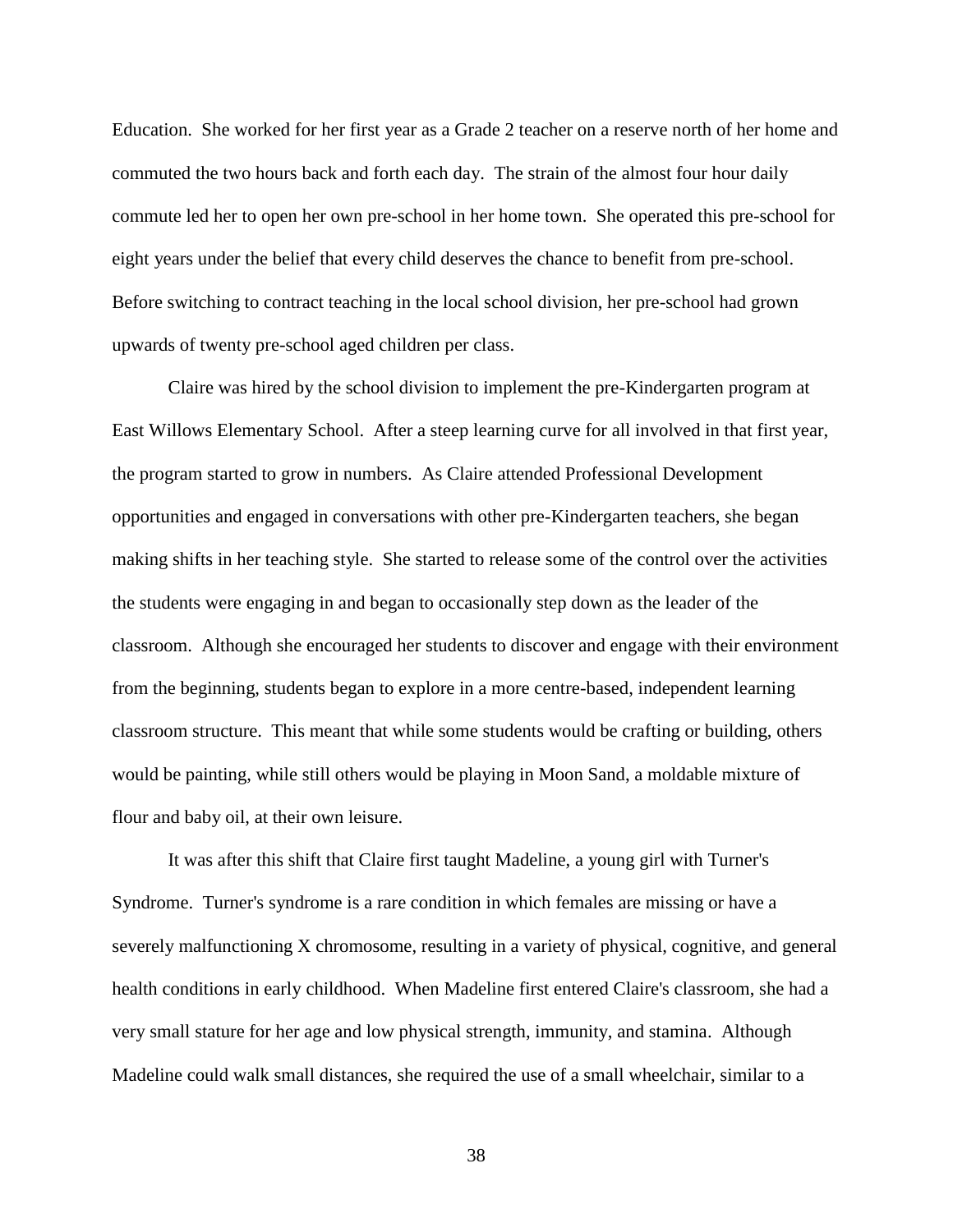Education. She worked for her first year as a Grade 2 teacher on a reserve north of her home and commuted the two hours back and forth each day. The strain of the almost four hour daily commute led her to open her own pre-school in her home town. She operated this pre-school for eight years under the belief that every child deserves the chance to benefit from pre-school. Before switching to contract teaching in the local school division, her pre-school had grown upwards of twenty pre-school aged children per class.

Claire was hired by the school division to implement the pre-Kindergarten program at East Willows Elementary School. After a steep learning curve for all involved in that first year, the program started to grow in numbers. As Claire attended Professional Development opportunities and engaged in conversations with other pre-Kindergarten teachers, she began making shifts in her teaching style. She started to release some of the control over the activities the students were engaging in and began to occasionally step down as the leader of the classroom. Although she encouraged her students to discover and engage with their environment from the beginning, students began to explore in a more centre-based, independent learning classroom structure. This meant that while some students would be crafting or building, others would be painting, while still others would be playing in Moon Sand, a moldable mixture of flour and baby oil, at their own leisure.

It was after this shift that Claire first taught Madeline, a young girl with Turner's Syndrome. Turner's syndrome is a rare condition in which females are missing or have a severely malfunctioning X chromosome, resulting in a variety of physical, cognitive, and general health conditions in early childhood. When Madeline first entered Claire's classroom, she had a very small stature for her age and low physical strength, immunity, and stamina. Although Madeline could walk small distances, she required the use of a small wheelchair, similar to a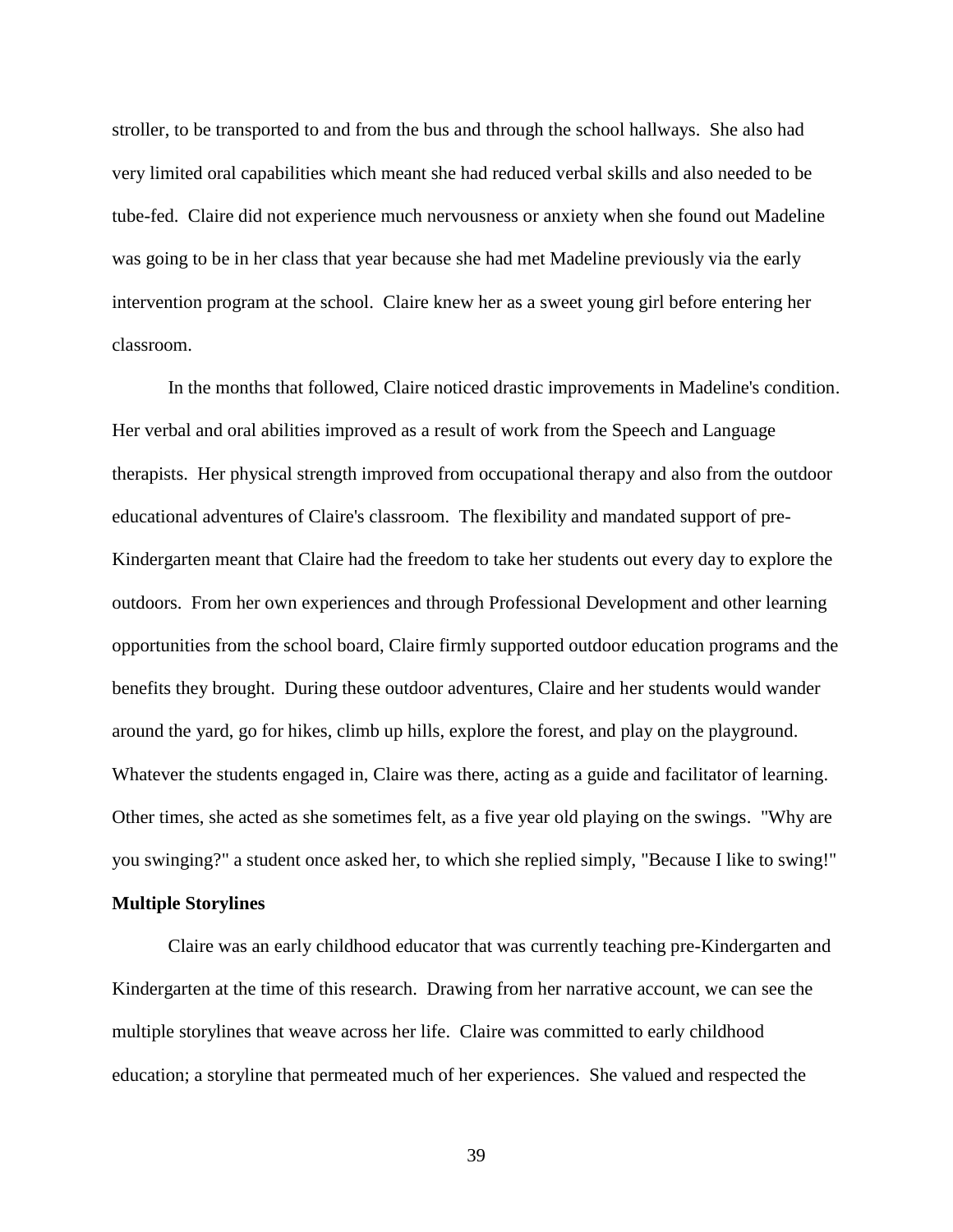stroller, to be transported to and from the bus and through the school hallways. She also had very limited oral capabilities which meant she had reduced verbal skills and also needed to be tube-fed. Claire did not experience much nervousness or anxiety when she found out Madeline was going to be in her class that year because she had met Madeline previously via the early intervention program at the school. Claire knew her as a sweet young girl before entering her classroom.

In the months that followed, Claire noticed drastic improvements in Madeline's condition. Her verbal and oral abilities improved as a result of work from the Speech and Language therapists. Her physical strength improved from occupational therapy and also from the outdoor educational adventures of Claire's classroom. The flexibility and mandated support of pre-Kindergarten meant that Claire had the freedom to take her students out every day to explore the outdoors. From her own experiences and through Professional Development and other learning opportunities from the school board, Claire firmly supported outdoor education programs and the benefits they brought. During these outdoor adventures, Claire and her students would wander around the yard, go for hikes, climb up hills, explore the forest, and play on the playground. Whatever the students engaged in, Claire was there, acting as a guide and facilitator of learning. Other times, she acted as she sometimes felt, as a five year old playing on the swings. "Why are you swinging?" a student once asked her, to which she replied simply, "Because I like to swing!"

# **Multiple Storylines**

Claire was an early childhood educator that was currently teaching pre-Kindergarten and Kindergarten at the time of this research. Drawing from her narrative account, we can see the multiple storylines that weave across her life. Claire was committed to early childhood education; a storyline that permeated much of her experiences. She valued and respected the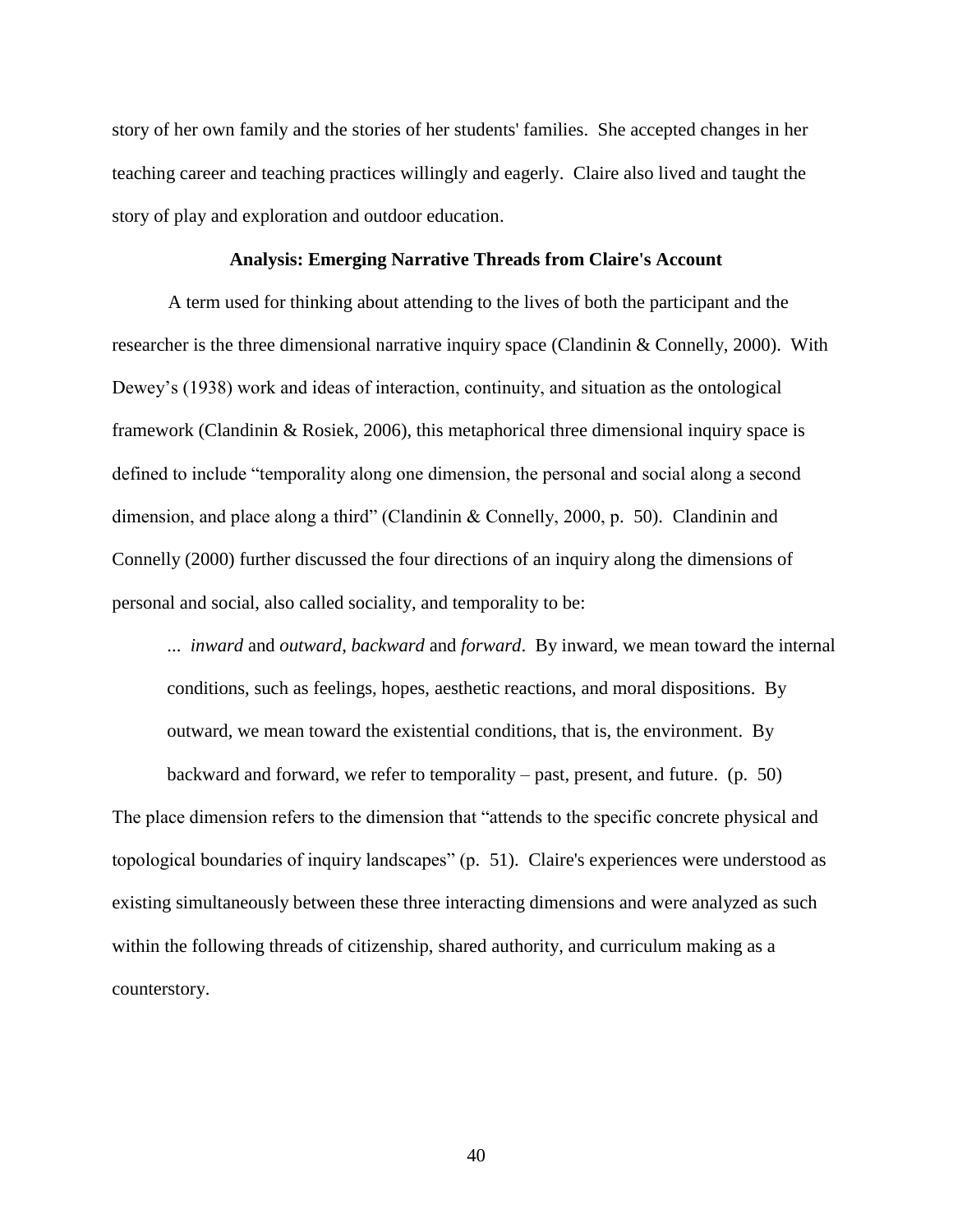story of her own family and the stories of her students' families. She accepted changes in her teaching career and teaching practices willingly and eagerly. Claire also lived and taught the story of play and exploration and outdoor education.

#### **Analysis: Emerging Narrative Threads from Claire's Account**

A term used for thinking about attending to the lives of both the participant and the researcher is the three dimensional narrative inquiry space [\(Clandinin & Connelly, 2000\)](#page-104-4). With Dewey's (1938) work and ideas of interaction, continuity, and situation as the ontological framework [\(Clandinin & Rosiek, 2006\)](#page-104-5), this metaphorical three dimensional inquiry space is defined to include "temporality along one dimension, the personal and social along a second dimension, and place along a third" (Clandinin & Connelly, 2000, p. 50). [Clandinin and](#page-104-4)  [Connelly \(2000\)](#page-104-4) further discussed the four directions of an inquiry along the dimensions of personal and social, also called sociality, and temporality to be:

... *inward* and *outward*, *backward* and *forward*. By inward, we mean toward the internal conditions, such as feelings, hopes, aesthetic reactions, and moral dispositions. By outward, we mean toward the existential conditions, that is, the environment. By

backward and forward, we refer to temporality – past, present, and future. (p. 50) The place dimension refers to the dimension that "attends to the specific concrete physical and topological boundaries of inquiry landscapes" (p. 51). Claire's experiences were understood as existing simultaneously between these three interacting dimensions and were analyzed as such within the following threads of citizenship, shared authority, and curriculum making as a counterstory.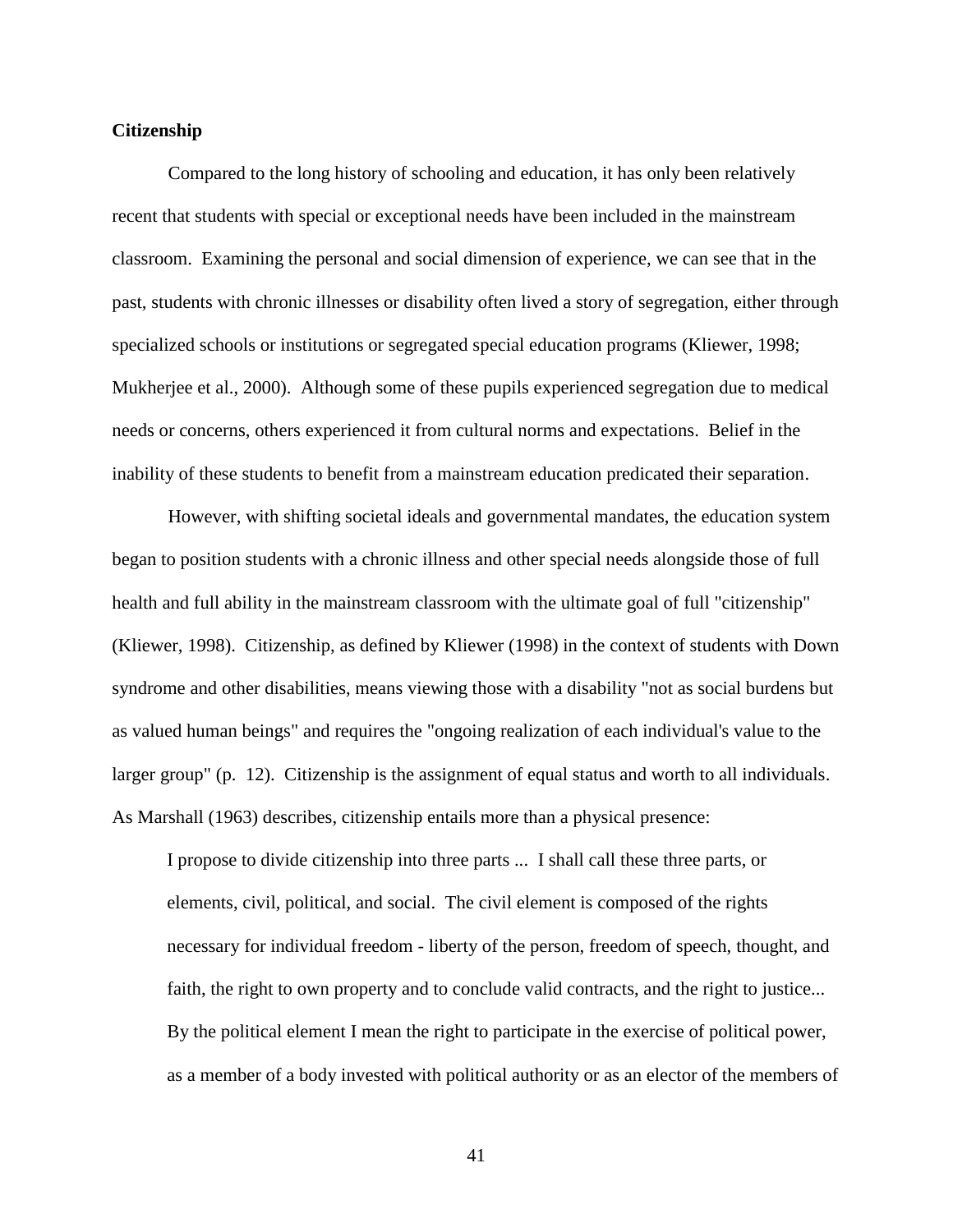## **Citizenship**

Compared to the long history of schooling and education, it has only been relatively recent that students with special or exceptional needs have been included in the mainstream classroom. Examining the personal and social dimension of experience, we can see that in the past, students with chronic illnesses or disability often lived a story of segregation, either through specialized schools or institutions or segregated special education programs [\(Kliewer, 1998;](#page-108-2) [Mukherjee et al., 2000\)](#page-109-1). Although some of these pupils experienced segregation due to medical needs or concerns, others experienced it from cultural norms and expectations. Belief in the inability of these students to benefit from a mainstream education predicated their separation.

However, with shifting societal ideals and governmental mandates, the education system began to position students with a chronic illness and other special needs alongside those of full health and full ability in the mainstream classroom with the ultimate goal of full "citizenship" [\(Kliewer, 1998\)](#page-108-2). Citizenship, as defined by [Kliewer \(1998\)](#page-108-2) in the context of students with Down syndrome and other disabilities, means viewing those with a disability "not as social burdens but as valued human beings" and requires the "ongoing realization of each individual's value to the larger group" (p. 12). Citizenship is the assignment of equal status and worth to all individuals. As [Marshall \(1963\)](#page-108-3) describes, citizenship entails more than a physical presence:

I propose to divide citizenship into three parts ... I shall call these three parts, or elements, civil, political, and social. The civil element is composed of the rights necessary for individual freedom - liberty of the person, freedom of speech, thought, and faith, the right to own property and to conclude valid contracts, and the right to justice... By the political element I mean the right to participate in the exercise of political power, as a member of a body invested with political authority or as an elector of the members of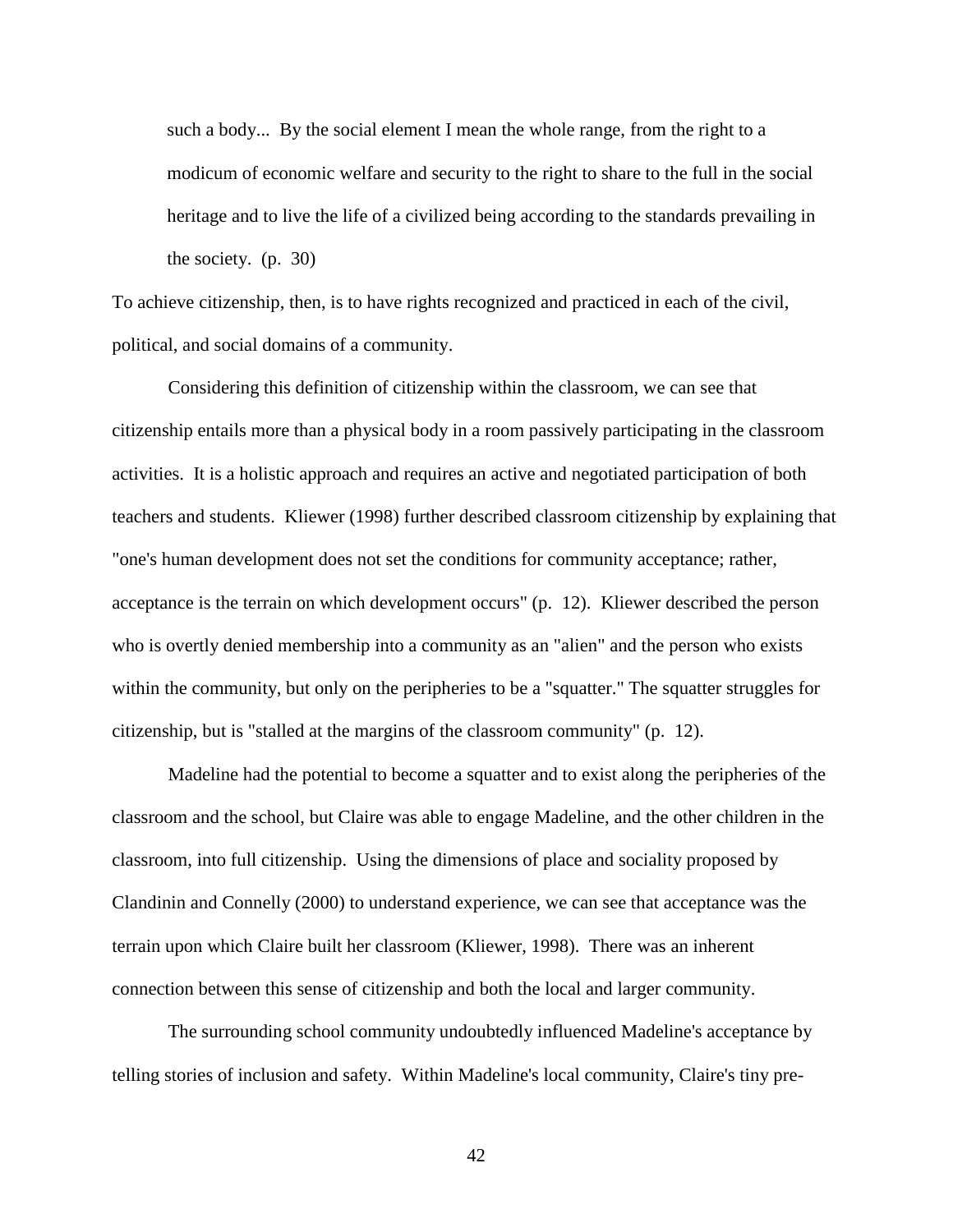such a body... By the social element I mean the whole range, from the right to a modicum of economic welfare and security to the right to share to the full in the social heritage and to live the life of a civilized being according to the standards prevailing in the society. (p. 30)

To achieve citizenship, then, is to have rights recognized and practiced in each of the civil, political, and social domains of a community.

Considering this definition of citizenship within the classroom, we can see that citizenship entails more than a physical body in a room passively participating in the classroom activities. It is a holistic approach and requires an active and negotiated participation of both teachers and students. [Kliewer \(1998\)](#page-108-2) further described classroom citizenship by explaining that "one's human development does not set the conditions for community acceptance; rather, acceptance is the terrain on which development occurs" (p. 12). Kliewer described the person who is overtly denied membership into a community as an "alien" and the person who exists within the community, but only on the peripheries to be a "squatter." The squatter struggles for citizenship, but is "stalled at the margins of the classroom community" (p. 12).

Madeline had the potential to become a squatter and to exist along the peripheries of the classroom and the school, but Claire was able to engage Madeline, and the other children in the classroom, into full citizenship. Using the dimensions of place and sociality proposed by [Clandinin and Connelly \(2000\)](#page-104-4) to understand experience, we can see that acceptance was the terrain upon which Claire built her classroom [\(Kliewer, 1998\)](#page-108-2). There was an inherent connection between this sense of citizenship and both the local and larger community.

The surrounding school community undoubtedly influenced Madeline's acceptance by telling stories of inclusion and safety. Within Madeline's local community, Claire's tiny pre-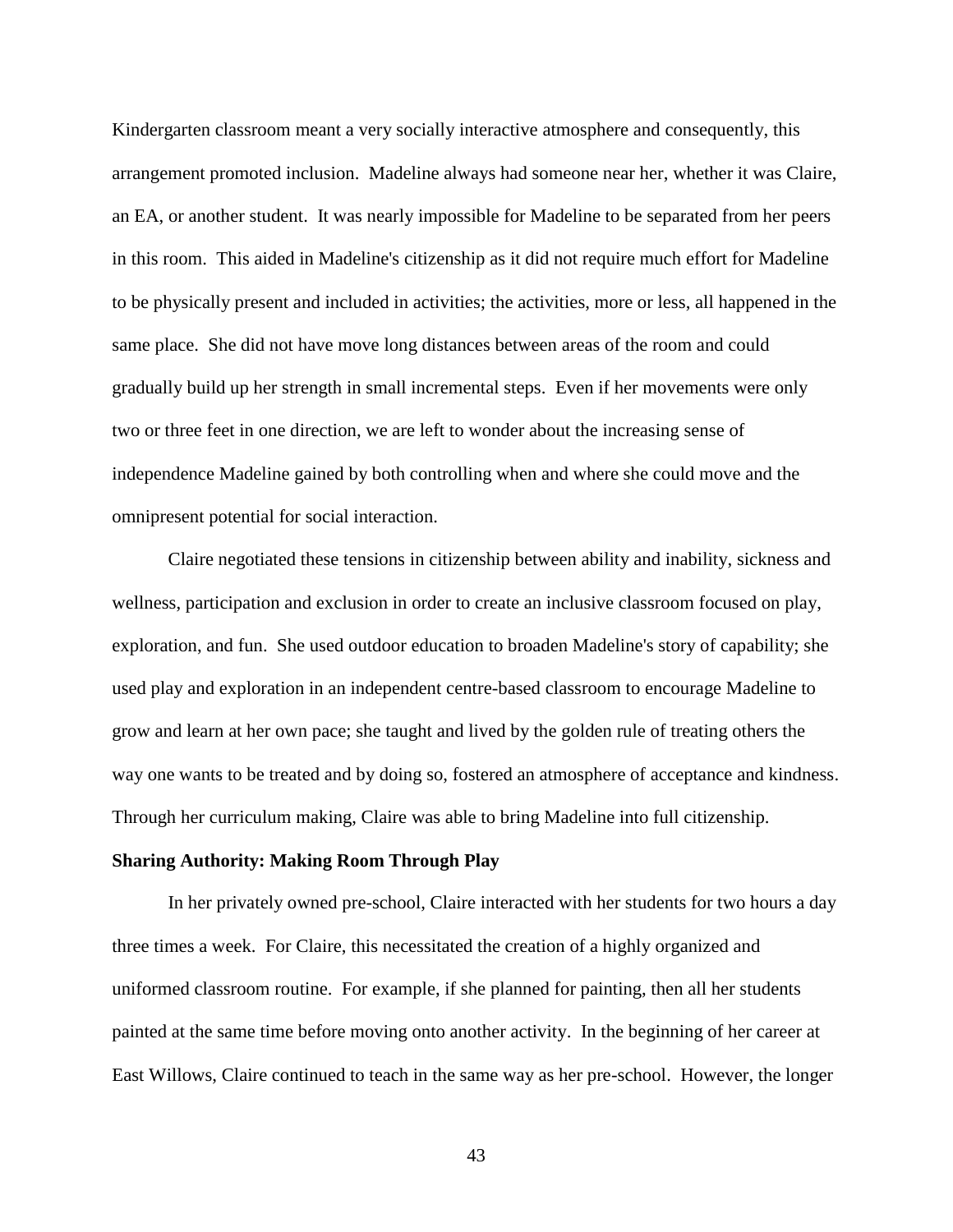Kindergarten classroom meant a very socially interactive atmosphere and consequently, this arrangement promoted inclusion. Madeline always had someone near her, whether it was Claire, an EA, or another student. It was nearly impossible for Madeline to be separated from her peers in this room. This aided in Madeline's citizenship as it did not require much effort for Madeline to be physically present and included in activities; the activities, more or less, all happened in the same place. She did not have move long distances between areas of the room and could gradually build up her strength in small incremental steps. Even if her movements were only two or three feet in one direction, we are left to wonder about the increasing sense of independence Madeline gained by both controlling when and where she could move and the omnipresent potential for social interaction.

Claire negotiated these tensions in citizenship between ability and inability, sickness and wellness, participation and exclusion in order to create an inclusive classroom focused on play, exploration, and fun. She used outdoor education to broaden Madeline's story of capability; she used play and exploration in an independent centre-based classroom to encourage Madeline to grow and learn at her own pace; she taught and lived by the golden rule of treating others the way one wants to be treated and by doing so, fostered an atmosphere of acceptance and kindness. Through her curriculum making, Claire was able to bring Madeline into full citizenship.

## **Sharing Authority: Making Room Through Play**

In her privately owned pre-school, Claire interacted with her students for two hours a day three times a week. For Claire, this necessitated the creation of a highly organized and uniformed classroom routine. For example, if she planned for painting, then all her students painted at the same time before moving onto another activity. In the beginning of her career at East Willows, Claire continued to teach in the same way as her pre-school. However, the longer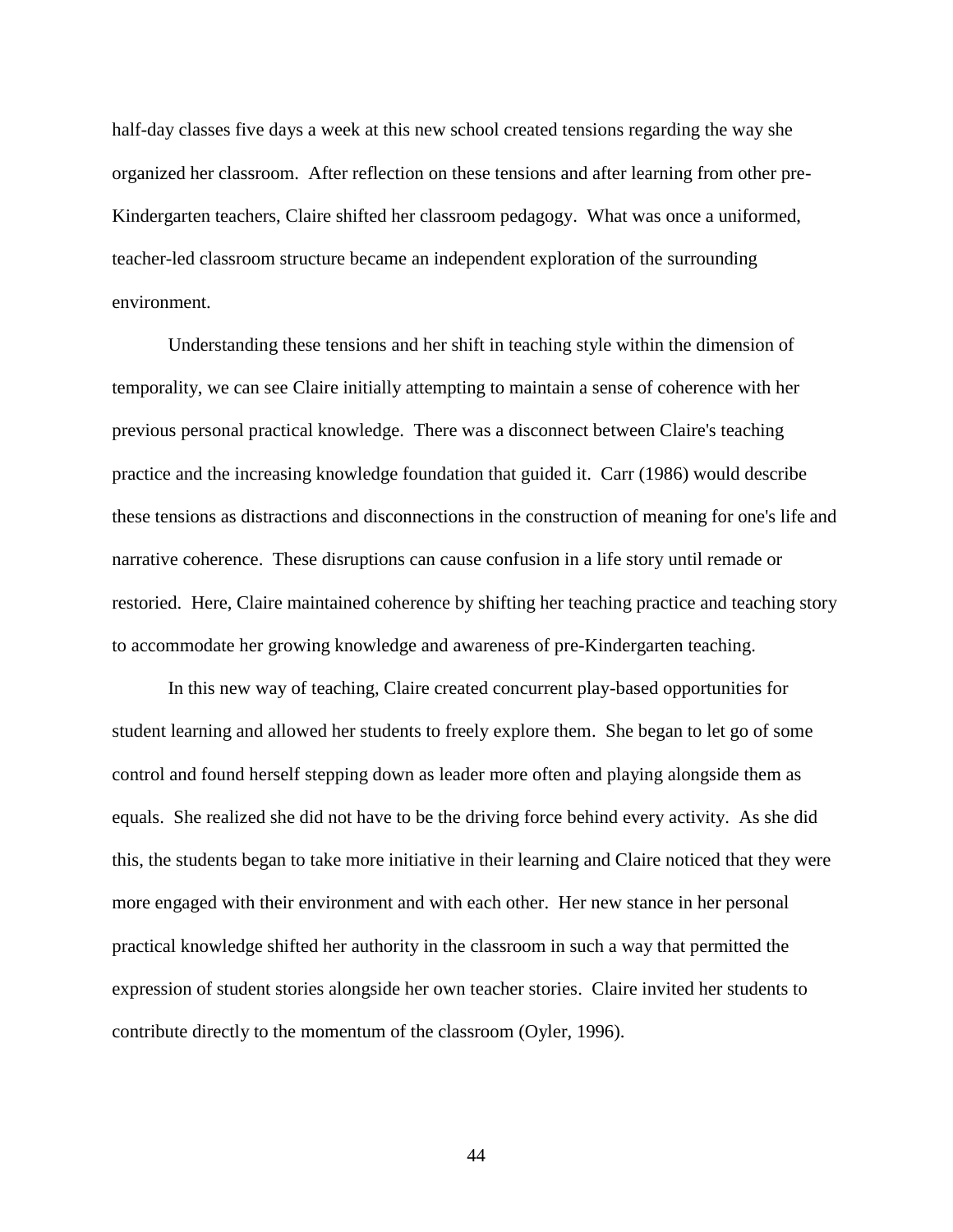half-day classes five days a week at this new school created tensions regarding the way she organized her classroom. After reflection on these tensions and after learning from other pre-Kindergarten teachers, Claire shifted her classroom pedagogy. What was once a uniformed, teacher-led classroom structure became an independent exploration of the surrounding environment.

Understanding these tensions and her shift in teaching style within the dimension of temporality, we can see Claire initially attempting to maintain a sense of coherence with her previous personal practical knowledge. There was a disconnect between Claire's teaching practice and the increasing knowledge foundation that guided it. [Carr \(1986\)](#page-103-1) would describe these tensions as distractions and disconnections in the construction of meaning for one's life and narrative coherence. These disruptions can cause confusion in a life story until remade or restoried. Here, Claire maintained coherence by shifting her teaching practice and teaching story to accommodate her growing knowledge and awareness of pre-Kindergarten teaching.

In this new way of teaching, Claire created concurrent play-based opportunities for student learning and allowed her students to freely explore them. She began to let go of some control and found herself stepping down as leader more often and playing alongside them as equals. She realized she did not have to be the driving force behind every activity. As she did this, the students began to take more initiative in their learning and Claire noticed that they were more engaged with their environment and with each other. Her new stance in her personal practical knowledge shifted her authority in the classroom in such a way that permitted the expression of student stories alongside her own teacher stories. Claire invited her students to contribute directly to the momentum of the classroom [\(Oyler, 1996\)](#page-110-0).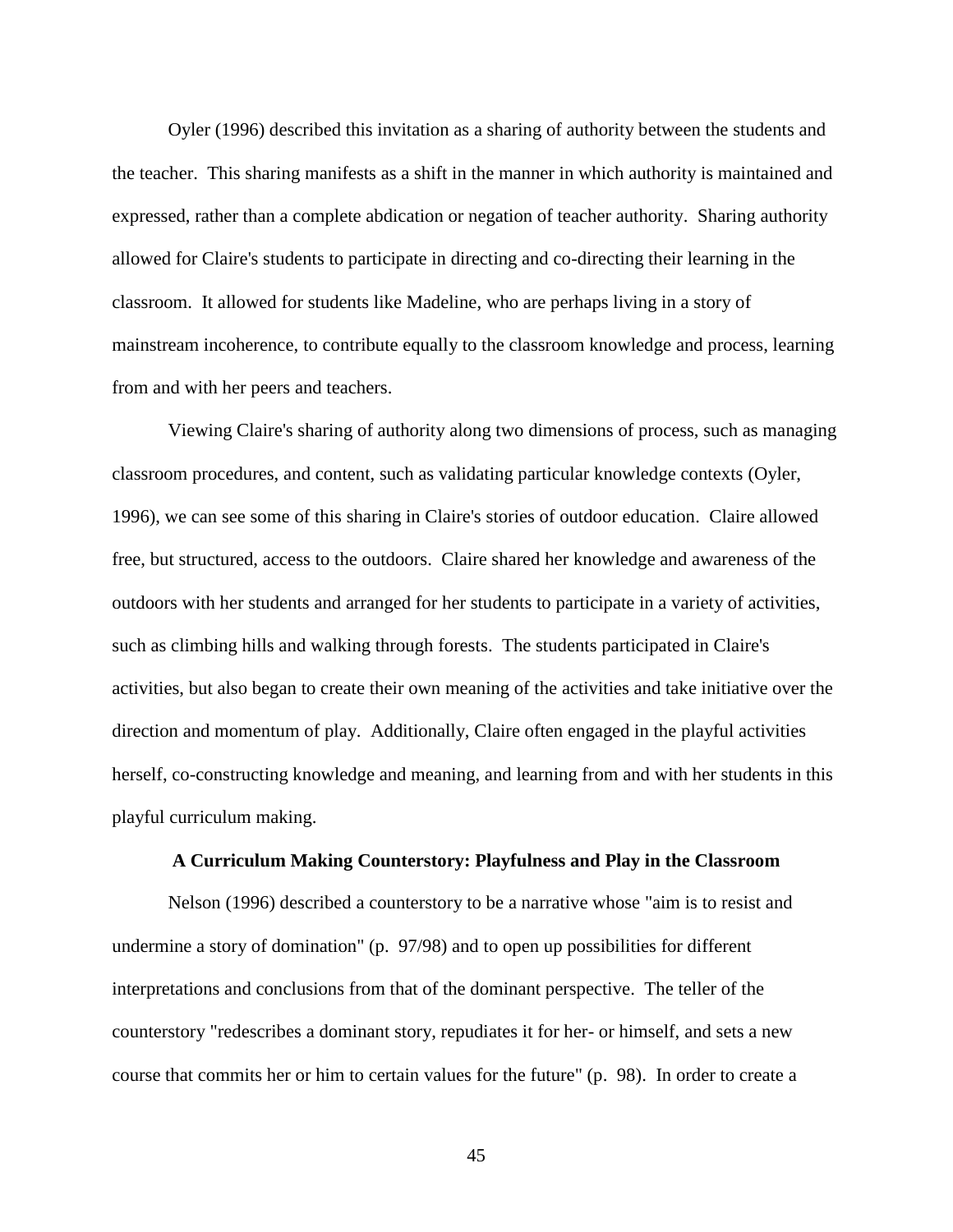[Oyler \(1996\)](#page-110-0) described this invitation as a sharing of authority between the students and the teacher. This sharing manifests as a shift in the manner in which authority is maintained and expressed, rather than a complete abdication or negation of teacher authority. Sharing authority allowed for Claire's students to participate in directing and co-directing their learning in the classroom. It allowed for students like Madeline, who are perhaps living in a story of mainstream incoherence, to contribute equally to the classroom knowledge and process, learning from and with her peers and teachers.

Viewing Claire's sharing of authority along two dimensions of process, such as managing classroom procedures, and content, such as validating particular knowledge contexts [\(Oyler,](#page-110-0)  [1996\)](#page-110-0), we can see some of this sharing in Claire's stories of outdoor education. Claire allowed free, but structured, access to the outdoors. Claire shared her knowledge and awareness of the outdoors with her students and arranged for her students to participate in a variety of activities, such as climbing hills and walking through forests. The students participated in Claire's activities, but also began to create their own meaning of the activities and take initiative over the direction and momentum of play. Additionally, Claire often engaged in the playful activities herself, co-constructing knowledge and meaning, and learning from and with her students in this playful curriculum making.

## **A Curriculum Making Counterstory: Playfulness and Play in the Classroom**

[Nelson \(1996\)](#page-110-1) described a counterstory to be a narrative whose "aim is to resist and undermine a story of domination" (p. 97/98) and to open up possibilities for different interpretations and conclusions from that of the dominant perspective. The teller of the counterstory "redescribes a dominant story, repudiates it for her- or himself, and sets a new course that commits her or him to certain values for the future" (p. 98). In order to create a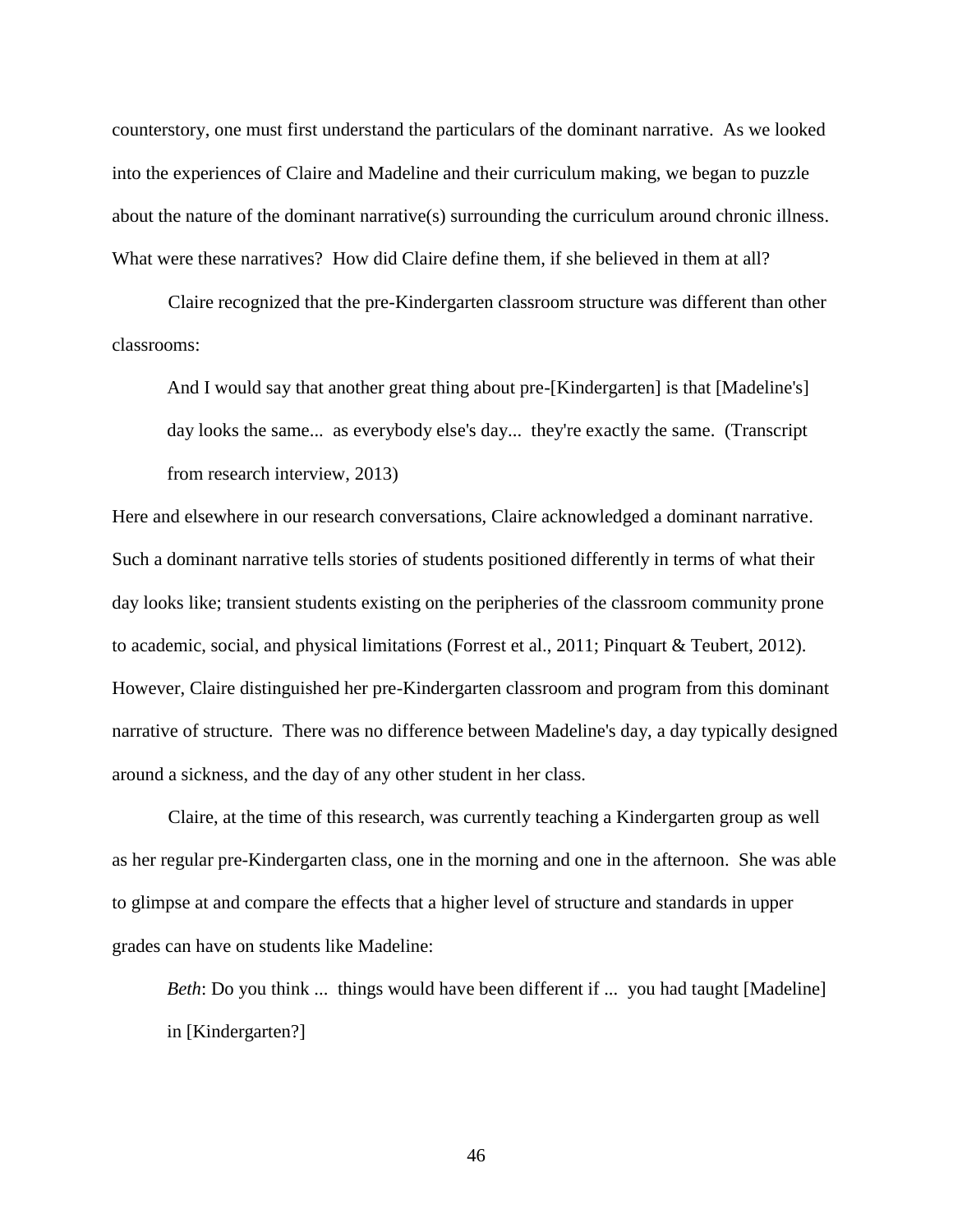counterstory, one must first understand the particulars of the dominant narrative. As we looked into the experiences of Claire and Madeline and their curriculum making, we began to puzzle about the nature of the dominant narrative(s) surrounding the curriculum around chronic illness. What were these narratives? How did Claire define them, if she believed in them at all?

Claire recognized that the pre-Kindergarten classroom structure was different than other classrooms:

And I would say that another great thing about pre-[Kindergarten] is that [Madeline's] day looks the same... as everybody else's day... they're exactly the same. (Transcript from research interview, 2013)

Here and elsewhere in our research conversations, Claire acknowledged a dominant narrative. Such a dominant narrative tells stories of students positioned differently in terms of what their day looks like; transient students existing on the peripheries of the classroom community prone to academic, social, and physical limitations [\(Forrest et al., 2011;](#page-106-0) [Pinquart & Teubert, 2012\)](#page-111-0). However, Claire distinguished her pre-Kindergarten classroom and program from this dominant narrative of structure. There was no difference between Madeline's day, a day typically designed around a sickness, and the day of any other student in her class.

Claire, at the time of this research, was currently teaching a Kindergarten group as well as her regular pre-Kindergarten class, one in the morning and one in the afternoon. She was able to glimpse at and compare the effects that a higher level of structure and standards in upper grades can have on students like Madeline:

*Beth*: Do you think ... things would have been different if ... you had taught [Madeline] in [Kindergarten?]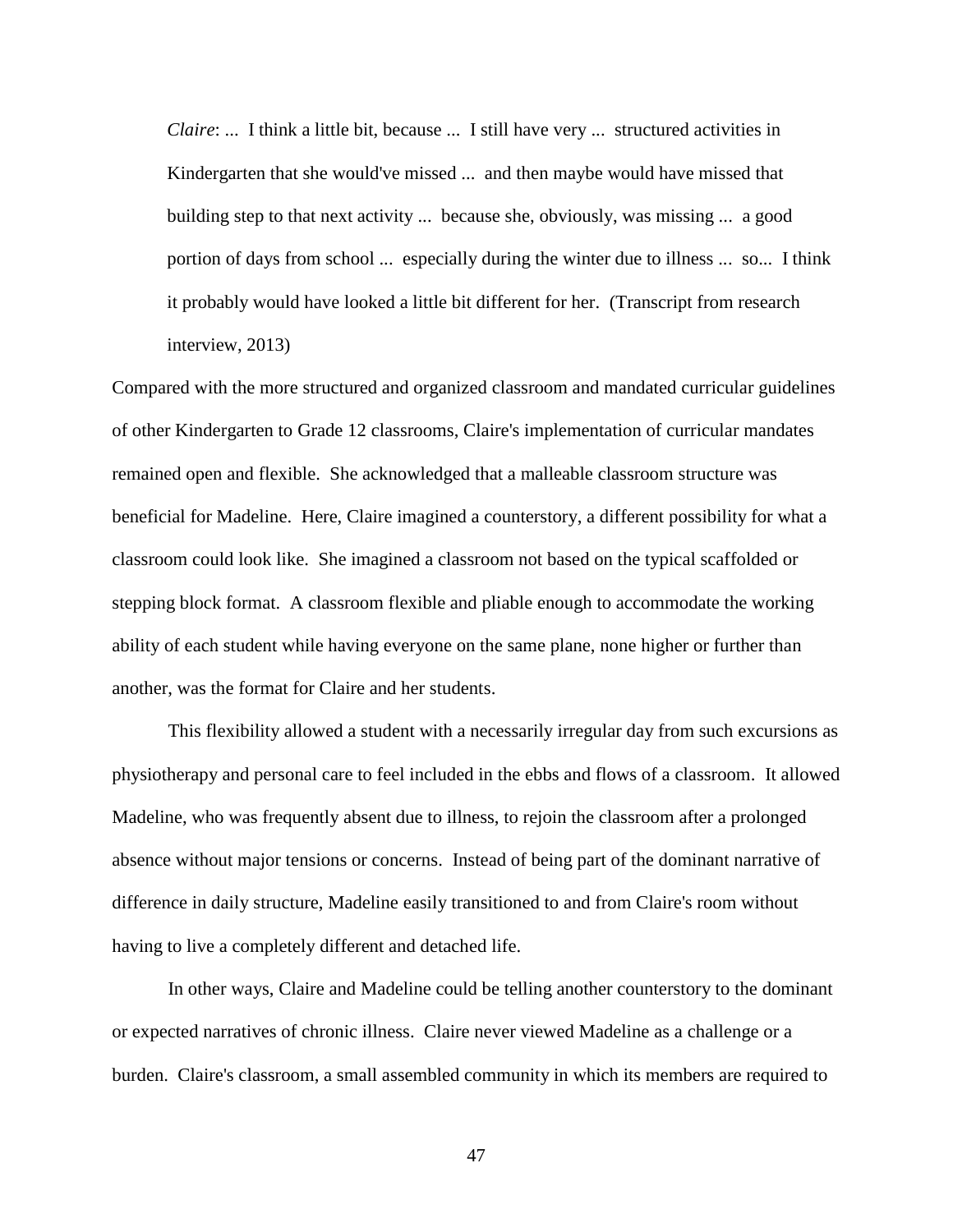*Claire*: ... I think a little bit, because ... I still have very ... structured activities in Kindergarten that she would've missed ... and then maybe would have missed that building step to that next activity ... because she, obviously, was missing ... a good portion of days from school ... especially during the winter due to illness ... so... I think it probably would have looked a little bit different for her. (Transcript from research interview, 2013)

Compared with the more structured and organized classroom and mandated curricular guidelines of other Kindergarten to Grade 12 classrooms, Claire's implementation of curricular mandates remained open and flexible. She acknowledged that a malleable classroom structure was beneficial for Madeline. Here, Claire imagined a counterstory, a different possibility for what a classroom could look like. She imagined a classroom not based on the typical scaffolded or stepping block format. A classroom flexible and pliable enough to accommodate the working ability of each student while having everyone on the same plane, none higher or further than another, was the format for Claire and her students.

This flexibility allowed a student with a necessarily irregular day from such excursions as physiotherapy and personal care to feel included in the ebbs and flows of a classroom. It allowed Madeline, who was frequently absent due to illness, to rejoin the classroom after a prolonged absence without major tensions or concerns. Instead of being part of the dominant narrative of difference in daily structure, Madeline easily transitioned to and from Claire's room without having to live a completely different and detached life.

In other ways, Claire and Madeline could be telling another counterstory to the dominant or expected narratives of chronic illness. Claire never viewed Madeline as a challenge or a burden. Claire's classroom, a small assembled community in which its members are required to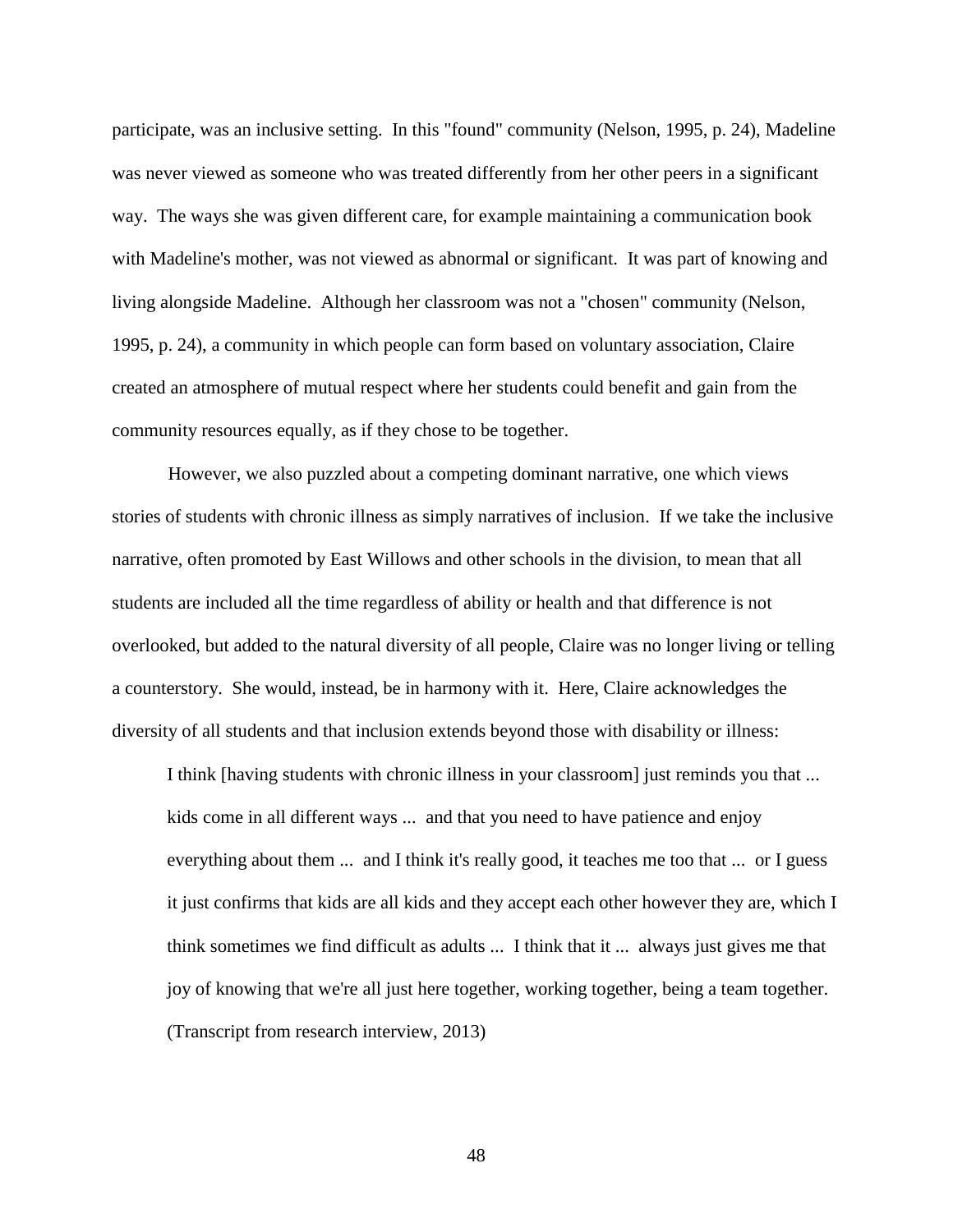participate, was an inclusive setting. In this "found" community [\(Nelson, 1995, p. 24\)](#page-110-2), Madeline was never viewed as someone who was treated differently from her other peers in a significant way. The ways she was given different care, for example maintaining a communication book with Madeline's mother, was not viewed as abnormal or significant. It was part of knowing and living alongside Madeline. Although her classroom was not a "chosen" community [\(Nelson,](#page-110-2)  [1995, p. 24\)](#page-110-2), a community in which people can form based on voluntary association, Claire created an atmosphere of mutual respect where her students could benefit and gain from the community resources equally, as if they chose to be together.

However, we also puzzled about a competing dominant narrative, one which views stories of students with chronic illness as simply narratives of inclusion. If we take the inclusive narrative, often promoted by East Willows and other schools in the division, to mean that all students are included all the time regardless of ability or health and that difference is not overlooked, but added to the natural diversity of all people, Claire was no longer living or telling a counterstory. She would, instead, be in harmony with it. Here, Claire acknowledges the diversity of all students and that inclusion extends beyond those with disability or illness:

I think [having students with chronic illness in your classroom] just reminds you that ... kids come in all different ways ... and that you need to have patience and enjoy everything about them ... and I think it's really good, it teaches me too that ... or I guess it just confirms that kids are all kids and they accept each other however they are, which I think sometimes we find difficult as adults ... I think that it ... always just gives me that joy of knowing that we're all just here together, working together, being a team together. (Transcript from research interview, 2013)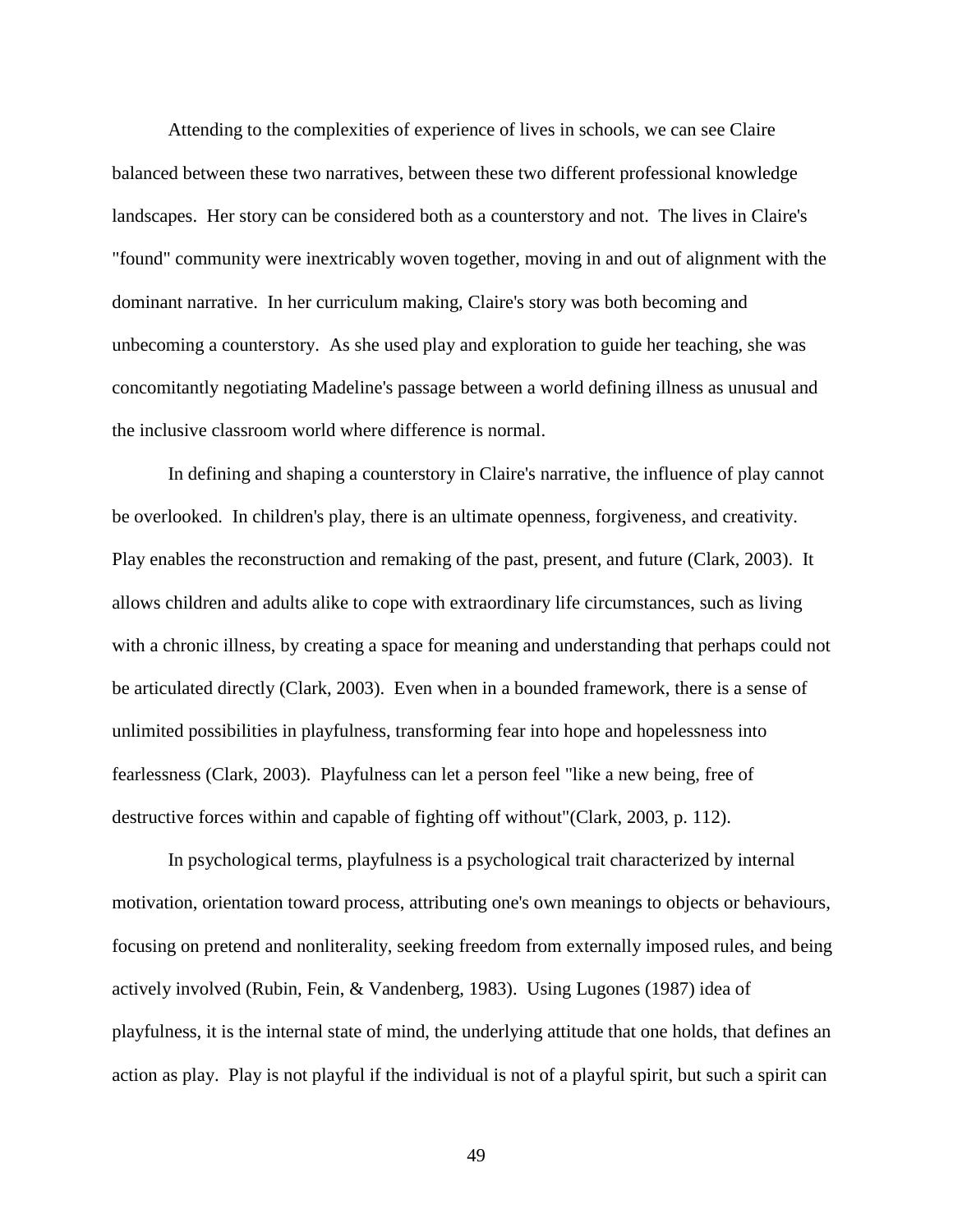Attending to the complexities of experience of lives in schools, we can see Claire balanced between these two narratives, between these two different professional knowledge landscapes. Her story can be considered both as a counterstory and not. The lives in Claire's "found" community were inextricably woven together, moving in and out of alignment with the dominant narrative. In her curriculum making, Claire's story was both becoming and unbecoming a counterstory. As she used play and exploration to guide her teaching, she was concomitantly negotiating Madeline's passage between a world defining illness as unusual and the inclusive classroom world where difference is normal.

In defining and shaping a counterstory in Claire's narrative, the influence of play cannot be overlooked. In children's play, there is an ultimate openness, forgiveness, and creativity. Play enables the reconstruction and remaking of the past, present, and future [\(Clark, 2003\)](#page-105-5). It allows children and adults alike to cope with extraordinary life circumstances, such as living with a chronic illness, by creating a space for meaning and understanding that perhaps could not be articulated directly [\(Clark, 2003\)](#page-105-5). Even when in a bounded framework, there is a sense of unlimited possibilities in playfulness, transforming fear into hope and hopelessness into fearlessness [\(Clark, 2003\)](#page-105-5). Playfulness can let a person feel "like a new being, free of destructive forces within and capable of fighting off without"[\(Clark, 2003, p. 112\)](#page-105-5).

In psychological terms, playfulness is a psychological trait characterized by internal motivation, orientation toward process, attributing one's own meanings to objects or behaviours, focusing on pretend and nonliterality, seeking freedom from externally imposed rules, and being actively involved (Rubin, Fein, & Vandenberg, 1983). Using [Lugones \(1987\)](#page-108-4) idea of playfulness, it is the internal state of mind, the underlying attitude that one holds, that defines an action as play. Play is not playful if the individual is not of a playful spirit, but such a spirit can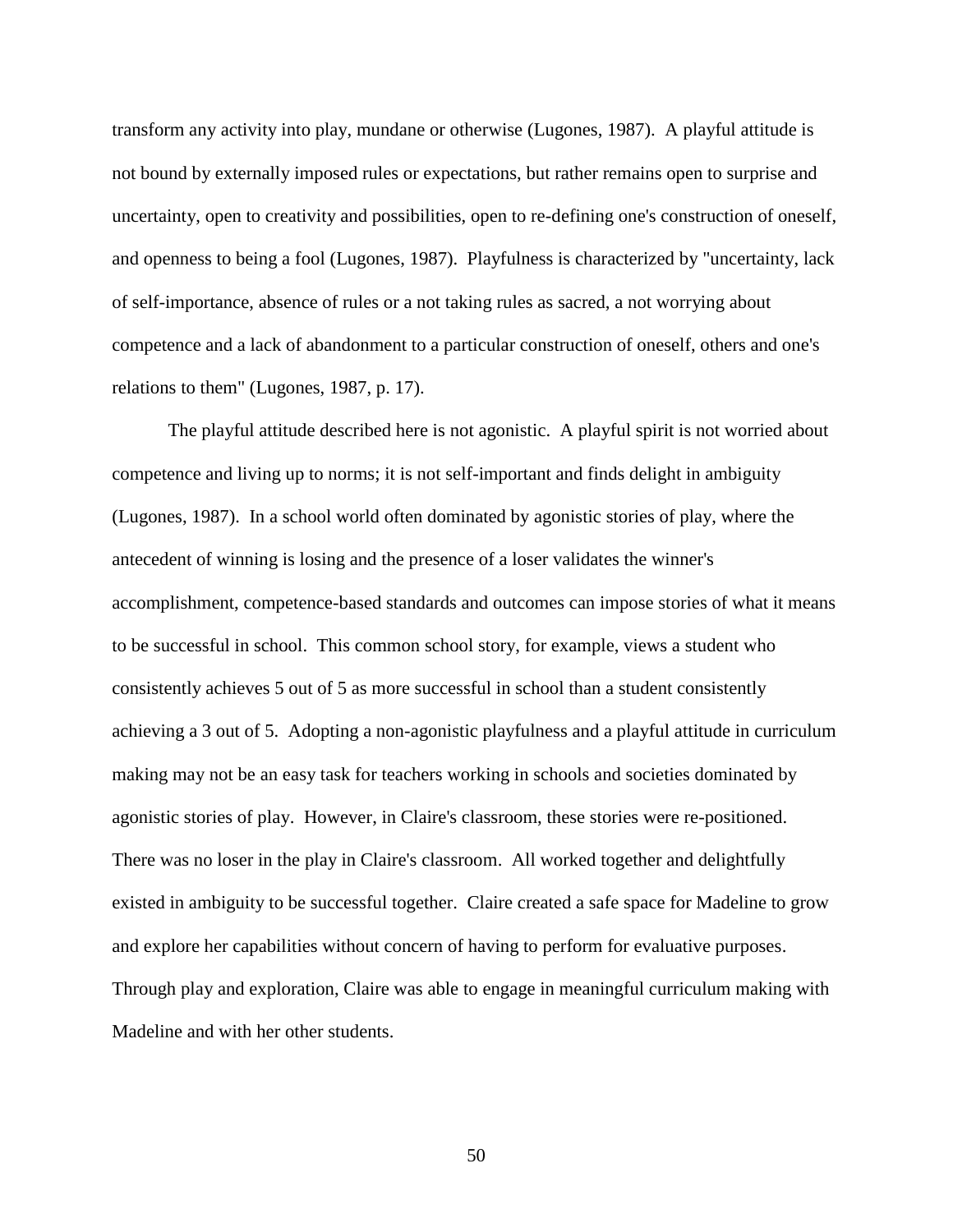transform any activity into play, mundane or otherwise [\(Lugones, 1987\)](#page-108-4). A playful attitude is not bound by externally imposed rules or expectations, but rather remains open to surprise and uncertainty, open to creativity and possibilities, open to re-defining one's construction of oneself, and openness to being a fool [\(Lugones, 1987\)](#page-108-4). Playfulness is characterized by "uncertainty, lack of self-importance, absence of rules or a not taking rules as sacred, a not worrying about competence and a lack of abandonment to a particular construction of oneself, others and one's relations to them" [\(Lugones, 1987, p. 17\)](#page-108-4).

The playful attitude described here is not agonistic. A playful spirit is not worried about competence and living up to norms; it is not self-important and finds delight in ambiguity [\(Lugones, 1987\)](#page-108-4). In a school world often dominated by agonistic stories of play, where the antecedent of winning is losing and the presence of a loser validates the winner's accomplishment, competence-based standards and outcomes can impose stories of what it means to be successful in school. This common school story, for example, views a student who consistently achieves 5 out of 5 as more successful in school than a student consistently achieving a 3 out of 5. Adopting a non-agonistic playfulness and a playful attitude in curriculum making may not be an easy task for teachers working in schools and societies dominated by agonistic stories of play. However, in Claire's classroom, these stories were re-positioned. There was no loser in the play in Claire's classroom. All worked together and delightfully existed in ambiguity to be successful together. Claire created a safe space for Madeline to grow and explore her capabilities without concern of having to perform for evaluative purposes. Through play and exploration, Claire was able to engage in meaningful curriculum making with Madeline and with her other students.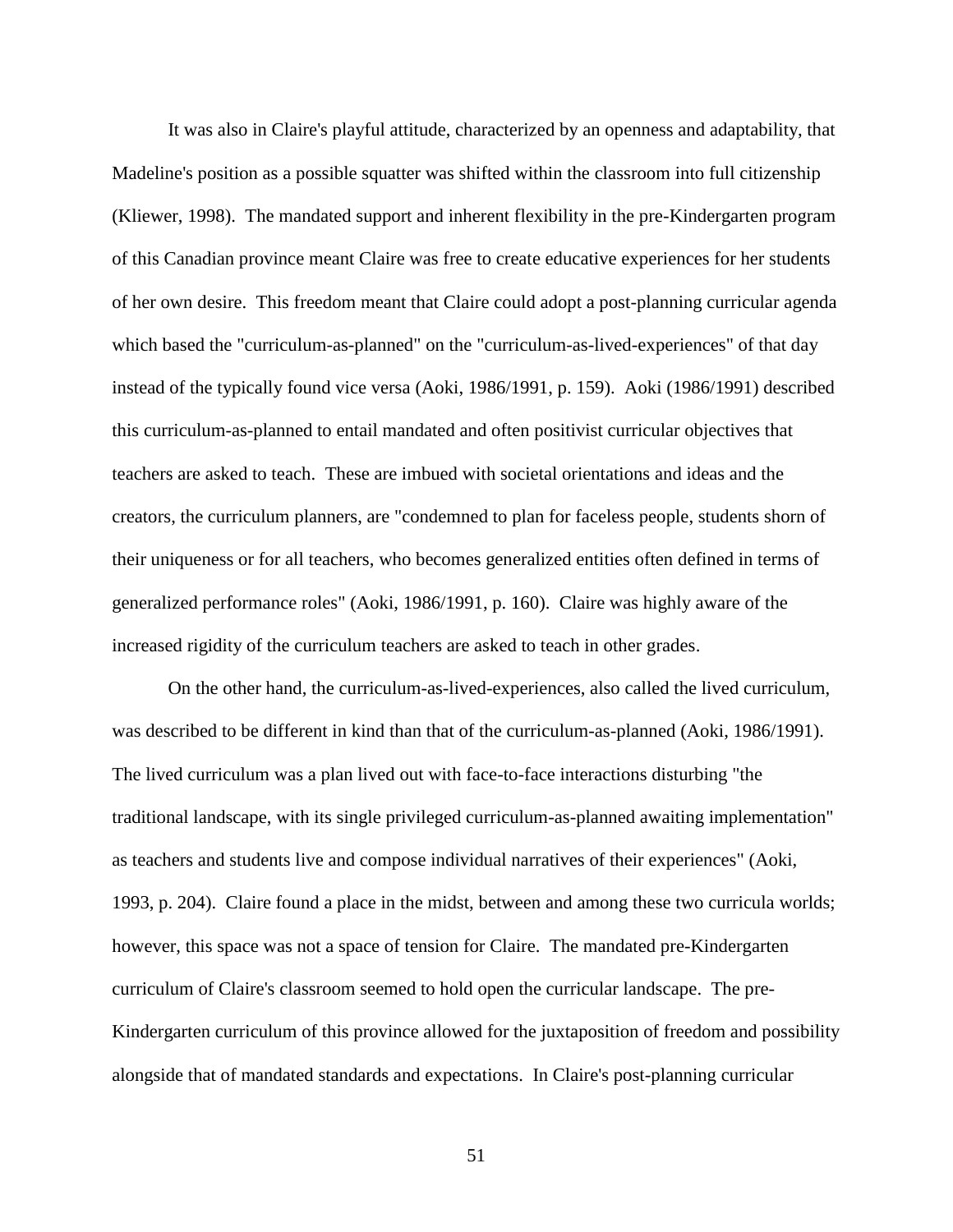It was also in Claire's playful attitude, characterized by an openness and adaptability, that Madeline's position as a possible squatter was shifted within the classroom into full citizenship [\(Kliewer, 1998\)](#page-108-2). The mandated support and inherent flexibility in the pre-Kindergarten program of this Canadian province meant Claire was free to create educative experiences for her students of her own desire. This freedom meant that Claire could adopt a post-planning curricular agenda which based the "curriculum-as-planned" on the "curriculum-as-lived-experiences" of that day instead of the typically found vice versa [\(Aoki, 1986/1991, p. 159\)](#page-102-0). [Aoki \(1986/1991\)](#page-102-0) described this curriculum-as-planned to entail mandated and often positivist curricular objectives that teachers are asked to teach. These are imbued with societal orientations and ideas and the creators, the curriculum planners, are "condemned to plan for faceless people, students shorn of their uniqueness or for all teachers, who becomes generalized entities often defined in terms of generalized performance roles" [\(Aoki, 1986/1991, p. 160\)](#page-102-0). Claire was highly aware of the increased rigidity of the curriculum teachers are asked to teach in other grades.

On the other hand, the curriculum-as-lived-experiences, also called the lived curriculum, was described to be different in kind than that of the curriculum-as-planned [\(Aoki, 1986/1991\)](#page-102-0). The lived curriculum was a plan lived out with face-to-face interactions disturbing "the traditional landscape, with its single privileged curriculum-as-planned awaiting implementation" as teachers and students live and compose individual narratives of their experiences" [\(Aoki,](#page-102-1)  [1993, p. 204\)](#page-102-1). Claire found a place in the midst, between and among these two curricula worlds; however, this space was not a space of tension for Claire. The mandated pre-Kindergarten curriculum of Claire's classroom seemed to hold open the curricular landscape. The pre-Kindergarten curriculum of this province allowed for the juxtaposition of freedom and possibility alongside that of mandated standards and expectations. In Claire's post-planning curricular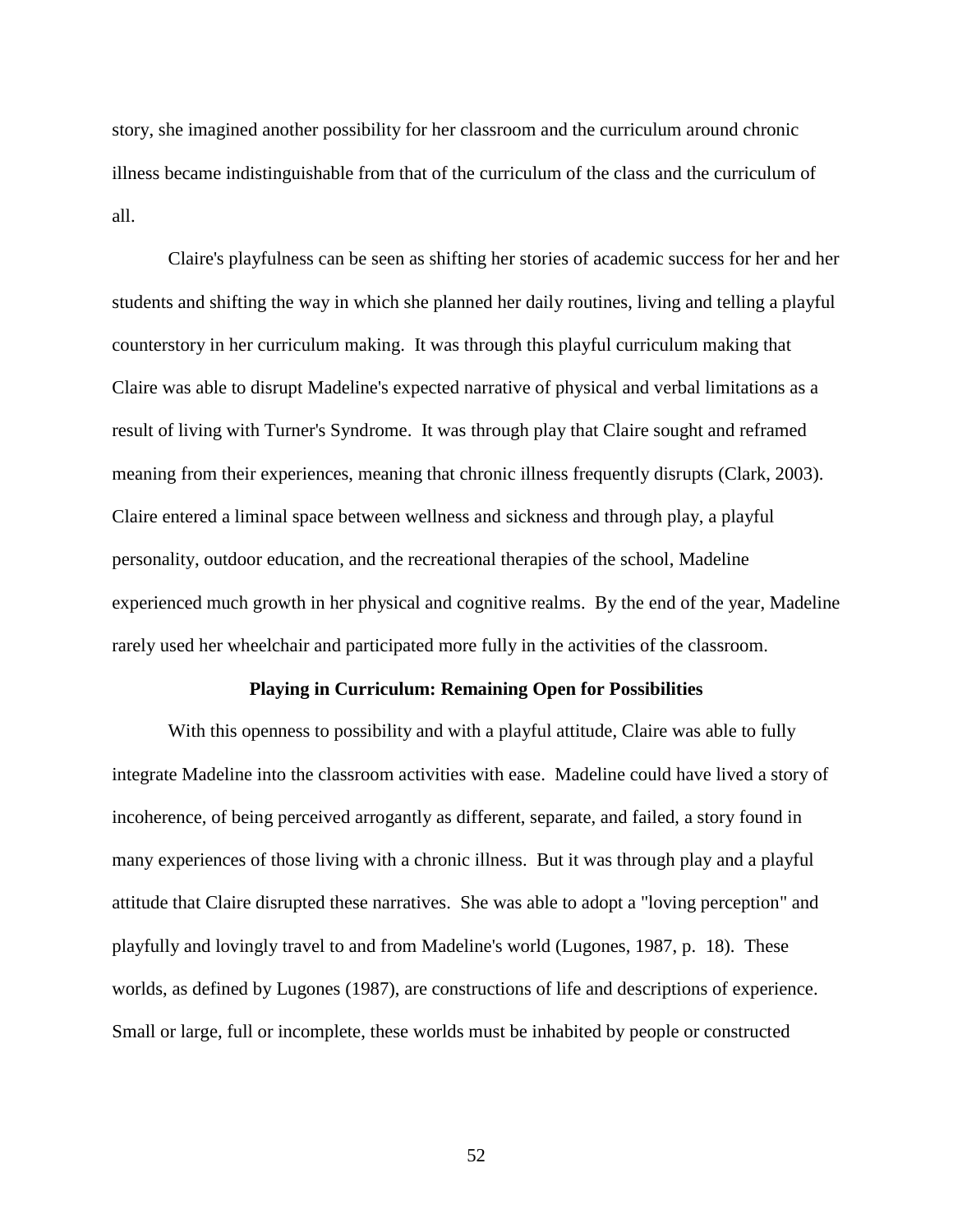story, she imagined another possibility for her classroom and the curriculum around chronic illness became indistinguishable from that of the curriculum of the class and the curriculum of all.

Claire's playfulness can be seen as shifting her stories of academic success for her and her students and shifting the way in which she planned her daily routines, living and telling a playful counterstory in her curriculum making. It was through this playful curriculum making that Claire was able to disrupt Madeline's expected narrative of physical and verbal limitations as a result of living with Turner's Syndrome. It was through play that Claire sought and reframed meaning from their experiences, meaning that chronic illness frequently disrupts [\(Clark, 2003\)](#page-105-5). Claire entered a liminal space between wellness and sickness and through play, a playful personality, outdoor education, and the recreational therapies of the school, Madeline experienced much growth in her physical and cognitive realms. By the end of the year, Madeline rarely used her wheelchair and participated more fully in the activities of the classroom.

#### **Playing in Curriculum: Remaining Open for Possibilities**

With this openness to possibility and with a playful attitude, Claire was able to fully integrate Madeline into the classroom activities with ease. Madeline could have lived a story of incoherence, of being perceived arrogantly as different, separate, and failed, a story found in many experiences of those living with a chronic illness. But it was through play and a playful attitude that Claire disrupted these narratives. She was able to adopt a "loving perception" and playfully and lovingly travel to and from Madeline's world (Lugones, 1987, p. 18). These worlds, as defined by Lugones (1987), are constructions of life and descriptions of experience. Small or large, full or incomplete, these worlds must be inhabited by people or constructed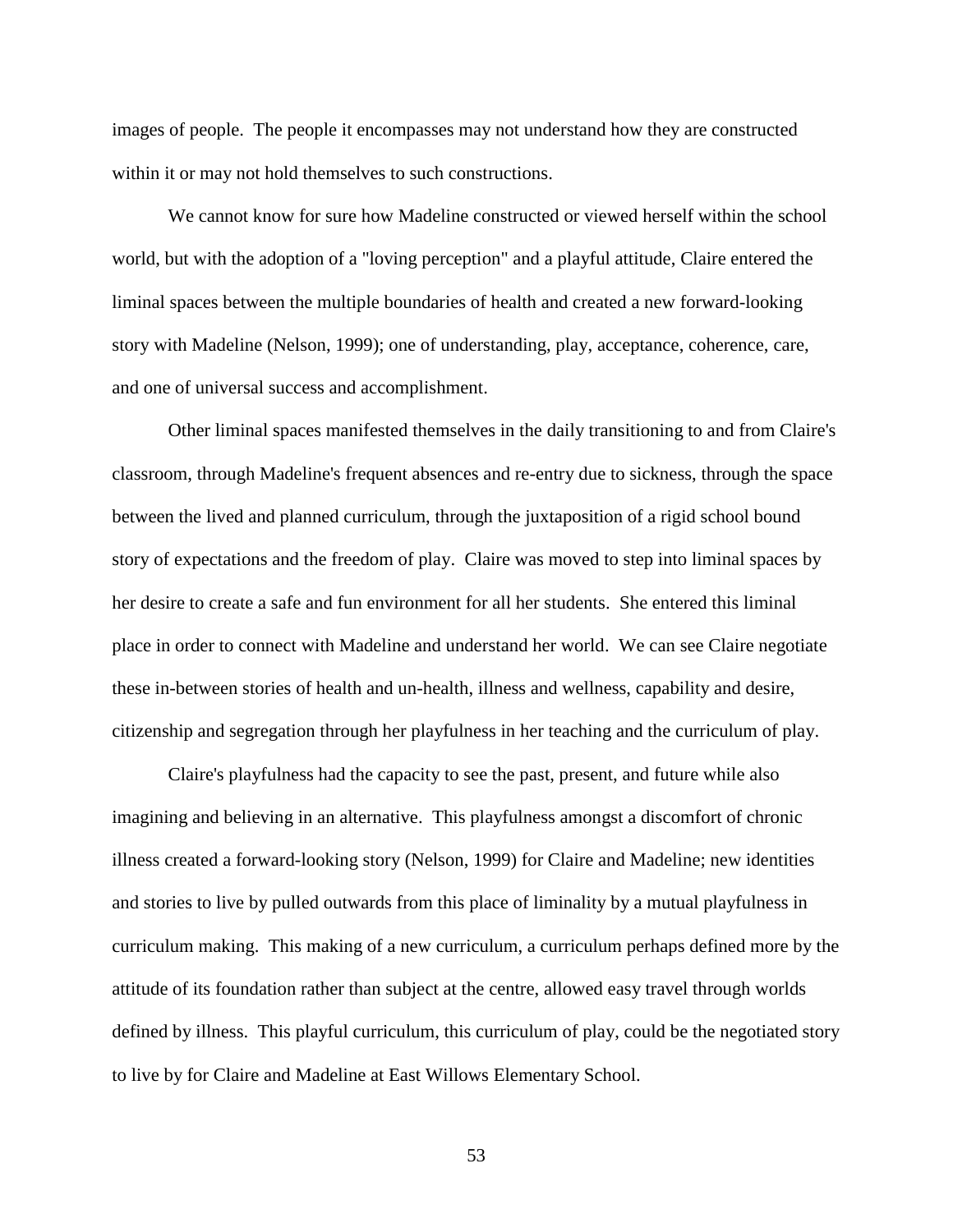images of people. The people it encompasses may not understand how they are constructed within it or may not hold themselves to such constructions.

We cannot know for sure how Madeline constructed or viewed herself within the school world, but with the adoption of a "loving perception" and a playful attitude, Claire entered the liminal spaces between the multiple boundaries of health and created a new forward-looking story with Madeline [\(Nelson, 1999\)](#page-110-3); one of understanding, play, acceptance, coherence, care, and one of universal success and accomplishment.

Other liminal spaces manifested themselves in the daily transitioning to and from Claire's classroom, through Madeline's frequent absences and re-entry due to sickness, through the space between the lived and planned curriculum, through the juxtaposition of a rigid school bound story of expectations and the freedom of play. Claire was moved to step into liminal spaces by her desire to create a safe and fun environment for all her students. She entered this liminal place in order to connect with Madeline and understand her world. We can see Claire negotiate these in-between stories of health and un-health, illness and wellness, capability and desire, citizenship and segregation through her playfulness in her teaching and the curriculum of play.

Claire's playfulness had the capacity to see the past, present, and future while also imagining and believing in an alternative. This playfulness amongst a discomfort of chronic illness created a forward-looking story [\(Nelson, 1999\)](#page-110-3) for Claire and Madeline; new identities and stories to live by pulled outwards from this place of liminality by a mutual playfulness in curriculum making. This making of a new curriculum, a curriculum perhaps defined more by the attitude of its foundation rather than subject at the centre, allowed easy travel through worlds defined by illness. This playful curriculum, this curriculum of play, could be the negotiated story to live by for Claire and Madeline at East Willows Elementary School.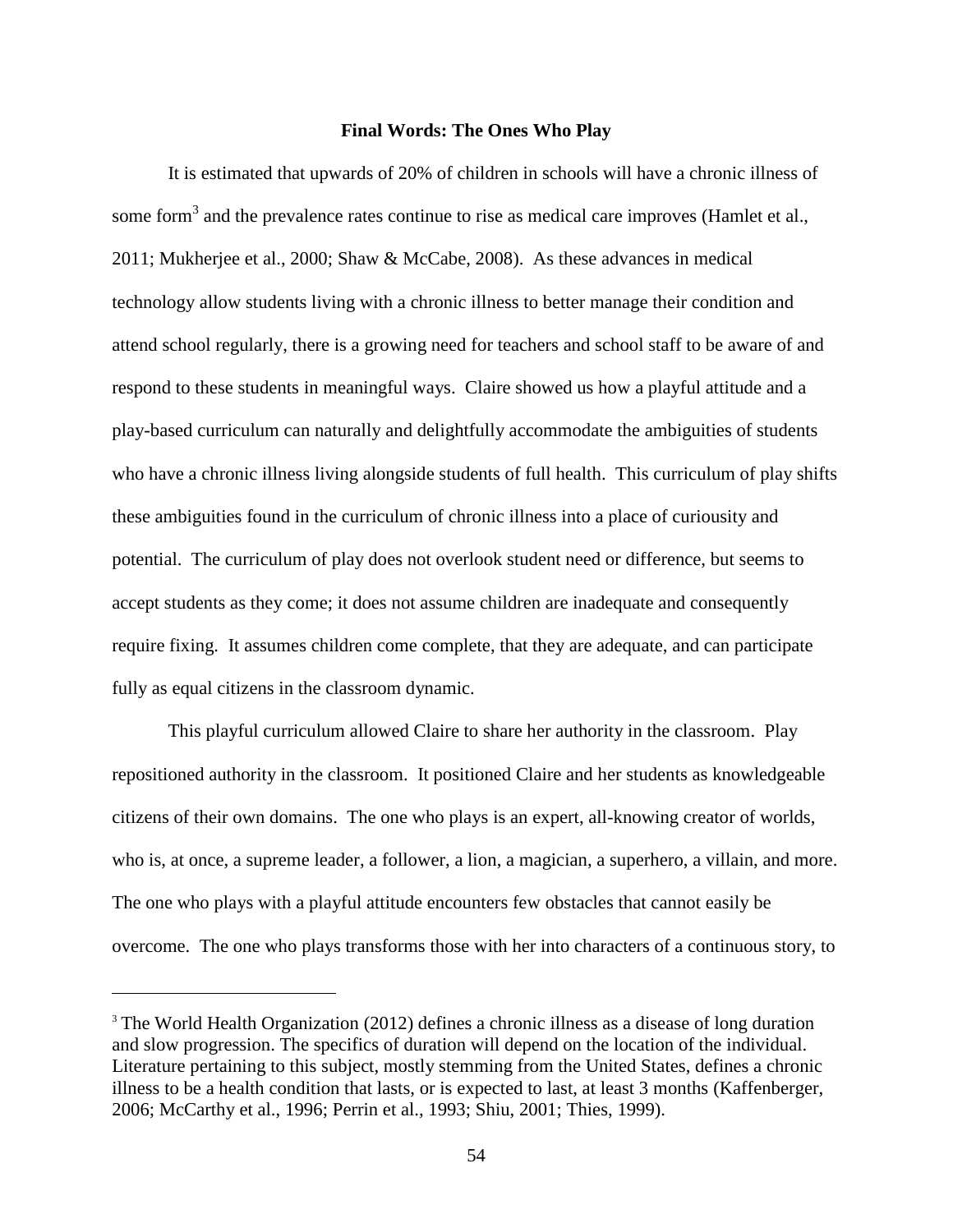#### **Final Words: The Ones Who Play**

It is estimated that upwards of 20% of children in schools will have a chronic illness of some form<sup>3</sup> and the prevalence rates continue to rise as medical care improves (Hamlet et al., [2011;](#page-107-3) [Mukherjee et al., 2000;](#page-109-1) [Shaw & McCabe, 2008\)](#page-112-2). As these advances in medical technology allow students living with a chronic illness to better manage their condition and attend school regularly, there is a growing need for teachers and school staff to be aware of and respond to these students in meaningful ways. Claire showed us how a playful attitude and a play-based curriculum can naturally and delightfully accommodate the ambiguities of students who have a chronic illness living alongside students of full health. This curriculum of play shifts these ambiguities found in the curriculum of chronic illness into a place of curiousity and potential. The curriculum of play does not overlook student need or difference, but seems to accept students as they come; it does not assume children are inadequate and consequently require fixing. It assumes children come complete, that they are adequate, and can participate fully as equal citizens in the classroom dynamic.

This playful curriculum allowed Claire to share her authority in the classroom. Play repositioned authority in the classroom. It positioned Claire and her students as knowledgeable citizens of their own domains. The one who plays is an expert, all-knowing creator of worlds, who is, at once, a supreme leader, a follower, a lion, a magician, a superhero, a villain, and more. The one who plays with a playful attitude encounters few obstacles that cannot easily be overcome. The one who plays transforms those with her into characters of a continuous story, to

 $\overline{a}$ 

<sup>&</sup>lt;sup>3</sup> The World Health Organization [\(2012\)](#page-114-1) defines a chronic illness as a disease of long duration and slow progression. The specifics of duration will depend on the location of the individual. Literature pertaining to this subject, mostly stemming from the United States, defines a chronic illness to be a health condition that lasts, or is expected to last, at least 3 months [\(Kaffenberger,](#page-108-5)  [2006;](#page-108-5) [McCarthy et al., 1996;](#page-109-0) [Perrin et al., 1993;](#page-111-1) [Shiu, 2001;](#page-112-1) [Thies, 1999\)](#page-113-1).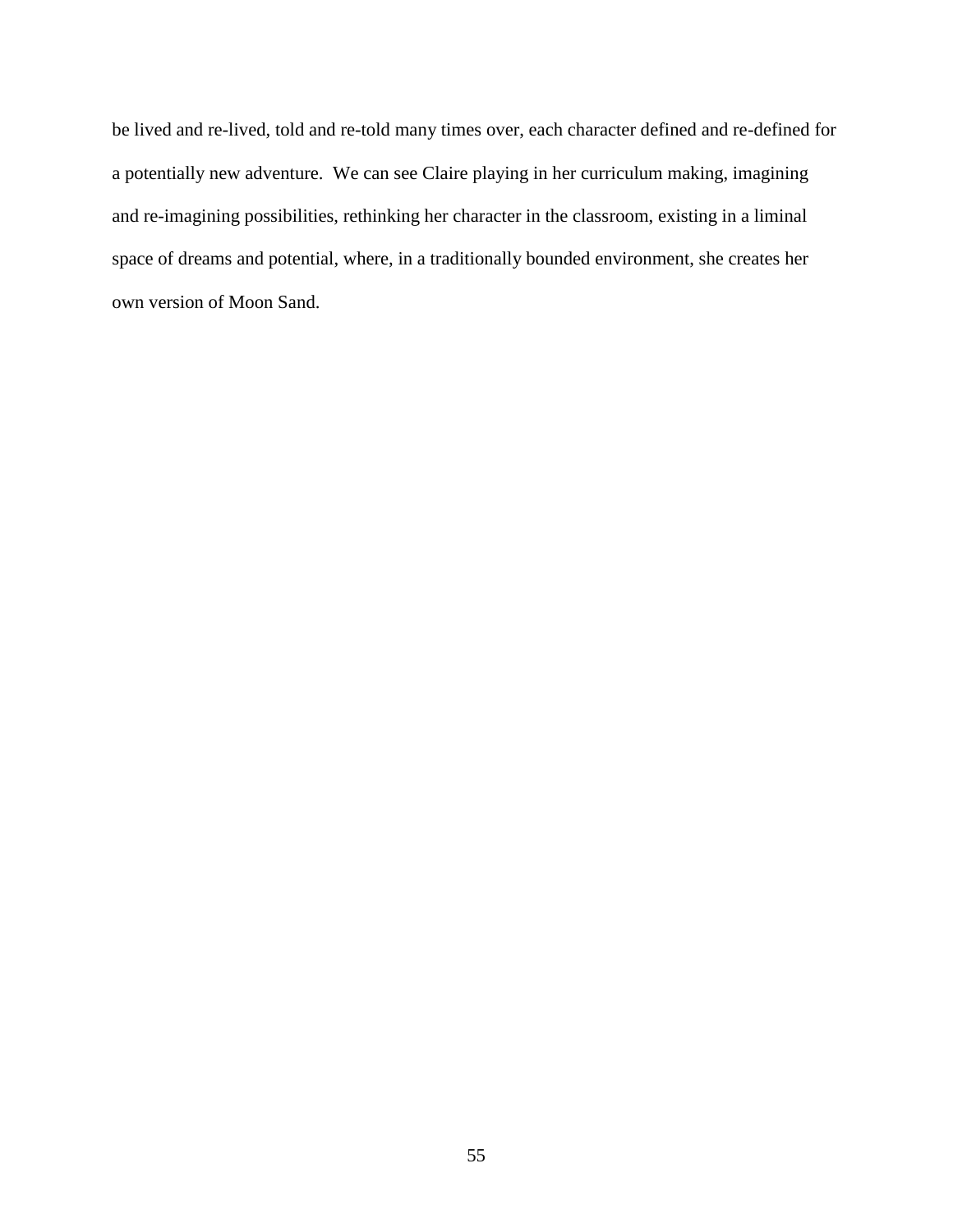be lived and re-lived, told and re-told many times over, each character defined and re-defined for a potentially new adventure. We can see Claire playing in her curriculum making, imagining and re-imagining possibilities, rethinking her character in the classroom, existing in a liminal space of dreams and potential, where, in a traditionally bounded environment, she creates her own version of Moon Sand.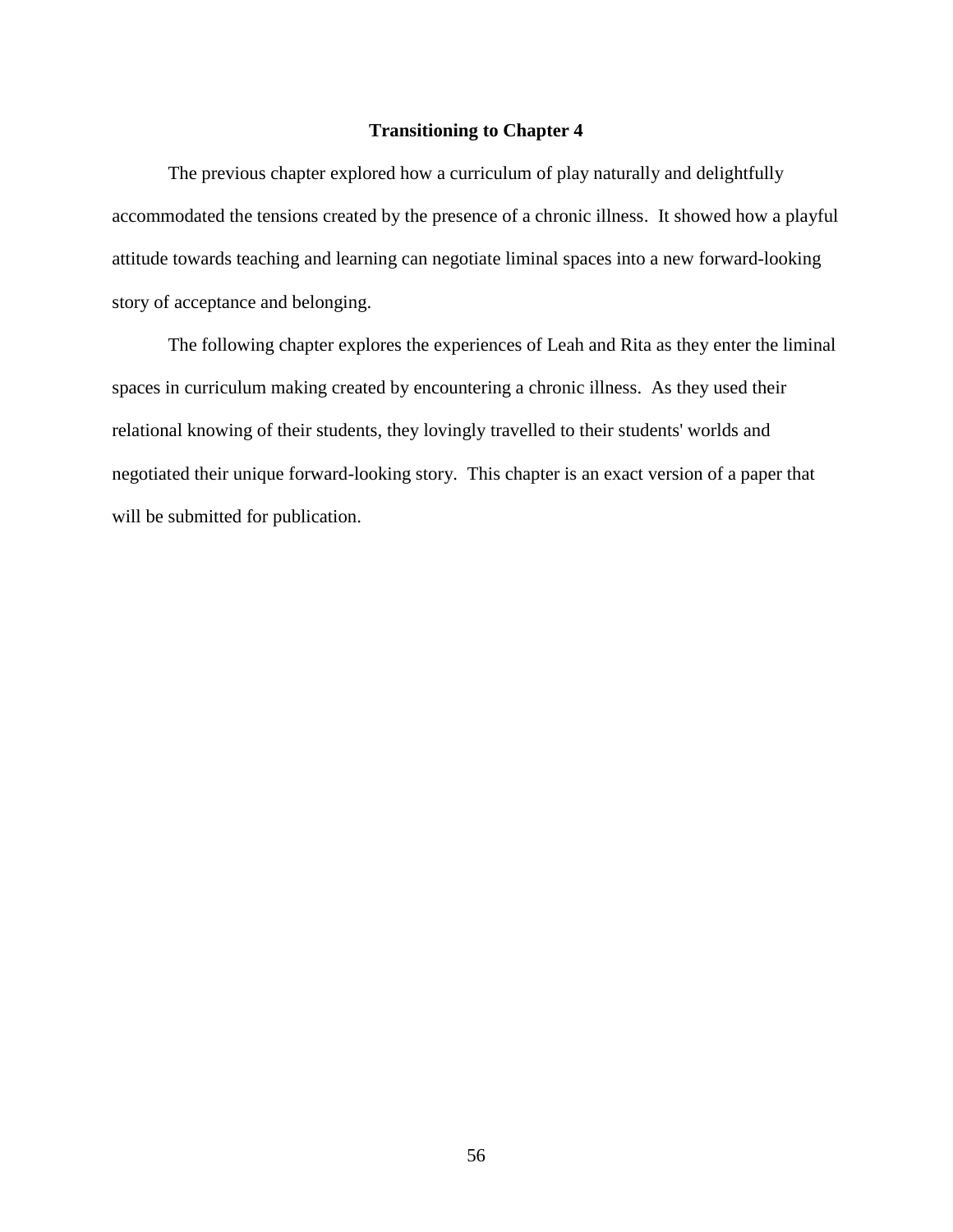# **Transitioning to Chapter 4**

The previous chapter explored how a curriculum of play naturally and delightfully accommodated the tensions created by the presence of a chronic illness. It showed how a playful attitude towards teaching and learning can negotiate liminal spaces into a new forward-looking story of acceptance and belonging.

The following chapter explores the experiences of Leah and Rita as they enter the liminal spaces in curriculum making created by encountering a chronic illness. As they used their relational knowing of their students, they lovingly travelled to their students' worlds and negotiated their unique forward-looking story. This chapter is an exact version of a paper that will be submitted for publication.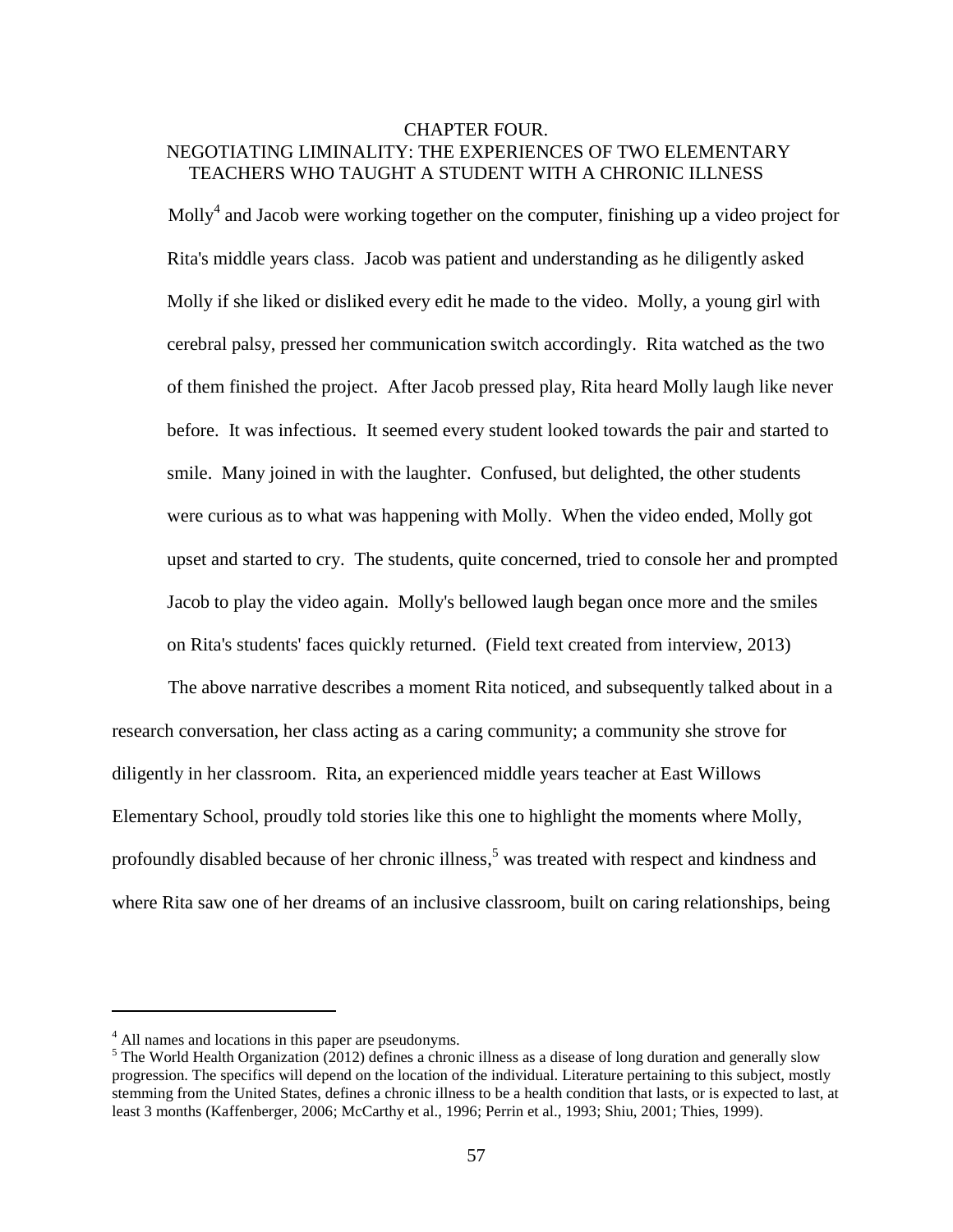# CHAPTER FOUR. NEGOTIATING LIMINALITY: THE EXPERIENCES OF TWO ELEMENTARY TEACHERS WHO TAUGHT A STUDENT WITH A CHRONIC ILLNESS

Molly<sup>4</sup> and Jacob were working together on the computer, finishing up a video project for Rita's middle years class. Jacob was patient and understanding as he diligently asked Molly if she liked or disliked every edit he made to the video. Molly, a young girl with cerebral palsy, pressed her communication switch accordingly. Rita watched as the two of them finished the project. After Jacob pressed play, Rita heard Molly laugh like never before. It was infectious. It seemed every student looked towards the pair and started to smile. Many joined in with the laughter. Confused, but delighted, the other students were curious as to what was happening with Molly. When the video ended, Molly got upset and started to cry. The students, quite concerned, tried to console her and prompted Jacob to play the video again. Molly's bellowed laugh began once more and the smiles on Rita's students' faces quickly returned. (Field text created from interview, 2013)

The above narrative describes a moment Rita noticed, and subsequently talked about in a research conversation, her class acting as a caring community; a community she strove for diligently in her classroom. Rita, an experienced middle years teacher at East Willows Elementary School, proudly told stories like this one to highlight the moments where Molly, profoundly disabled because of her chronic illness,<sup>5</sup> was treated with respect and kindness and where Rita saw one of her dreams of an inclusive classroom, built on caring relationships, being

 $\overline{a}$ 

<sup>&</sup>lt;sup>4</sup> All names and locations in this paper are pseudonyms.

 $<sup>5</sup>$  The World Health Organization [\(2012\)](#page-114-1) defines a chronic illness as a disease of long duration and generally slow</sup> progression. The specifics will depend on the location of the individual. Literature pertaining to this subject, mostly stemming from the United States, defines a chronic illness to be a health condition that lasts, or is expected to last, at least 3 months [\(Kaffenberger, 2006;](#page-108-5) [McCarthy et al., 1996;](#page-109-0) [Perrin et al., 1993;](#page-111-1) [Shiu, 2001;](#page-112-1) [Thies, 1999\)](#page-113-1).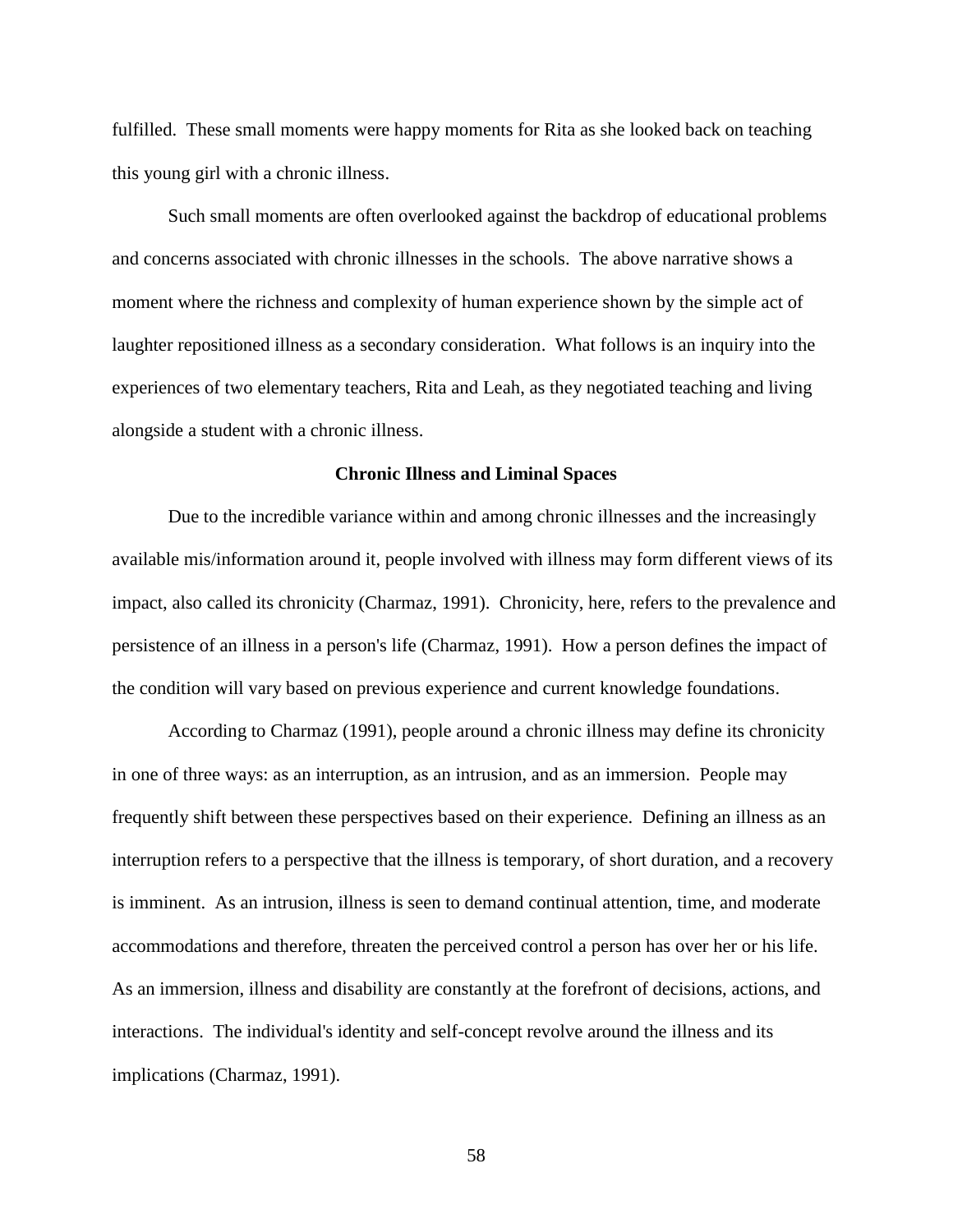fulfilled. These small moments were happy moments for Rita as she looked back on teaching this young girl with a chronic illness.

Such small moments are often overlooked against the backdrop of educational problems and concerns associated with chronic illnesses in the schools. The above narrative shows a moment where the richness and complexity of human experience shown by the simple act of laughter repositioned illness as a secondary consideration. What follows is an inquiry into the experiences of two elementary teachers, Rita and Leah, as they negotiated teaching and living alongside a student with a chronic illness.

## **Chronic Illness and Liminal Spaces**

Due to the incredible variance within and among chronic illnesses and the increasingly available mis/information around it, people involved with illness may form different views of its impact, also called its chronicity [\(Charmaz, 1991\)](#page-104-6). Chronicity, here, refers to the prevalence and persistence of an illness in a person's life [\(Charmaz, 1991\)](#page-104-6). How a person defines the impact of the condition will vary based on previous experience and current knowledge foundations.

According to [Charmaz \(1991\)](#page-104-6), people around a chronic illness may define its chronicity in one of three ways: as an interruption, as an intrusion, and as an immersion. People may frequently shift between these perspectives based on their experience. Defining an illness as an interruption refers to a perspective that the illness is temporary, of short duration, and a recovery is imminent. As an intrusion, illness is seen to demand continual attention, time, and moderate accommodations and therefore, threaten the perceived control a person has over her or his life. As an immersion, illness and disability are constantly at the forefront of decisions, actions, and interactions. The individual's identity and self-concept revolve around the illness and its implications [\(Charmaz, 1991\)](#page-104-6).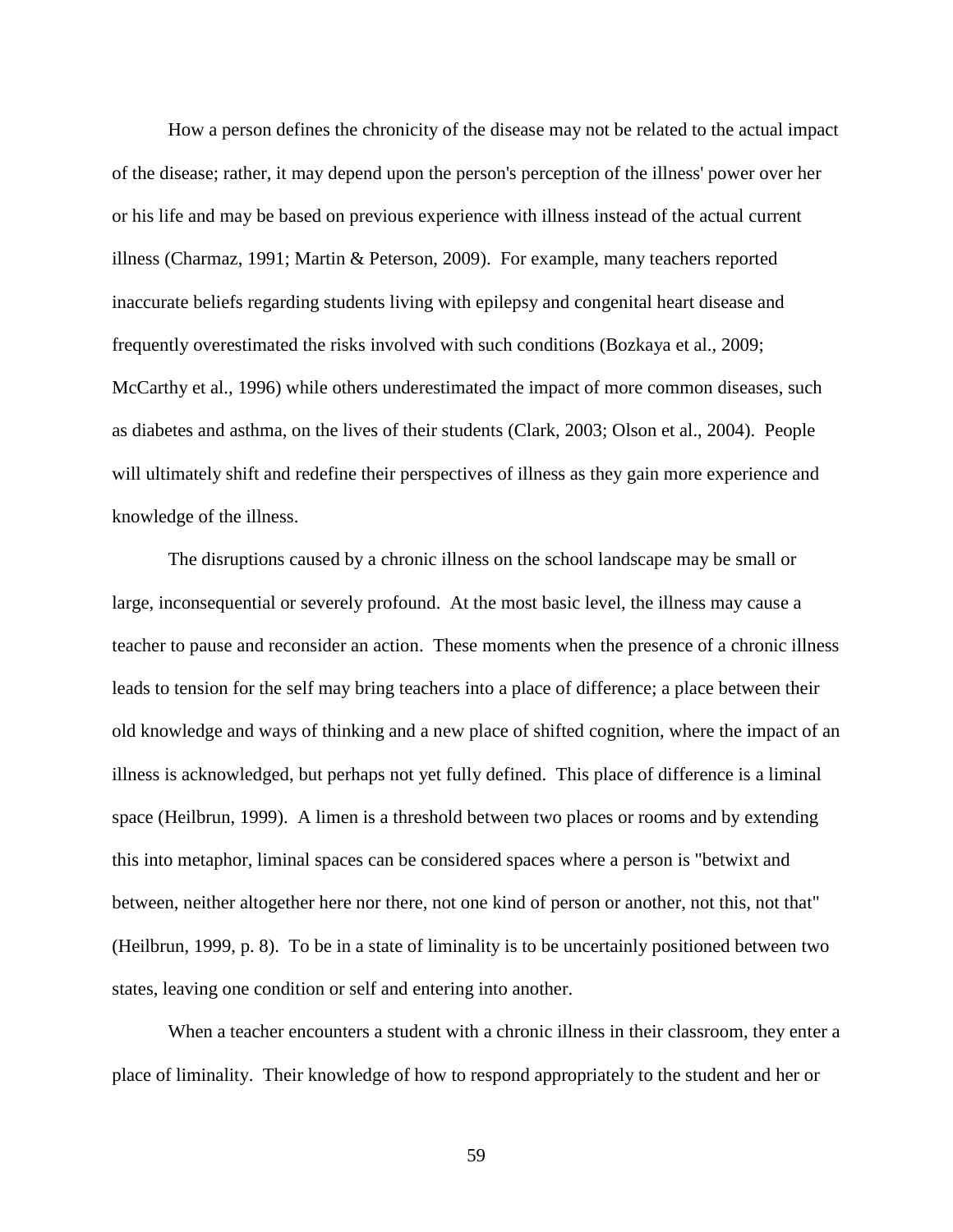How a person defines the chronicity of the disease may not be related to the actual impact of the disease; rather, it may depend upon the person's perception of the illness' power over her or his life and may be based on previous experience with illness instead of the actual current illness [\(Charmaz, 1991;](#page-104-6) [Martin & Peterson, 2009\)](#page-108-6). For example, many teachers reported inaccurate beliefs regarding students living with epilepsy and congenital heart disease and frequently overestimated the risks involved with such conditions [\(Bozkaya et al., 2009;](#page-102-2) [McCarthy et](#page-109-0) al., 1996) while others underestimated the impact of more common diseases, such as diabetes and asthma, on the lives of their students [\(Clark, 2003;](#page-105-5) [Olson et al., 2004\)](#page-110-4). People will ultimately shift and redefine their perspectives of illness as they gain more experience and knowledge of the illness.

The disruptions caused by a chronic illness on the school landscape may be small or large, inconsequential or severely profound. At the most basic level, the illness may cause a teacher to pause and reconsider an action. These moments when the presence of a chronic illness leads to tension for the self may bring teachers into a place of difference; a place between their old knowledge and ways of thinking and a new place of shifted cognition, where the impact of an illness is acknowledged, but perhaps not yet fully defined. This place of difference is a liminal space [\(Heilbrun, 1999\)](#page-107-2). A limen is a threshold between two places or rooms and by extending this into metaphor, liminal spaces can be considered spaces where a person is "betwixt and between, neither altogether here nor there, not one kind of person or another, not this, not that" [\(Heilbrun, 1999, p. 8\)](#page-107-2). To be in a state of liminality is to be uncertainly positioned between two states, leaving one condition or self and entering into another.

When a teacher encounters a student with a chronic illness in their classroom, they enter a place of liminality. Their knowledge of how to respond appropriately to the student and her or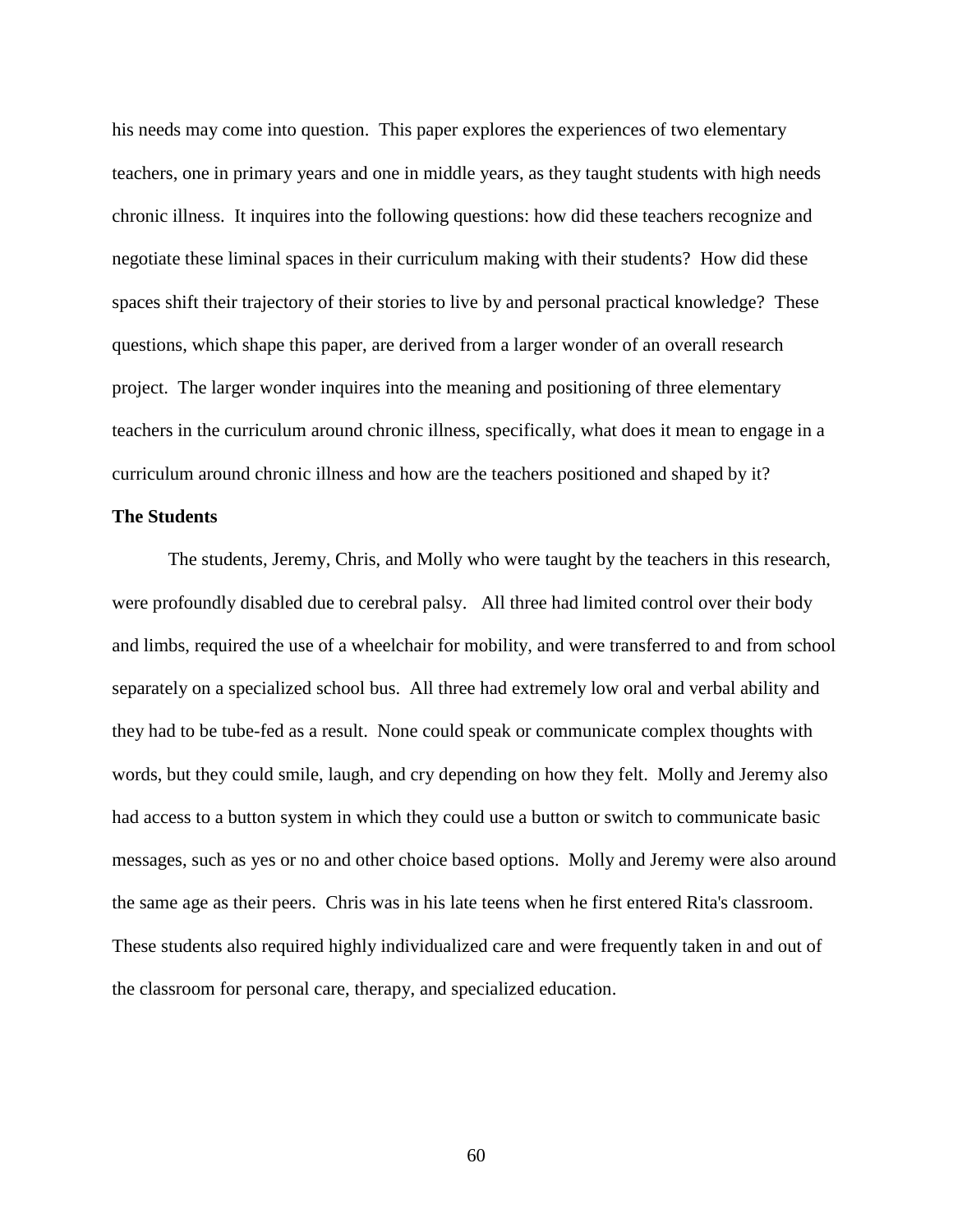his needs may come into question. This paper explores the experiences of two elementary teachers, one in primary years and one in middle years, as they taught students with high needs chronic illness. It inquires into the following questions: how did these teachers recognize and negotiate these liminal spaces in their curriculum making with their students? How did these spaces shift their trajectory of their stories to live by and personal practical knowledge? These questions, which shape this paper, are derived from a larger wonder of an overall research project. The larger wonder inquires into the meaning and positioning of three elementary teachers in the curriculum around chronic illness, specifically, what does it mean to engage in a curriculum around chronic illness and how are the teachers positioned and shaped by it?

# **The Students**

The students, Jeremy, Chris, and Molly who were taught by the teachers in this research, were profoundly disabled due to cerebral palsy. All three had limited control over their body and limbs, required the use of a wheelchair for mobility, and were transferred to and from school separately on a specialized school bus. All three had extremely low oral and verbal ability and they had to be tube-fed as a result. None could speak or communicate complex thoughts with words, but they could smile, laugh, and cry depending on how they felt. Molly and Jeremy also had access to a button system in which they could use a button or switch to communicate basic messages, such as yes or no and other choice based options. Molly and Jeremy were also around the same age as their peers. Chris was in his late teens when he first entered Rita's classroom. These students also required highly individualized care and were frequently taken in and out of the classroom for personal care, therapy, and specialized education.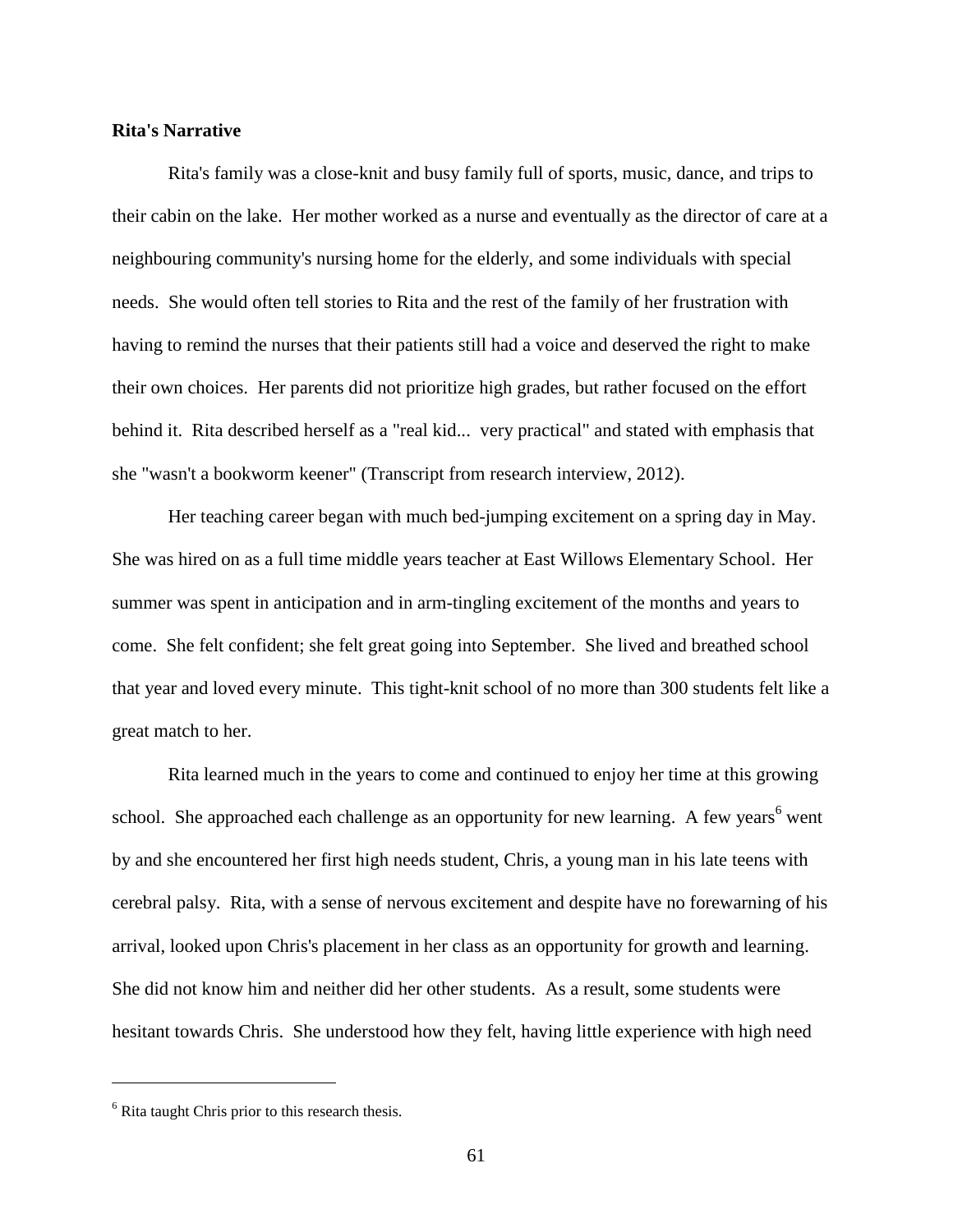# **Rita's Narrative**

Rita's family was a close-knit and busy family full of sports, music, dance, and trips to their cabin on the lake. Her mother worked as a nurse and eventually as the director of care at a neighbouring community's nursing home for the elderly, and some individuals with special needs. She would often tell stories to Rita and the rest of the family of her frustration with having to remind the nurses that their patients still had a voice and deserved the right to make their own choices. Her parents did not prioritize high grades, but rather focused on the effort behind it. Rita described herself as a "real kid... very practical" and stated with emphasis that she "wasn't a bookworm keener" (Transcript from research interview, 2012).

Her teaching career began with much bed-jumping excitement on a spring day in May. She was hired on as a full time middle years teacher at East Willows Elementary School. Her summer was spent in anticipation and in arm-tingling excitement of the months and years to come. She felt confident; she felt great going into September. She lived and breathed school that year and loved every minute. This tight-knit school of no more than 300 students felt like a great match to her.

Rita learned much in the years to come and continued to enjoy her time at this growing school. She approached each challenge as an opportunity for new learning. A few years<sup>6</sup> went by and she encountered her first high needs student, Chris, a young man in his late teens with cerebral palsy. Rita, with a sense of nervous excitement and despite have no forewarning of his arrival, looked upon Chris's placement in her class as an opportunity for growth and learning. She did not know him and neither did her other students. As a result, some students were hesitant towards Chris. She understood how they felt, having little experience with high need

 $\overline{a}$ 

 $<sup>6</sup>$  Rita taught Chris prior to this research thesis.</sup>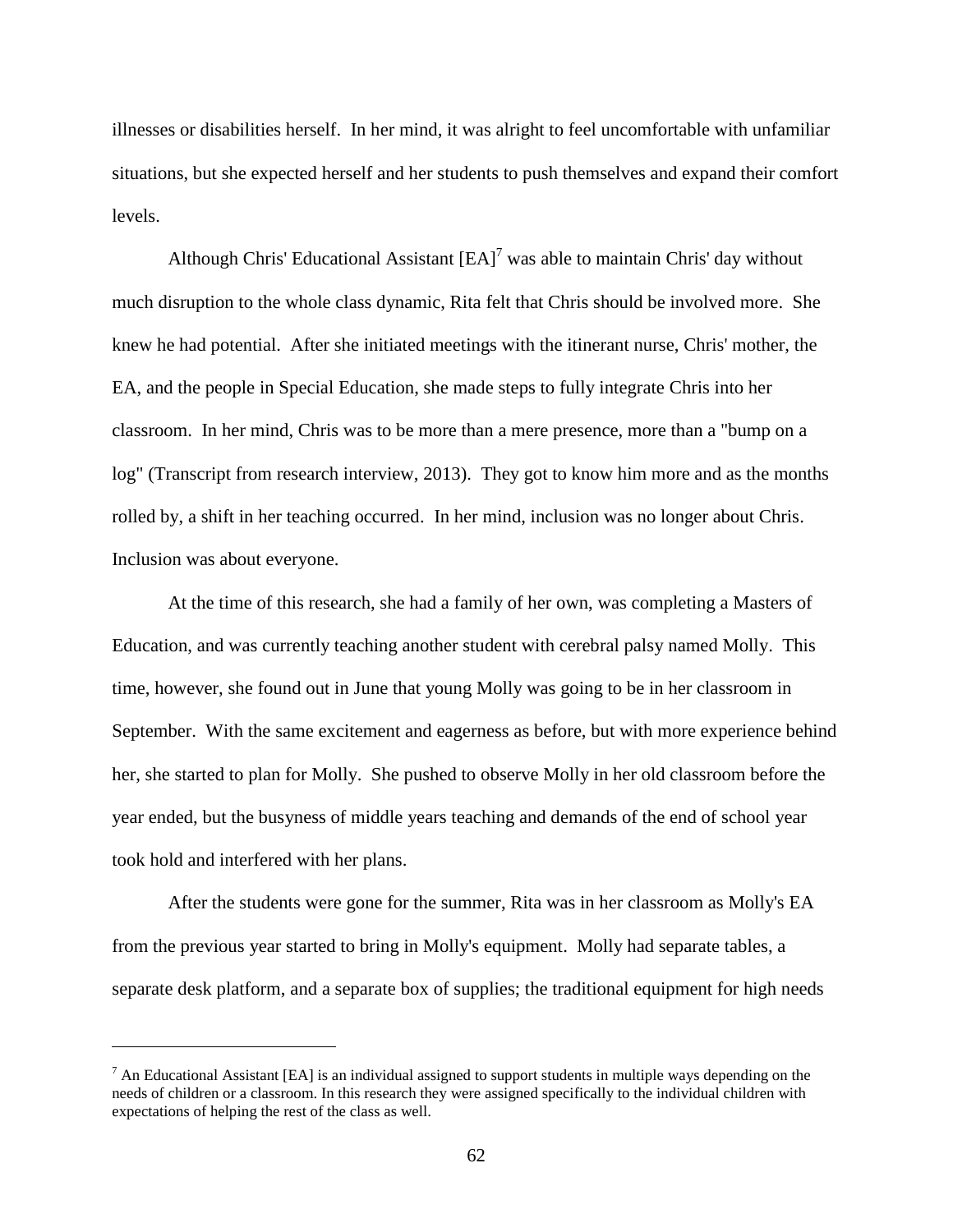illnesses or disabilities herself. In her mind, it was alright to feel uncomfortable with unfamiliar situations, but she expected herself and her students to push themselves and expand their comfort levels.

Although Chris' Educational Assistant  $[EA]^7$  was able to maintain Chris' day without much disruption to the whole class dynamic, Rita felt that Chris should be involved more. She knew he had potential. After she initiated meetings with the itinerant nurse, Chris' mother, the EA, and the people in Special Education, she made steps to fully integrate Chris into her classroom. In her mind, Chris was to be more than a mere presence, more than a "bump on a log" (Transcript from research interview, 2013). They got to know him more and as the months rolled by, a shift in her teaching occurred. In her mind, inclusion was no longer about Chris. Inclusion was about everyone.

At the time of this research, she had a family of her own, was completing a Masters of Education, and was currently teaching another student with cerebral palsy named Molly. This time, however, she found out in June that young Molly was going to be in her classroom in September. With the same excitement and eagerness as before, but with more experience behind her, she started to plan for Molly. She pushed to observe Molly in her old classroom before the year ended, but the busyness of middle years teaching and demands of the end of school year took hold and interfered with her plans.

After the students were gone for the summer, Rita was in her classroom as Molly's EA from the previous year started to bring in Molly's equipment. Molly had separate tables, a separate desk platform, and a separate box of supplies; the traditional equipment for high needs

 $\overline{a}$ 

 $<sup>7</sup>$  An Educational Assistant [EA] is an individual assigned to support students in multiple ways depending on the</sup> needs of children or a classroom. In this research they were assigned specifically to the individual children with expectations of helping the rest of the class as well.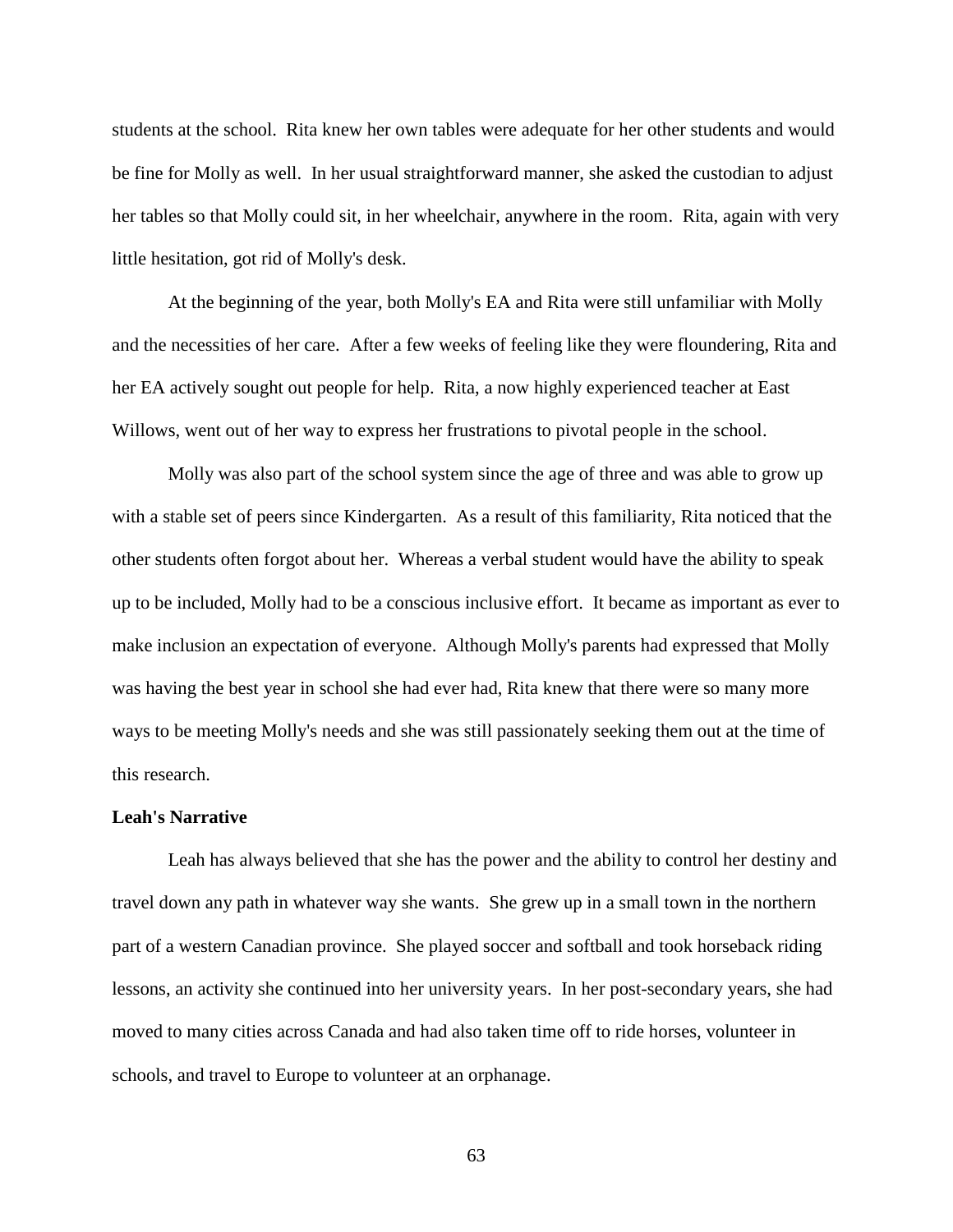students at the school. Rita knew her own tables were adequate for her other students and would be fine for Molly as well. In her usual straightforward manner, she asked the custodian to adjust her tables so that Molly could sit, in her wheelchair, anywhere in the room. Rita, again with very little hesitation, got rid of Molly's desk.

At the beginning of the year, both Molly's EA and Rita were still unfamiliar with Molly and the necessities of her care. After a few weeks of feeling like they were floundering, Rita and her EA actively sought out people for help. Rita, a now highly experienced teacher at East Willows, went out of her way to express her frustrations to pivotal people in the school.

Molly was also part of the school system since the age of three and was able to grow up with a stable set of peers since Kindergarten. As a result of this familiarity, Rita noticed that the other students often forgot about her. Whereas a verbal student would have the ability to speak up to be included, Molly had to be a conscious inclusive effort. It became as important as ever to make inclusion an expectation of everyone. Although Molly's parents had expressed that Molly was having the best year in school she had ever had, Rita knew that there were so many more ways to be meeting Molly's needs and she was still passionately seeking them out at the time of this research.

## **Leah's Narrative**

Leah has always believed that she has the power and the ability to control her destiny and travel down any path in whatever way she wants. She grew up in a small town in the northern part of a western Canadian province. She played soccer and softball and took horseback riding lessons, an activity she continued into her university years. In her post-secondary years, she had moved to many cities across Canada and had also taken time off to ride horses, volunteer in schools, and travel to Europe to volunteer at an orphanage.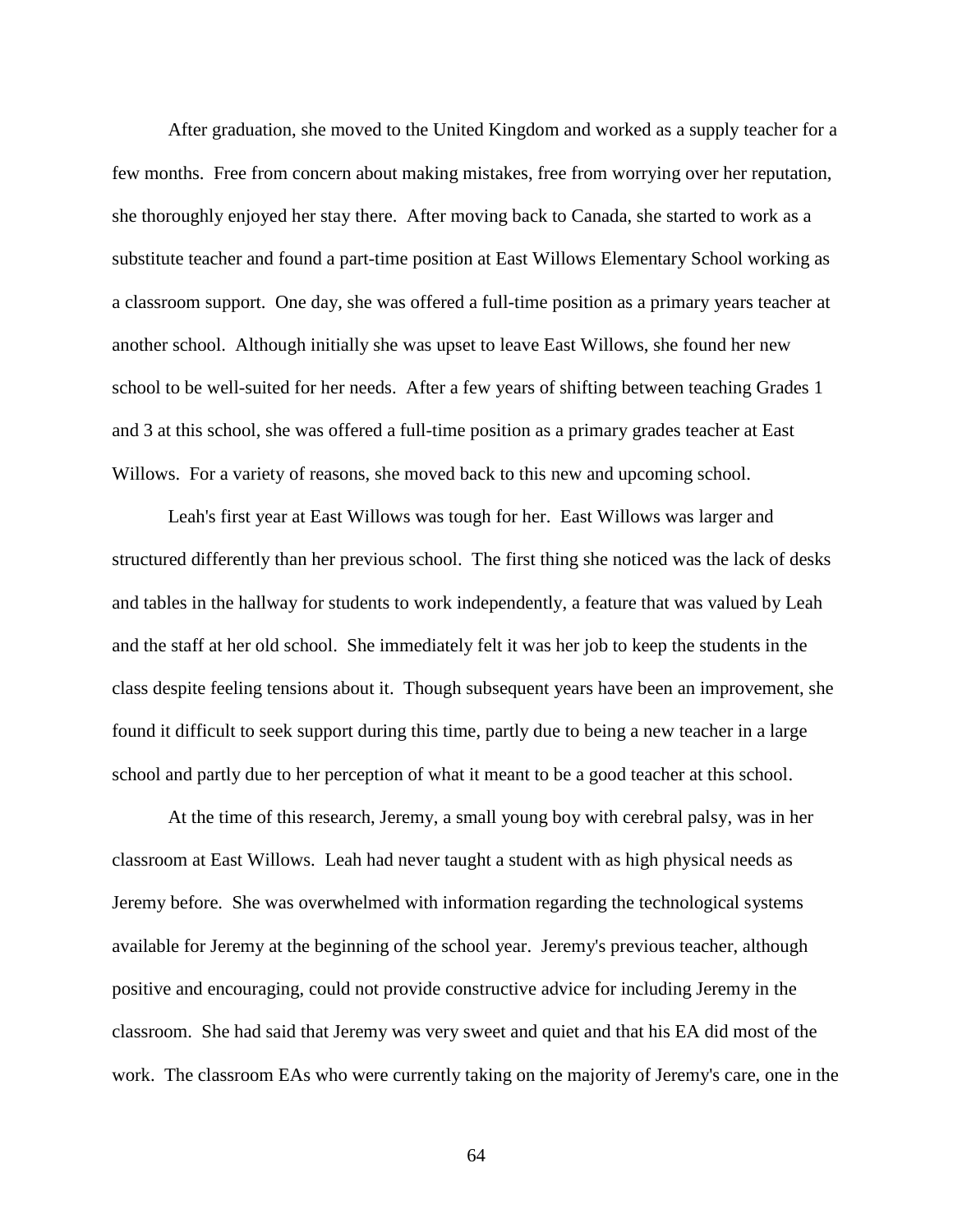After graduation, she moved to the United Kingdom and worked as a supply teacher for a few months. Free from concern about making mistakes, free from worrying over her reputation, she thoroughly enjoyed her stay there. After moving back to Canada, she started to work as a substitute teacher and found a part-time position at East Willows Elementary School working as a classroom support. One day, she was offered a full-time position as a primary years teacher at another school. Although initially she was upset to leave East Willows, she found her new school to be well-suited for her needs. After a few years of shifting between teaching Grades 1 and 3 at this school, she was offered a full-time position as a primary grades teacher at East Willows. For a variety of reasons, she moved back to this new and upcoming school.

Leah's first year at East Willows was tough for her. East Willows was larger and structured differently than her previous school. The first thing she noticed was the lack of desks and tables in the hallway for students to work independently, a feature that was valued by Leah and the staff at her old school. She immediately felt it was her job to keep the students in the class despite feeling tensions about it. Though subsequent years have been an improvement, she found it difficult to seek support during this time, partly due to being a new teacher in a large school and partly due to her perception of what it meant to be a good teacher at this school.

At the time of this research, Jeremy, a small young boy with cerebral palsy, was in her classroom at East Willows. Leah had never taught a student with as high physical needs as Jeremy before. She was overwhelmed with information regarding the technological systems available for Jeremy at the beginning of the school year. Jeremy's previous teacher, although positive and encouraging, could not provide constructive advice for including Jeremy in the classroom. She had said that Jeremy was very sweet and quiet and that his EA did most of the work. The classroom EAs who were currently taking on the majority of Jeremy's care, one in the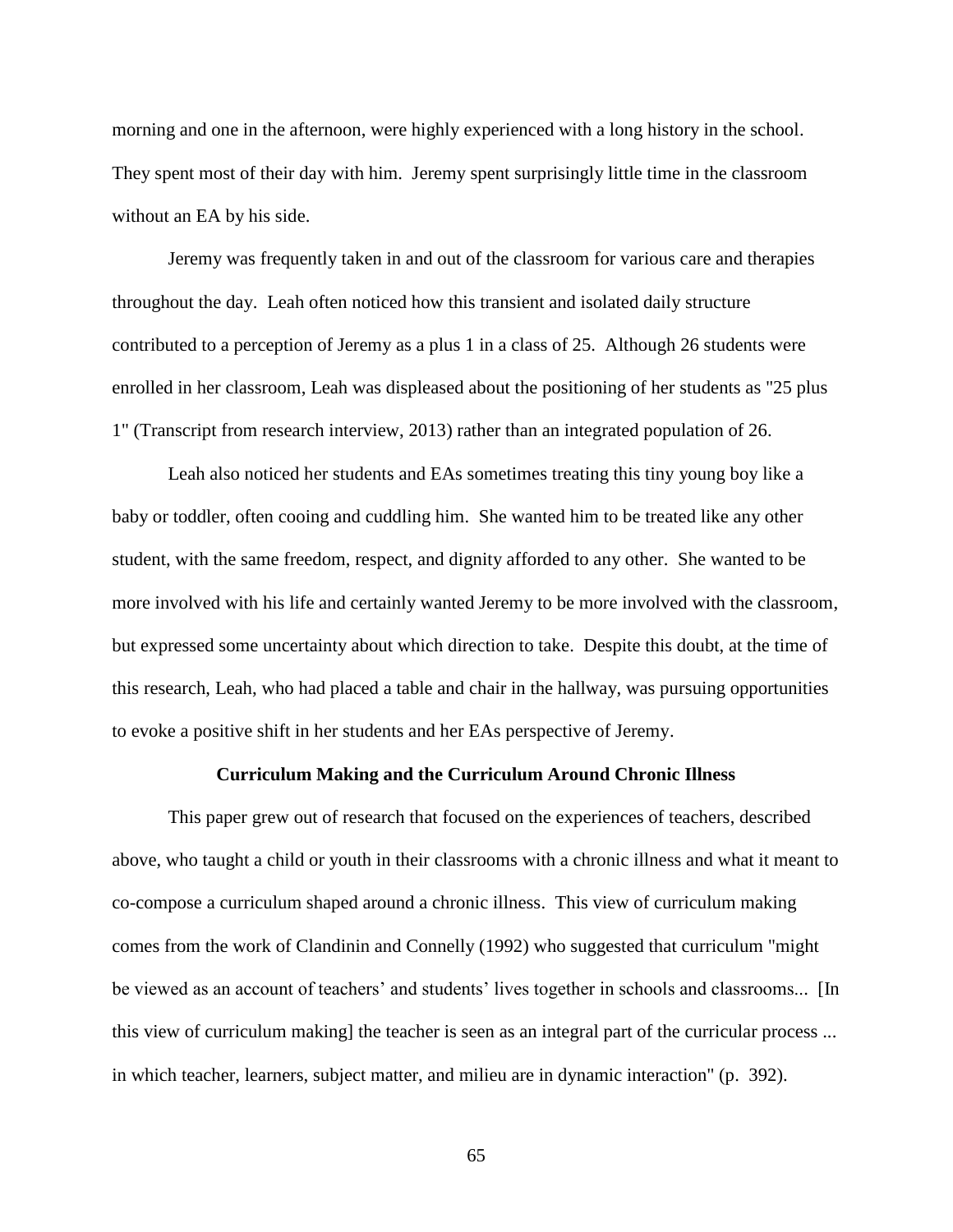morning and one in the afternoon, were highly experienced with a long history in the school. They spent most of their day with him. Jeremy spent surprisingly little time in the classroom without an EA by his side.

Jeremy was frequently taken in and out of the classroom for various care and therapies throughout the day. Leah often noticed how this transient and isolated daily structure contributed to a perception of Jeremy as a plus 1 in a class of 25. Although 26 students were enrolled in her classroom, Leah was displeased about the positioning of her students as "25 plus 1" (Transcript from research interview, 2013) rather than an integrated population of 26.

Leah also noticed her students and EAs sometimes treating this tiny young boy like a baby or toddler, often cooing and cuddling him. She wanted him to be treated like any other student, with the same freedom, respect, and dignity afforded to any other. She wanted to be more involved with his life and certainly wanted Jeremy to be more involved with the classroom, but expressed some uncertainty about which direction to take. Despite this doubt, at the time of this research, Leah, who had placed a table and chair in the hallway, was pursuing opportunities to evoke a positive shift in her students and her EAs perspective of Jeremy.

#### **Curriculum Making and the Curriculum Around Chronic Illness**

This paper grew out of research that focused on the experiences of teachers, described above, who taught a child or youth in their classrooms with a chronic illness and what it meant to co-compose a curriculum shaped around a chronic illness. This view of curriculum making comes from the work of [Clandinin and Connelly \(1992\)](#page-104-0) who suggested that curriculum "might be viewed as an account of teachers' and students' lives together in schools and classrooms... [In this view of curriculum making] the teacher is seen as an integral part of the curricular process ... in which teacher, learners, subject matter, and milieu are in dynamic interaction" (p. 392).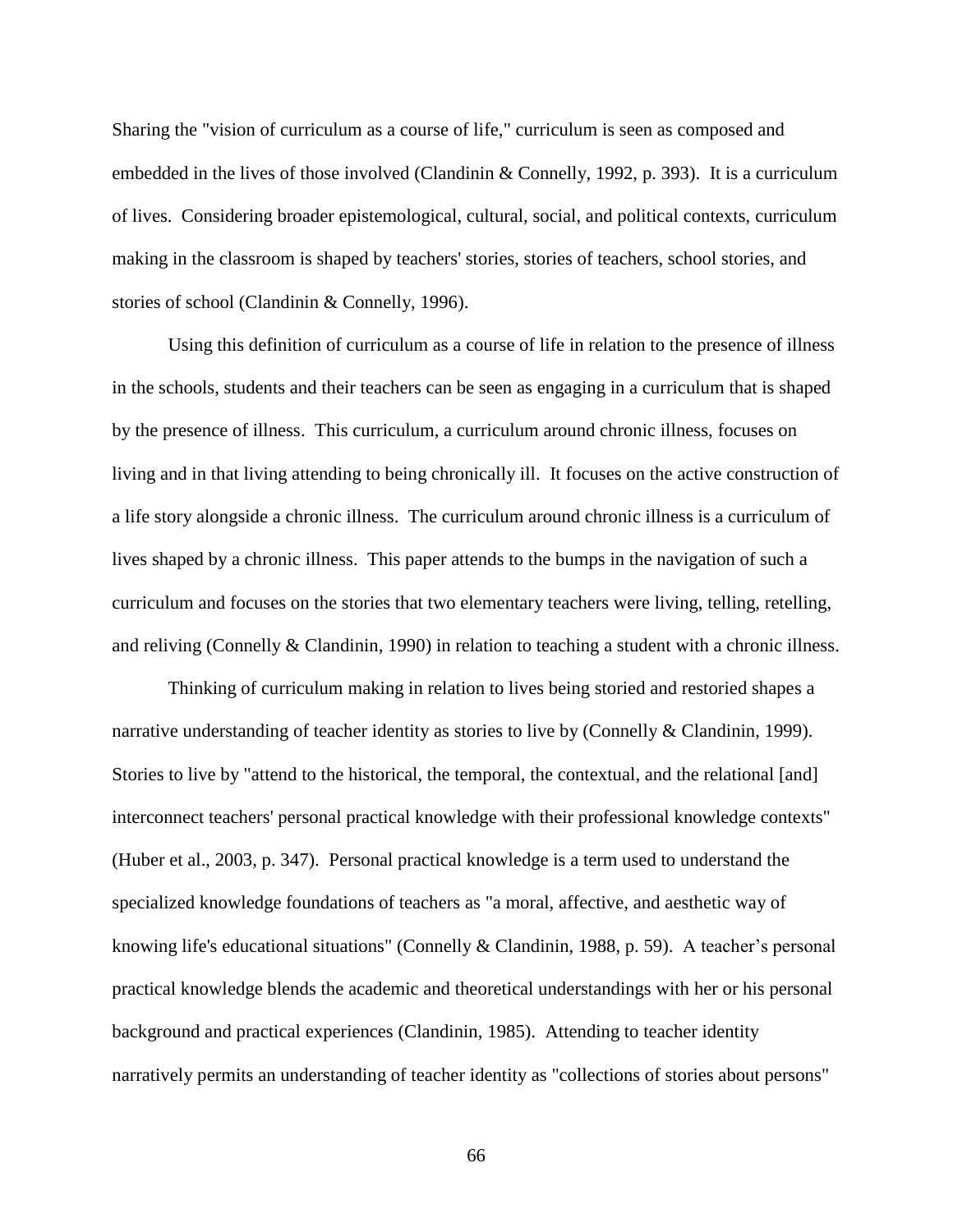Sharing the "vision of curriculum as a course of life," curriculum is seen as composed and embedded in the lives of those involved [\(Clandinin & Connelly, 1992, p. 393\)](#page-104-0). It is a curriculum of lives. Considering broader epistemological, cultural, social, and political contexts, curriculum making in the classroom is shaped by teachers' stories, stories of teachers, school stories, and stories of school [\(Clandinin & Connelly, 1996\)](#page-104-2).

Using this definition of curriculum as a course of life in relation to the presence of illness in the schools, students and their teachers can be seen as engaging in a curriculum that is shaped by the presence of illness. This curriculum, a curriculum around chronic illness, focuses on living and in that living attending to being chronically ill. It focuses on the active construction of a life story alongside a chronic illness. The curriculum around chronic illness is a curriculum of lives shaped by a chronic illness. This paper attends to the bumps in the navigation of such a curriculum and focuses on the stories that two elementary teachers were living, telling, retelling, and reliving [\(Connelly & Clandinin, 1990\)](#page-105-0) in relation to teaching a student with a chronic illness.

Thinking of curriculum making in relation to lives being storied and restoried shapes a narrative understanding of teacher identity as stories to live by [\(Connelly & Clandinin, 1999\)](#page-105-1). Stories to live by "attend to the historical, the temporal, the contextual, and the relational [and] interconnect teachers' personal practical knowledge with their professional knowledge contexts" [\(Huber et al., 2003, p. 347\)](#page-107-0). Personal practical knowledge is a term used to understand the specialized knowledge foundations of teachers as "a moral, affective, and aesthetic way of knowing life's educational situations" [\(Connelly & Clandinin, 1988, p. 59\)](#page-105-2). A teacher's personal practical knowledge blends the academic and theoretical understandings with her or his personal background and practical experiences [\(Clandinin, 1985\)](#page-104-3). Attending to teacher identity narratively permits an understanding of teacher identity as "collections of stories about persons"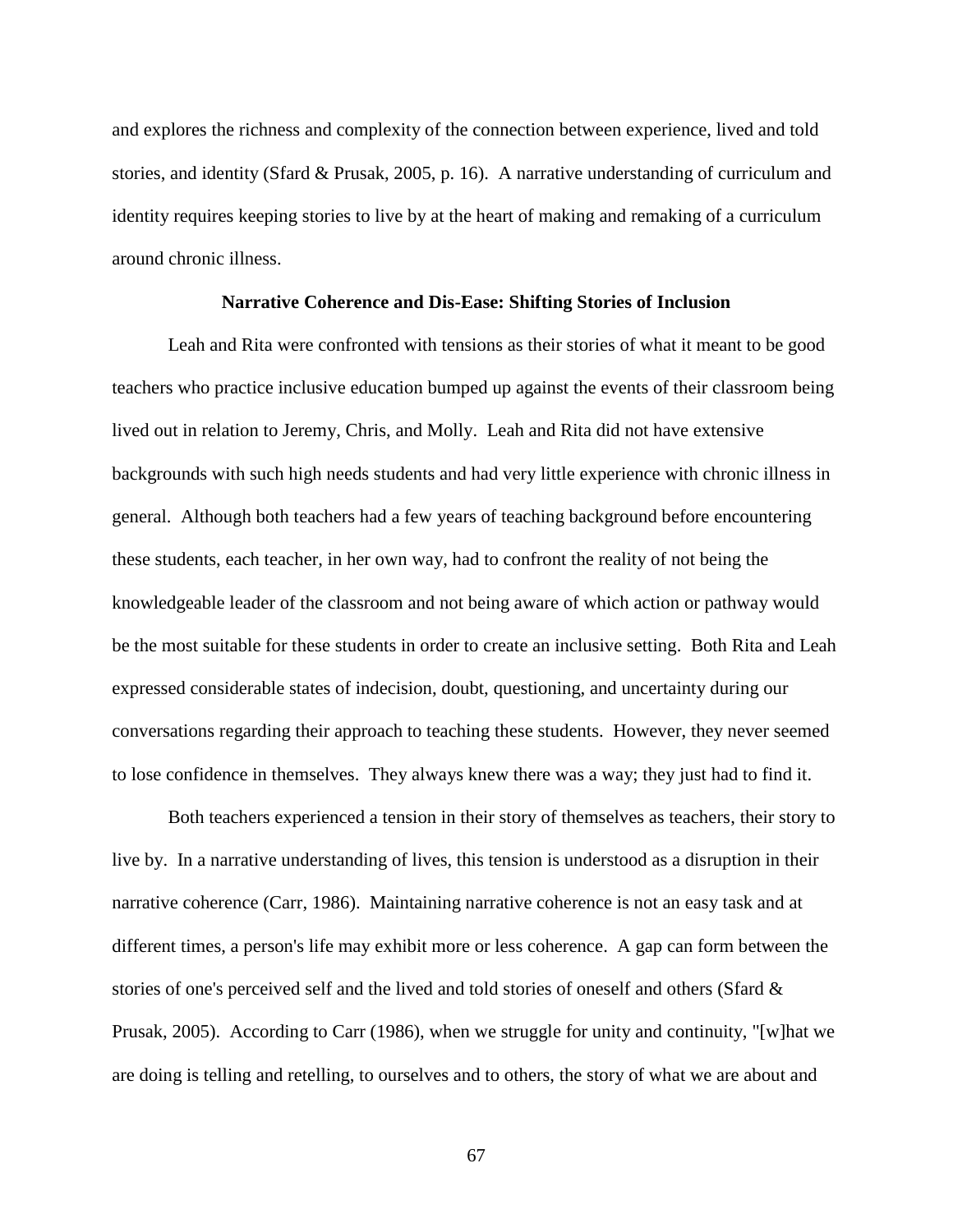and explores the richness and complexity of the connection between experience, lived and told stories, and identity [\(Sfard & Prusak, 2005, p. 16\)](#page-112-0). A narrative understanding of curriculum and identity requires keeping stories to live by at the heart of making and remaking of a curriculum around chronic illness.

### **Narrative Coherence and Dis-Ease: Shifting Stories of Inclusion**

Leah and Rita were confronted with tensions as their stories of what it meant to be good teachers who practice inclusive education bumped up against the events of their classroom being lived out in relation to Jeremy, Chris, and Molly. Leah and Rita did not have extensive backgrounds with such high needs students and had very little experience with chronic illness in general. Although both teachers had a few years of teaching background before encountering these students, each teacher, in her own way, had to confront the reality of not being the knowledgeable leader of the classroom and not being aware of which action or pathway would be the most suitable for these students in order to create an inclusive setting. Both Rita and Leah expressed considerable states of indecision, doubt, questioning, and uncertainty during our conversations regarding their approach to teaching these students. However, they never seemed to lose confidence in themselves. They always knew there was a way; they just had to find it.

Both teachers experienced a tension in their story of themselves as teachers, their story to live by. In a narrative understanding of lives, this tension is understood as a disruption in their narrative coherence [\(Carr, 1986\)](#page-103-0). Maintaining narrative coherence is not an easy task and at different times, a person's life may exhibit more or less coherence. A gap can form between the stories of one's perceived self and the lived and told stories of oneself and others [\(Sfard &](#page-112-0)  [Prusak, 2005\)](#page-112-0). According to [Carr \(1986\)](#page-103-0), when we struggle for unity and continuity, "[w]hat we are doing is telling and retelling, to ourselves and to others, the story of what we are about and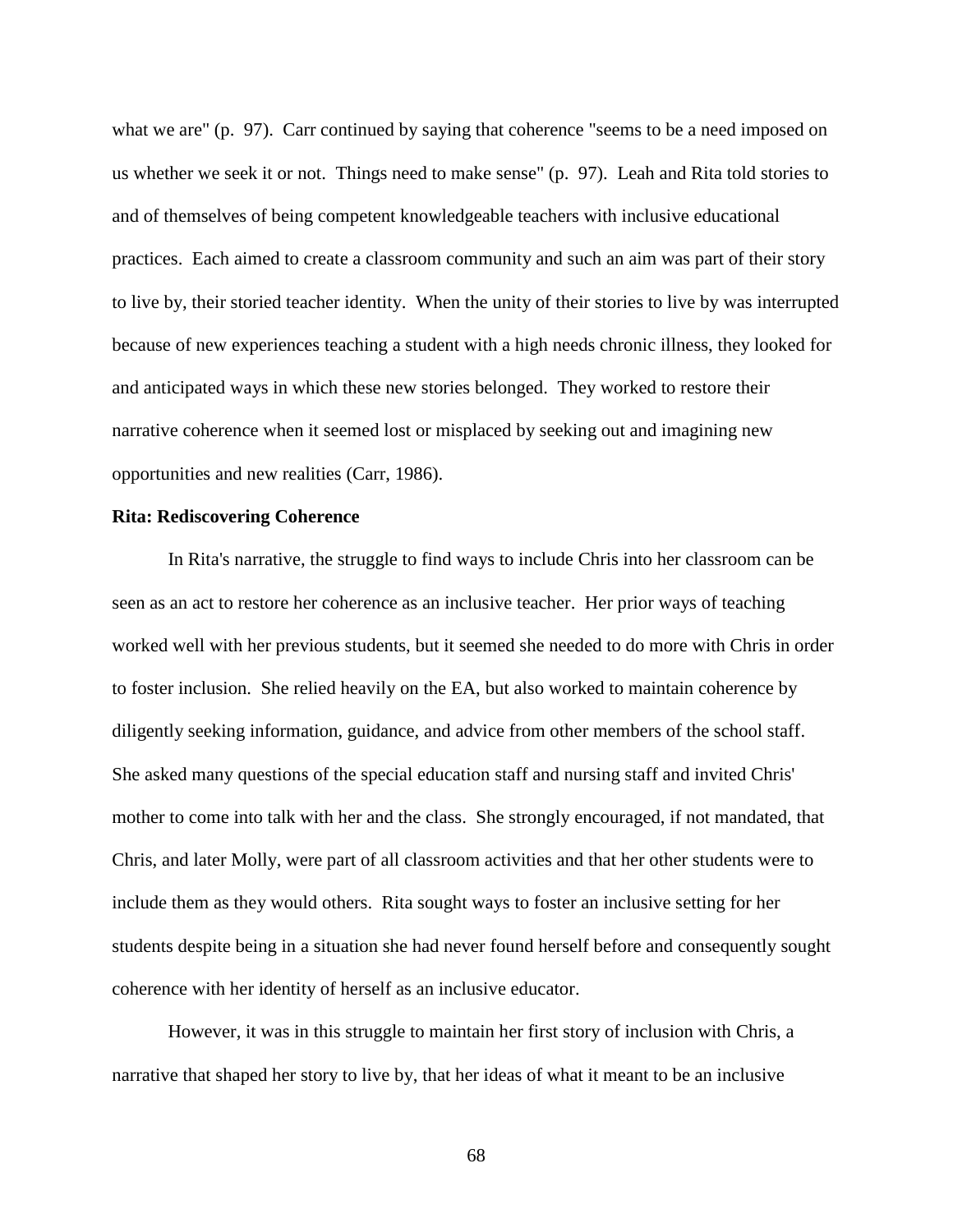what we are" (p. 97). Carr continued by saying that coherence "seems to be a need imposed on us whether we seek it or not. Things need to make sense" (p. 97). Leah and Rita told stories to and of themselves of being competent knowledgeable teachers with inclusive educational practices. Each aimed to create a classroom community and such an aim was part of their story to live by, their storied teacher identity. When the unity of their stories to live by was interrupted because of new experiences teaching a student with a high needs chronic illness, they looked for and anticipated ways in which these new stories belonged. They worked to restore their narrative coherence when it seemed lost or misplaced by seeking out and imagining new opportunities and new realities [\(Carr, 1986\)](#page-103-0).

#### **Rita: Rediscovering Coherence**

In Rita's narrative, the struggle to find ways to include Chris into her classroom can be seen as an act to restore her coherence as an inclusive teacher. Her prior ways of teaching worked well with her previous students, but it seemed she needed to do more with Chris in order to foster inclusion. She relied heavily on the EA, but also worked to maintain coherence by diligently seeking information, guidance, and advice from other members of the school staff. She asked many questions of the special education staff and nursing staff and invited Chris' mother to come into talk with her and the class. She strongly encouraged, if not mandated, that Chris, and later Molly, were part of all classroom activities and that her other students were to include them as they would others. Rita sought ways to foster an inclusive setting for her students despite being in a situation she had never found herself before and consequently sought coherence with her identity of herself as an inclusive educator.

However, it was in this struggle to maintain her first story of inclusion with Chris, a narrative that shaped her story to live by, that her ideas of what it meant to be an inclusive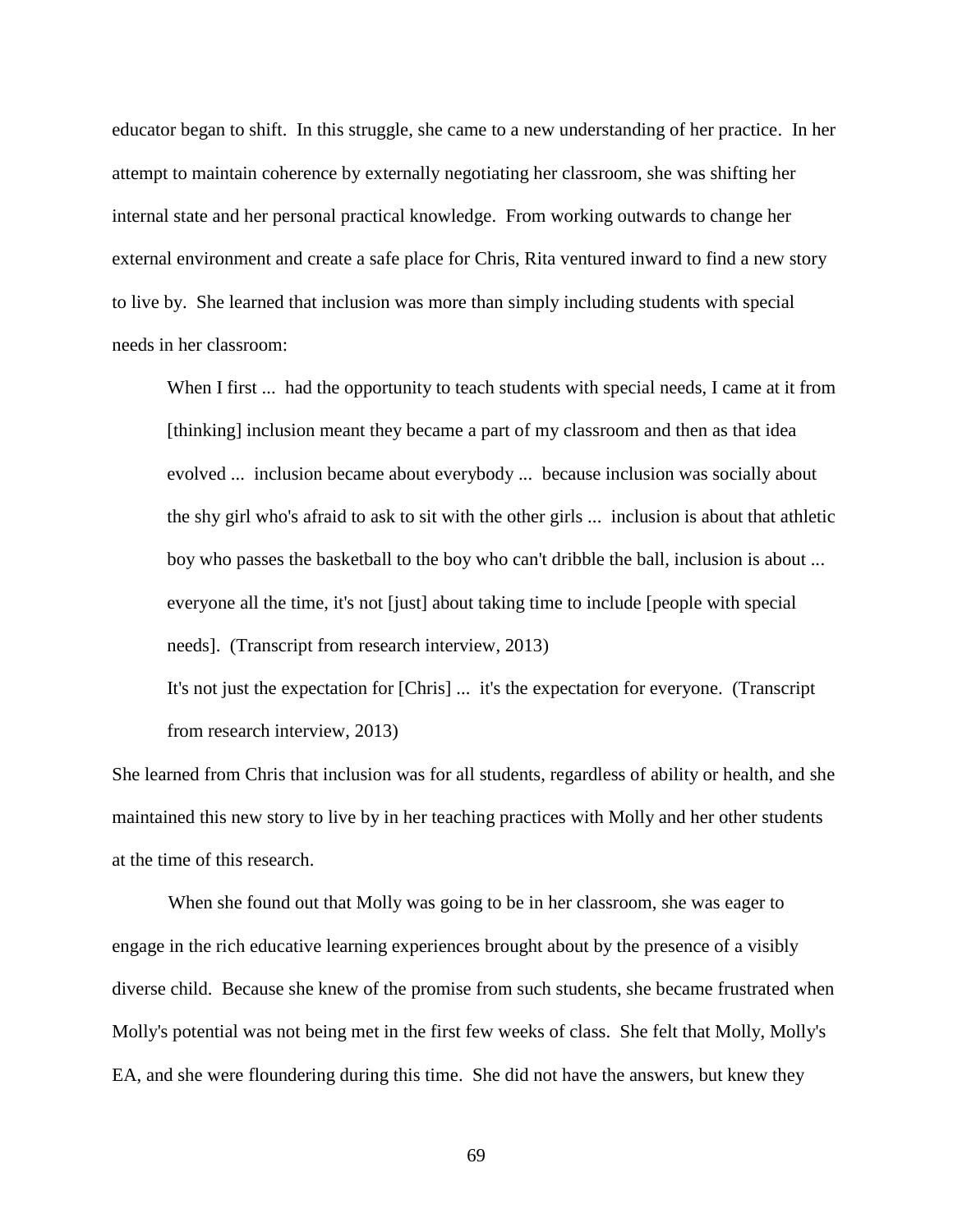educator began to shift. In this struggle, she came to a new understanding of her practice. In her attempt to maintain coherence by externally negotiating her classroom, she was shifting her internal state and her personal practical knowledge. From working outwards to change her external environment and create a safe place for Chris, Rita ventured inward to find a new story to live by. She learned that inclusion was more than simply including students with special needs in her classroom:

When I first ... had the opportunity to teach students with special needs, I came at it from [thinking] inclusion meant they became a part of my classroom and then as that idea evolved ... inclusion became about everybody ... because inclusion was socially about the shy girl who's afraid to ask to sit with the other girls ... inclusion is about that athletic boy who passes the basketball to the boy who can't dribble the ball, inclusion is about ... everyone all the time, it's not [just] about taking time to include [people with special needs]. (Transcript from research interview, 2013)

It's not just the expectation for [Chris] ... it's the expectation for everyone. (Transcript from research interview, 2013)

She learned from Chris that inclusion was for all students, regardless of ability or health, and she maintained this new story to live by in her teaching practices with Molly and her other students at the time of this research.

When she found out that Molly was going to be in her classroom, she was eager to engage in the rich educative learning experiences brought about by the presence of a visibly diverse child. Because she knew of the promise from such students, she became frustrated when Molly's potential was not being met in the first few weeks of class. She felt that Molly, Molly's EA, and she were floundering during this time. She did not have the answers, but knew they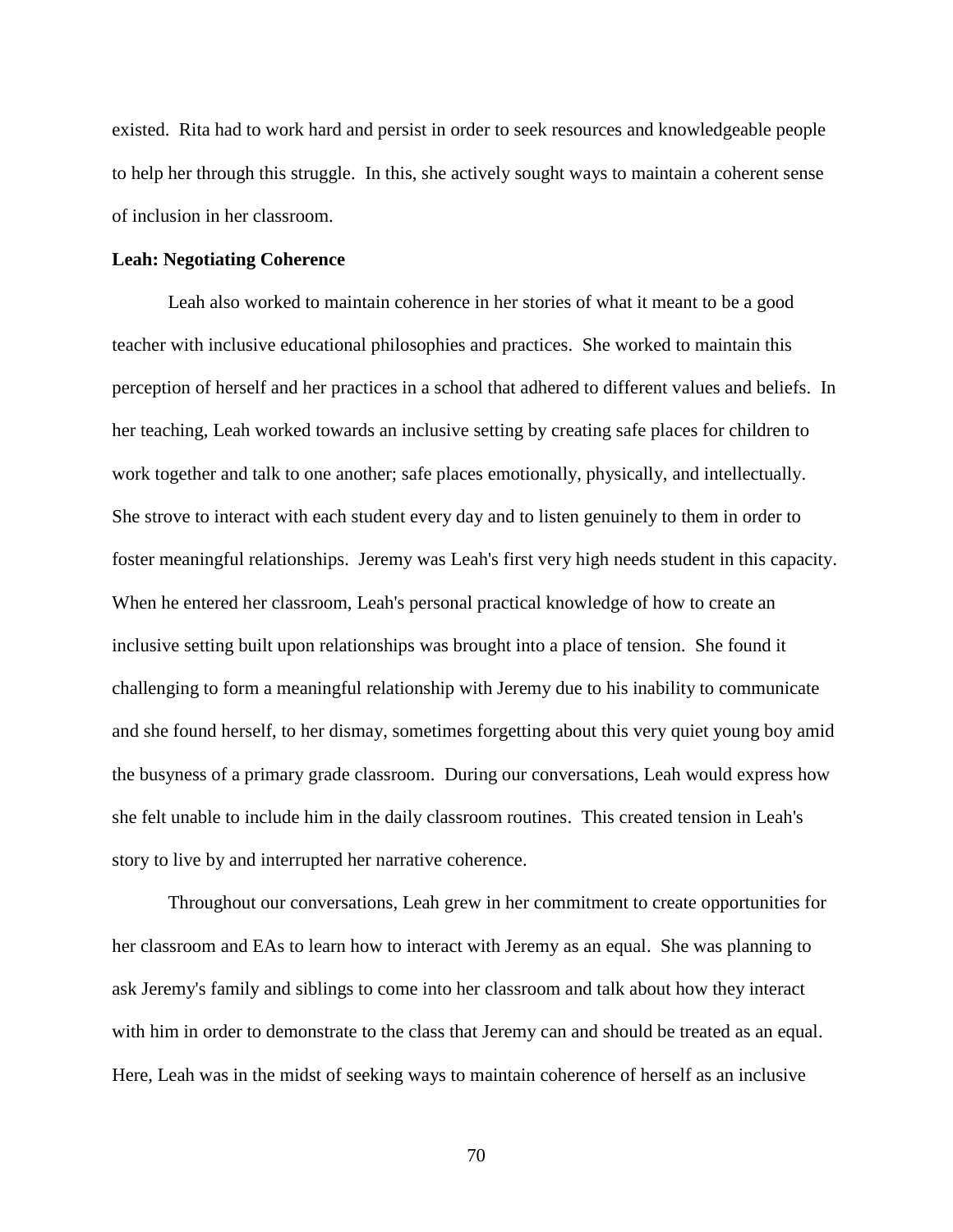existed. Rita had to work hard and persist in order to seek resources and knowledgeable people to help her through this struggle. In this, she actively sought ways to maintain a coherent sense of inclusion in her classroom.

### **Leah: Negotiating Coherence**

Leah also worked to maintain coherence in her stories of what it meant to be a good teacher with inclusive educational philosophies and practices. She worked to maintain this perception of herself and her practices in a school that adhered to different values and beliefs. In her teaching, Leah worked towards an inclusive setting by creating safe places for children to work together and talk to one another; safe places emotionally, physically, and intellectually. She strove to interact with each student every day and to listen genuinely to them in order to foster meaningful relationships. Jeremy was Leah's first very high needs student in this capacity. When he entered her classroom, Leah's personal practical knowledge of how to create an inclusive setting built upon relationships was brought into a place of tension. She found it challenging to form a meaningful relationship with Jeremy due to his inability to communicate and she found herself, to her dismay, sometimes forgetting about this very quiet young boy amid the busyness of a primary grade classroom. During our conversations, Leah would express how she felt unable to include him in the daily classroom routines. This created tension in Leah's story to live by and interrupted her narrative coherence.

Throughout our conversations, Leah grew in her commitment to create opportunities for her classroom and EAs to learn how to interact with Jeremy as an equal. She was planning to ask Jeremy's family and siblings to come into her classroom and talk about how they interact with him in order to demonstrate to the class that Jeremy can and should be treated as an equal. Here, Leah was in the midst of seeking ways to maintain coherence of herself as an inclusive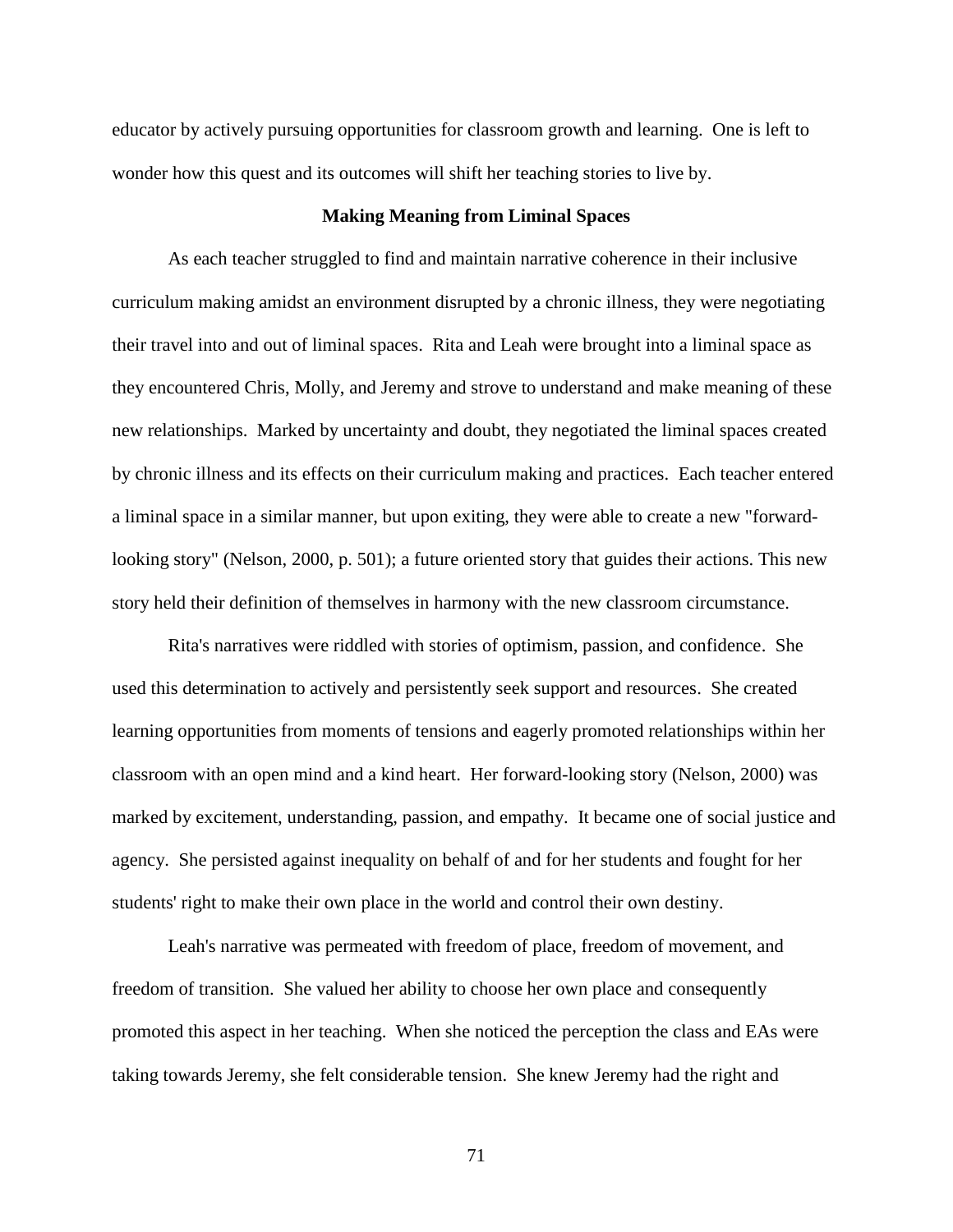educator by actively pursuing opportunities for classroom growth and learning. One is left to wonder how this quest and its outcomes will shift her teaching stories to live by.

### **Making Meaning from Liminal Spaces**

As each teacher struggled to find and maintain narrative coherence in their inclusive curriculum making amidst an environment disrupted by a chronic illness, they were negotiating their travel into and out of liminal spaces. Rita and Leah were brought into a liminal space as they encountered Chris, Molly, and Jeremy and strove to understand and make meaning of these new relationships. Marked by uncertainty and doubt, they negotiated the liminal spaces created by chronic illness and its effects on their curriculum making and practices. Each teacher entered a liminal space in a similar manner, but upon exiting, they were able to create a new "forwardlooking story" [\(Nelson, 2000, p. 501\)](#page-110-0); a future oriented story that guides their actions. This new story held their definition of themselves in harmony with the new classroom circumstance.

Rita's narratives were riddled with stories of optimism, passion, and confidence. She used this determination to actively and persistently seek support and resources. She created learning opportunities from moments of tensions and eagerly promoted relationships within her classroom with an open mind and a kind heart. Her forward-looking story [\(Nelson, 2000\)](#page-110-0) was marked by excitement, understanding, passion, and empathy. It became one of social justice and agency. She persisted against inequality on behalf of and for her students and fought for her students' right to make their own place in the world and control their own destiny.

Leah's narrative was permeated with freedom of place, freedom of movement, and freedom of transition. She valued her ability to choose her own place and consequently promoted this aspect in her teaching. When she noticed the perception the class and EAs were taking towards Jeremy, she felt considerable tension. She knew Jeremy had the right and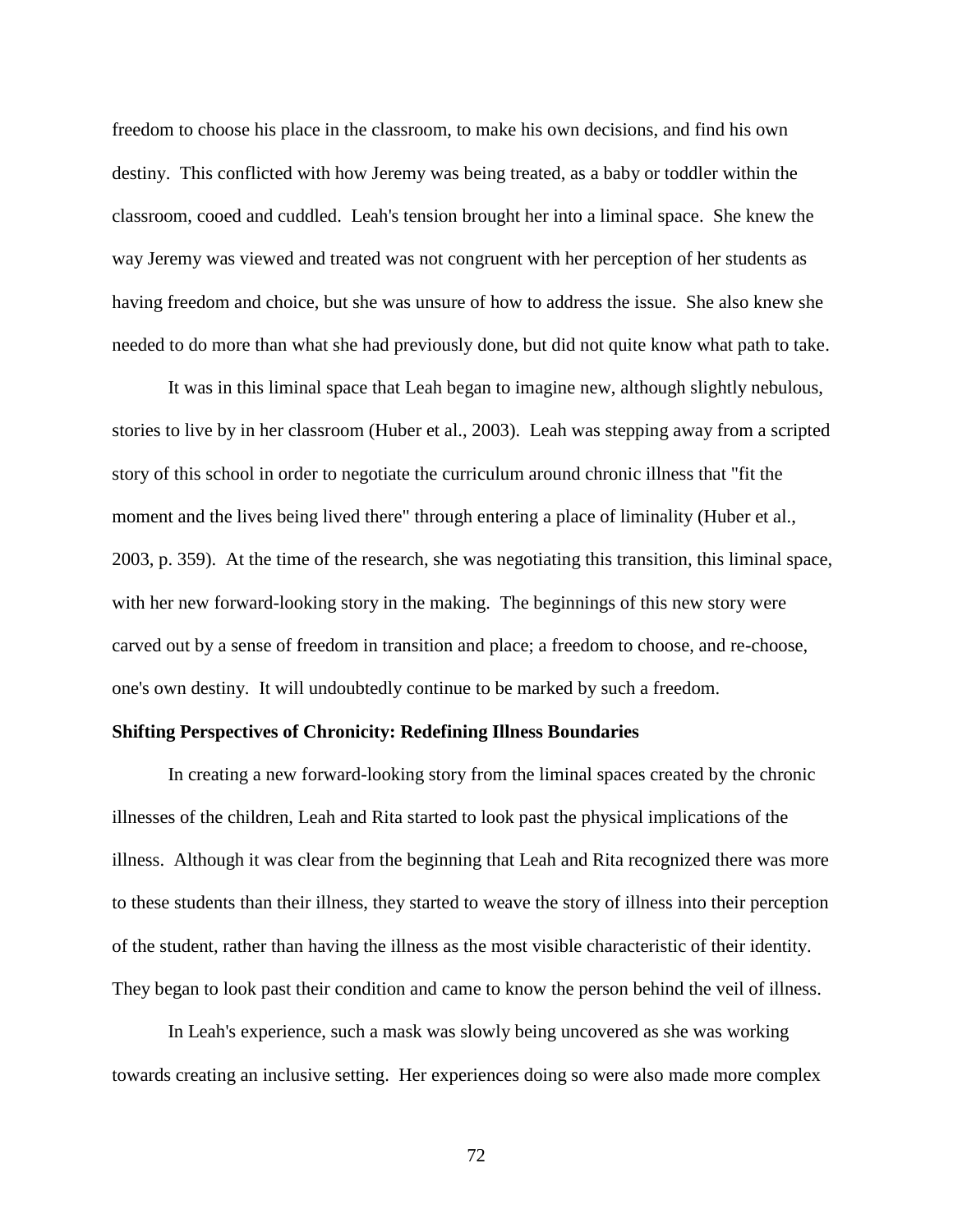freedom to choose his place in the classroom, to make his own decisions, and find his own destiny. This conflicted with how Jeremy was being treated, as a baby or toddler within the classroom, cooed and cuddled. Leah's tension brought her into a liminal space. She knew the way Jeremy was viewed and treated was not congruent with her perception of her students as having freedom and choice, but she was unsure of how to address the issue. She also knew she needed to do more than what she had previously done, but did not quite know what path to take.

It was in this liminal space that Leah began to imagine new, although slightly nebulous, stories to live by in her classroom [\(Huber et al., 2003\)](#page-107-0). Leah was stepping away from a scripted story of this school in order to negotiate the curriculum around chronic illness that "fit the moment and the lives being lived there" through entering a place of liminality [\(Huber et al.,](#page-107-0)  [2003, p. 359\)](#page-107-0). At the time of the research, she was negotiating this transition, this liminal space, with her new forward-looking story in the making. The beginnings of this new story were carved out by a sense of freedom in transition and place; a freedom to choose, and re-choose, one's own destiny. It will undoubtedly continue to be marked by such a freedom.

#### **Shifting Perspectives of Chronicity: Redefining Illness Boundaries**

In creating a new forward-looking story from the liminal spaces created by the chronic illnesses of the children, Leah and Rita started to look past the physical implications of the illness. Although it was clear from the beginning that Leah and Rita recognized there was more to these students than their illness, they started to weave the story of illness into their perception of the student, rather than having the illness as the most visible characteristic of their identity. They began to look past their condition and came to know the person behind the veil of illness.

In Leah's experience, such a mask was slowly being uncovered as she was working towards creating an inclusive setting. Her experiences doing so were also made more complex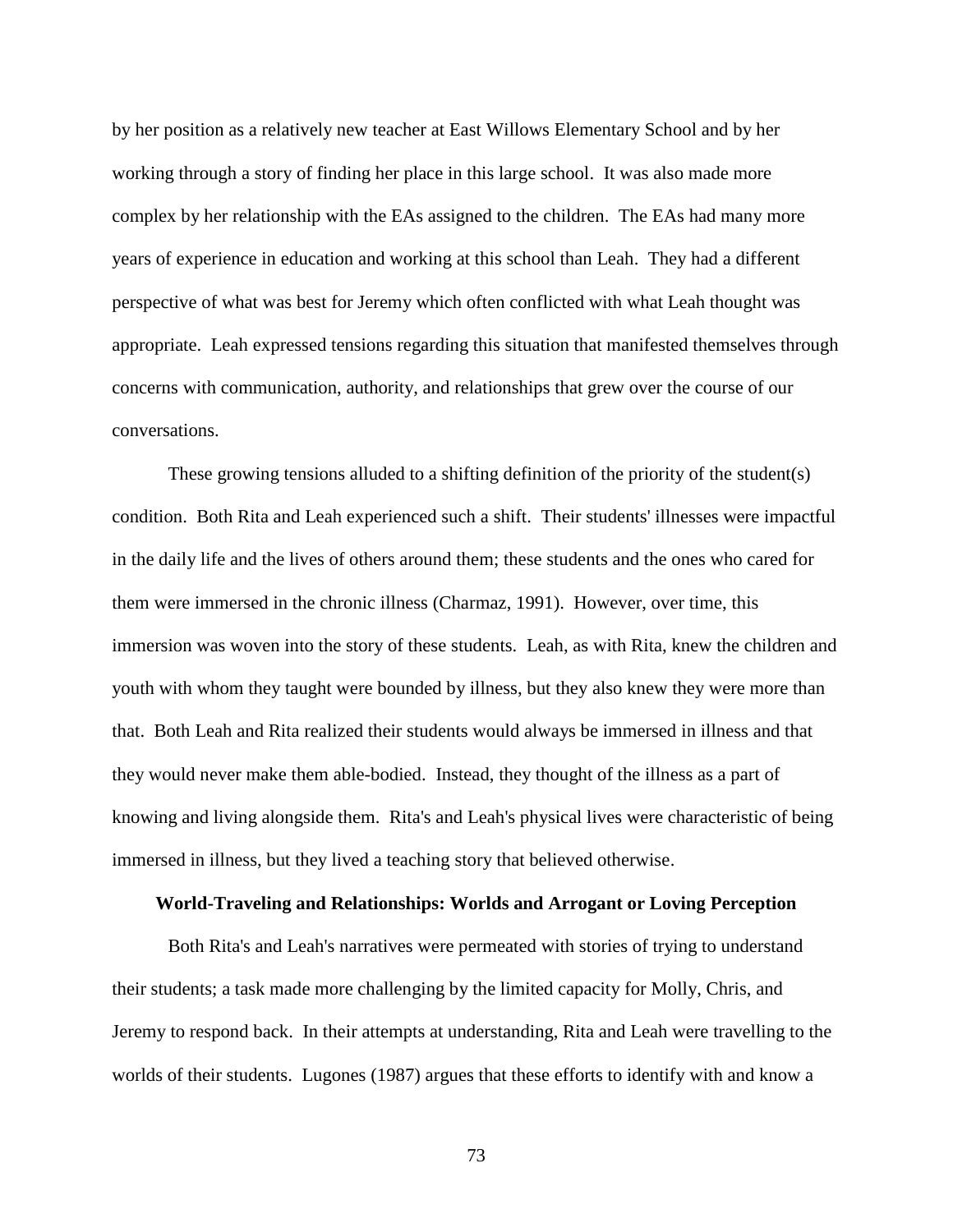by her position as a relatively new teacher at East Willows Elementary School and by her working through a story of finding her place in this large school. It was also made more complex by her relationship with the EAs assigned to the children. The EAs had many more years of experience in education and working at this school than Leah. They had a different perspective of what was best for Jeremy which often conflicted with what Leah thought was appropriate. Leah expressed tensions regarding this situation that manifested themselves through concerns with communication, authority, and relationships that grew over the course of our conversations.

These growing tensions alluded to a shifting definition of the priority of the student(s) condition. Both Rita and Leah experienced such a shift. Their students' illnesses were impactful in the daily life and the lives of others around them; these students and the ones who cared for them were immersed in the chronic illness [\(Charmaz, 1991\)](#page-104-0). However, over time, this immersion was woven into the story of these students. Leah, as with Rita, knew the children and youth with whom they taught were bounded by illness, but they also knew they were more than that. Both Leah and Rita realized their students would always be immersed in illness and that they would never make them able-bodied. Instead, they thought of the illness as a part of knowing and living alongside them. Rita's and Leah's physical lives were characteristic of being immersed in illness, but they lived a teaching story that believed otherwise.

## **World-Traveling and Relationships: Worlds and Arrogant or Loving Perception**

Both Rita's and Leah's narratives were permeated with stories of trying to understand their students; a task made more challenging by the limited capacity for Molly, Chris, and Jeremy to respond back. In their attempts at understanding, Rita and Leah were travelling to the worlds of their students. [Lugones \(1987\)](#page-108-0) argues that these efforts to identify with and know a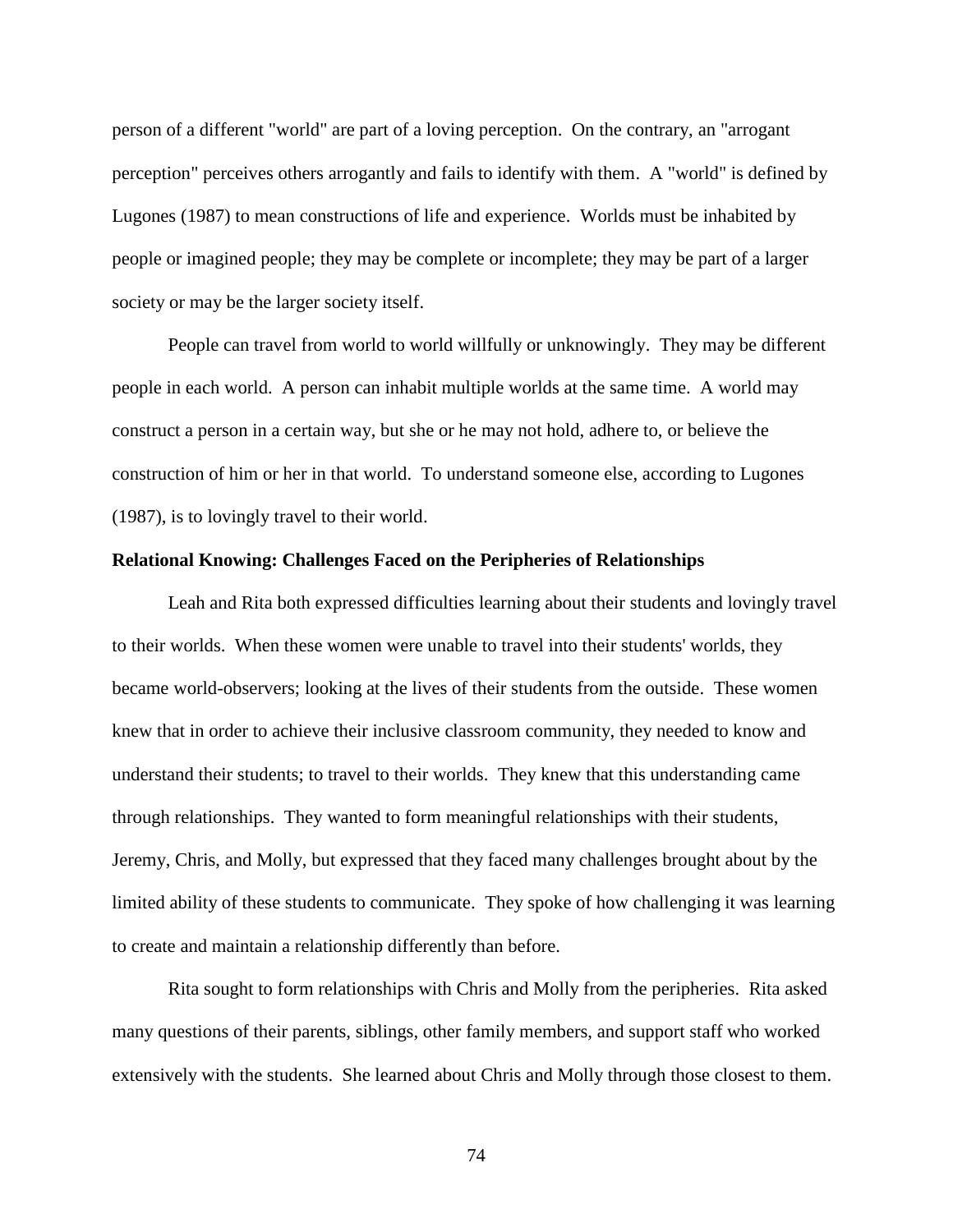person of a different "world" are part of a loving perception. On the contrary, an "arrogant perception" perceives others arrogantly and fails to identify with them. A "world" is defined by Lugones (1987) to mean constructions of life and experience. Worlds must be inhabited by people or imagined people; they may be complete or incomplete; they may be part of a larger society or may be the larger society itself.

People can travel from world to world willfully or unknowingly. They may be different people in each world. A person can inhabit multiple worlds at the same time. A world may construct a person in a certain way, but she or he may not hold, adhere to, or believe the construction of him or her in that world. To understand someone else, according to [Lugones](#page-108-0)  [\(1987\)](#page-108-0), is to lovingly travel to their world.

### **Relational Knowing: Challenges Faced on the Peripheries of Relationships**

Leah and Rita both expressed difficulties learning about their students and lovingly travel to their worlds. When these women were unable to travel into their students' worlds, they became world-observers; looking at the lives of their students from the outside. These women knew that in order to achieve their inclusive classroom community, they needed to know and understand their students; to travel to their worlds. They knew that this understanding came through relationships. They wanted to form meaningful relationships with their students, Jeremy, Chris, and Molly, but expressed that they faced many challenges brought about by the limited ability of these students to communicate. They spoke of how challenging it was learning to create and maintain a relationship differently than before.

Rita sought to form relationships with Chris and Molly from the peripheries. Rita asked many questions of their parents, siblings, other family members, and support staff who worked extensively with the students. She learned about Chris and Molly through those closest to them.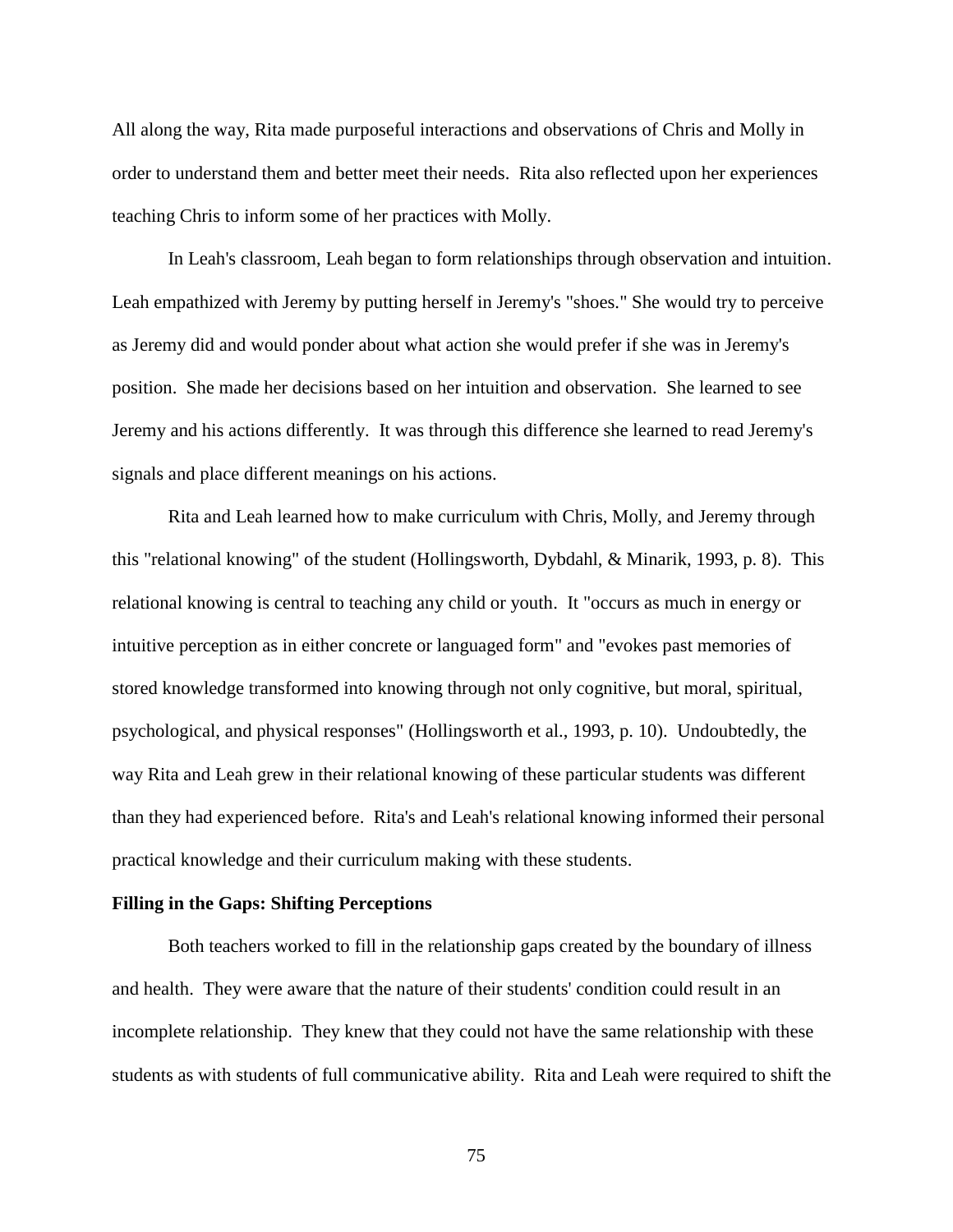All along the way, Rita made purposeful interactions and observations of Chris and Molly in order to understand them and better meet their needs. Rita also reflected upon her experiences teaching Chris to inform some of her practices with Molly.

In Leah's classroom, Leah began to form relationships through observation and intuition. Leah empathized with Jeremy by putting herself in Jeremy's "shoes." She would try to perceive as Jeremy did and would ponder about what action she would prefer if she was in Jeremy's position. She made her decisions based on her intuition and observation. She learned to see Jeremy and his actions differently. It was through this difference she learned to read Jeremy's signals and place different meanings on his actions.

Rita and Leah learned how to make curriculum with Chris, Molly, and Jeremy through this "relational knowing" of the student [\(Hollingsworth, Dybdahl, & Minarik, 1993, p. 8\)](#page-107-1). This relational knowing is central to teaching any child or youth. It "occurs as much in energy or intuitive perception as in either concrete or languaged form" and "evokes past memories of stored knowledge transformed into knowing through not only cognitive, but moral, spiritual, psychological, and physical responses" [\(Hollingsworth et al., 1993, p. 10\)](#page-107-1). Undoubtedly, the way Rita and Leah grew in their relational knowing of these particular students was different than they had experienced before. Rita's and Leah's relational knowing informed their personal practical knowledge and their curriculum making with these students.

## **Filling in the Gaps: Shifting Perceptions**

Both teachers worked to fill in the relationship gaps created by the boundary of illness and health. They were aware that the nature of their students' condition could result in an incomplete relationship. They knew that they could not have the same relationship with these students as with students of full communicative ability. Rita and Leah were required to shift the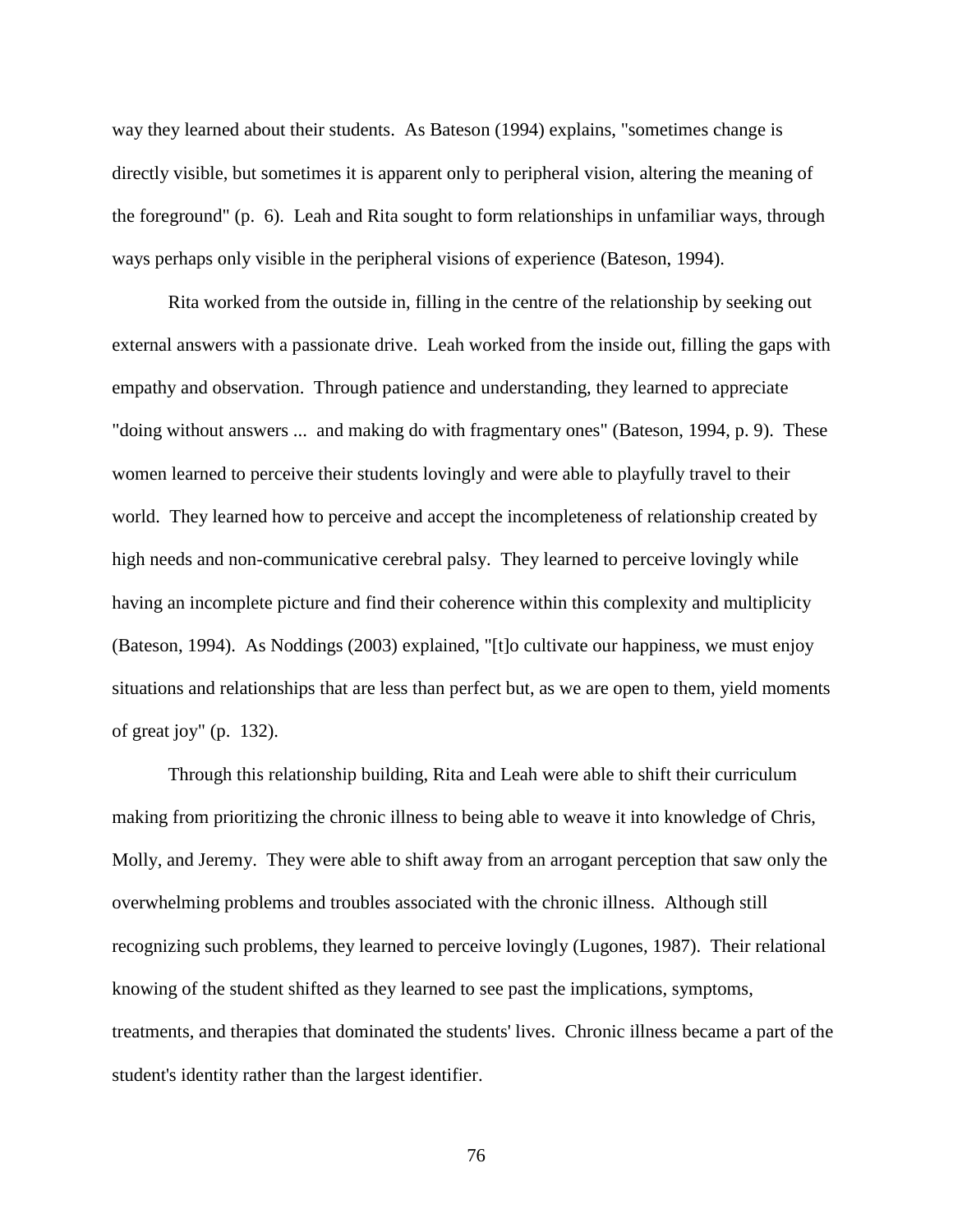way they learned about their students. As [Bateson \(1994\)](#page-102-0) explains, "sometimes change is directly visible, but sometimes it is apparent only to peripheral vision, altering the meaning of the foreground" (p. 6). Leah and Rita sought to form relationships in unfamiliar ways, through ways perhaps only visible in the peripheral visions of experience [\(Bateson, 1994\)](#page-102-0).

Rita worked from the outside in, filling in the centre of the relationship by seeking out external answers with a passionate drive. Leah worked from the inside out, filling the gaps with empathy and observation. Through patience and understanding, they learned to appreciate "doing without answers ... and making do with fragmentary ones" [\(Bateson, 1994, p. 9\)](#page-102-0). These women learned to perceive their students lovingly and were able to playfully travel to their world. They learned how to perceive and accept the incompleteness of relationship created by high needs and non-communicative cerebral palsy. They learned to perceive lovingly while having an incomplete picture and find their coherence within this complexity and multiplicity [\(Bateson, 1994\)](#page-102-0). As [Noddings \(2003\)](#page-110-1) explained, "[t]o cultivate our happiness, we must enjoy situations and relationships that are less than perfect but, as we are open to them, yield moments of great joy" (p. 132).

Through this relationship building, Rita and Leah were able to shift their curriculum making from prioritizing the chronic illness to being able to weave it into knowledge of Chris, Molly, and Jeremy. They were able to shift away from an arrogant perception that saw only the overwhelming problems and troubles associated with the chronic illness. Although still recognizing such problems, they learned to perceive lovingly [\(Lugones, 1987\)](#page-108-0). Their relational knowing of the student shifted as they learned to see past the implications, symptoms, treatments, and therapies that dominated the students' lives. Chronic illness became a part of the student's identity rather than the largest identifier.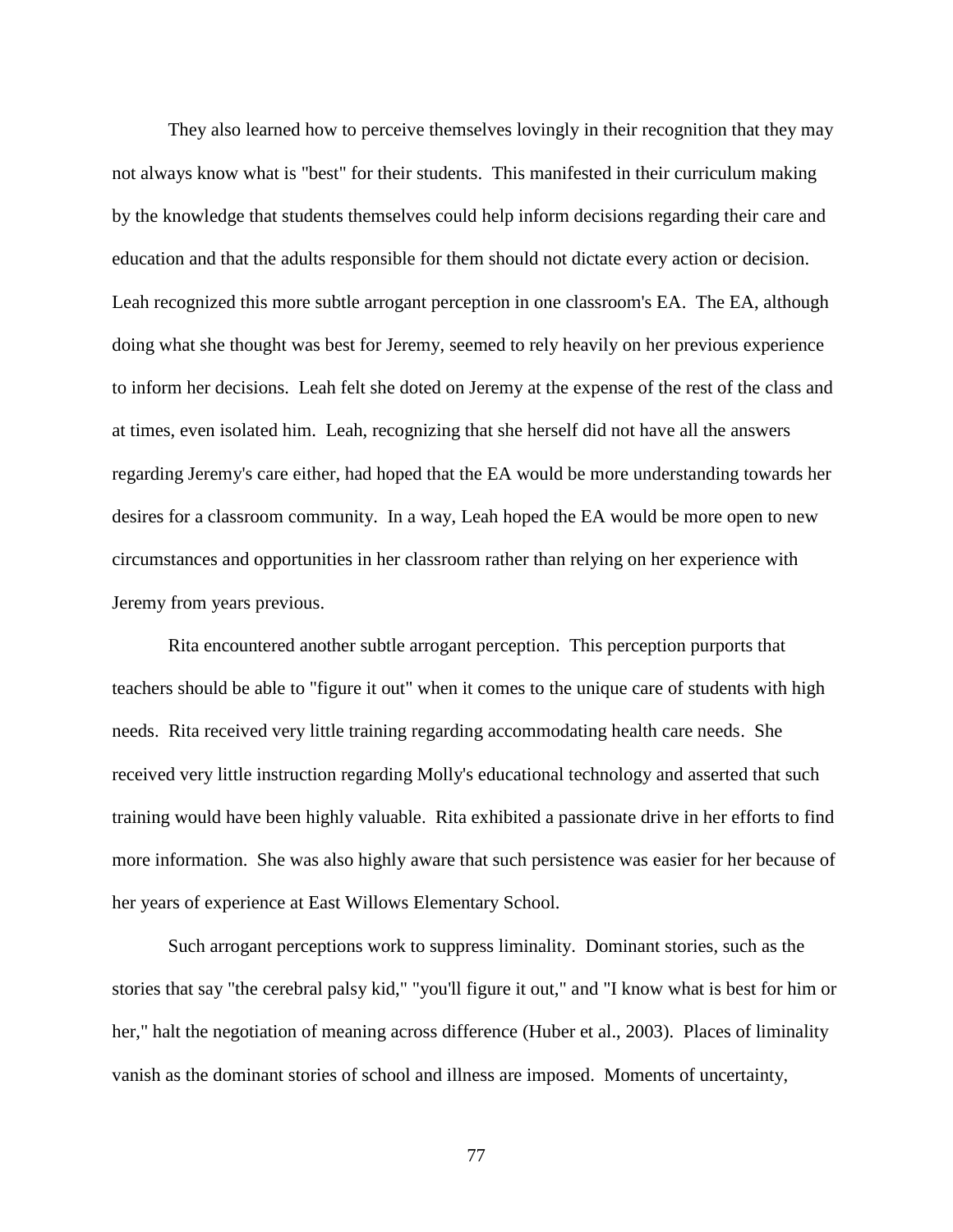They also learned how to perceive themselves lovingly in their recognition that they may not always know what is "best" for their students. This manifested in their curriculum making by the knowledge that students themselves could help inform decisions regarding their care and education and that the adults responsible for them should not dictate every action or decision. Leah recognized this more subtle arrogant perception in one classroom's EA. The EA, although doing what she thought was best for Jeremy, seemed to rely heavily on her previous experience to inform her decisions. Leah felt she doted on Jeremy at the expense of the rest of the class and at times, even isolated him. Leah, recognizing that she herself did not have all the answers regarding Jeremy's care either, had hoped that the EA would be more understanding towards her desires for a classroom community. In a way, Leah hoped the EA would be more open to new circumstances and opportunities in her classroom rather than relying on her experience with Jeremy from years previous.

Rita encountered another subtle arrogant perception. This perception purports that teachers should be able to "figure it out" when it comes to the unique care of students with high needs. Rita received very little training regarding accommodating health care needs. She received very little instruction regarding Molly's educational technology and asserted that such training would have been highly valuable. Rita exhibited a passionate drive in her efforts to find more information. She was also highly aware that such persistence was easier for her because of her years of experience at East Willows Elementary School.

Such arrogant perceptions work to suppress liminality. Dominant stories, such as the stories that say "the cerebral palsy kid," "you'll figure it out," and "I know what is best for him or her," halt the negotiation of meaning across difference [\(Huber et al., 2003\)](#page-107-0). Places of liminality vanish as the dominant stories of school and illness are imposed. Moments of uncertainty,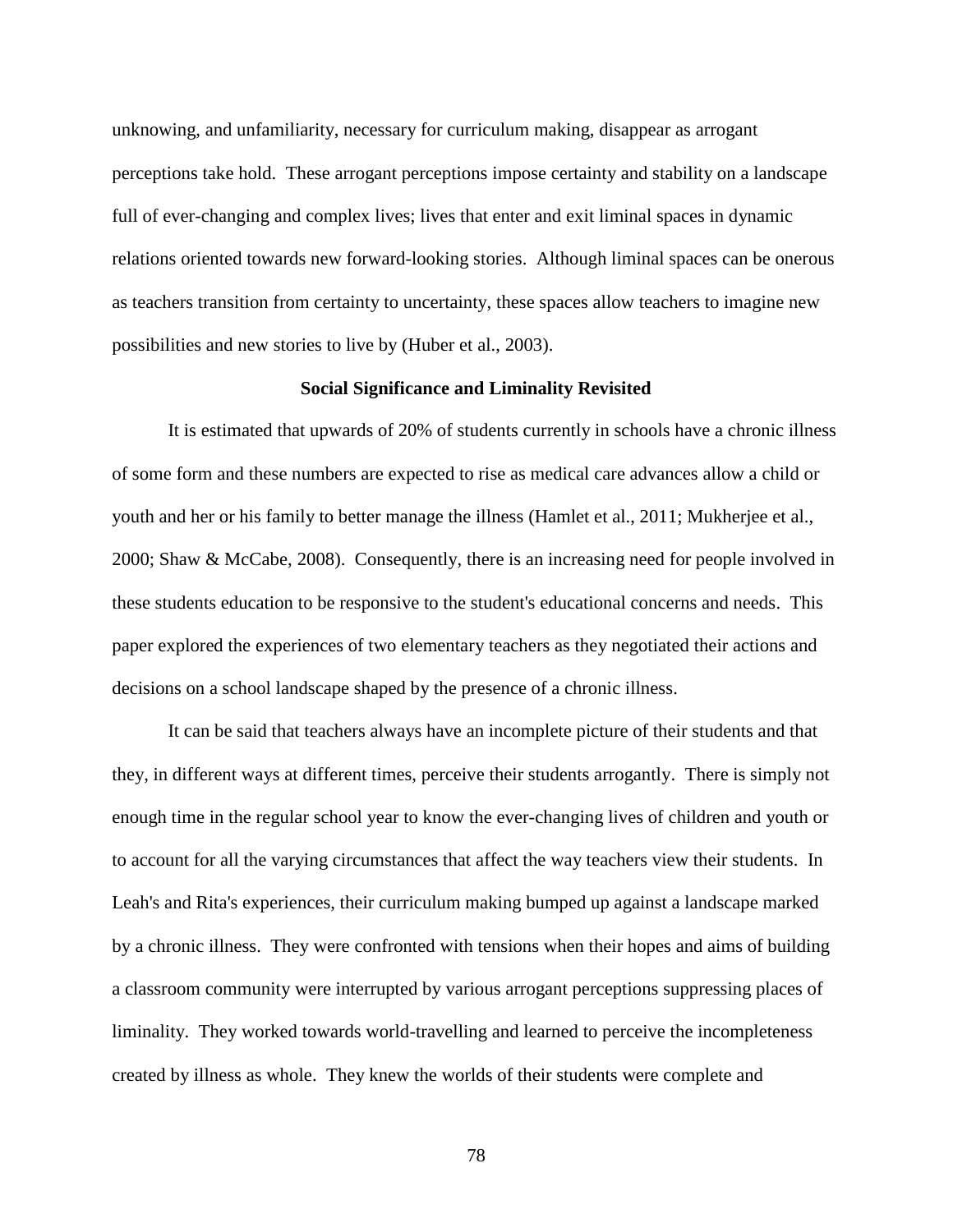unknowing, and unfamiliarity, necessary for curriculum making, disappear as arrogant perceptions take hold. These arrogant perceptions impose certainty and stability on a landscape full of ever-changing and complex lives; lives that enter and exit liminal spaces in dynamic relations oriented towards new forward-looking stories. Although liminal spaces can be onerous as teachers transition from certainty to uncertainty, these spaces allow teachers to imagine new possibilities and new stories to live by [\(Huber et al., 2003\)](#page-107-0).

### **Social Significance and Liminality Revisited**

It is estimated that upwards of 20% of students currently in schools have a chronic illness of some form and these numbers are expected to rise as medical care advances allow a child or youth and her or his family to better manage the illness [\(Hamlet et al., 2011;](#page-107-2) [Mukherjee et al.,](#page-109-0)  [2000;](#page-109-0) [Shaw & McCabe, 2008\)](#page-112-1). Consequently, there is an increasing need for people involved in these students education to be responsive to the student's educational concerns and needs. This paper explored the experiences of two elementary teachers as they negotiated their actions and decisions on a school landscape shaped by the presence of a chronic illness.

It can be said that teachers always have an incomplete picture of their students and that they, in different ways at different times, perceive their students arrogantly. There is simply not enough time in the regular school year to know the ever-changing lives of children and youth or to account for all the varying circumstances that affect the way teachers view their students. In Leah's and Rita's experiences, their curriculum making bumped up against a landscape marked by a chronic illness. They were confronted with tensions when their hopes and aims of building a classroom community were interrupted by various arrogant perceptions suppressing places of liminality. They worked towards world-travelling and learned to perceive the incompleteness created by illness as whole. They knew the worlds of their students were complete and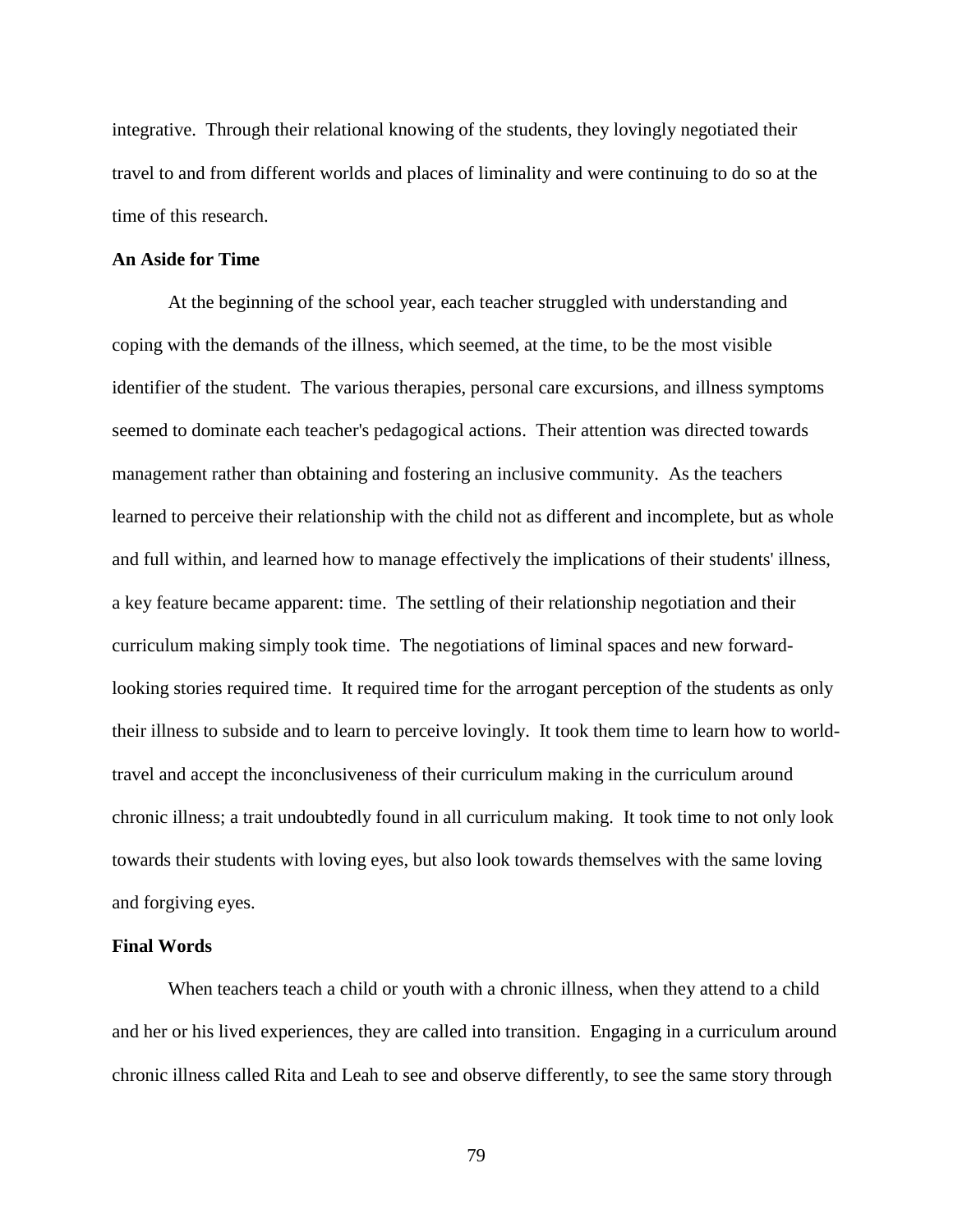integrative. Through their relational knowing of the students, they lovingly negotiated their travel to and from different worlds and places of liminality and were continuing to do so at the time of this research.

## **An Aside for Time**

At the beginning of the school year, each teacher struggled with understanding and coping with the demands of the illness, which seemed, at the time, to be the most visible identifier of the student. The various therapies, personal care excursions, and illness symptoms seemed to dominate each teacher's pedagogical actions. Their attention was directed towards management rather than obtaining and fostering an inclusive community. As the teachers learned to perceive their relationship with the child not as different and incomplete, but as whole and full within, and learned how to manage effectively the implications of their students' illness, a key feature became apparent: time. The settling of their relationship negotiation and their curriculum making simply took time. The negotiations of liminal spaces and new forwardlooking stories required time. It required time for the arrogant perception of the students as only their illness to subside and to learn to perceive lovingly. It took them time to learn how to worldtravel and accept the inconclusiveness of their curriculum making in the curriculum around chronic illness; a trait undoubtedly found in all curriculum making. It took time to not only look towards their students with loving eyes, but also look towards themselves with the same loving and forgiving eyes.

#### **Final Words**

When teachers teach a child or youth with a chronic illness, when they attend to a child and her or his lived experiences, they are called into transition. Engaging in a curriculum around chronic illness called Rita and Leah to see and observe differently, to see the same story through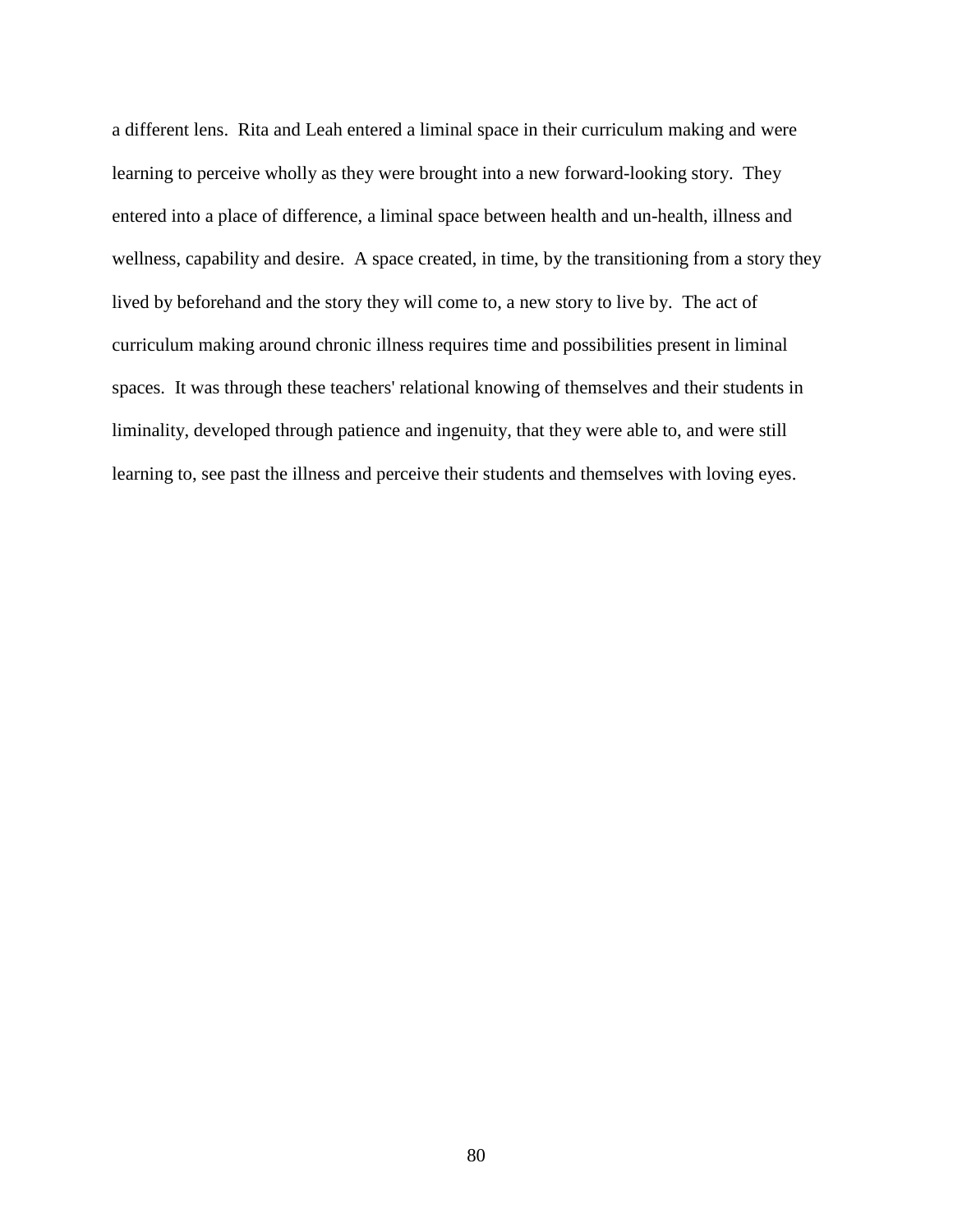a different lens. Rita and Leah entered a liminal space in their curriculum making and were learning to perceive wholly as they were brought into a new forward-looking story. They entered into a place of difference, a liminal space between health and un-health, illness and wellness, capability and desire. A space created, in time, by the transitioning from a story they lived by beforehand and the story they will come to, a new story to live by. The act of curriculum making around chronic illness requires time and possibilities present in liminal spaces. It was through these teachers' relational knowing of themselves and their students in liminality, developed through patience and ingenuity, that they were able to, and were still learning to, see past the illness and perceive their students and themselves with loving eyes.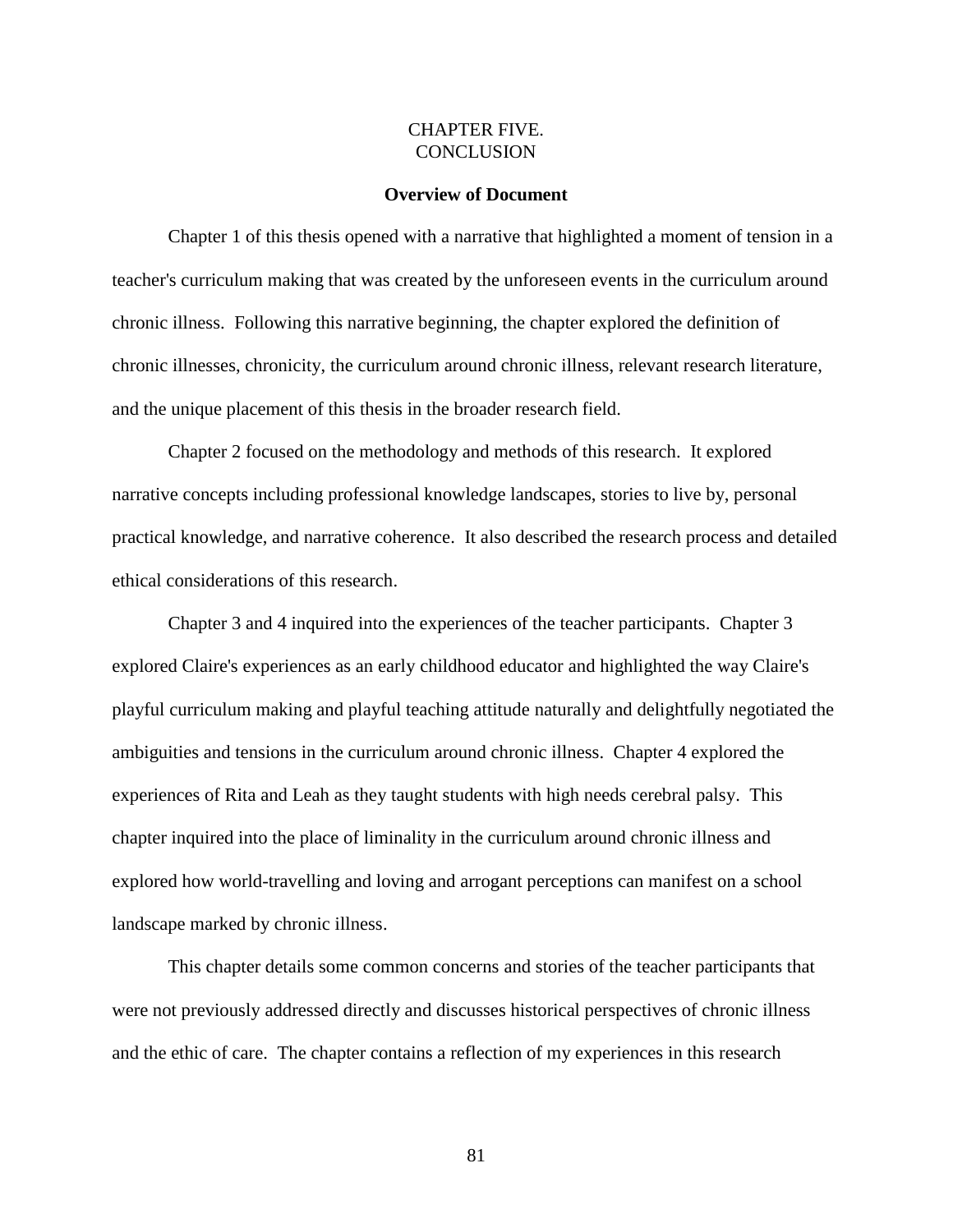# CHAPTER FIVE. **CONCLUSION**

## **Overview of Document**

Chapter 1 of this thesis opened with a narrative that highlighted a moment of tension in a teacher's curriculum making that was created by the unforeseen events in the curriculum around chronic illness. Following this narrative beginning, the chapter explored the definition of chronic illnesses, chronicity, the curriculum around chronic illness, relevant research literature, and the unique placement of this thesis in the broader research field.

Chapter 2 focused on the methodology and methods of this research. It explored narrative concepts including professional knowledge landscapes, stories to live by, personal practical knowledge, and narrative coherence. It also described the research process and detailed ethical considerations of this research.

Chapter 3 and 4 inquired into the experiences of the teacher participants. Chapter 3 explored Claire's experiences as an early childhood educator and highlighted the way Claire's playful curriculum making and playful teaching attitude naturally and delightfully negotiated the ambiguities and tensions in the curriculum around chronic illness. Chapter 4 explored the experiences of Rita and Leah as they taught students with high needs cerebral palsy. This chapter inquired into the place of liminality in the curriculum around chronic illness and explored how world-travelling and loving and arrogant perceptions can manifest on a school landscape marked by chronic illness.

This chapter details some common concerns and stories of the teacher participants that were not previously addressed directly and discusses historical perspectives of chronic illness and the ethic of care. The chapter contains a reflection of my experiences in this research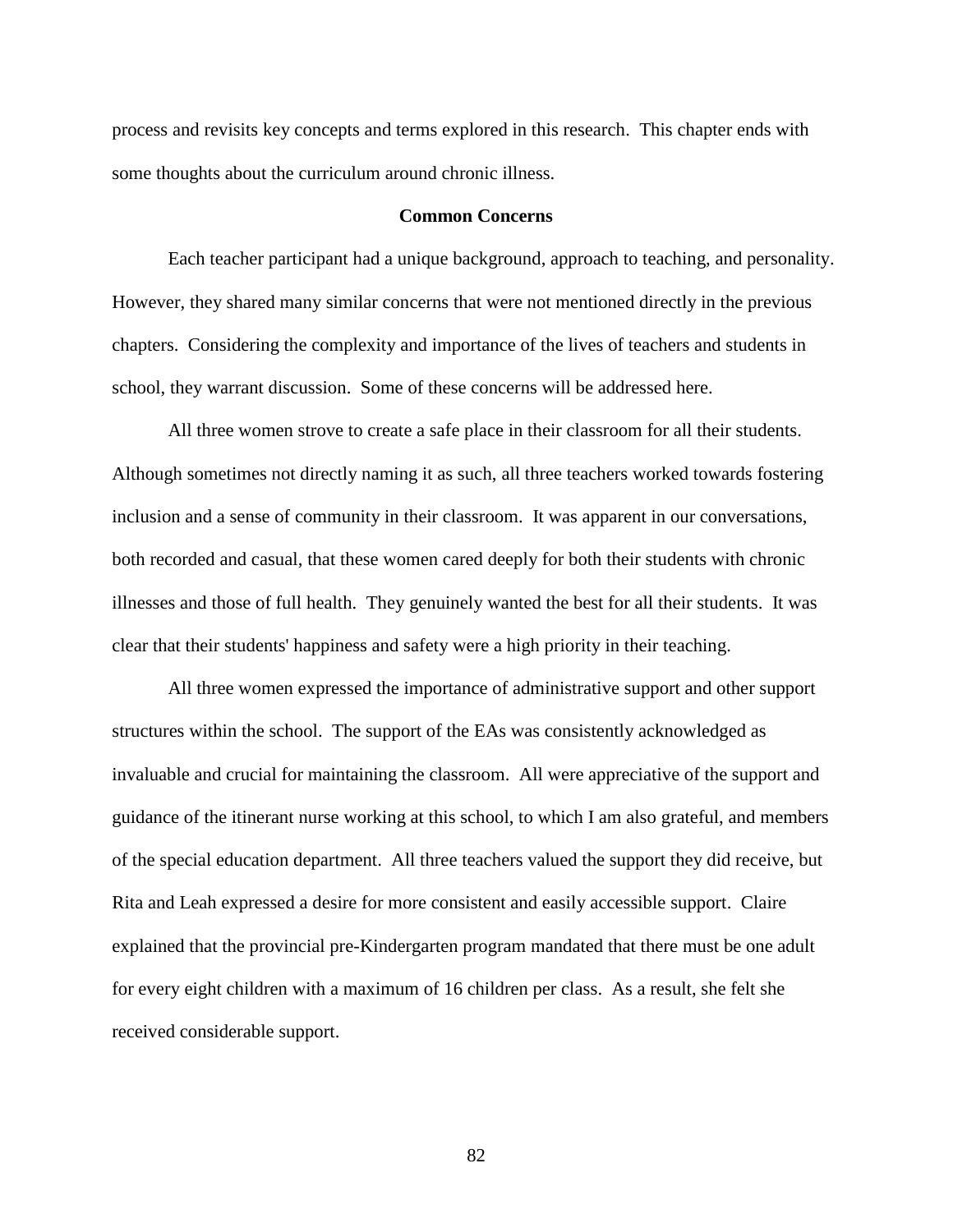process and revisits key concepts and terms explored in this research. This chapter ends with some thoughts about the curriculum around chronic illness.

# **Common Concerns**

Each teacher participant had a unique background, approach to teaching, and personality. However, they shared many similar concerns that were not mentioned directly in the previous chapters. Considering the complexity and importance of the lives of teachers and students in school, they warrant discussion. Some of these concerns will be addressed here.

All three women strove to create a safe place in their classroom for all their students. Although sometimes not directly naming it as such, all three teachers worked towards fostering inclusion and a sense of community in their classroom. It was apparent in our conversations, both recorded and casual, that these women cared deeply for both their students with chronic illnesses and those of full health. They genuinely wanted the best for all their students. It was clear that their students' happiness and safety were a high priority in their teaching.

All three women expressed the importance of administrative support and other support structures within the school. The support of the EAs was consistently acknowledged as invaluable and crucial for maintaining the classroom. All were appreciative of the support and guidance of the itinerant nurse working at this school, to which I am also grateful, and members of the special education department. All three teachers valued the support they did receive, but Rita and Leah expressed a desire for more consistent and easily accessible support. Claire explained that the provincial pre-Kindergarten program mandated that there must be one adult for every eight children with a maximum of 16 children per class. As a result, she felt she received considerable support.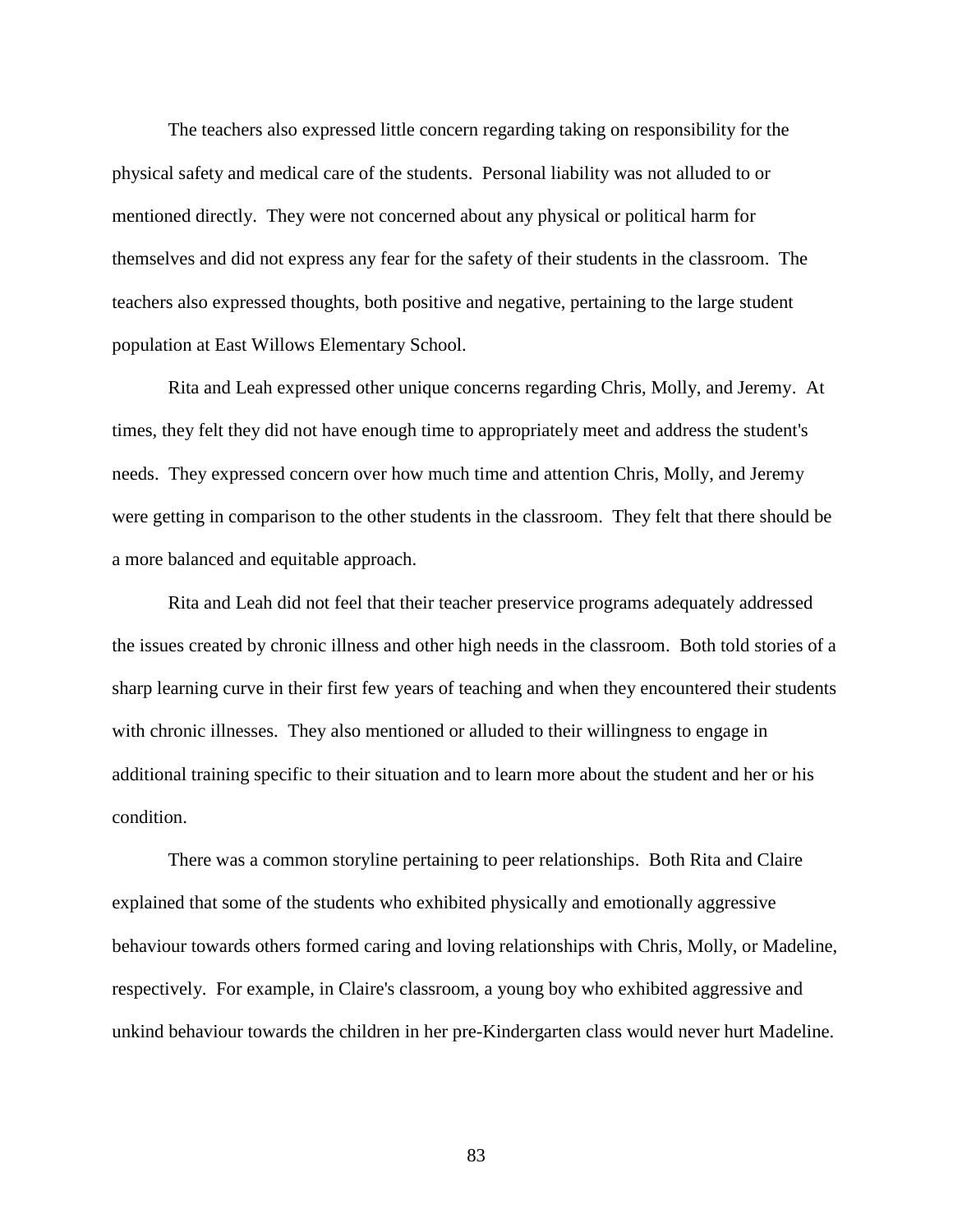The teachers also expressed little concern regarding taking on responsibility for the physical safety and medical care of the students. Personal liability was not alluded to or mentioned directly. They were not concerned about any physical or political harm for themselves and did not express any fear for the safety of their students in the classroom. The teachers also expressed thoughts, both positive and negative, pertaining to the large student population at East Willows Elementary School.

Rita and Leah expressed other unique concerns regarding Chris, Molly, and Jeremy. At times, they felt they did not have enough time to appropriately meet and address the student's needs. They expressed concern over how much time and attention Chris, Molly, and Jeremy were getting in comparison to the other students in the classroom. They felt that there should be a more balanced and equitable approach.

Rita and Leah did not feel that their teacher preservice programs adequately addressed the issues created by chronic illness and other high needs in the classroom. Both told stories of a sharp learning curve in their first few years of teaching and when they encountered their students with chronic illnesses. They also mentioned or alluded to their willingness to engage in additional training specific to their situation and to learn more about the student and her or his condition.

There was a common storyline pertaining to peer relationships. Both Rita and Claire explained that some of the students who exhibited physically and emotionally aggressive behaviour towards others formed caring and loving relationships with Chris, Molly, or Madeline, respectively. For example, in Claire's classroom, a young boy who exhibited aggressive and unkind behaviour towards the children in her pre-Kindergarten class would never hurt Madeline.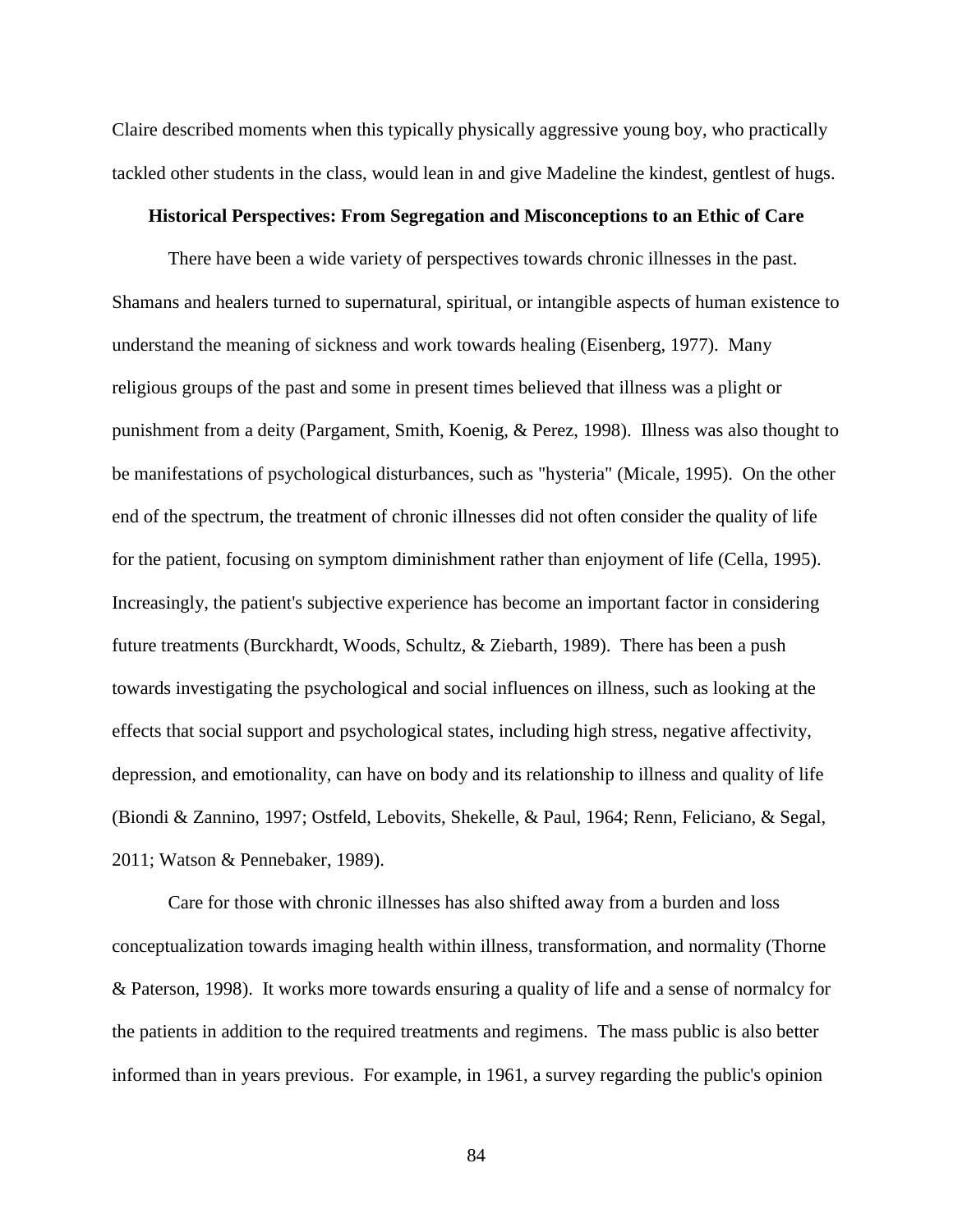Claire described moments when this typically physically aggressive young boy, who practically tackled other students in the class, would lean in and give Madeline the kindest, gentlest of hugs.

### **Historical Perspectives: From Segregation and Misconceptions to an Ethic of Care**

There have been a wide variety of perspectives towards chronic illnesses in the past. Shamans and healers turned to supernatural, spiritual, or intangible aspects of human existence to understand the meaning of sickness and work towards healing [\(Eisenberg, 1977\)](#page-106-0). Many religious groups of the past and some in present times believed that illness was a plight or punishment from a deity [\(Pargament, Smith, Koenig, & Perez, 1998\)](#page-111-0). Illness was also thought to be manifestations of psychological disturbances, such as "hysteria" [\(Micale, 1995\)](#page-109-1). On the other end of the spectrum, the treatment of chronic illnesses did not often consider the quality of life for the patient, focusing on symptom diminishment rather than enjoyment of life [\(Cella, 1995\)](#page-103-1). Increasingly, the patient's subjective experience has become an important factor in considering future treatments [\(Burckhardt, Woods, Schultz, & Ziebarth, 1989\)](#page-103-2). There has been a push towards investigating the psychological and social influences on illness, such as looking at the effects that social support and psychological states, including high stress, negative affectivity, depression, and emotionality, can have on body and its relationship to illness and quality of life [\(Biondi & Zannino, 1997;](#page-102-1) [Ostfeld, Lebovits, Shekelle, & Paul, 1964;](#page-110-2) [Renn, Feliciano, & Segal,](#page-111-1)  [2011;](#page-111-1) [Watson & Pennebaker, 1989\)](#page-113-0).

Care for those with chronic illnesses has also shifted away from a burden and loss conceptualization towards imaging health within illness, transformation, and normality [\(Thorne](#page-113-1)  [& Paterson, 1998\)](#page-113-1). It works more towards ensuring a quality of life and a sense of normalcy for the patients in addition to the required treatments and regimens. The mass public is also better informed than in years previous. For example, in 1961, a survey regarding the public's opinion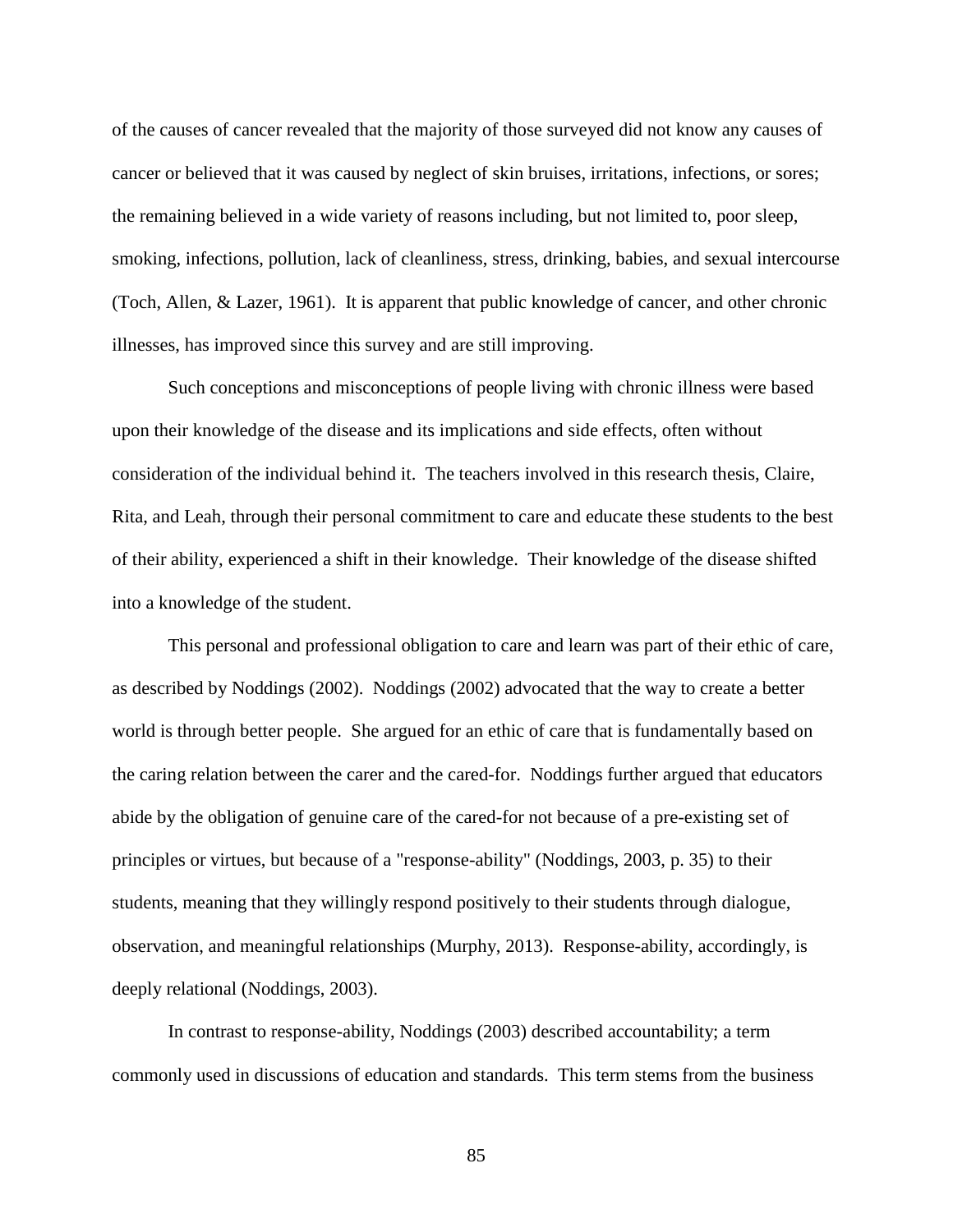of the causes of cancer revealed that the majority of those surveyed did not know any causes of cancer or believed that it was caused by neglect of skin bruises, irritations, infections, or sores; the remaining believed in a wide variety of reasons including, but not limited to, poor sleep, smoking, infections, pollution, lack of cleanliness, stress, drinking, babies, and sexual intercourse [\(Toch, Allen, & Lazer, 1961\)](#page-113-2). It is apparent that public knowledge of cancer, and other chronic illnesses, has improved since this survey and are still improving.

Such conceptions and misconceptions of people living with chronic illness were based upon their knowledge of the disease and its implications and side effects, often without consideration of the individual behind it. The teachers involved in this research thesis, Claire, Rita, and Leah, through their personal commitment to care and educate these students to the best of their ability, experienced a shift in their knowledge. Their knowledge of the disease shifted into a knowledge of the student.

This personal and professional obligation to care and learn was part of their ethic of care, as described by [Noddings \(2002\)](#page-110-3). Noddings (2002) advocated that the way to create a better world is through better people. She argued for an ethic of care that is fundamentally based on the caring relation between the carer and the cared-for. Noddings further argued that educators abide by the obligation of genuine care of the cared-for not because of a pre-existing set of principles or virtues, but because of a "response-ability" [\(Noddings, 2003, p. 35\)](#page-110-1) to their students, meaning that they willingly respond positively to their students through dialogue, observation, and meaningful relationships [\(Murphy, 2013\)](#page-109-2). Response-ability, accordingly, is deeply relational [\(Noddings, 2003\)](#page-110-1).

In contrast to response-ability, [Noddings \(2003\)](#page-110-1) described accountability; a term commonly used in discussions of education and standards. This term stems from the business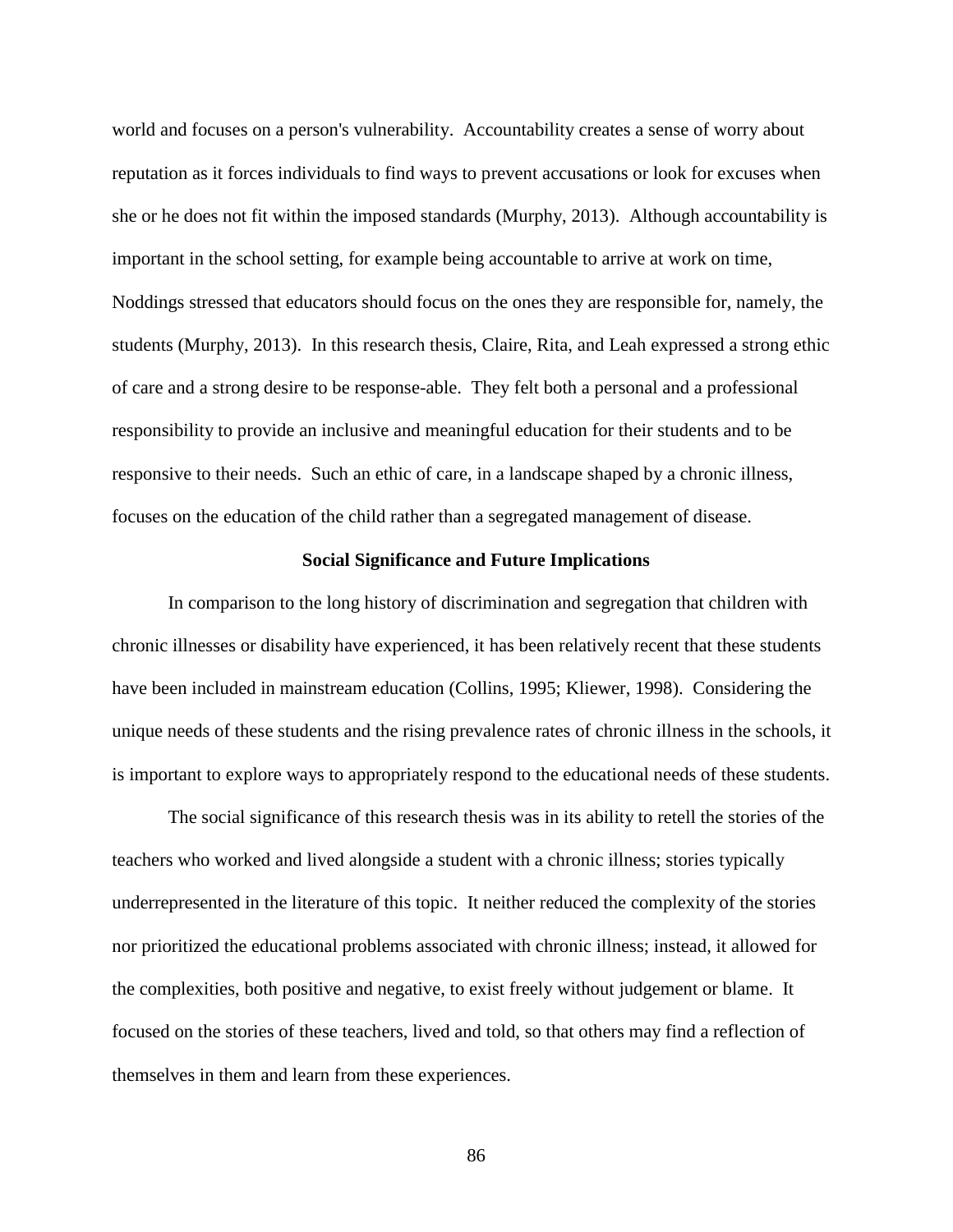world and focuses on a person's vulnerability. Accountability creates a sense of worry about reputation as it forces individuals to find ways to prevent accusations or look for excuses when she or he does not fit within the imposed standards [\(Murphy, 2013\)](#page-109-2). Although accountability is important in the school setting, for example being accountable to arrive at work on time, Noddings stressed that educators should focus on the ones they are responsible for, namely, the students [\(Murphy, 2013\)](#page-109-2). In this research thesis, Claire, Rita, and Leah expressed a strong ethic of care and a strong desire to be response-able. They felt both a personal and a professional responsibility to provide an inclusive and meaningful education for their students and to be responsive to their needs. Such an ethic of care, in a landscape shaped by a chronic illness, focuses on the education of the child rather than a segregated management of disease.

## **Social Significance and Future Implications**

In comparison to the long history of discrimination and segregation that children with chronic illnesses or disability have experienced, it has been relatively recent that these students have been included in mainstream education [\(Collins, 1995;](#page-105-0) [Kliewer, 1998\)](#page-108-1). Considering the unique needs of these students and the rising prevalence rates of chronic illness in the schools, it is important to explore ways to appropriately respond to the educational needs of these students.

The social significance of this research thesis was in its ability to retell the stories of the teachers who worked and lived alongside a student with a chronic illness; stories typically underrepresented in the literature of this topic. It neither reduced the complexity of the stories nor prioritized the educational problems associated with chronic illness; instead, it allowed for the complexities, both positive and negative, to exist freely without judgement or blame. It focused on the stories of these teachers, lived and told, so that others may find a reflection of themselves in them and learn from these experiences.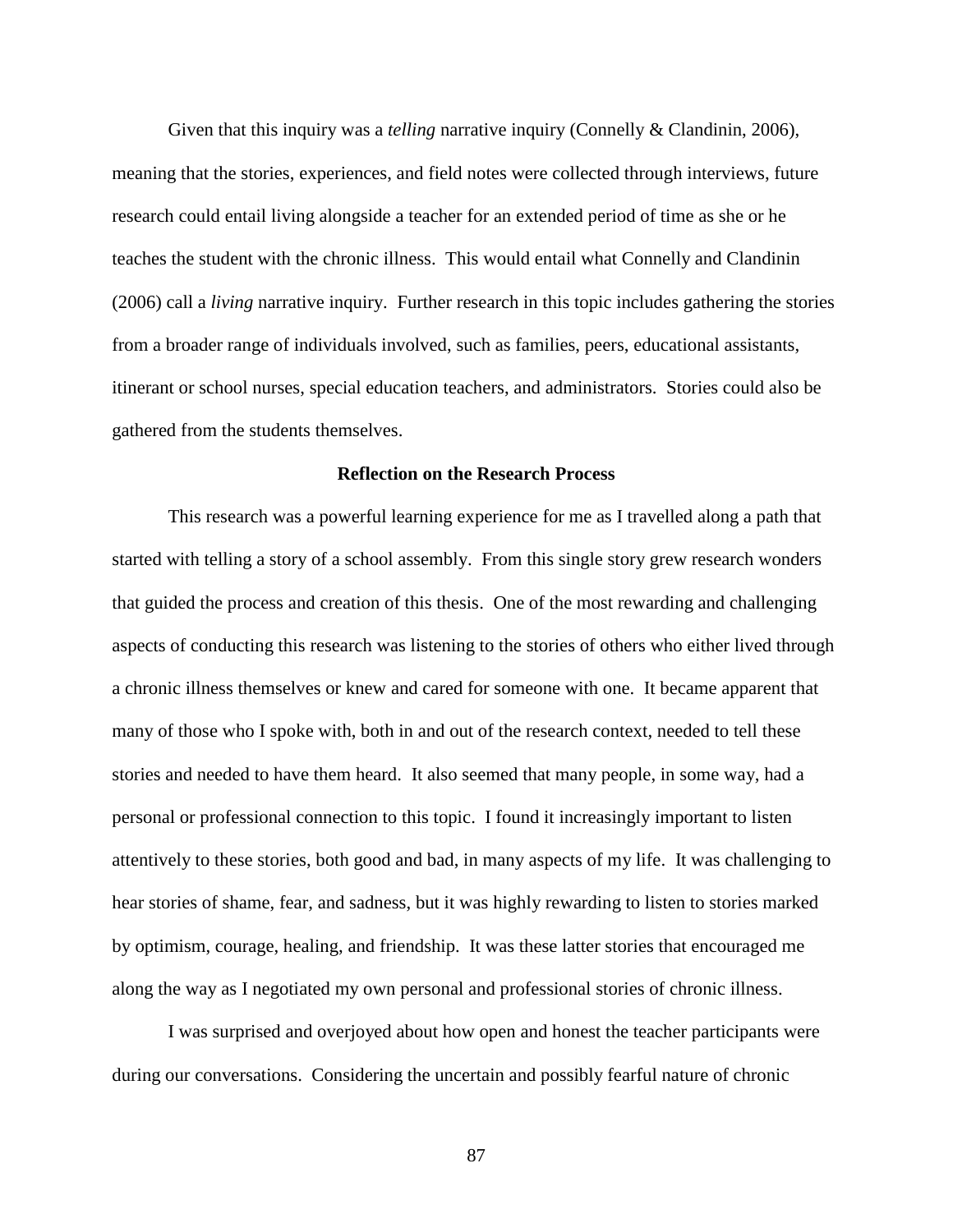Given that this inquiry was a *telling* narrative inquiry (Connelly & [Clandinin, 2006\)](#page-105-1), meaning that the stories, experiences, and field notes were collected through interviews, future research could entail living alongside a teacher for an extended period of time as she or he teaches the student with the chronic illness. This would entail what [Connelly and Clandinin](#page-105-1)  [\(2006\)](#page-105-1) call a *living* narrative inquiry. Further research in this topic includes gathering the stories from a broader range of individuals involved, such as families, peers, educational assistants, itinerant or school nurses, special education teachers, and administrators. Stories could also be gathered from the students themselves.

# **Reflection on the Research Process**

This research was a powerful learning experience for me as I travelled along a path that started with telling a story of a school assembly. From this single story grew research wonders that guided the process and creation of this thesis. One of the most rewarding and challenging aspects of conducting this research was listening to the stories of others who either lived through a chronic illness themselves or knew and cared for someone with one. It became apparent that many of those who I spoke with, both in and out of the research context, needed to tell these stories and needed to have them heard. It also seemed that many people, in some way, had a personal or professional connection to this topic. I found it increasingly important to listen attentively to these stories, both good and bad, in many aspects of my life. It was challenging to hear stories of shame, fear, and sadness, but it was highly rewarding to listen to stories marked by optimism, courage, healing, and friendship. It was these latter stories that encouraged me along the way as I negotiated my own personal and professional stories of chronic illness.

I was surprised and overjoyed about how open and honest the teacher participants were during our conversations. Considering the uncertain and possibly fearful nature of chronic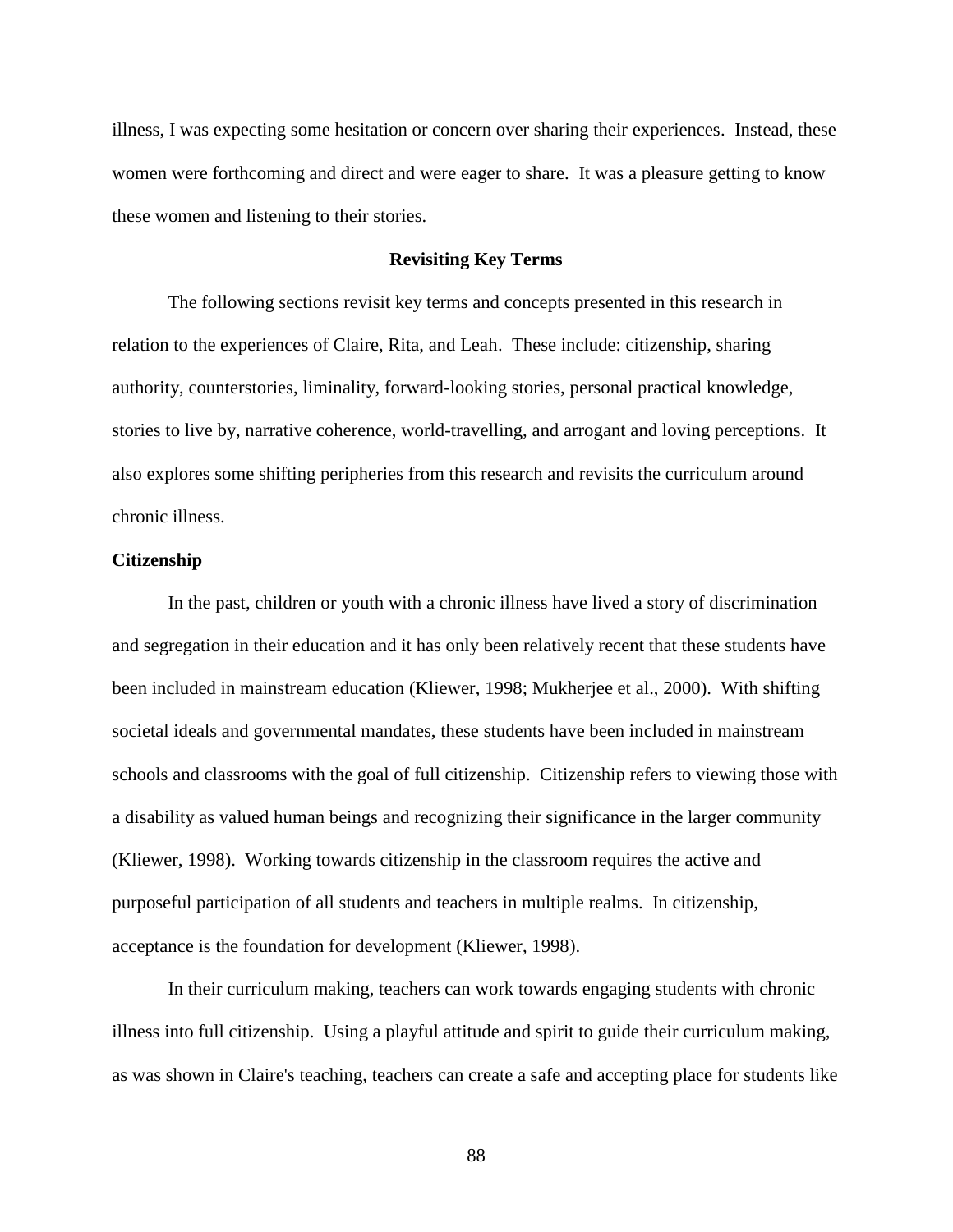illness, I was expecting some hesitation or concern over sharing their experiences. Instead, these women were forthcoming and direct and were eager to share. It was a pleasure getting to know these women and listening to their stories.

## **Revisiting Key Terms**

The following sections revisit key terms and concepts presented in this research in relation to the experiences of Claire, Rita, and Leah. These include: citizenship, sharing authority, counterstories, liminality, forward-looking stories, personal practical knowledge, stories to live by, narrative coherence, world-travelling, and arrogant and loving perceptions. It also explores some shifting peripheries from this research and revisits the curriculum around chronic illness.

# **Citizenship**

In the past, children or youth with a chronic illness have lived a story of discrimination and segregation in their education and it has only been relatively recent that these students have been included in mainstream education [\(Kliewer, 1998;](#page-108-1) [Mukherjee et al., 2000\)](#page-109-0). With shifting societal ideals and governmental mandates, these students have been included in mainstream schools and classrooms with the goal of full citizenship. Citizenship refers to viewing those with a disability as valued human beings and recognizing their significance in the larger community [\(Kliewer, 1998\)](#page-108-1). Working towards citizenship in the classroom requires the active and purposeful participation of all students and teachers in multiple realms. In citizenship, acceptance is the foundation for development [\(Kliewer, 1998\)](#page-108-1).

In their curriculum making, teachers can work towards engaging students with chronic illness into full citizenship. Using a playful attitude and spirit to guide their curriculum making, as was shown in Claire's teaching, teachers can create a safe and accepting place for students like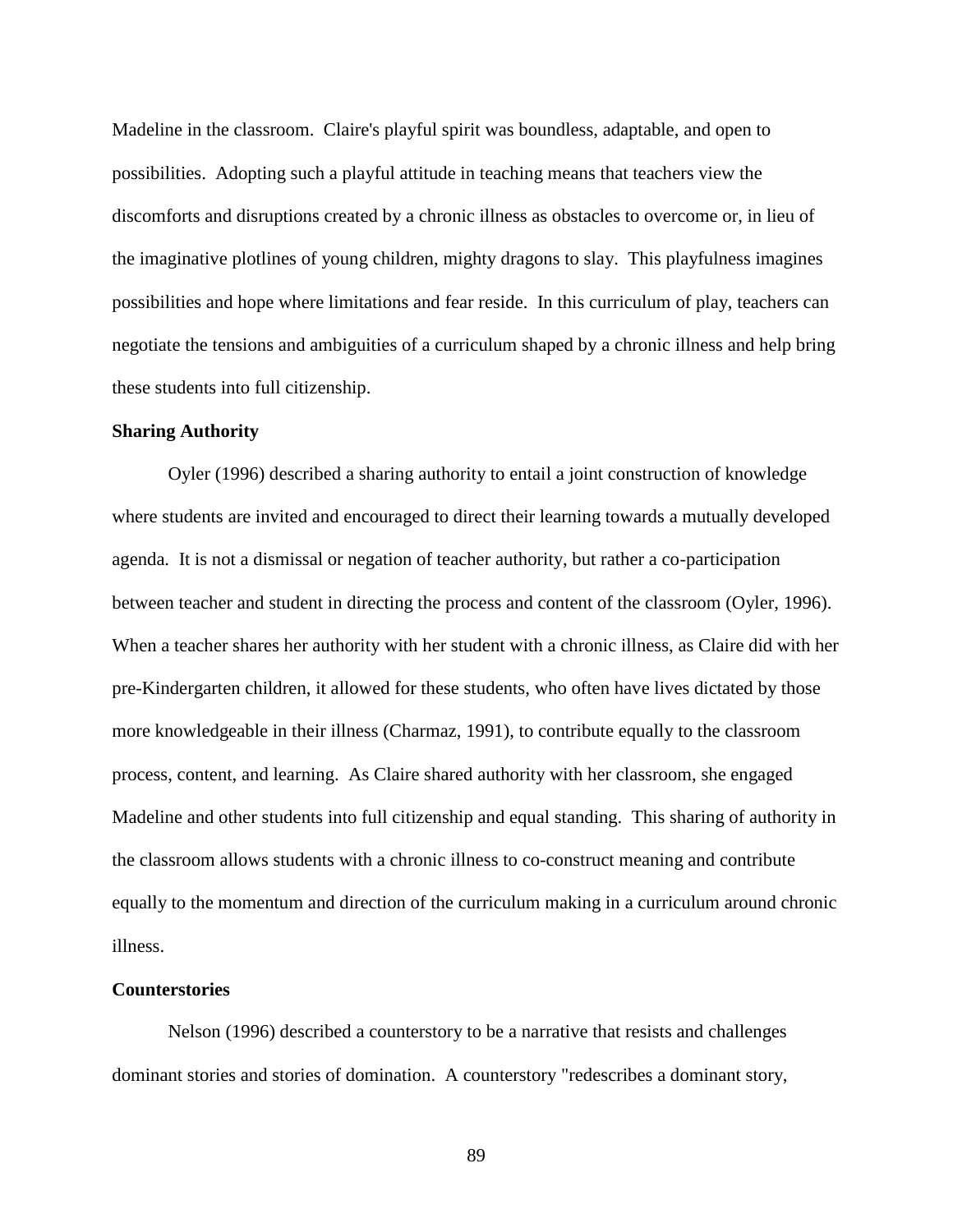Madeline in the classroom. Claire's playful spirit was boundless, adaptable, and open to possibilities. Adopting such a playful attitude in teaching means that teachers view the discomforts and disruptions created by a chronic illness as obstacles to overcome or, in lieu of the imaginative plotlines of young children, mighty dragons to slay. This playfulness imagines possibilities and hope where limitations and fear reside. In this curriculum of play, teachers can negotiate the tensions and ambiguities of a curriculum shaped by a chronic illness and help bring these students into full citizenship.

## **Sharing Authority**

[Oyler \(1996\)](#page-110-4) described a sharing authority to entail a joint construction of knowledge where students are invited and encouraged to direct their learning towards a mutually developed agenda. It is not a dismissal or negation of teacher authority, but rather a co-participation between teacher and student in directing the process and content of the classroom [\(Oyler, 1996\)](#page-110-4). When a teacher shares her authority with her student with a chronic illness, as Claire did with her pre-Kindergarten children, it allowed for these students, who often have lives dictated by those more knowledgeable in their illness [\(Charmaz, 1991\)](#page-104-0), to contribute equally to the classroom process, content, and learning. As Claire shared authority with her classroom, she engaged Madeline and other students into full citizenship and equal standing. This sharing of authority in the classroom allows students with a chronic illness to co-construct meaning and contribute equally to the momentum and direction of the curriculum making in a curriculum around chronic illness.

### **Counterstories**

[Nelson \(1996\)](#page-110-5) described a counterstory to be a narrative that resists and challenges dominant stories and stories of domination. A counterstory "redescribes a dominant story,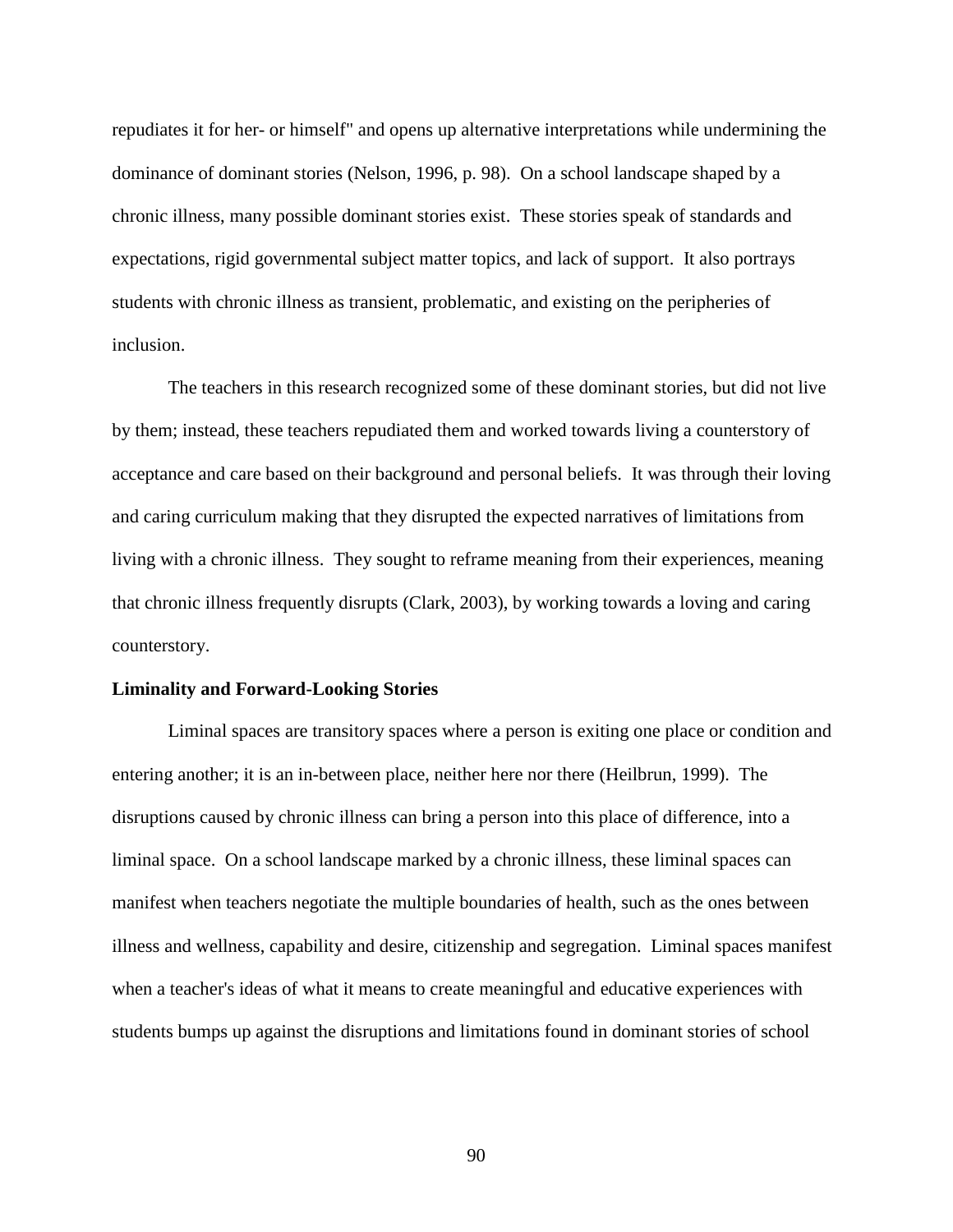repudiates it for her- or himself" and opens up alternative interpretations while undermining the dominance of dominant stories [\(Nelson, 1996, p. 98\)](#page-110-5). On a school landscape shaped by a chronic illness, many possible dominant stories exist. These stories speak of standards and expectations, rigid governmental subject matter topics, and lack of support. It also portrays students with chronic illness as transient, problematic, and existing on the peripheries of inclusion.

The teachers in this research recognized some of these dominant stories, but did not live by them; instead, these teachers repudiated them and worked towards living a counterstory of acceptance and care based on their background and personal beliefs. It was through their loving and caring curriculum making that they disrupted the expected narratives of limitations from living with a chronic illness. They sought to reframe meaning from their experiences, meaning that chronic illness frequently disrupts [\(Clark, 2003\)](#page-105-2), by working towards a loving and caring counterstory.

#### **Liminality and Forward-Looking Stories**

Liminal spaces are transitory spaces where a person is exiting one place or condition and entering another; it is an in-between place, neither here nor there [\(Heilbrun, 1999\)](#page-107-3). The disruptions caused by chronic illness can bring a person into this place of difference, into a liminal space. On a school landscape marked by a chronic illness, these liminal spaces can manifest when teachers negotiate the multiple boundaries of health, such as the ones between illness and wellness, capability and desire, citizenship and segregation. Liminal spaces manifest when a teacher's ideas of what it means to create meaningful and educative experiences with students bumps up against the disruptions and limitations found in dominant stories of school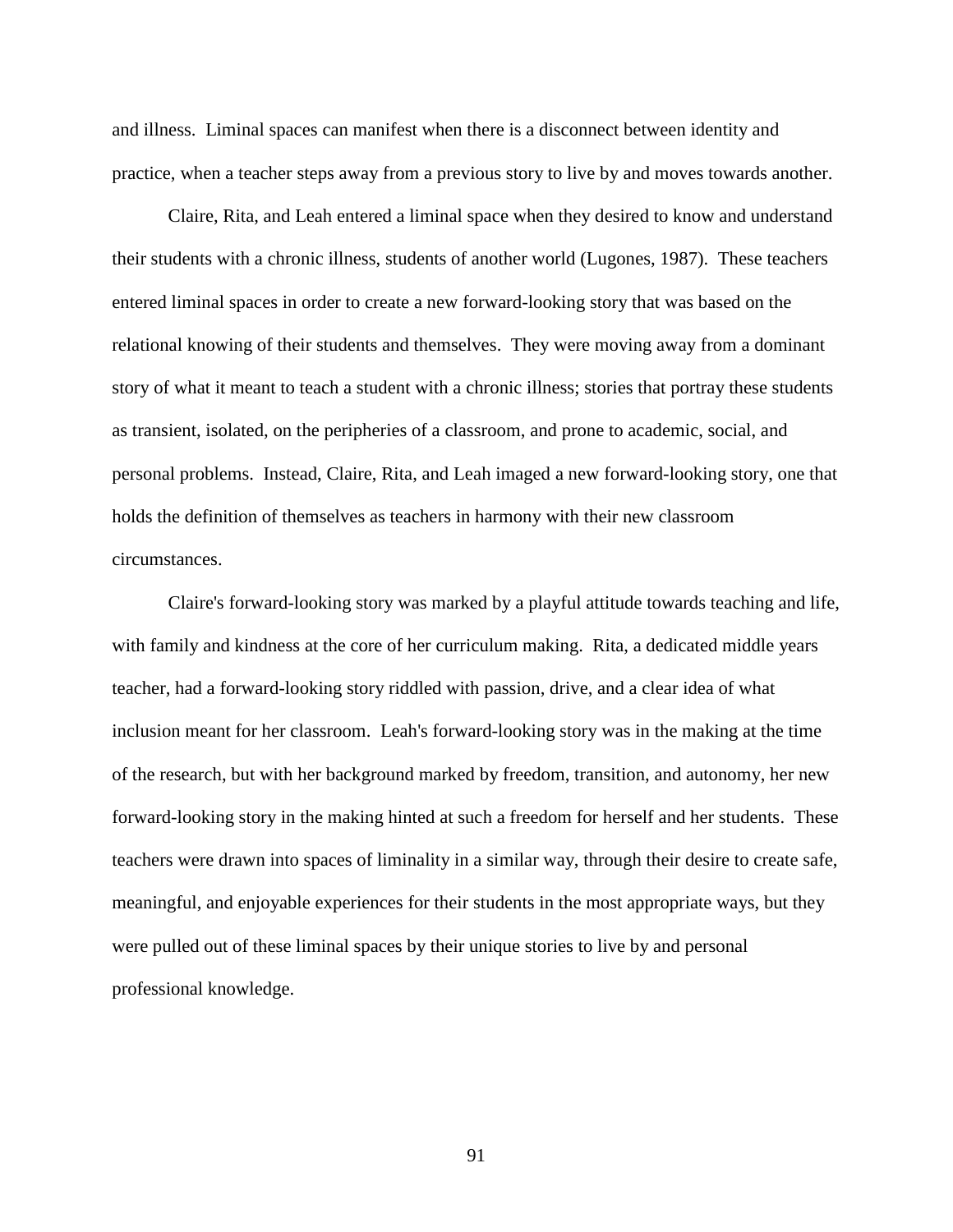and illness. Liminal spaces can manifest when there is a disconnect between identity and practice, when a teacher steps away from a previous story to live by and moves towards another.

Claire, Rita, and Leah entered a liminal space when they desired to know and understand their students with a chronic illness, students of another world [\(Lugones, 1987\)](#page-108-0). These teachers entered liminal spaces in order to create a new forward-looking story that was based on the relational knowing of their students and themselves. They were moving away from a dominant story of what it meant to teach a student with a chronic illness; stories that portray these students as transient, isolated, on the peripheries of a classroom, and prone to academic, social, and personal problems. Instead, Claire, Rita, and Leah imaged a new forward-looking story, one that holds the definition of themselves as teachers in harmony with their new classroom circumstances.

Claire's forward-looking story was marked by a playful attitude towards teaching and life, with family and kindness at the core of her curriculum making. Rita, a dedicated middle years teacher, had a forward-looking story riddled with passion, drive, and a clear idea of what inclusion meant for her classroom. Leah's forward-looking story was in the making at the time of the research, but with her background marked by freedom, transition, and autonomy, her new forward-looking story in the making hinted at such a freedom for herself and her students. These teachers were drawn into spaces of liminality in a similar way, through their desire to create safe, meaningful, and enjoyable experiences for their students in the most appropriate ways, but they were pulled out of these liminal spaces by their unique stories to live by and personal professional knowledge.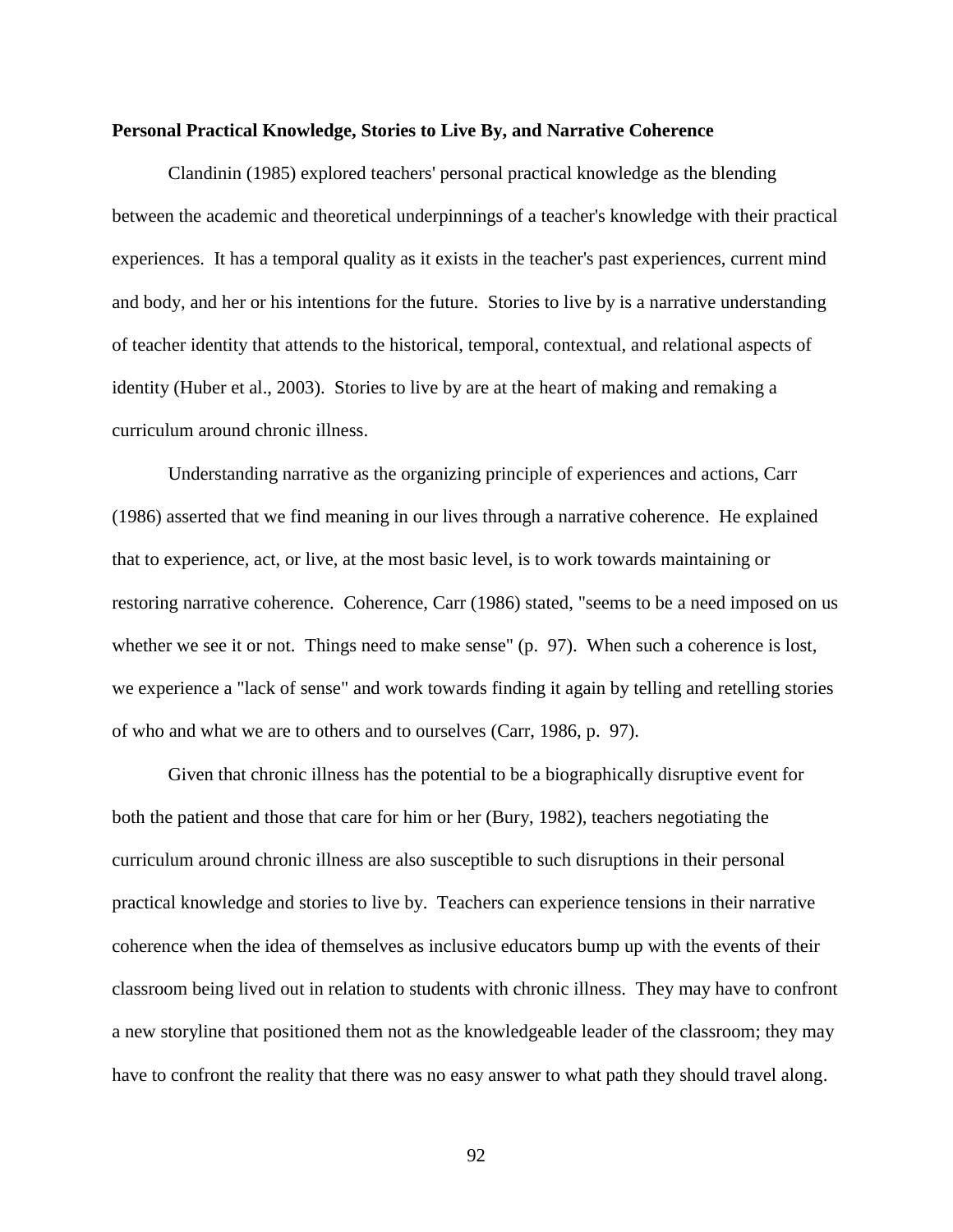#### **Personal Practical Knowledge, Stories to Live By, and Narrative Coherence**

[Clandinin \(1985\)](#page-104-1) explored teachers' personal practical knowledge as the blending between the academic and theoretical underpinnings of a teacher's knowledge with their practical experiences. It has a temporal quality as it exists in the teacher's past experiences, current mind and body, and her or his intentions for the future. Stories to live by is a narrative understanding of teacher identity that attends to the historical, temporal, contextual, and relational aspects of identity [\(Huber et al., 2003\)](#page-107-0). Stories to live by are at the heart of making and remaking a curriculum around chronic illness.

Understanding narrative as the organizing principle of experiences and actions, [Carr](#page-103-0)  [\(1986\)](#page-103-0) asserted that we find meaning in our lives through a narrative coherence. He explained that to experience, act, or live, at the most basic level, is to work towards maintaining or restoring narrative coherence. Coherence, Carr (1986) stated, "seems to be a need imposed on us whether we see it or not. Things need to make sense" (p. 97). When such a coherence is lost, we experience a "lack of sense" and work towards finding it again by telling and retelling stories of who and what we are to others and to ourselves (Carr, 1986, p. 97).

Given that chronic illness has the potential to be a biographically disruptive event for both the patient and those that care for him or her [\(Bury, 1982\)](#page-103-3), teachers negotiating the curriculum around chronic illness are also susceptible to such disruptions in their personal practical knowledge and stories to live by. Teachers can experience tensions in their narrative coherence when the idea of themselves as inclusive educators bump up with the events of their classroom being lived out in relation to students with chronic illness. They may have to confront a new storyline that positioned them not as the knowledgeable leader of the classroom; they may have to confront the reality that there was no easy answer to what path they should travel along.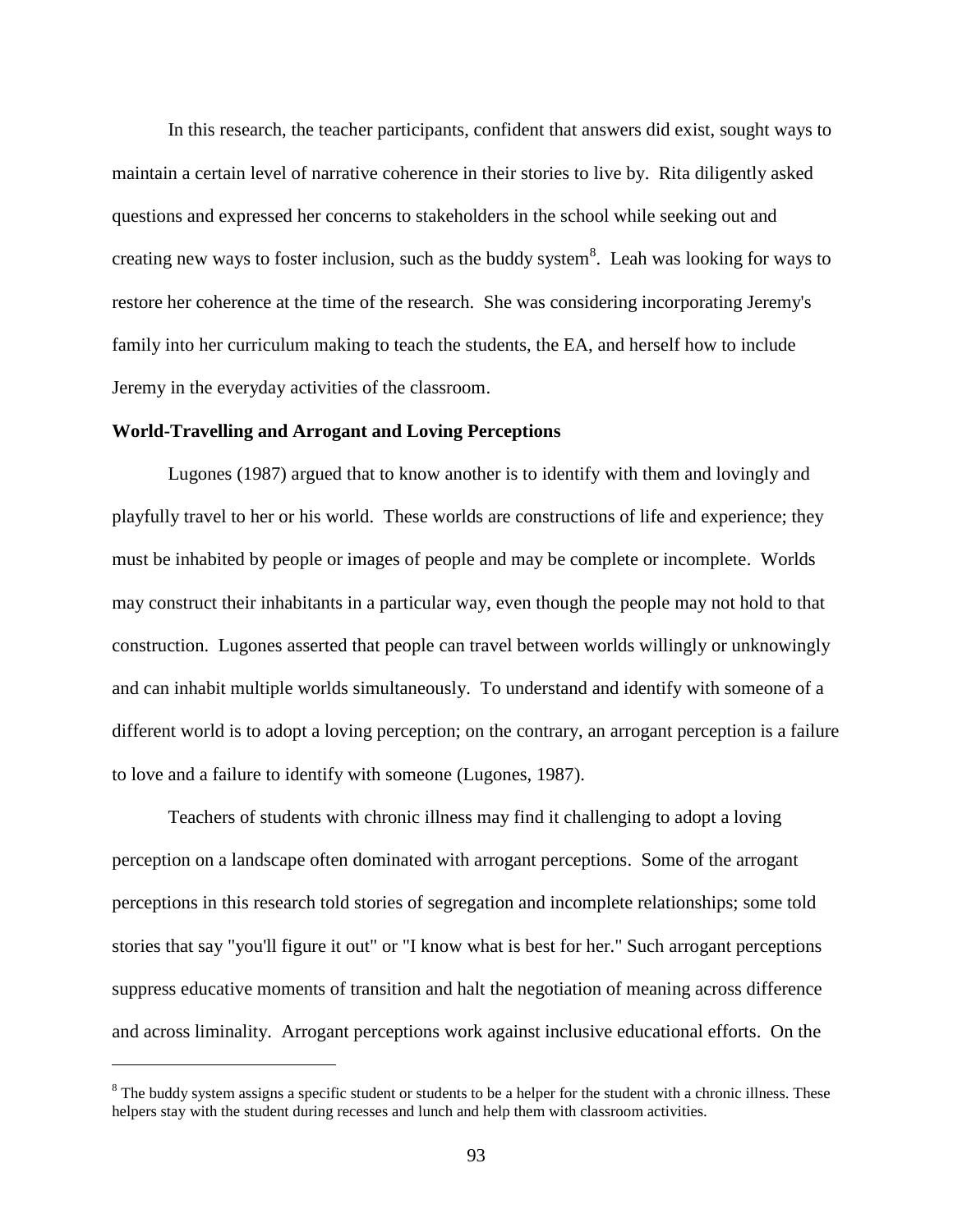In this research, the teacher participants, confident that answers did exist, sought ways to maintain a certain level of narrative coherence in their stories to live by. Rita diligently asked questions and expressed her concerns to stakeholders in the school while seeking out and creating new ways to foster inclusion, such as the buddy system<sup>8</sup>. Leah was looking for ways to restore her coherence at the time of the research. She was considering incorporating Jeremy's family into her curriculum making to teach the students, the EA, and herself how to include Jeremy in the everyday activities of the classroom.

### **World-Travelling and Arrogant and Loving Perceptions**

 $\overline{a}$ 

[Lugones \(1987\)](#page-108-0) argued that to know another is to identify with them and lovingly and playfully travel to her or his world. These worlds are constructions of life and experience; they must be inhabited by people or images of people and may be complete or incomplete. Worlds may construct their inhabitants in a particular way, even though the people may not hold to that construction. Lugones asserted that people can travel between worlds willingly or unknowingly and can inhabit multiple worlds simultaneously. To understand and identify with someone of a different world is to adopt a loving perception; on the contrary, an arrogant perception is a failure to love and a failure to identify with someone [\(Lugones, 1987\)](#page-108-0).

Teachers of students with chronic illness may find it challenging to adopt a loving perception on a landscape often dominated with arrogant perceptions. Some of the arrogant perceptions in this research told stories of segregation and incomplete relationships; some told stories that say "you'll figure it out" or "I know what is best for her." Such arrogant perceptions suppress educative moments of transition and halt the negotiation of meaning across difference and across liminality. Arrogant perceptions work against inclusive educational efforts. On the

<sup>&</sup>lt;sup>8</sup> The buddy system assigns a specific student or students to be a helper for the student with a chronic illness. These helpers stay with the student during recesses and lunch and help them with classroom activities.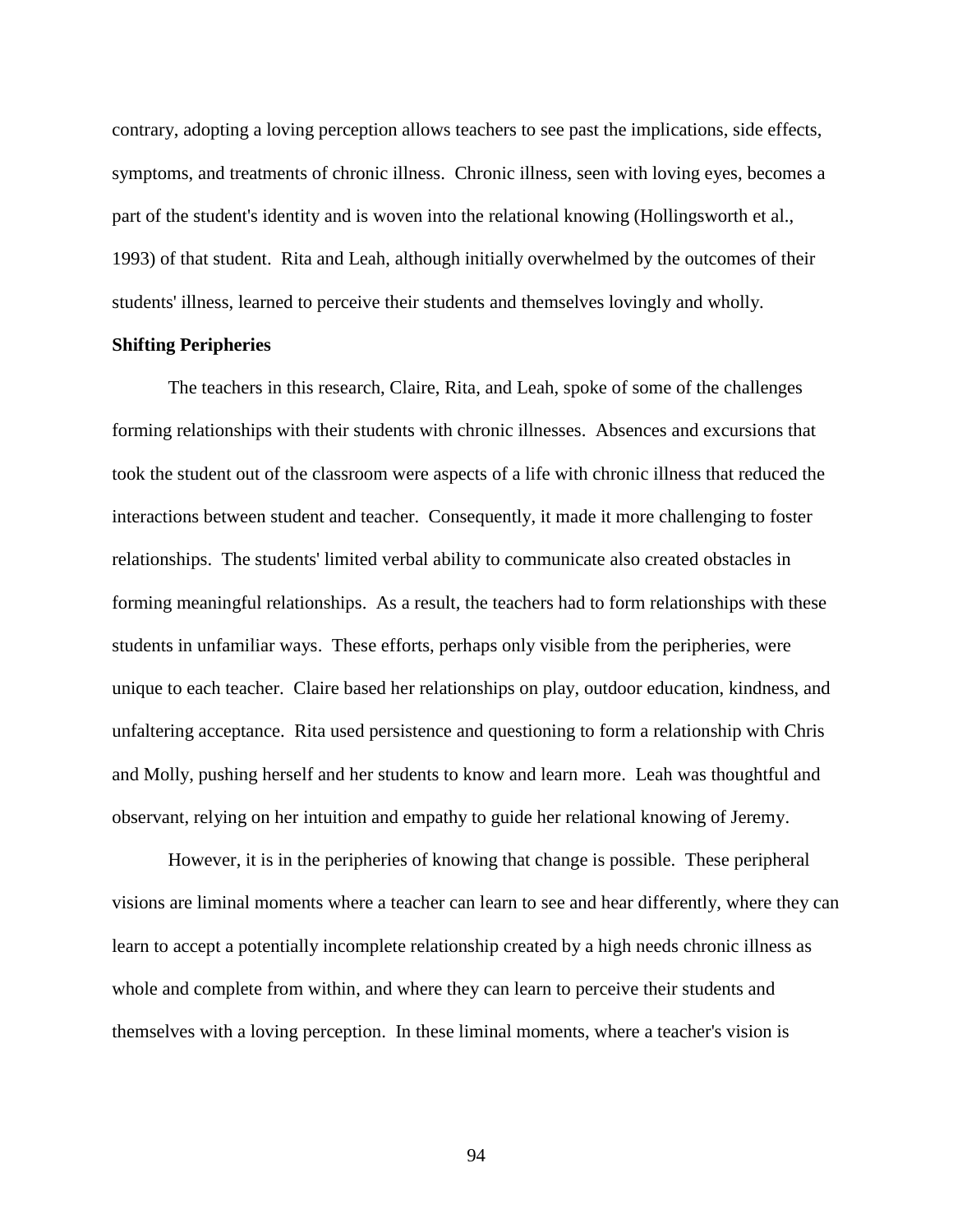contrary, adopting a loving perception allows teachers to see past the implications, side effects, symptoms, and treatments of chronic illness. Chronic illness, seen with loving eyes, becomes a part of the student's identity and is woven into the relational knowing [\(Hollingsworth et al.,](#page-107-1)  [1993\)](#page-107-1) of that student. Rita and Leah, although initially overwhelmed by the outcomes of their students' illness, learned to perceive their students and themselves lovingly and wholly.

## **Shifting Peripheries**

The teachers in this research, Claire, Rita, and Leah, spoke of some of the challenges forming relationships with their students with chronic illnesses. Absences and excursions that took the student out of the classroom were aspects of a life with chronic illness that reduced the interactions between student and teacher. Consequently, it made it more challenging to foster relationships. The students' limited verbal ability to communicate also created obstacles in forming meaningful relationships. As a result, the teachers had to form relationships with these students in unfamiliar ways. These efforts, perhaps only visible from the peripheries, were unique to each teacher. Claire based her relationships on play, outdoor education, kindness, and unfaltering acceptance. Rita used persistence and questioning to form a relationship with Chris and Molly, pushing herself and her students to know and learn more. Leah was thoughtful and observant, relying on her intuition and empathy to guide her relational knowing of Jeremy.

However, it is in the peripheries of knowing that change is possible. These peripheral visions are liminal moments where a teacher can learn to see and hear differently, where they can learn to accept a potentially incomplete relationship created by a high needs chronic illness as whole and complete from within, and where they can learn to perceive their students and themselves with a loving perception. In these liminal moments, where a teacher's vision is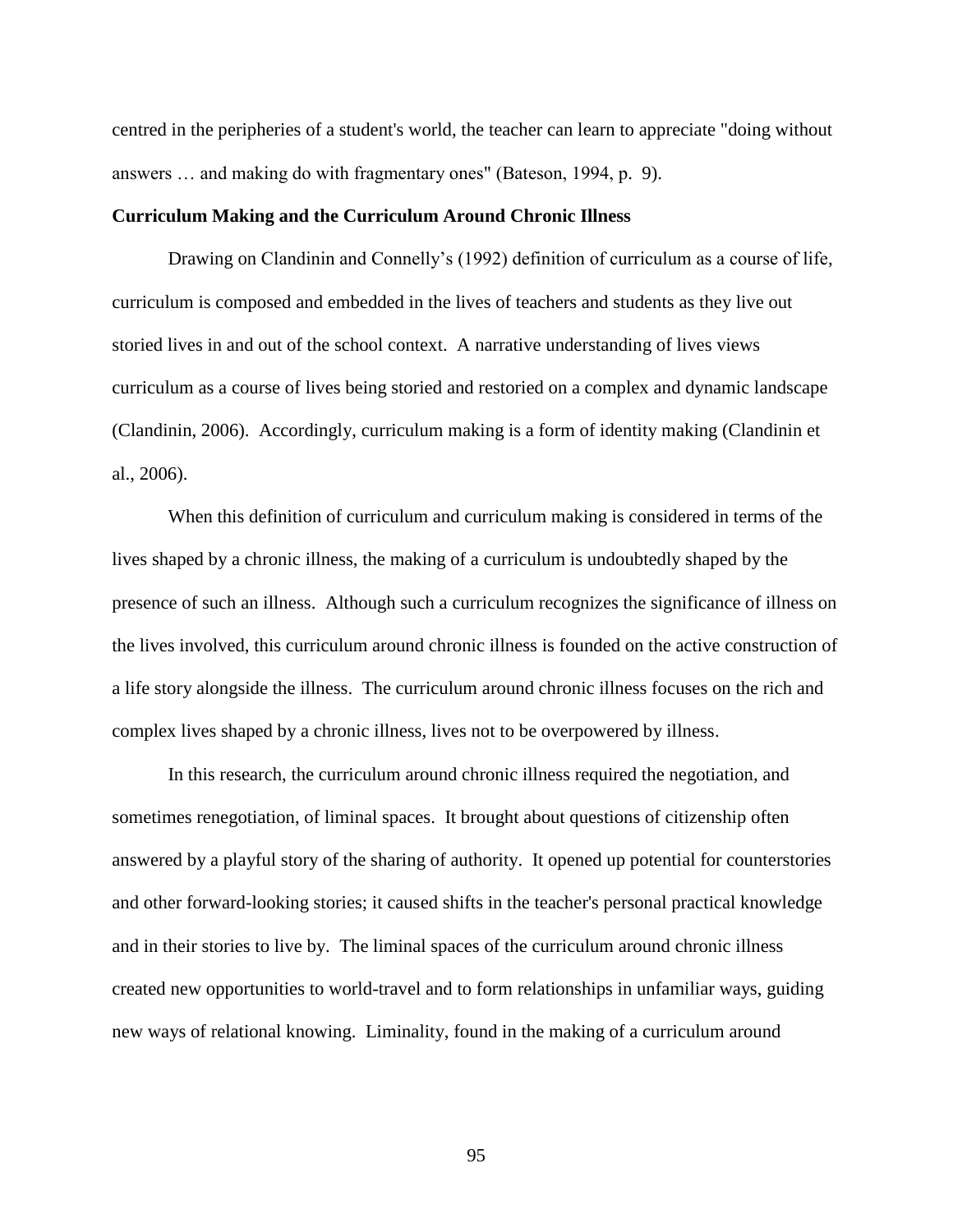centred in the peripheries of a student's world, the teacher can learn to appreciate "doing without answers … and making do with fragmentary ones" (Bateson, 1994, p. 9).

### **Curriculum Making and the Curriculum Around Chronic Illness**

Drawing on Clandinin and Connelly's (1992) definition of curriculum as a course of life, curriculum is composed and embedded in the lives of teachers and students as they live out storied lives in and out of the school context. A narrative understanding of lives views curriculum as a course of lives being storied and restoried on a complex and dynamic landscape [\(Clandinin, 2006\)](#page-104-2). Accordingly, curriculum making is a form of identity making [\(Clandinin et](#page-104-3)  [al., 2006\)](#page-104-3).

When this definition of curriculum and curriculum making is considered in terms of the lives shaped by a chronic illness, the making of a curriculum is undoubtedly shaped by the presence of such an illness. Although such a curriculum recognizes the significance of illness on the lives involved, this curriculum around chronic illness is founded on the active construction of a life story alongside the illness. The curriculum around chronic illness focuses on the rich and complex lives shaped by a chronic illness, lives not to be overpowered by illness.

In this research, the curriculum around chronic illness required the negotiation, and sometimes renegotiation, of liminal spaces. It brought about questions of citizenship often answered by a playful story of the sharing of authority. It opened up potential for counterstories and other forward-looking stories; it caused shifts in the teacher's personal practical knowledge and in their stories to live by. The liminal spaces of the curriculum around chronic illness created new opportunities to world-travel and to form relationships in unfamiliar ways, guiding new ways of relational knowing. Liminality, found in the making of a curriculum around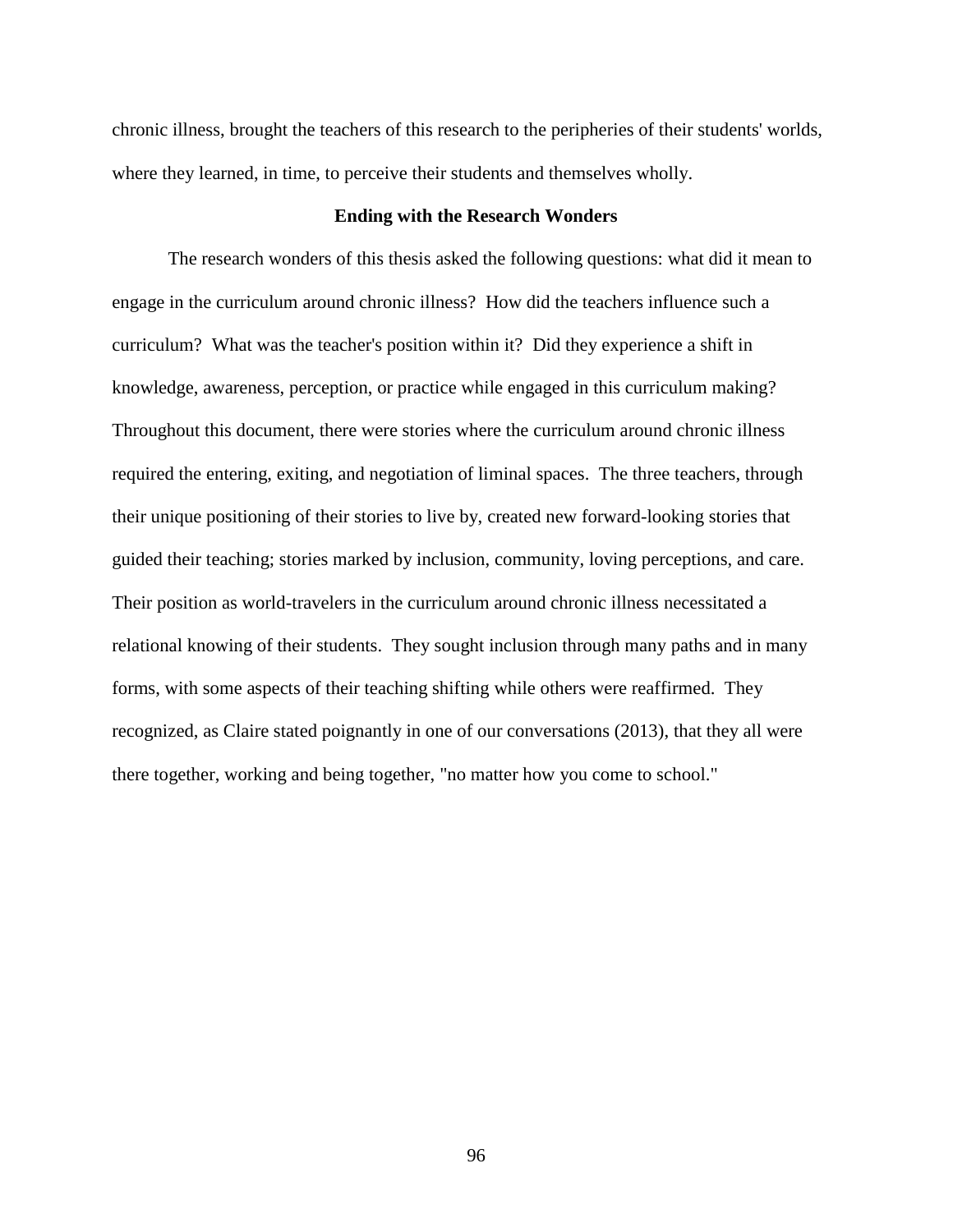chronic illness, brought the teachers of this research to the peripheries of their students' worlds, where they learned, in time, to perceive their students and themselves wholly.

# **Ending with the Research Wonders**

The research wonders of this thesis asked the following questions: what did it mean to engage in the curriculum around chronic illness? How did the teachers influence such a curriculum? What was the teacher's position within it? Did they experience a shift in knowledge, awareness, perception, or practice while engaged in this curriculum making? Throughout this document, there were stories where the curriculum around chronic illness required the entering, exiting, and negotiation of liminal spaces. The three teachers, through their unique positioning of their stories to live by, created new forward-looking stories that guided their teaching; stories marked by inclusion, community, loving perceptions, and care. Their position as world-travelers in the curriculum around chronic illness necessitated a relational knowing of their students. They sought inclusion through many paths and in many forms, with some aspects of their teaching shifting while others were reaffirmed. They recognized, as Claire stated poignantly in one of our conversations (2013), that they all were there together, working and being together, "no matter how you come to school."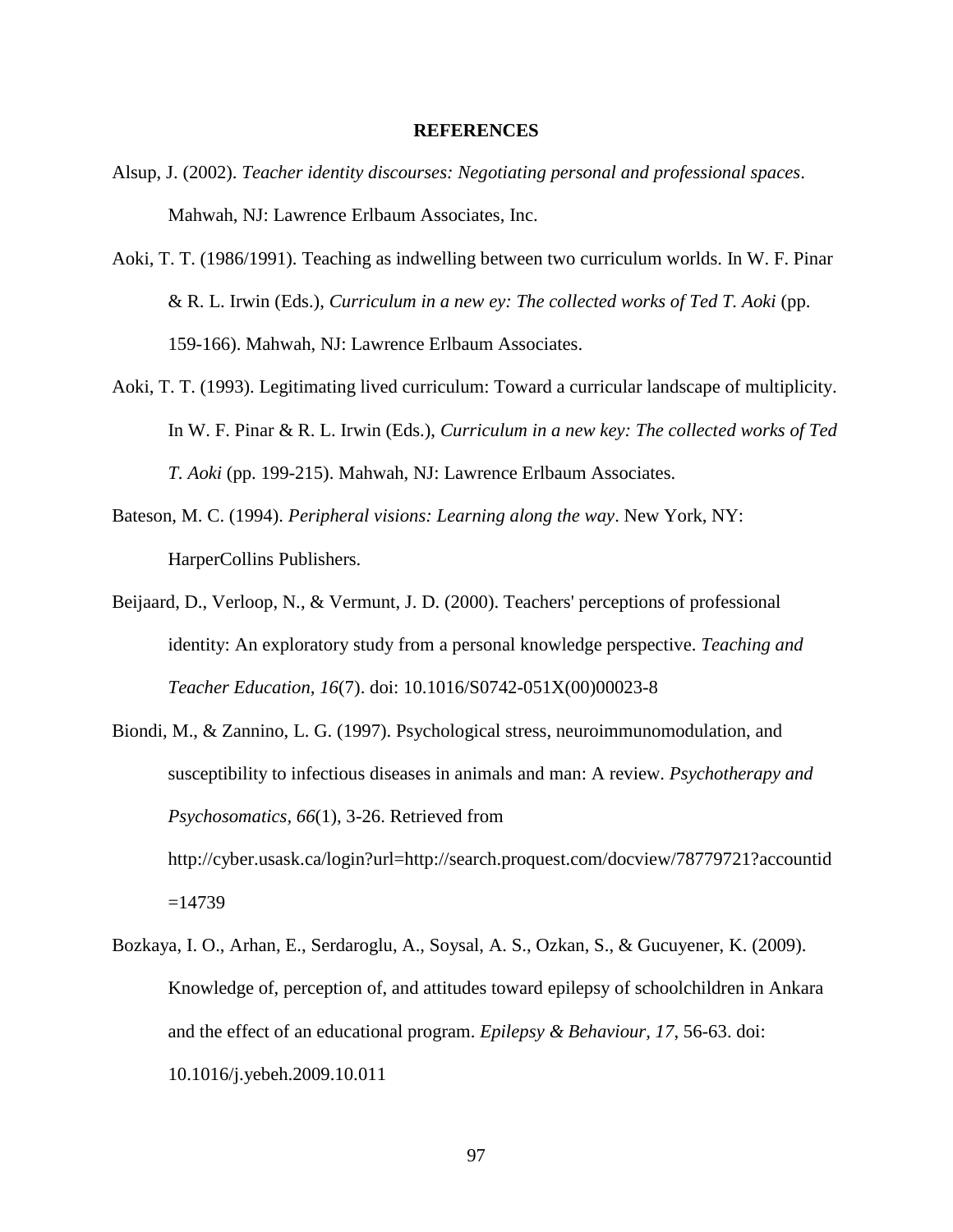### **REFERENCES**

- Alsup, J. (2002). *Teacher identity discourses: Negotiating personal and professional spaces*. Mahwah, NJ: Lawrence Erlbaum Associates, Inc.
- Aoki, T. T. (1986/1991). Teaching as indwelling between two curriculum worlds. In W. F. Pinar & R. L. Irwin (Eds.), *Curriculum in a new ey: The collected works of Ted T. Aoki* (pp. 159-166). Mahwah, NJ: Lawrence Erlbaum Associates.
- Aoki, T. T. (1993). Legitimating lived curriculum: Toward a curricular landscape of multiplicity. In W. F. Pinar & R. L. Irwin (Eds.), *Curriculum in a new key: The collected works of Ted T. Aoki* (pp. 199-215). Mahwah, NJ: Lawrence Erlbaum Associates.
- <span id="page-102-0"></span>Bateson, M. C. (1994). *Peripheral visions: Learning along the way*. New York, NY: HarperCollins Publishers.
- Beijaard, D., Verloop, N., & Vermunt, J. D. (2000). Teachers' perceptions of professional identity: An exploratory study from a personal knowledge perspective. *Teaching and Teacher Education, 16*(7). doi: 10.1016/S0742-051X(00)00023-8
- <span id="page-102-1"></span>Biondi, M., & Zannino, L. G. (1997). Psychological stress, neuroimmunomodulation, and susceptibility to infectious diseases in animals and man: A review. *Psychotherapy and Psychosomatics, 66*(1), 3-26. Retrieved from http://cyber.usask.ca/login?url=http://search.proquest.com/docview/78779721?accountid  $=14739$
- Bozkaya, I. O., Arhan, E., Serdaroglu, A., Soysal, A. S., Ozkan, S., & Gucuyener, K. (2009). Knowledge of, perception of, and attitudes toward epilepsy of schoolchildren in Ankara and the effect of an educational program. *Epilepsy & Behaviour, 17*, 56-63. doi: 10.1016/j.yebeh.2009.10.011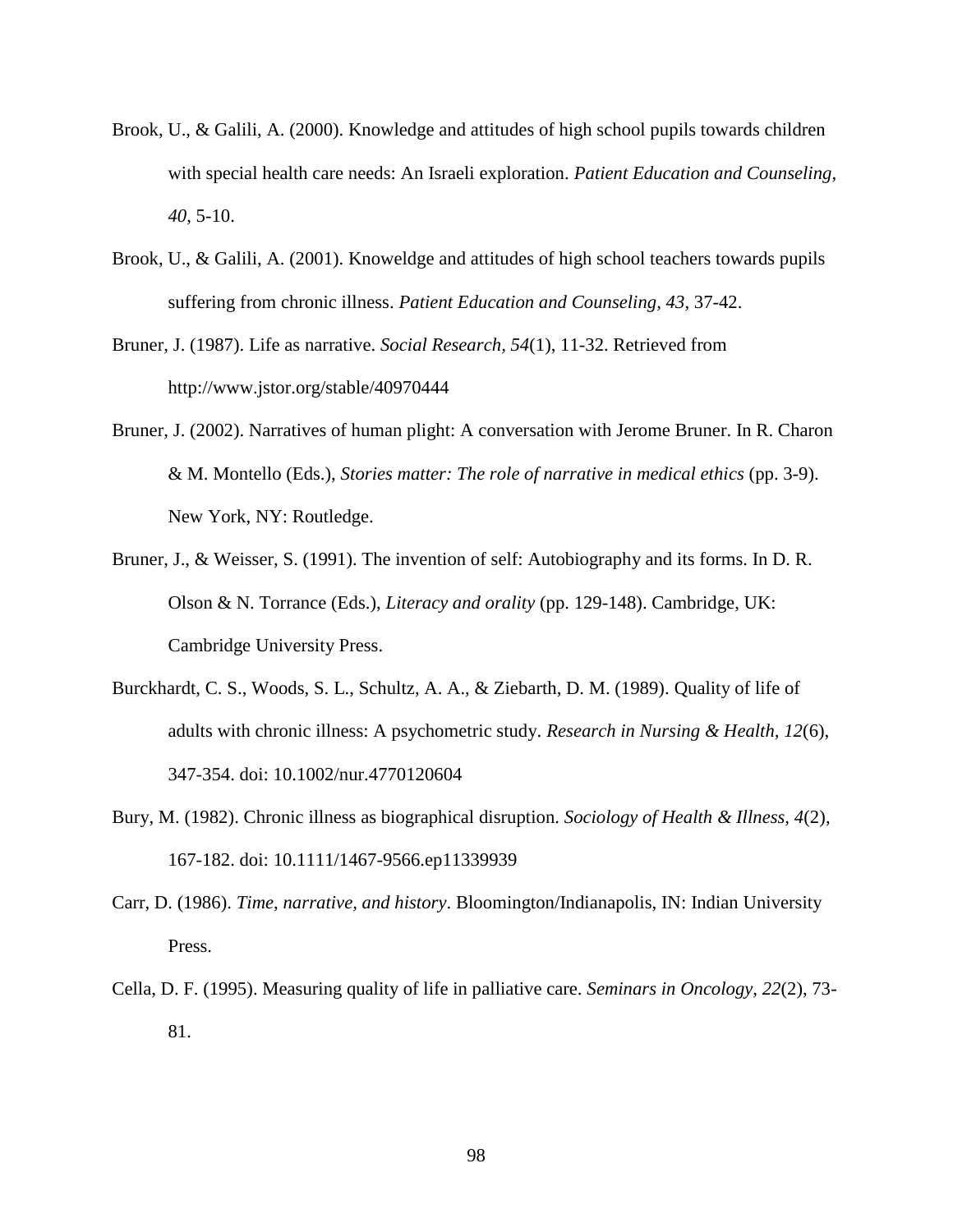- Brook, U., & Galili, A. (2000). Knowledge and attitudes of high school pupils towards children with special health care needs: An Israeli exploration. *Patient Education and Counseling, 40*, 5-10.
- Brook, U., & Galili, A. (2001). Knoweldge and attitudes of high school teachers towards pupils suffering from chronic illness. *Patient Education and Counseling, 43*, 37-42.
- Bruner, J. (1987). Life as narrative. *Social Research, 54*(1), 11-32. Retrieved from http://www.jstor.org/stable/40970444
- Bruner, J. (2002). Narratives of human plight: A conversation with Jerome Bruner. In R. Charon & M. Montello (Eds.), *Stories matter: The role of narrative in medical ethics* (pp. 3-9). New York, NY: Routledge.
- Bruner, J., & Weisser, S. (1991). The invention of self: Autobiography and its forms. In D. R. Olson & N. Torrance (Eds.), *Literacy and orality* (pp. 129-148). Cambridge, UK: Cambridge University Press.
- <span id="page-103-2"></span>Burckhardt, C. S., Woods, S. L., Schultz, A. A., & Ziebarth, D. M. (1989). Quality of life of adults with chronic illness: A psychometric study. *Research in Nursing & Health, 12*(6), 347-354. doi: 10.1002/nur.4770120604
- <span id="page-103-3"></span>Bury, M. (1982). Chronic illness as biographical disruption. *Sociology of Health & Illness, 4*(2), 167-182. doi: 10.1111/1467-9566.ep11339939
- <span id="page-103-0"></span>Carr, D. (1986). *Time, narrative, and history*. Bloomington/Indianapolis, IN: Indian University Press.
- <span id="page-103-1"></span>Cella, D. F. (1995). Measuring quality of life in palliative care. *Seminars in Oncology, 22*(2), 73- 81.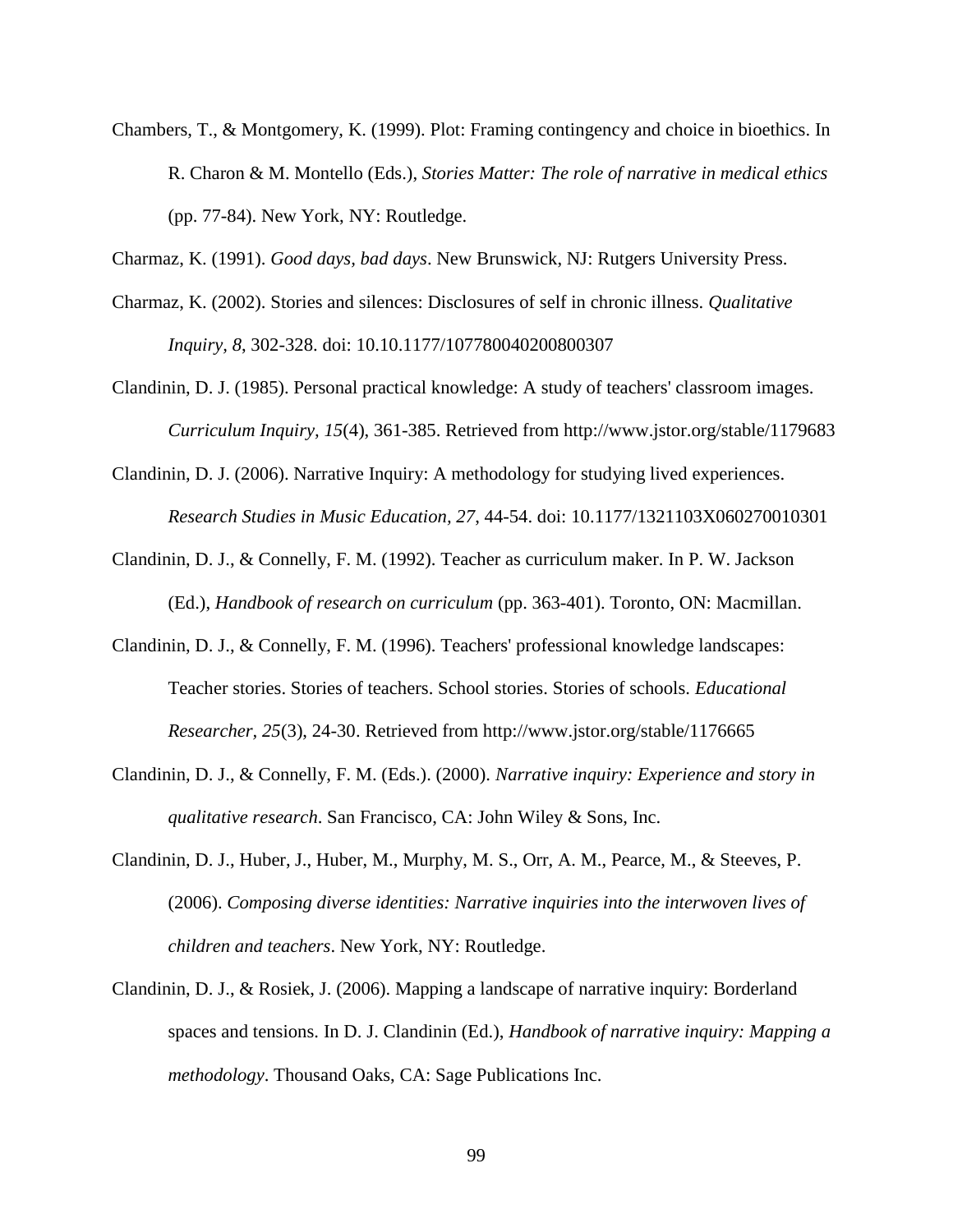- Chambers, T., & Montgomery, K. (1999). Plot: Framing contingency and choice in bioethics. In R. Charon & M. Montello (Eds.), *Stories Matter: The role of narrative in medical ethics* (pp. 77-84). New York, NY: Routledge.
- <span id="page-104-0"></span>Charmaz, K. (1991). *Good days, bad days*. New Brunswick, NJ: Rutgers University Press.
- Charmaz, K. (2002). Stories and silences: Disclosures of self in chronic illness. *Qualitative Inquiry, 8*, 302-328. doi: 10.10.1177/107780040200800307
- <span id="page-104-1"></span>Clandinin, D. J. (1985). Personal practical knowledge: A study of teachers' classroom images. *Curriculum Inquiry, 15*(4), 361-385. Retrieved from http://www.jstor.org/stable/1179683
- <span id="page-104-2"></span>Clandinin, D. J. (2006). Narrative Inquiry: A methodology for studying lived experiences. *Research Studies in Music Education, 27*, 44-54. doi: 10.1177/1321103X060270010301
- Clandinin, D. J., & Connelly, F. M. (1992). Teacher as curriculum maker. In P. W. Jackson (Ed.), *Handbook of research on curriculum* (pp. 363-401). Toronto, ON: Macmillan.
- Clandinin, D. J., & Connelly, F. M. (1996). Teachers' professional knowledge landscapes: Teacher stories. Stories of teachers. School stories. Stories of schools. *Educational Researcher, 25*(3), 24-30. Retrieved from http://www.jstor.org/stable/1176665
- Clandinin, D. J., & Connelly, F. M. (Eds.). (2000). *Narrative inquiry: Experience and story in qualitative research*. San Francisco, CA: John Wiley & Sons, Inc.
- <span id="page-104-3"></span>Clandinin, D. J., Huber, J., Huber, M., Murphy, M. S., Orr, A. M., Pearce, M., & Steeves, P. (2006). *Composing diverse identities: Narrative inquiries into the interwoven lives of children and teachers*. New York, NY: Routledge.
- Clandinin, D. J., & Rosiek, J. (2006). Mapping a landscape of narrative inquiry: Borderland spaces and tensions. In D. J. Clandinin (Ed.), *Handbook of narrative inquiry: Mapping a methodology*. Thousand Oaks, CA: Sage Publications Inc.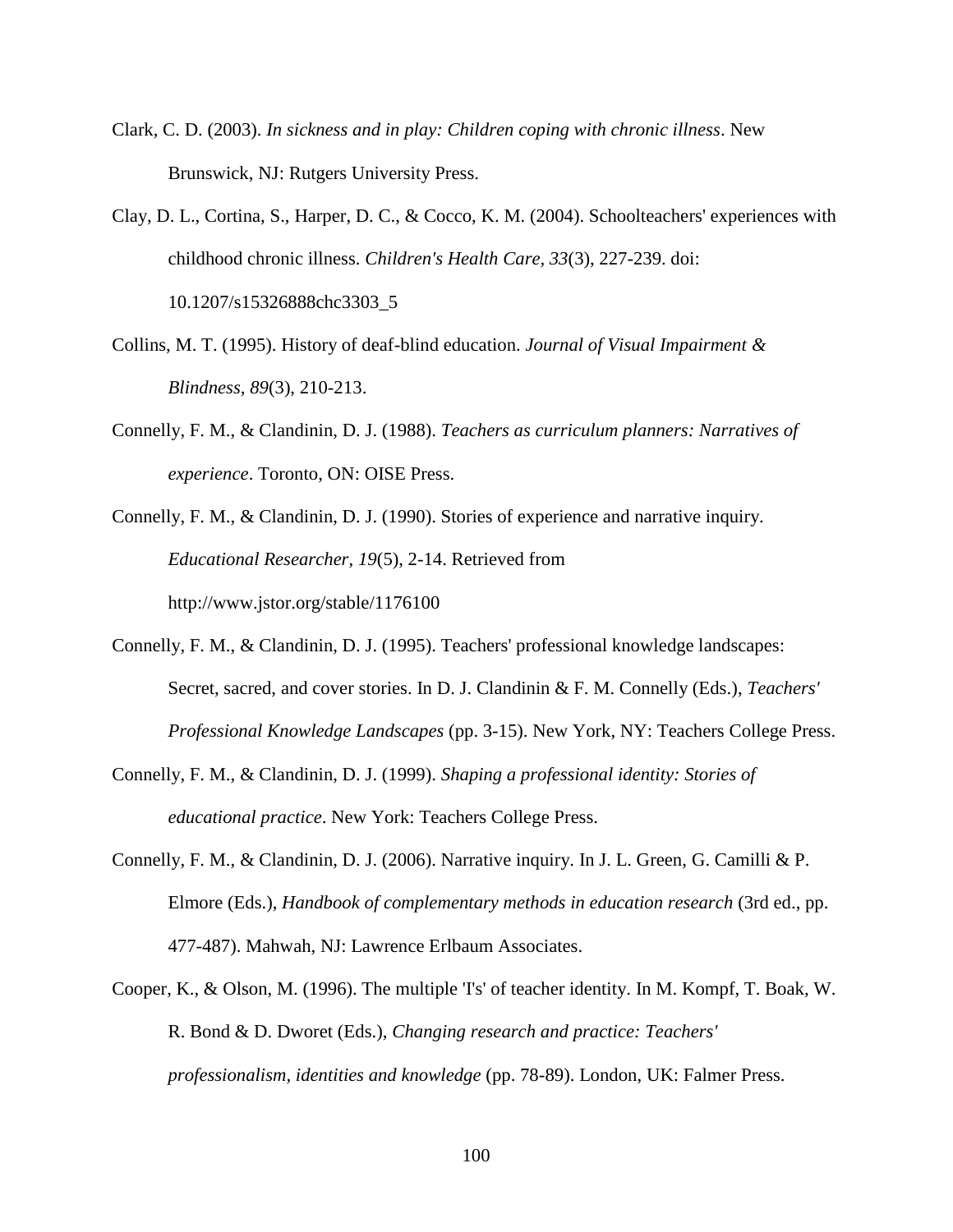- <span id="page-105-2"></span>Clark, C. D. (2003). *In sickness and in play: Children coping with chronic illness*. New Brunswick, NJ: Rutgers University Press.
- Clay, D. L., Cortina, S., Harper, D. C., & Cocco, K. M. (2004). Schoolteachers' experiences with childhood chronic illness. *Children's Health Care, 33*(3), 227-239. doi: 10.1207/s15326888chc3303\_5
- <span id="page-105-0"></span>Collins, M. T. (1995). History of deaf-blind education. *Journal of Visual Impairment & Blindness, 89*(3), 210-213.
- Connelly, F. M., & Clandinin, D. J. (1988). *Teachers as curriculum planners: Narratives of experience*. Toronto, ON: OISE Press.
- Connelly, F. M., & Clandinin, D. J. (1990). Stories of experience and narrative inquiry. *Educational Researcher, 19*(5), 2-14. Retrieved from http://www.jstor.org/stable/1176100
- Connelly, F. M., & Clandinin, D. J. (1995). Teachers' professional knowledge landscapes: Secret, sacred, and cover stories. In D. J. Clandinin & F. M. Connelly (Eds.), *Teachers' Professional Knowledge Landscapes* (pp. 3-15). New York, NY: Teachers College Press.
- Connelly, F. M., & Clandinin, D. J. (1999). *Shaping a professional identity: Stories of educational practice*. New York: Teachers College Press.
- <span id="page-105-1"></span>Connelly, F. M., & Clandinin, D. J. (2006). Narrative inquiry. In J. L. Green, G. Camilli & P. Elmore (Eds.), *Handbook of complementary methods in education research* (3rd ed., pp. 477-487). Mahwah, NJ: Lawrence Erlbaum Associates.
- Cooper, K., & Olson, M. (1996). The multiple 'I's' of teacher identity. In M. Kompf, T. Boak, W. R. Bond & D. Dworet (Eds.), *Changing research and practice: Teachers' professionalism, identities and knowledge* (pp. 78-89). London, UK: Falmer Press.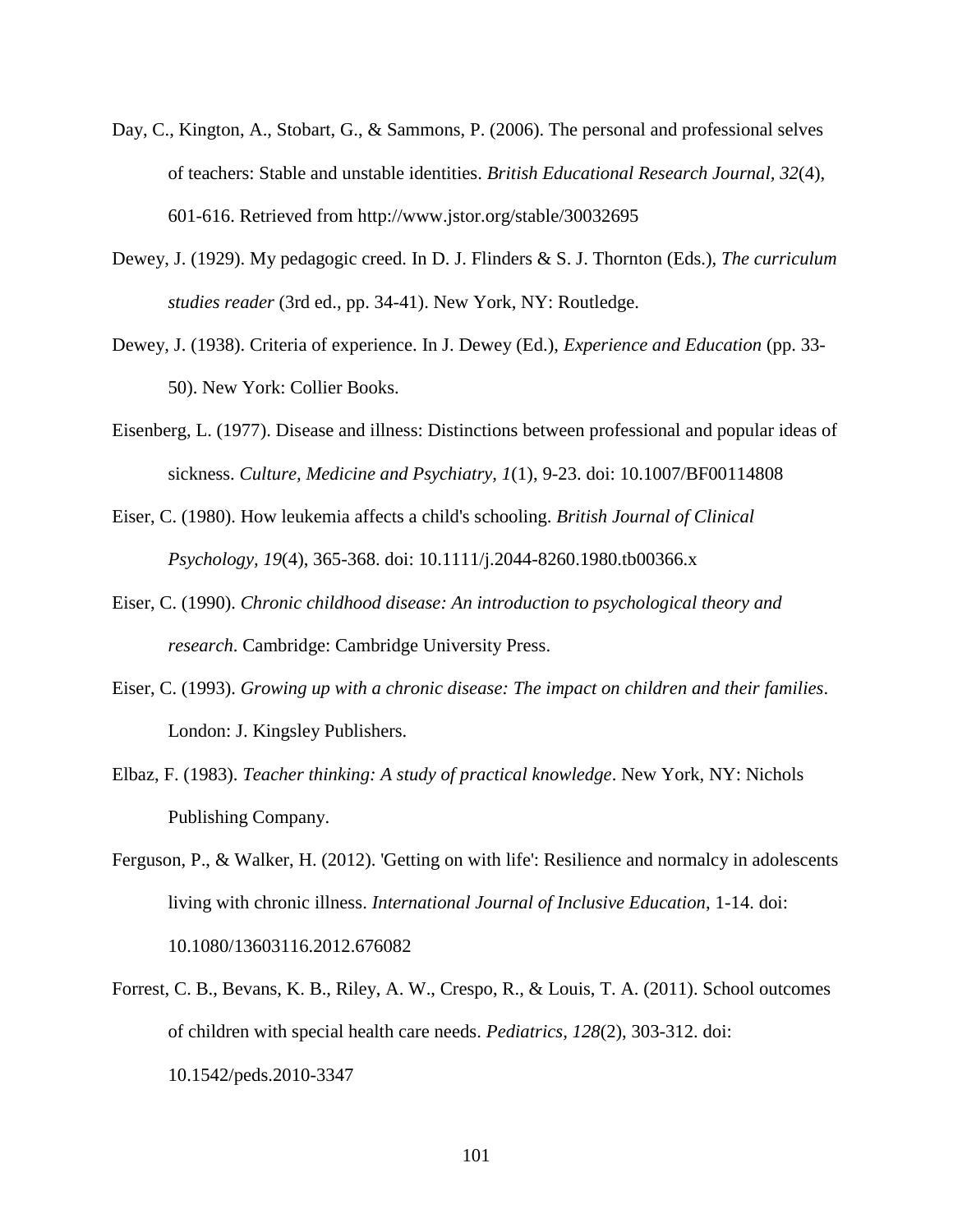- Day, C., Kington, A., Stobart, G., & Sammons, P. (2006). The personal and professional selves of teachers: Stable and unstable identities. *British Educational Research Journal, 32*(4), 601-616. Retrieved from http://www.jstor.org/stable/30032695
- Dewey, J. (1929). My pedagogic creed. In D. J. Flinders & S. J. Thornton (Eds.), *The curriculum studies reader* (3rd ed., pp. 34-41). New York, NY: Routledge.
- Dewey, J. (1938). Criteria of experience. In J. Dewey (Ed.), *Experience and Education* (pp. 33- 50). New York: Collier Books.
- <span id="page-106-0"></span>Eisenberg, L. (1977). Disease and illness: Distinctions between professional and popular ideas of sickness. *Culture, Medicine and Psychiatry, 1*(1), 9-23. doi: 10.1007/BF00114808
- Eiser, C. (1980). How leukemia affects a child's schooling. *British Journal of Clinical Psychology, 19*(4), 365-368. doi: 10.1111/j.2044-8260.1980.tb00366.x
- Eiser, C. (1990). *Chronic childhood disease: An introduction to psychological theory and research*. Cambridge: Cambridge University Press.
- Eiser, C. (1993). *Growing up with a chronic disease: The impact on children and their families*. London: J. Kingsley Publishers.
- Elbaz, F. (1983). *Teacher thinking: A study of practical knowledge*. New York, NY: Nichols Publishing Company.
- Ferguson, P., & Walker, H. (2012). 'Getting on with life': Resilience and normalcy in adolescents living with chronic illness. *International Journal of Inclusive Education*, 1-14. doi: 10.1080/13603116.2012.676082
- Forrest, C. B., Bevans, K. B., Riley, A. W., Crespo, R., & Louis, T. A. (2011). School outcomes of children with special health care needs. *Pediatrics, 128*(2), 303-312. doi: 10.1542/peds.2010-3347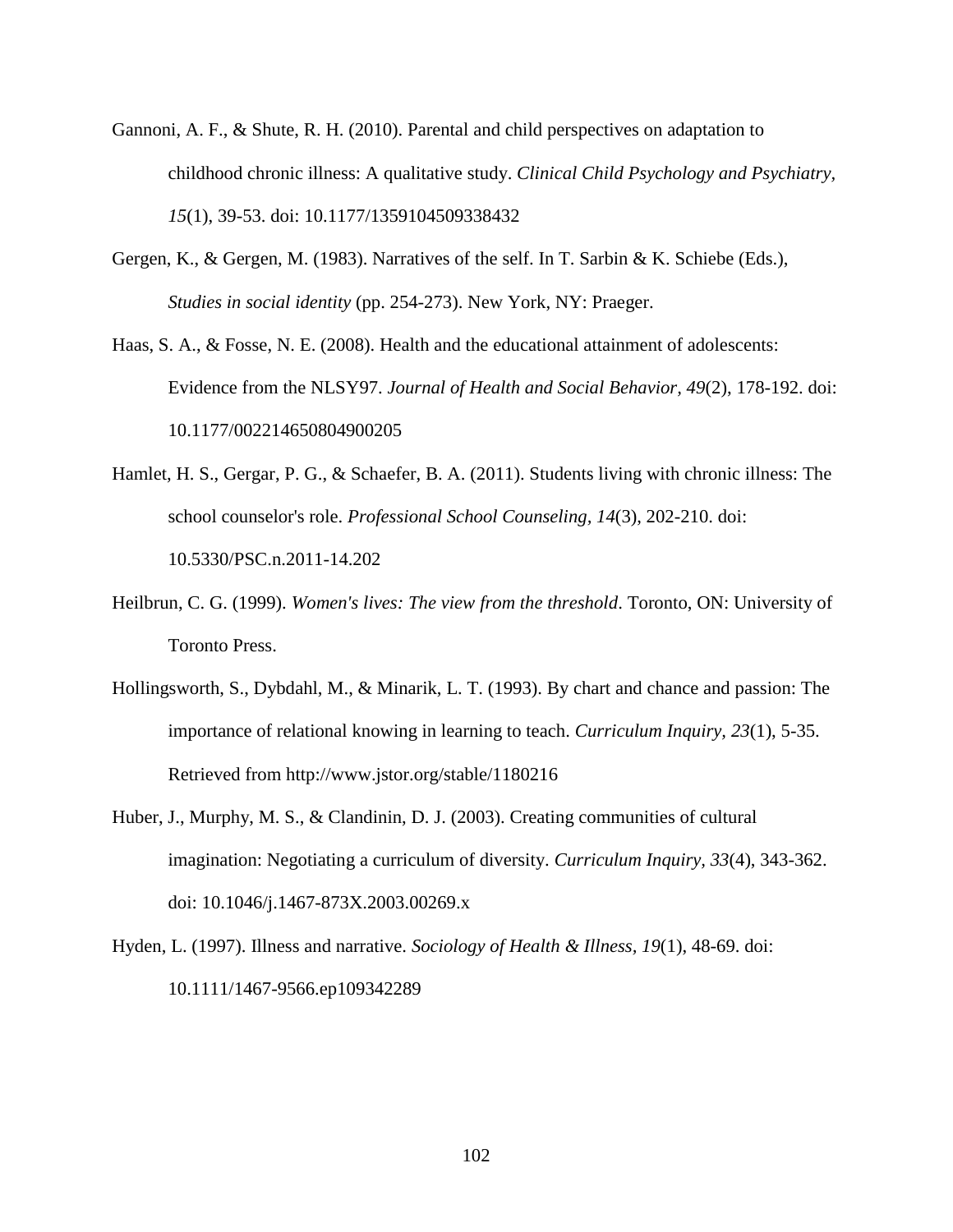- Gannoni, A. F., & Shute, R. H. (2010). Parental and child perspectives on adaptation to childhood chronic illness: A qualitative study. *Clinical Child Psychology and Psychiatry, 15*(1), 39-53. doi: 10.1177/1359104509338432
- Gergen, K., & Gergen, M. (1983). Narratives of the self. In T. Sarbin & K. Schiebe (Eds.), *Studies in social identity* (pp. 254-273). New York, NY: Praeger.
- Haas, S. A., & Fosse, N. E. (2008). Health and the educational attainment of adolescents: Evidence from the NLSY97. *Journal of Health and Social Behavior, 49*(2), 178-192. doi: 10.1177/002214650804900205
- <span id="page-107-2"></span>Hamlet, H. S., Gergar, P. G., & Schaefer, B. A. (2011). Students living with chronic illness: The school counselor's role. *Professional School Counseling, 14*(3), 202-210. doi: 10.5330/PSC.n.2011-14.202
- <span id="page-107-3"></span>Heilbrun, C. G. (1999). *Women's lives: The view from the threshold*. Toronto, ON: University of Toronto Press.
- <span id="page-107-1"></span>Hollingsworth, S., Dybdahl, M., & Minarik, L. T. (1993). By chart and chance and passion: The importance of relational knowing in learning to teach. *Curriculum Inquiry, 23*(1), 5-35. Retrieved from http://www.jstor.org/stable/1180216
- <span id="page-107-0"></span>Huber, J., Murphy, M. S., & Clandinin, D. J. (2003). Creating communities of cultural imagination: Negotiating a curriculum of diversity. *Curriculum Inquiry, 33*(4), 343-362. doi: 10.1046/j.1467-873X.2003.00269.x
- Hyden, L. (1997). Illness and narrative. *Sociology of Health & Illness, 19*(1), 48-69. doi: 10.1111/1467-9566.ep109342289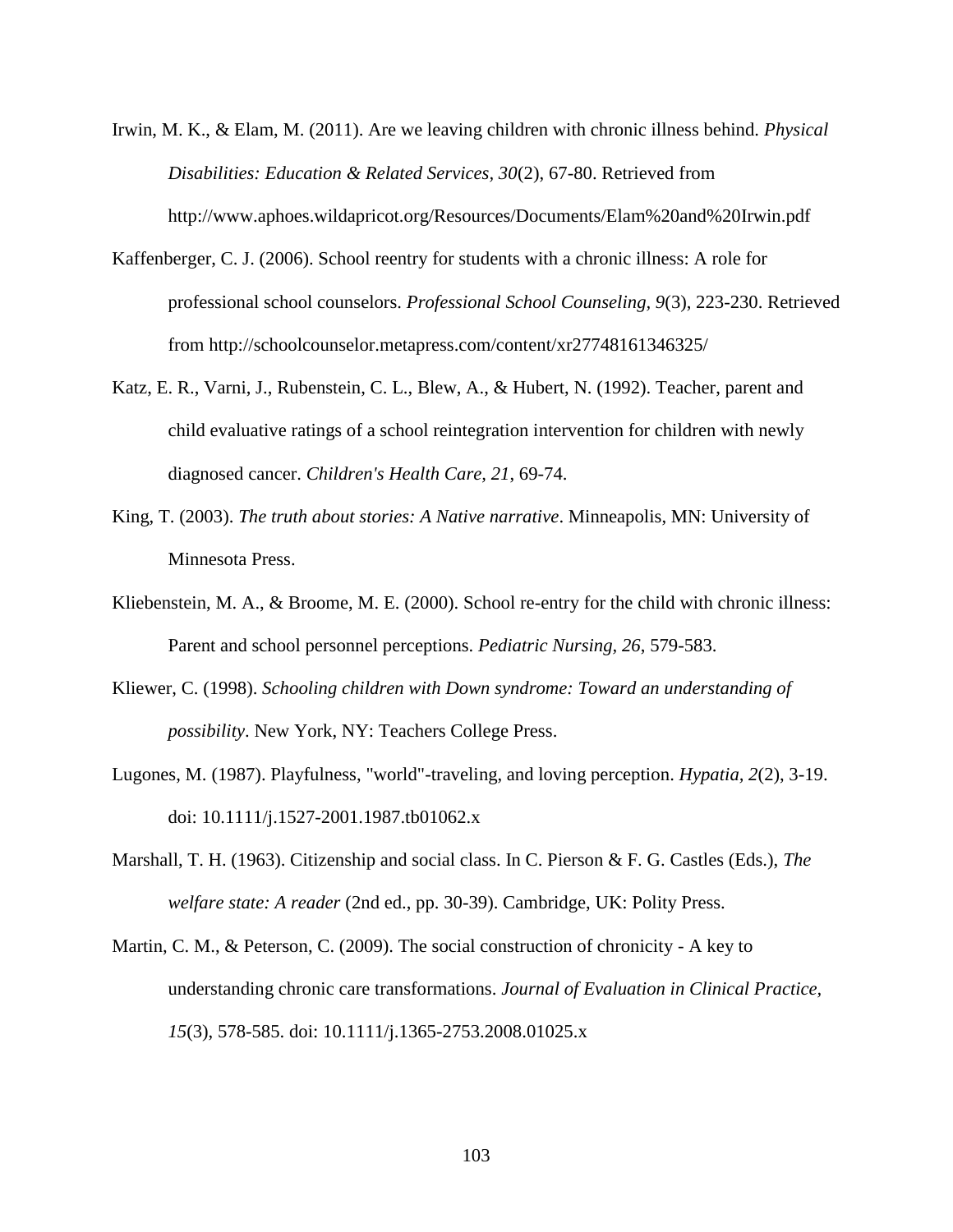Irwin, M. K., & Elam, M. (2011). Are we leaving children with chronic illness behind. *Physical Disabilities: Education & Related Services, 30*(2), 67-80. Retrieved from http://www.aphoes.wildapricot.org/Resources/Documents/Elam%20and%20Irwin.pdf

- Kaffenberger, C. J. (2006). School reentry for students with a chronic illness: A role for professional school counselors. *Professional School Counseling, 9*(3), 223-230. Retrieved from http://schoolcounselor.metapress.com/content/xr27748161346325/
- Katz, E. R., Varni, J., Rubenstein, C. L., Blew, A., & Hubert, N. (1992). Teacher, parent and child evaluative ratings of a school reintegration intervention for children with newly diagnosed cancer. *Children's Health Care, 21*, 69-74.
- King, T. (2003). *The truth about stories: A Native narrative*. Minneapolis, MN: University of Minnesota Press.
- Kliebenstein, M. A., & Broome, M. E. (2000). School re-entry for the child with chronic illness: Parent and school personnel perceptions. *Pediatric Nursing, 26*, 579-583.
- Kliewer, C. (1998). *Schooling children with Down syndrome: Toward an understanding of possibility*. New York, NY: Teachers College Press.
- Lugones, M. (1987). Playfulness, "world"-traveling, and loving perception. *Hypatia, 2*(2), 3-19. doi: 10.1111/j.1527-2001.1987.tb01062.x
- Marshall, T. H. (1963). Citizenship and social class. In C. Pierson & F. G. Castles (Eds.), *The welfare state: A reader* (2nd ed., pp. 30-39). Cambridge, UK: Polity Press.
- Martin, C. M., & Peterson, C. (2009). The social construction of chronicity A key to understanding chronic care transformations. *Journal of Evaluation in Clinical Practice, 15*(3), 578-585. doi: 10.1111/j.1365-2753.2008.01025.x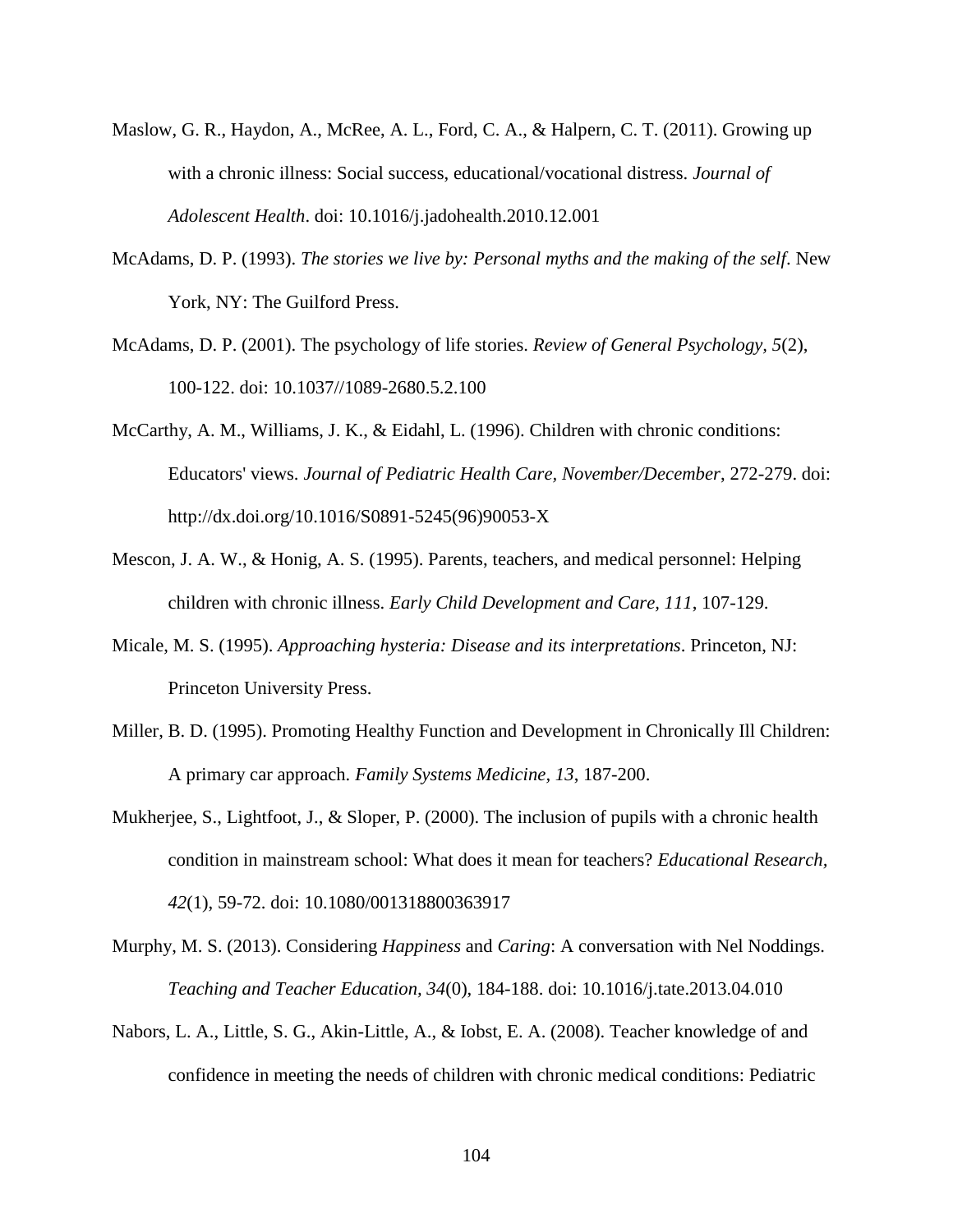- Maslow, G. R., Haydon, A., McRee, A. L., Ford, C. A., & Halpern, C. T. (2011). Growing up with a chronic illness: Social success, educational/vocational distress. *Journal of Adolescent Health*. doi: 10.1016/j.jadohealth.2010.12.001
- McAdams, D. P. (1993). *The stories we live by: Personal myths and the making of the self*. New York, NY: The Guilford Press.
- McAdams, D. P. (2001). The psychology of life stories. *Review of General Psychology, 5*(2), 100-122. doi: 10.1037//1089-2680.5.2.100
- McCarthy, A. M., Williams, J. K., & Eidahl, L. (1996). Children with chronic conditions: Educators' views. *Journal of Pediatric Health Care, November/December*, 272-279. doi: http://dx.doi.org/10.1016/S0891-5245(96)90053-X
- Mescon, J. A. W., & Honig, A. S. (1995). Parents, teachers, and medical personnel: Helping children with chronic illness. *Early Child Development and Care, 111*, 107-129.
- Micale, M. S. (1995). *Approaching hysteria: Disease and its interpretations*. Princeton, NJ: Princeton University Press.
- Miller, B. D. (1995). Promoting Healthy Function and Development in Chronically Ill Children: A primary car approach. *Family Systems Medicine, 13*, 187-200.
- Mukherjee, S., Lightfoot, J., & Sloper, P. (2000). The inclusion of pupils with a chronic health condition in mainstream school: What does it mean for teachers? *Educational Research, 42*(1), 59-72. doi: 10.1080/001318800363917
- Murphy, M. S. (2013). Considering *Happiness* and *Caring*: A conversation with Nel Noddings. *Teaching and Teacher Education, 34*(0), 184-188. doi: 10.1016/j.tate.2013.04.010
- Nabors, L. A., Little, S. G., Akin-Little, A., & Iobst, E. A. (2008). Teacher knowledge of and confidence in meeting the needs of children with chronic medical conditions: Pediatric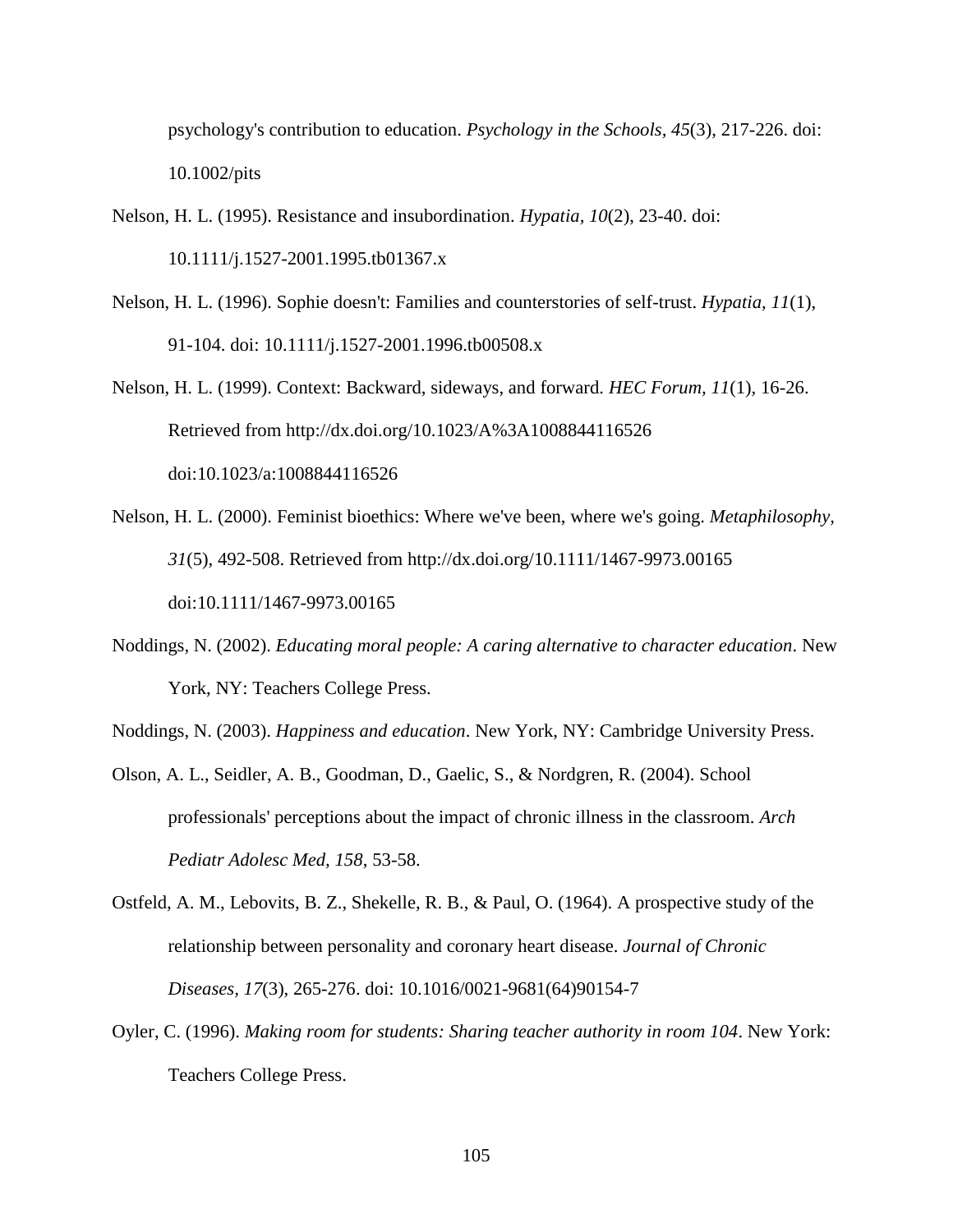psychology's contribution to education. *Psychology in the Schools, 45*(3), 217-226. doi: 10.1002/pits

- Nelson, H. L. (1995). Resistance and insubordination. *Hypatia, 10*(2), 23-40. doi: 10.1111/j.1527-2001.1995.tb01367.x
- Nelson, H. L. (1996). Sophie doesn't: Families and counterstories of self-trust. *Hypatia, 11*(1), 91-104. doi: 10.1111/j.1527-2001.1996.tb00508.x
- Nelson, H. L. (1999). Context: Backward, sideways, and forward. *HEC Forum, 11*(1), 16-26. Retrieved from http://dx.doi.org/10.1023/A%3A1008844116526 doi:10.1023/a:1008844116526
- Nelson, H. L. (2000). Feminist bioethics: Where we've been, where we's going. *Metaphilosophy, 31*(5), 492-508. Retrieved from http://dx.doi.org/10.1111/1467-9973.00165 doi:10.1111/1467-9973.00165
- Noddings, N. (2002). *Educating moral people: A caring alternative to character education*. New York, NY: Teachers College Press.
- Noddings, N. (2003). *Happiness and education*. New York, NY: Cambridge University Press.
- Olson, A. L., Seidler, A. B., Goodman, D., Gaelic, S., & Nordgren, R. (2004). School professionals' perceptions about the impact of chronic illness in the classroom. *Arch Pediatr Adolesc Med, 158*, 53-58.
- Ostfeld, A. M., Lebovits, B. Z., Shekelle, R. B., & Paul, O. (1964). A prospective study of the relationship between personality and coronary heart disease. *Journal of Chronic Diseases, 17*(3), 265-276. doi: 10.1016/0021-9681(64)90154-7
- Oyler, C. (1996). *Making room for students: Sharing teacher authority in room 104*. New York: Teachers College Press.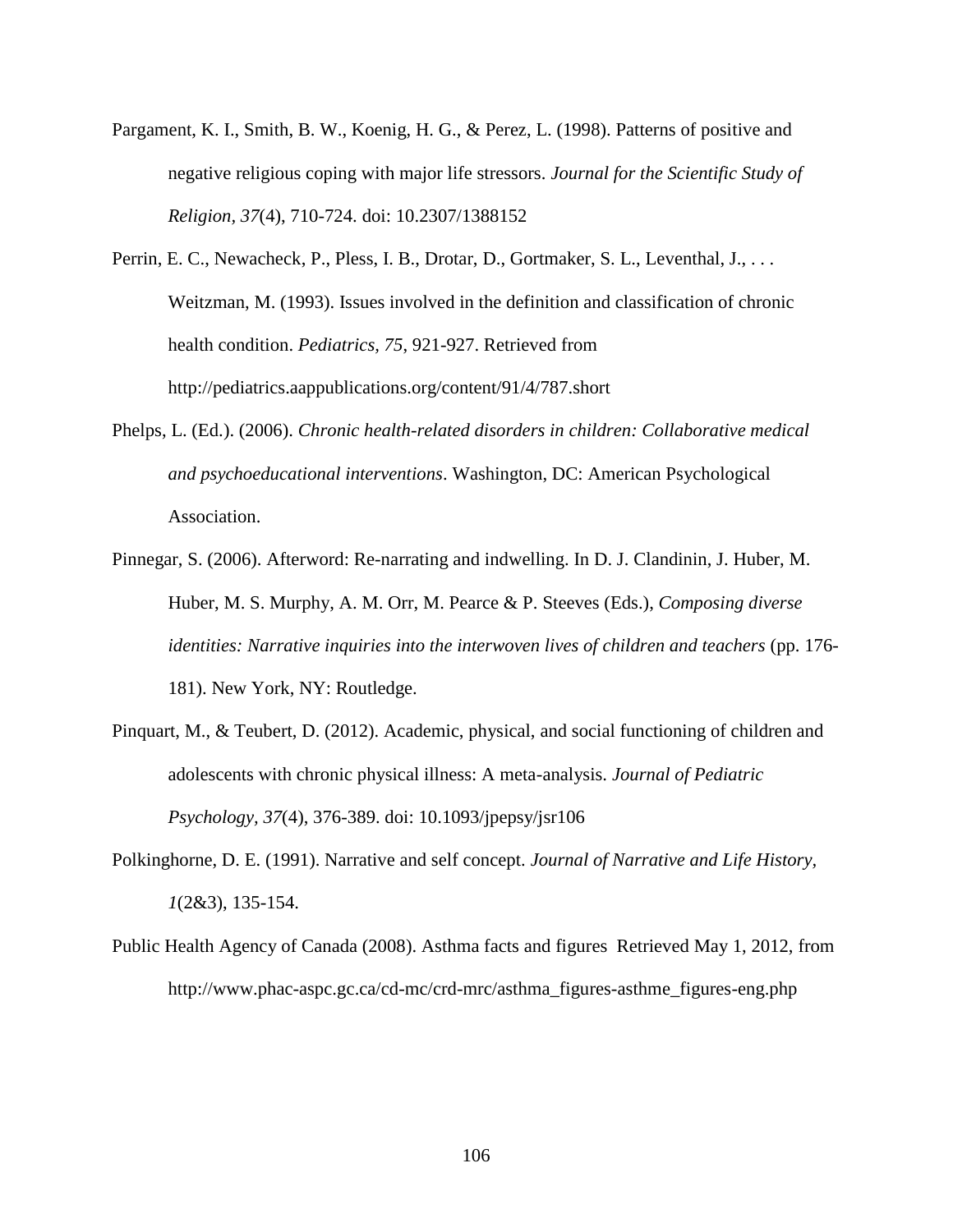- Pargament, K. I., Smith, B. W., Koenig, H. G., & Perez, L. (1998). Patterns of positive and negative religious coping with major life stressors. *Journal for the Scientific Study of Religion, 37*(4), 710-724. doi: 10.2307/1388152
- Perrin, E. C., Newacheck, P., Pless, I. B., Drotar, D., Gortmaker, S. L., Leventhal, J., ... Weitzman, M. (1993). Issues involved in the definition and classification of chronic health condition. *Pediatrics, 75*, 921-927. Retrieved from http://pediatrics.aappublications.org/content/91/4/787.short
- Phelps, L. (Ed.). (2006). *Chronic health-related disorders in children: Collaborative medical and psychoeducational interventions*. Washington, DC: American Psychological Association.
- Pinnegar, S. (2006). Afterword: Re-narrating and indwelling. In D. J. Clandinin, J. Huber, M. Huber, M. S. Murphy, A. M. Orr, M. Pearce & P. Steeves (Eds.), *Composing diverse identities: Narrative inquiries into the interwoven lives of children and teachers* (pp. 176- 181). New York, NY: Routledge.
- Pinquart, M., & Teubert, D. (2012). Academic, physical, and social functioning of children and adolescents with chronic physical illness: A meta-analysis. *Journal of Pediatric Psychology, 37*(4), 376-389. doi: 10.1093/jpepsy/jsr106
- Polkinghorne, D. E. (1991). Narrative and self concept. *Journal of Narrative and Life History, 1*(2&3), 135-154.
- Public Health Agency of Canada (2008). Asthma facts and figures Retrieved May 1, 2012, from http://www.phac-aspc.gc.ca/cd-mc/crd-mrc/asthma\_figures-asthme\_figures-eng.php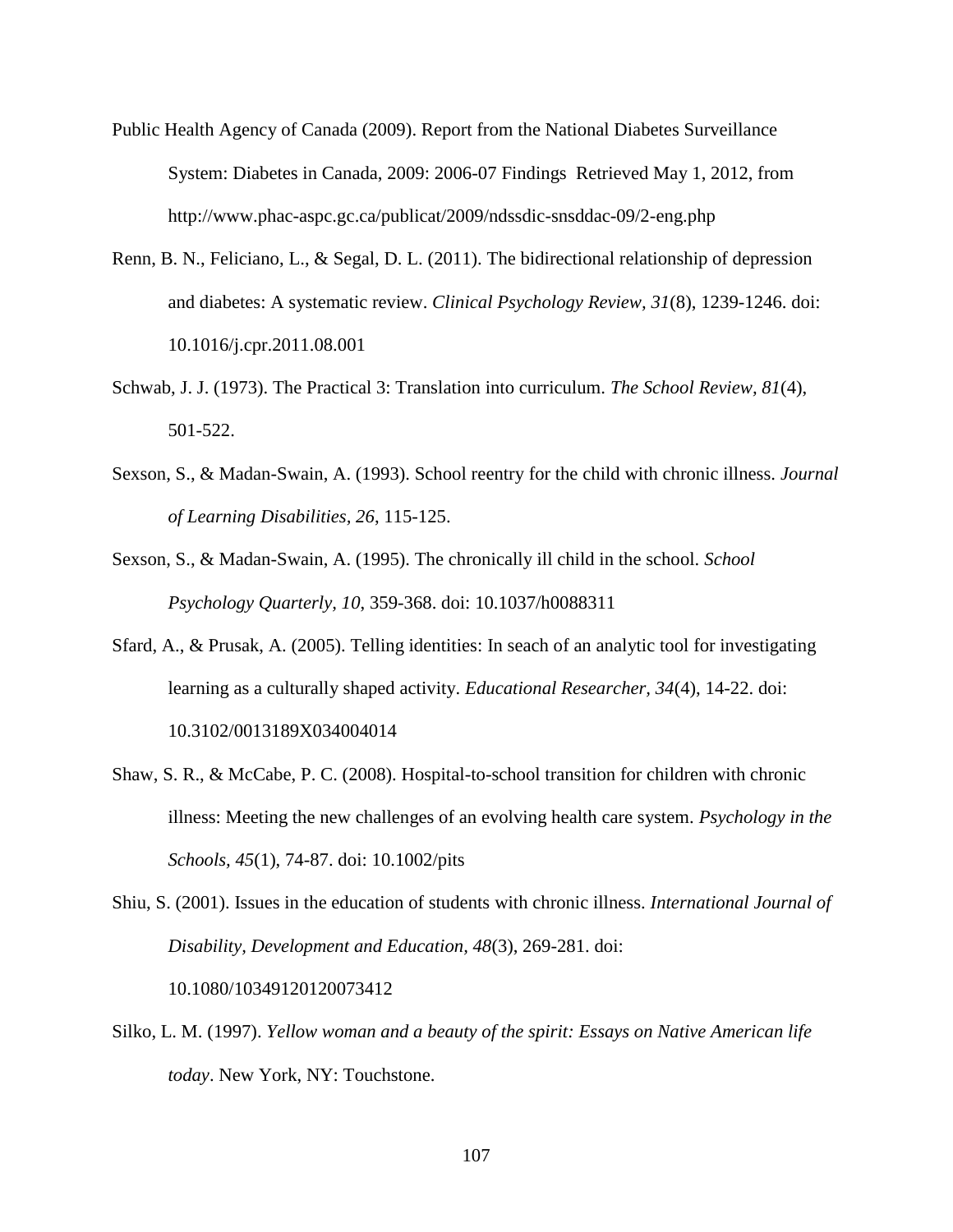- Public Health Agency of Canada (2009). Report from the National Diabetes Surveillance System: Diabetes in Canada, 2009: 2006-07 Findings Retrieved May 1, 2012, from http://www.phac-aspc.gc.ca/publicat/2009/ndssdic-snsddac-09/2-eng.php
- Renn, B. N., Feliciano, L., & Segal, D. L. (2011). The bidirectional relationship of depression and diabetes: A systematic review. *Clinical Psychology Review, 31*(8), 1239-1246. doi: 10.1016/j.cpr.2011.08.001
- Schwab, J. J. (1973). The Practical 3: Translation into curriculum. *The School Review, 81*(4), 501-522.
- Sexson, S., & Madan-Swain, A. (1993). School reentry for the child with chronic illness. *Journal of Learning Disabilities, 26*, 115-125.
- Sexson, S., & Madan-Swain, A. (1995). The chronically ill child in the school. *School Psychology Quarterly, 10*, 359-368. doi: 10.1037/h0088311
- Sfard, A., & Prusak, A. (2005). Telling identities: In seach of an analytic tool for investigating learning as a culturally shaped activity. *Educational Researcher, 34*(4), 14-22. doi: 10.3102/0013189X034004014
- Shaw, S. R., & McCabe, P. C. (2008). Hospital-to-school transition for children with chronic illness: Meeting the new challenges of an evolving health care system. *Psychology in the Schools, 45*(1), 74-87. doi: 10.1002/pits

Shiu, S. (2001). Issues in the education of students with chronic illness. *International Journal of Disability, Development and Education, 48*(3), 269-281. doi: 10.1080/10349120120073412

Silko, L. M. (1997). *Yellow woman and a beauty of the spirit: Essays on Native American life today*. New York, NY: Touchstone.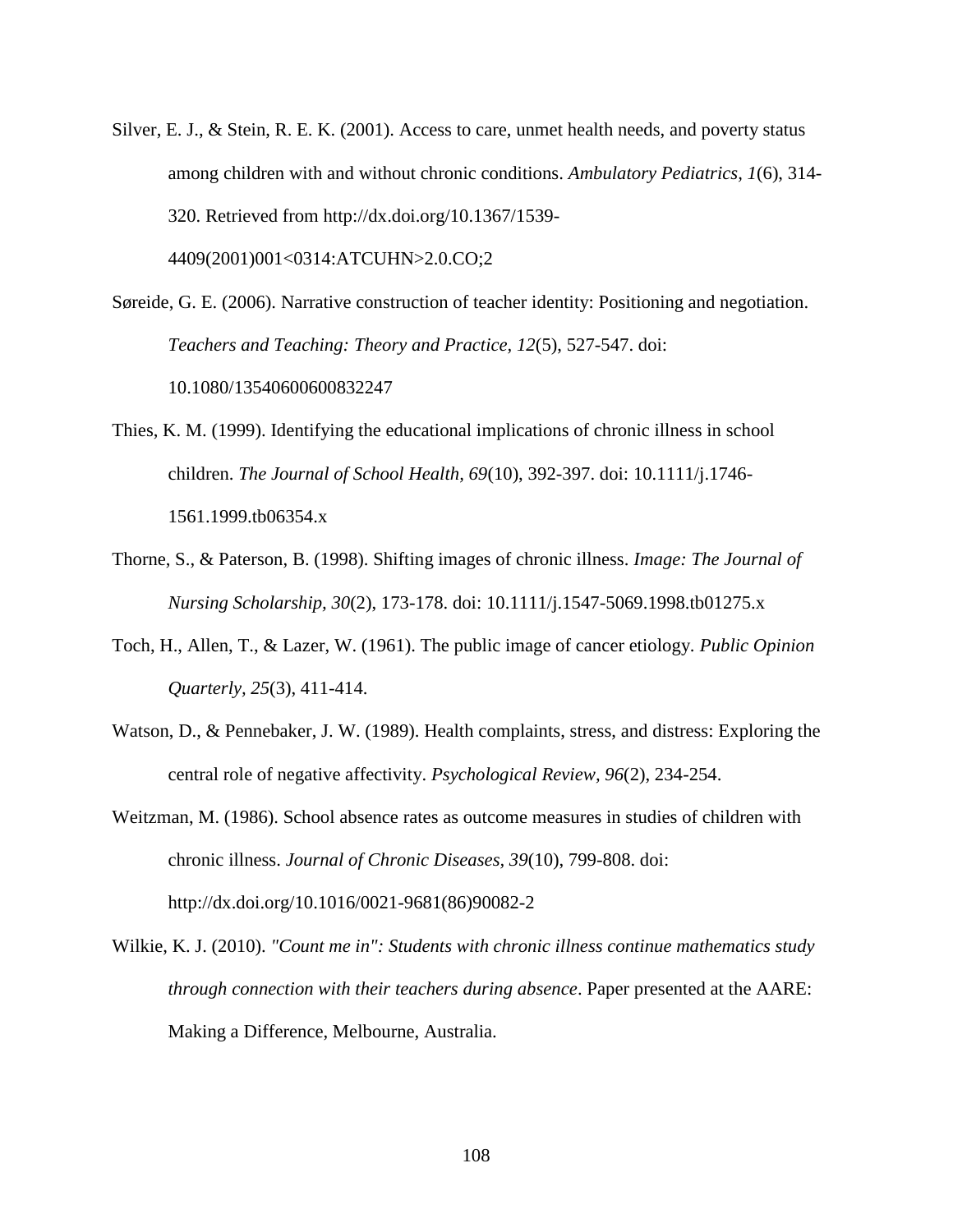Silver, E. J., & Stein, R. E. K. (2001). Access to care, unmet health needs, and poverty status among children with and without chronic conditions. *Ambulatory Pediatrics, 1*(6), 314- 320. Retrieved from http://dx.doi.org/10.1367/1539- 4409(2001)001<0314:ATCUHN>2.0.CO;2

Søreide, G. E. (2006). Narrative construction of teacher identity: Positioning and negotiation. *Teachers and Teaching: Theory and Practice, 12*(5), 527-547. doi: 10.1080/13540600600832247

- Thies, K. M. (1999). Identifying the educational implications of chronic illness in school children. *The Journal of School Health, 69*(10), 392-397. doi: 10.1111/j.1746- 1561.1999.tb06354.x
- Thorne, S., & Paterson, B. (1998). Shifting images of chronic illness. *Image: The Journal of Nursing Scholarship, 30*(2), 173-178. doi: 10.1111/j.1547-5069.1998.tb01275.x
- Toch, H., Allen, T., & Lazer, W. (1961). The public image of cancer etiology. *Public Opinion Quarterly, 25*(3), 411-414.
- Watson, D., & Pennebaker, J. W. (1989). Health complaints, stress, and distress: Exploring the central role of negative affectivity. *Psychological Review, 96*(2), 234-254.
- Weitzman, M. (1986). School absence rates as outcome measures in studies of children with chronic illness. *Journal of Chronic Diseases, 39*(10), 799-808. doi: http://dx.doi.org/10.1016/0021-9681(86)90082-2
- Wilkie, K. J. (2010). *"Count me in": Students with chronic illness continue mathematics study through connection with their teachers during absence*. Paper presented at the AARE: Making a Difference, Melbourne, Australia.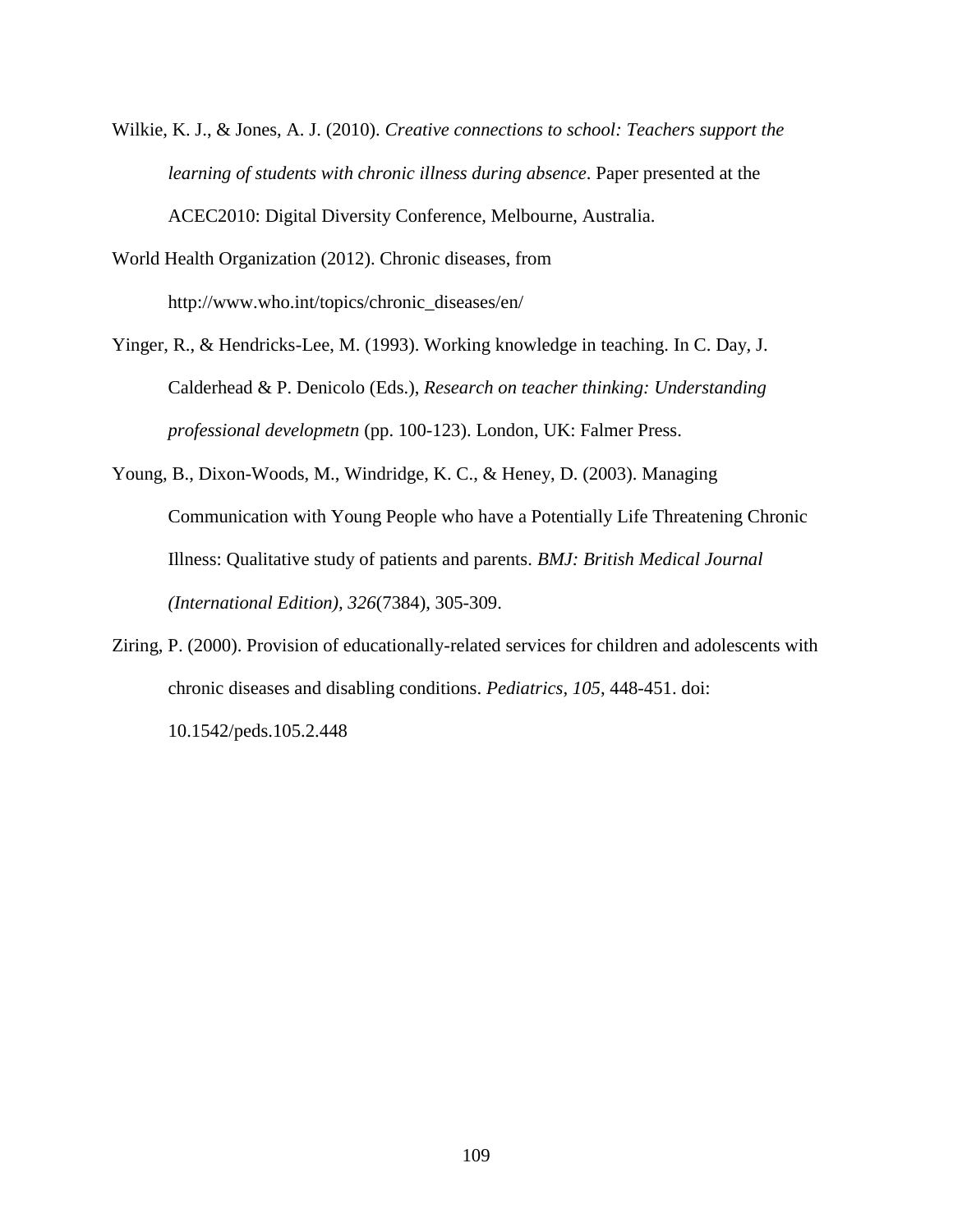Wilkie, K. J., & Jones, A. J. (2010). *Creative connections to school: Teachers support the learning of students with chronic illness during absence*. Paper presented at the ACEC2010: Digital Diversity Conference, Melbourne, Australia.

World Health Organization (2012). Chronic diseases, from http://www.who.int/topics/chronic\_diseases/en/

- Yinger, R., & Hendricks-Lee, M. (1993). Working knowledge in teaching. In C. Day, J. Calderhead & P. Denicolo (Eds.), *Research on teacher thinking: Understanding professional developmetn* (pp. 100-123). London, UK: Falmer Press.
- Young, B., Dixon-Woods, M., Windridge, K. C., & Heney, D. (2003). Managing Communication with Young People who have a Potentially Life Threatening Chronic Illness: Qualitative study of patients and parents. *BMJ: British Medical Journal (International Edition), 326*(7384), 305-309.
- Ziring, P. (2000). Provision of educationally-related services for children and adolescents with chronic diseases and disabling conditions. *Pediatrics, 105*, 448-451. doi:

10.1542/peds.105.2.448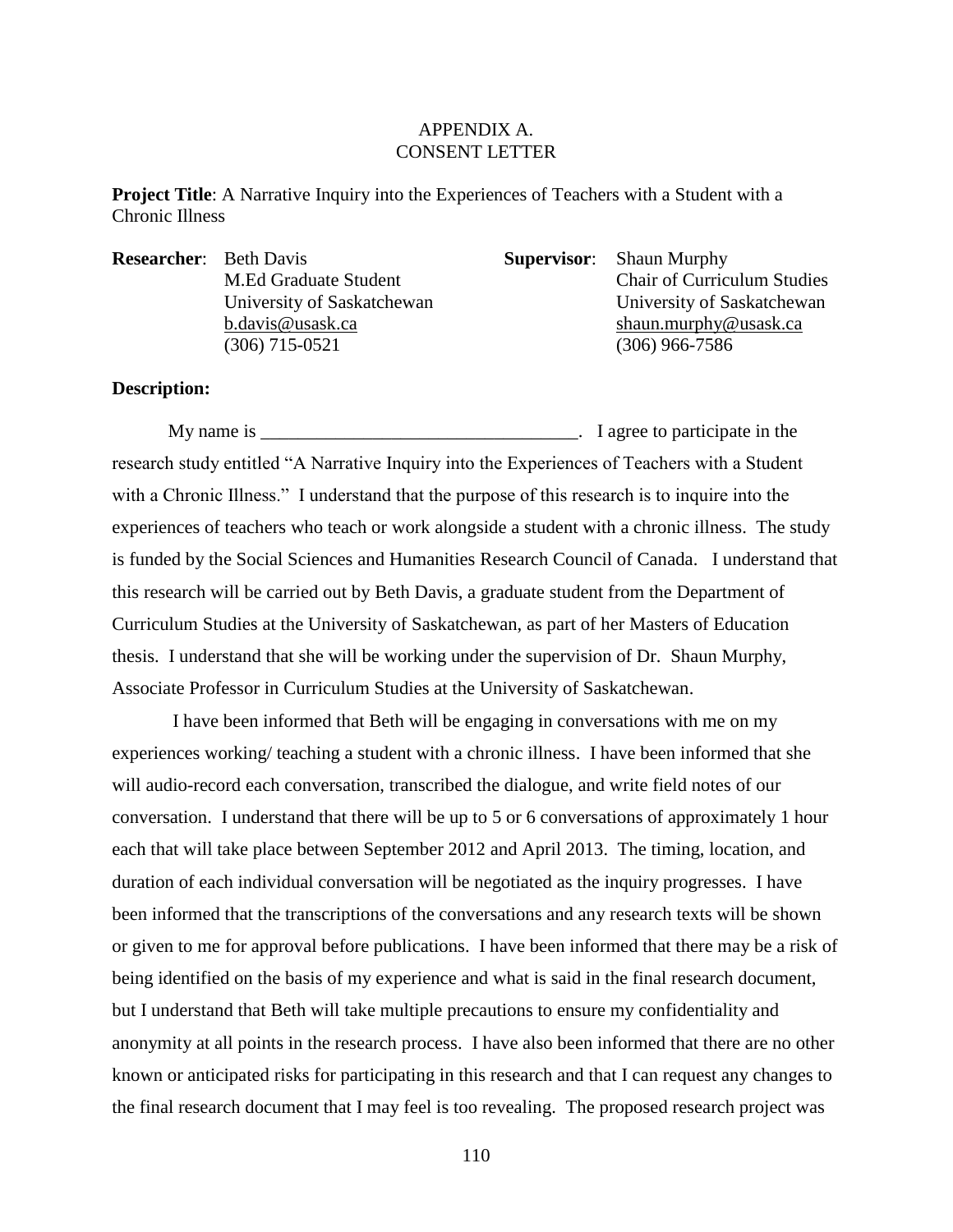## APPENDIX A. CONSENT LETTER

**Project Title:** A Narrative Inquiry into the Experiences of Teachers with a Student with a Chronic Illness

**Researcher:** Beth Davis **Supervisor:** Shaun Murphy (306) 715-0521 (306) 966-7586

M.Ed Graduate Student Chair of Curriculum Studies University of Saskatchewan University of Saskatchewan [b.davis@usask.ca](mailto:b.davis@usask.ca) [shaun.murphy@usask.ca](mailto:shaun.murphy@usask.ca)

## **Description:**

My name is \_\_\_\_\_\_\_\_\_\_\_\_\_\_\_\_\_\_\_\_\_\_\_\_\_\_\_\_\_\_\_\_\_\_. I agree to participate in the research study entitled "A Narrative Inquiry into the Experiences of Teachers with a Student with a Chronic Illness." I understand that the purpose of this research is to inquire into the experiences of teachers who teach or work alongside a student with a chronic illness. The study is funded by the Social Sciences and Humanities Research Council of Canada. I understand that this research will be carried out by Beth Davis, a graduate student from the Department of Curriculum Studies at the University of Saskatchewan, as part of her Masters of Education thesis. I understand that she will be working under the supervision of Dr. Shaun Murphy, Associate Professor in Curriculum Studies at the University of Saskatchewan.

I have been informed that Beth will be engaging in conversations with me on my experiences working/ teaching a student with a chronic illness. I have been informed that she will audio-record each conversation, transcribed the dialogue, and write field notes of our conversation. I understand that there will be up to 5 or 6 conversations of approximately 1 hour each that will take place between September 2012 and April 2013. The timing, location, and duration of each individual conversation will be negotiated as the inquiry progresses. I have been informed that the transcriptions of the conversations and any research texts will be shown or given to me for approval before publications. I have been informed that there may be a risk of being identified on the basis of my experience and what is said in the final research document, but I understand that Beth will take multiple precautions to ensure my confidentiality and anonymity at all points in the research process. I have also been informed that there are no other known or anticipated risks for participating in this research and that I can request any changes to the final research document that I may feel is too revealing. The proposed research project was

110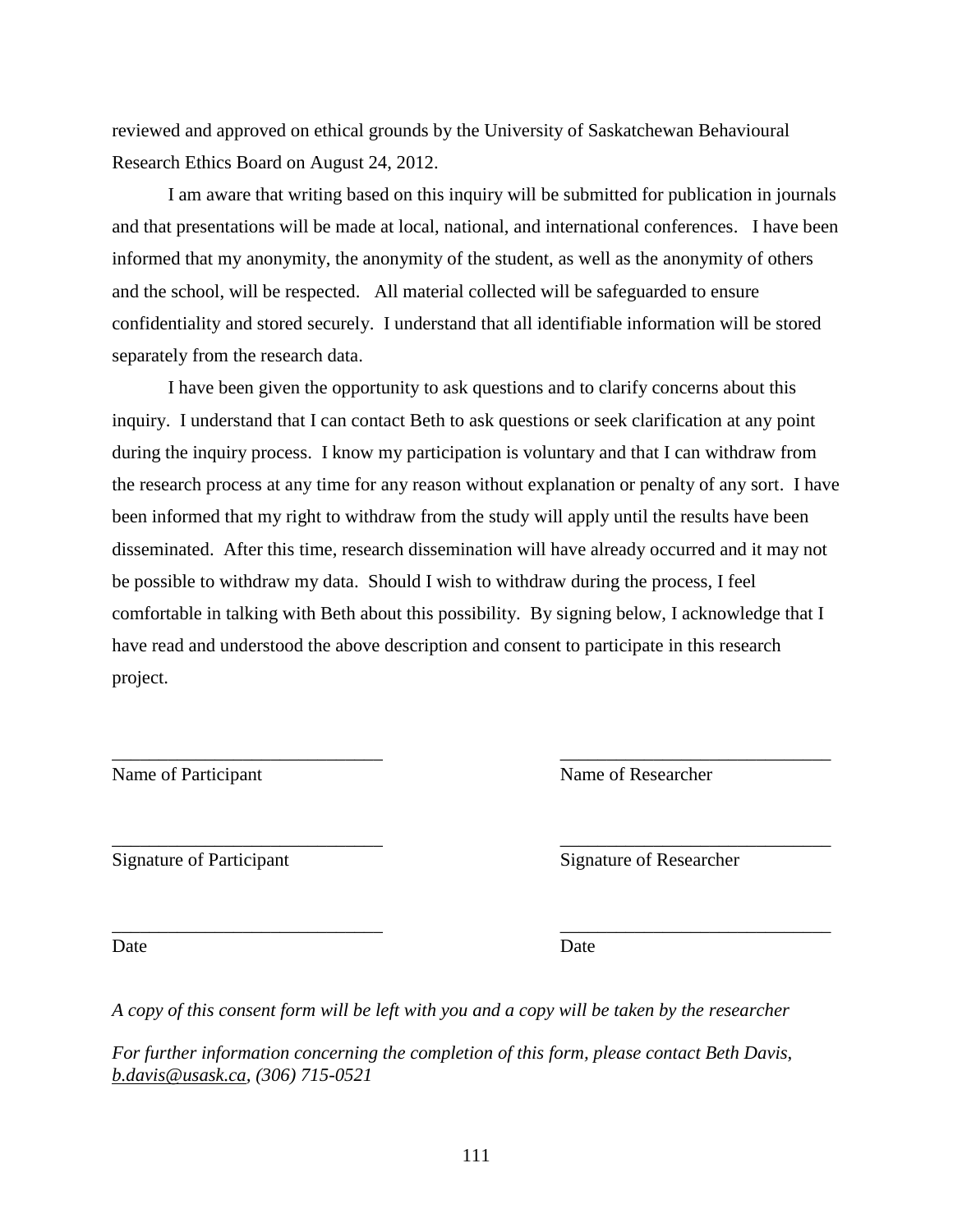reviewed and approved on ethical grounds by the University of Saskatchewan Behavioural Research Ethics Board on August 24, 2012.

I am aware that writing based on this inquiry will be submitted for publication in journals and that presentations will be made at local, national, and international conferences. I have been informed that my anonymity, the anonymity of the student, as well as the anonymity of others and the school, will be respected. All material collected will be safeguarded to ensure confidentiality and stored securely. I understand that all identifiable information will be stored separately from the research data.

I have been given the opportunity to ask questions and to clarify concerns about this inquiry. I understand that I can contact Beth to ask questions or seek clarification at any point during the inquiry process. I know my participation is voluntary and that I can withdraw from the research process at any time for any reason without explanation or penalty of any sort. I have been informed that my right to withdraw from the study will apply until the results have been disseminated. After this time, research dissemination will have already occurred and it may not be possible to withdraw my data. Should I wish to withdraw during the process, I feel comfortable in talking with Beth about this possibility. By signing below, I acknowledge that I have read and understood the above description and consent to participate in this research project.

\_\_\_\_\_\_\_\_\_\_\_\_\_\_\_\_\_\_\_\_\_\_\_\_\_\_\_\_\_ \_\_\_\_\_\_\_\_\_\_\_\_\_\_\_\_\_\_\_\_\_\_\_\_\_\_\_\_\_

\_\_\_\_\_\_\_\_\_\_\_\_\_\_\_\_\_\_\_\_\_\_\_\_\_\_\_\_\_ \_\_\_\_\_\_\_\_\_\_\_\_\_\_\_\_\_\_\_\_\_\_\_\_\_\_\_\_\_

Name of Participant Name of Researcher

Signature of Participant Signature of Researcher

\_\_\_\_\_\_\_\_\_\_\_\_\_\_\_\_\_\_\_\_\_\_\_\_\_\_\_\_\_ \_\_\_\_\_\_\_\_\_\_\_\_\_\_\_\_\_\_\_\_\_\_\_\_\_\_\_\_\_

Date Date Date

*A copy of this consent form will be left with you and a copy will be taken by the researcher*

*For further information concerning the completion of this form, please contact Beth Davis, [b.davis@usask.ca,](mailto:b.davis@usask.ca) (306) 715-0521*